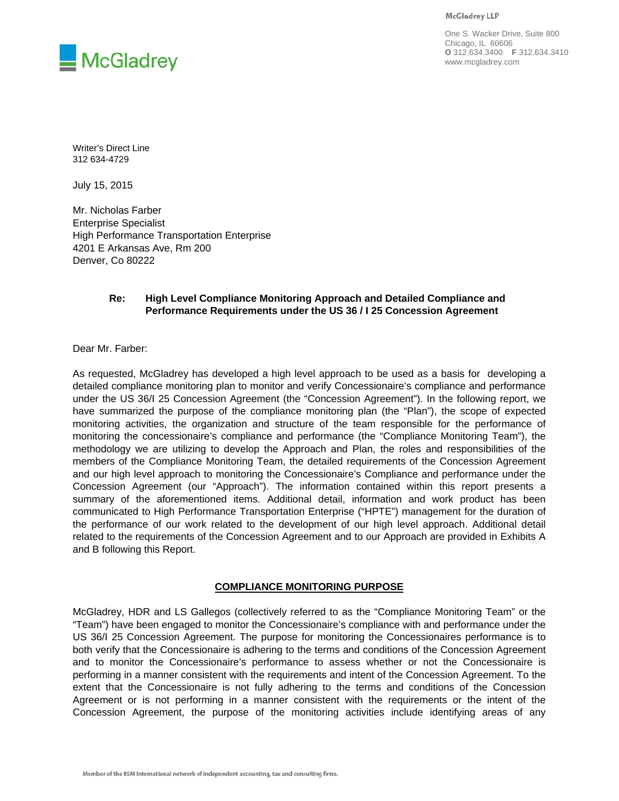**McGladrey LLP** 



One S. Wacker Drive, Suite 800 Chicago, IL 60606 **O** 312.634.3400 **F** 312.634.3410 www.mcgladrey.com

Writer's Direct Line 312 634-4729

July 15, 2015

Mr. Nicholas Farber Enterprise Specialist High Performance Transportation Enterprise 4201 E Arkansas Ave, Rm 200 Denver, Co 80222

## **Re: High Level Compliance Monitoring Approach and Detailed Compliance and Performance Requirements under the US 36 / I 25 Concession Agreement**

Dear Mr. Farber:

As requested, McGladrey has developed a high level approach to be used as a basis for developing a detailed compliance monitoring plan to monitor and verify Concessionaire's compliance and performance under the US 36/I 25 Concession Agreement (the "Concession Agreement"). In the following report, we have summarized the purpose of the compliance monitoring plan (the "Plan"), the scope of expected monitoring activities, the organization and structure of the team responsible for the performance of monitoring the concessionaire's compliance and performance (the "Compliance Monitoring Team"), the methodology we are utilizing to develop the Approach and Plan, the roles and responsibilities of the members of the Compliance Monitoring Team, the detailed requirements of the Concession Agreement and our high level approach to monitoring the Concessionaire's Compliance and performance under the Concession Agreement (our "Approach"). The information contained within this report presents a summary of the aforementioned items. Additional detail, information and work product has been communicated to High Performance Transportation Enterprise ("HPTE") management for the duration of the performance of our work related to the development of our high level approach. Additional detail related to the requirements of the Concession Agreement and to our Approach are provided in Exhibits A and B following this Report.

# **COMPLIANCE MONITORING PURPOSE**

McGladrey, HDR and LS Gallegos (collectively referred to as the "Compliance Monitoring Team" or the "Team") have been engaged to monitor the Concessionaire's compliance with and performance under the US 36/I 25 Concession Agreement. The purpose for monitoring the Concessionaires performance is to both verify that the Concessionaire is adhering to the terms and conditions of the Concession Agreement and to monitor the Concessionaire's performance to assess whether or not the Concessionaire is performing in a manner consistent with the requirements and intent of the Concession Agreement. To the extent that the Concessionaire is not fully adhering to the terms and conditions of the Concession Agreement or is not performing in a manner consistent with the requirements or the intent of the Concession Agreement, the purpose of the monitoring activities include identifying areas of any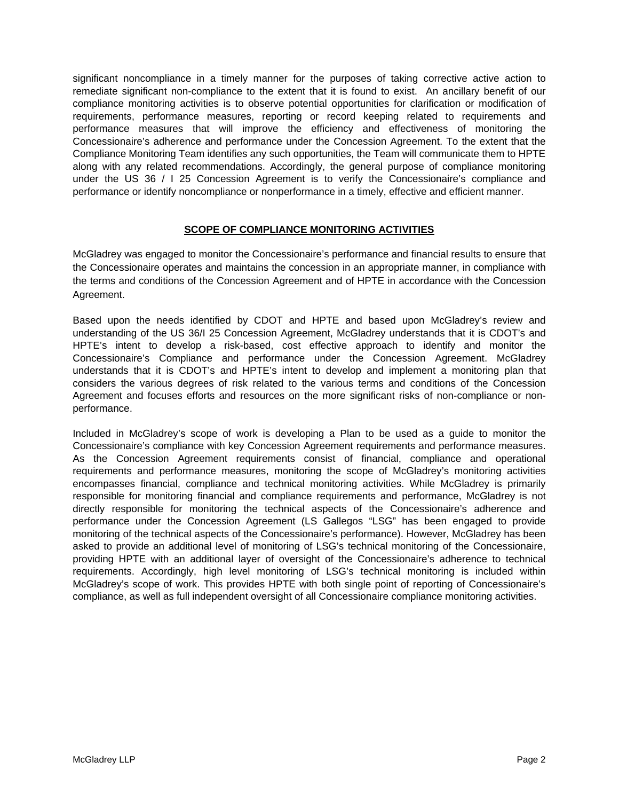significant noncompliance in a timely manner for the purposes of taking corrective active action to remediate significant non-compliance to the extent that it is found to exist. An ancillary benefit of our compliance monitoring activities is to observe potential opportunities for clarification or modification of requirements, performance measures, reporting or record keeping related to requirements and performance measures that will improve the efficiency and effectiveness of monitoring the Concessionaire's adherence and performance under the Concession Agreement. To the extent that the Compliance Monitoring Team identifies any such opportunities, the Team will communicate them to HPTE along with any related recommendations. Accordingly, the general purpose of compliance monitoring under the US 36 / I 25 Concession Agreement is to verify the Concessionaire's compliance and performance or identify noncompliance or nonperformance in a timely, effective and efficient manner.

# **SCOPE OF COMPLIANCE MONITORING ACTIVITIES**

McGladrey was engaged to monitor the Concessionaire's performance and financial results to ensure that the Concessionaire operates and maintains the concession in an appropriate manner, in compliance with the terms and conditions of the Concession Agreement and of HPTE in accordance with the Concession Agreement.

Based upon the needs identified by CDOT and HPTE and based upon McGladrey's review and understanding of the US 36/I 25 Concession Agreement, McGladrey understands that it is CDOT's and HPTE's intent to develop a risk-based, cost effective approach to identify and monitor the Concessionaire's Compliance and performance under the Concession Agreement. McGladrey understands that it is CDOT's and HPTE's intent to develop and implement a monitoring plan that considers the various degrees of risk related to the various terms and conditions of the Concession Agreement and focuses efforts and resources on the more significant risks of non-compliance or nonperformance.

Included in McGladrey's scope of work is developing a Plan to be used as a guide to monitor the Concessionaire's compliance with key Concession Agreement requirements and performance measures. As the Concession Agreement requirements consist of financial, compliance and operational requirements and performance measures, monitoring the scope of McGladrey's monitoring activities encompasses financial, compliance and technical monitoring activities. While McGladrey is primarily responsible for monitoring financial and compliance requirements and performance, McGladrey is not directly responsible for monitoring the technical aspects of the Concessionaire's adherence and performance under the Concession Agreement (LS Gallegos "LSG" has been engaged to provide monitoring of the technical aspects of the Concessionaire's performance). However, McGladrey has been asked to provide an additional level of monitoring of LSG's technical monitoring of the Concessionaire, providing HPTE with an additional layer of oversight of the Concessionaire's adherence to technical requirements. Accordingly, high level monitoring of LSG's technical monitoring is included within McGladrey's scope of work. This provides HPTE with both single point of reporting of Concessionaire's compliance, as well as full independent oversight of all Concessionaire compliance monitoring activities.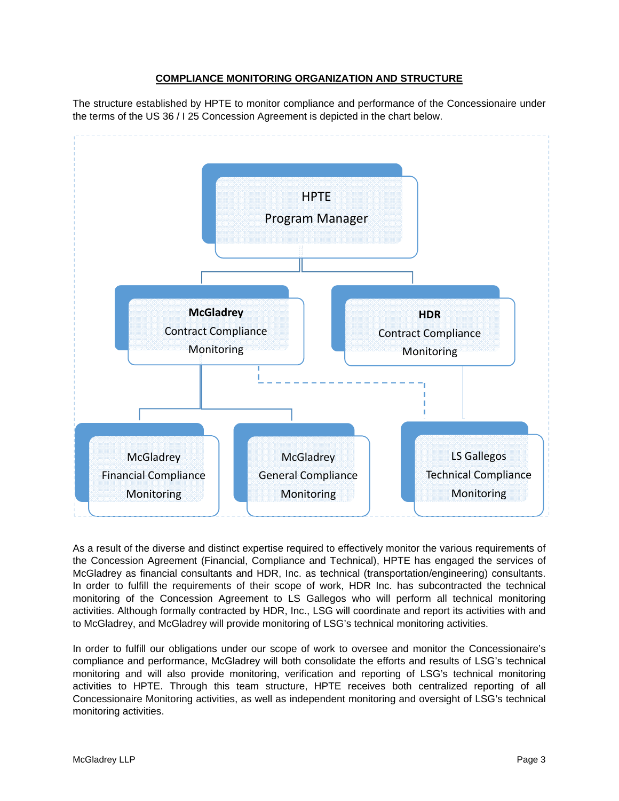# **COMPLIANCE MONITORING ORGANIZATION AND STRUCTURE**

The structure established by HPTE to monitor compliance and performance of the Concessionaire under the terms of the US 36 / I 25 Concession Agreement is depicted in the chart below.



As a result of the diverse and distinct expertise required to effectively monitor the various requirements of the Concession Agreement (Financial, Compliance and Technical), HPTE has engaged the services of McGladrey as financial consultants and HDR, Inc. as technical (transportation/engineering) consultants. In order to fulfill the requirements of their scope of work, HDR Inc. has subcontracted the technical monitoring of the Concession Agreement to LS Gallegos who will perform all technical monitoring activities. Although formally contracted by HDR, Inc., LSG will coordinate and report its activities with and to McGladrey, and McGladrey will provide monitoring of LSG's technical monitoring activities.

In order to fulfill our obligations under our scope of work to oversee and monitor the Concessionaire's compliance and performance, McGladrey will both consolidate the efforts and results of LSG's technical monitoring and will also provide monitoring, verification and reporting of LSG's technical monitoring activities to HPTE. Through this team structure, HPTE receives both centralized reporting of all Concessionaire Monitoring activities, as well as independent monitoring and oversight of LSG's technical monitoring activities.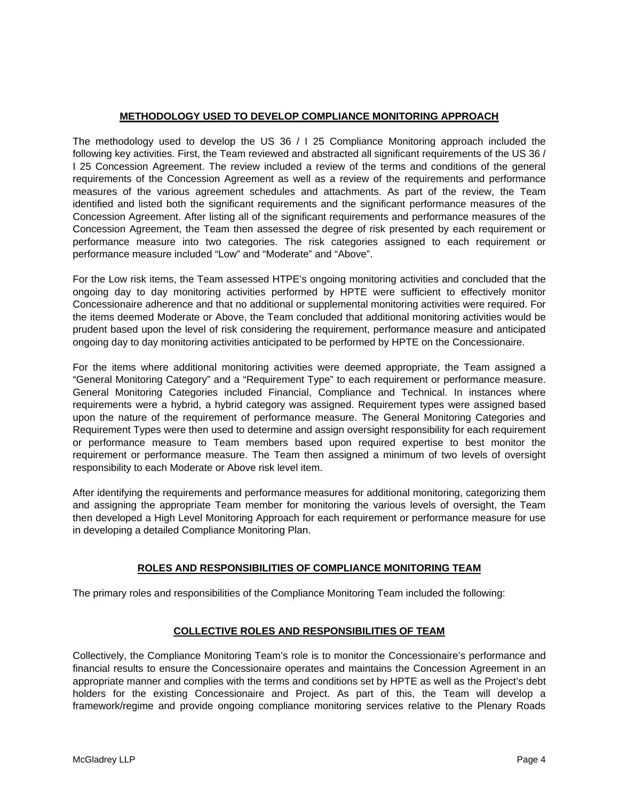# **METHODOLOGY USED TO DEVELOP COMPLIANCE MONITORING APPROACH**

The methodology used to develop the US 36 / I 25 Compliance Monitoring approach included the following key activities. First, the Team reviewed and abstracted all significant requirements of the US 36 / I 25 Concession Agreement. The review included a review of the terms and conditions of the general requirements of the Concession Agreement as well as a review of the requirements and performance measures of the various agreement schedules and attachments. As part of the review, the Team identified and listed both the significant requirements and the significant performance measures of the Concession Agreement. After listing all of the significant requirements and performance measures of the Concession Agreement, the Team then assessed the degree of risk presented by each requirement or performance measure into two categories. The risk categories assigned to each requirement or performance measure included "Low" and "Moderate" and "Above".

For the Low risk items, the Team assessed HTPE's ongoing monitoring activities and concluded that the ongoing day to day monitoring activities performed by HPTE were sufficient to effectively monitor Concessionaire adherence and that no additional or supplemental monitoring activities were required. For the items deemed Moderate or Above, the Team concluded that additional monitoring activities would be prudent based upon the level of risk considering the requirement, performance measure and anticipated ongoing day to day monitoring activities anticipated to be performed by HPTE on the Concessionaire.

For the items where additional monitoring activities were deemed appropriate, the Team assigned a "General Monitoring Category" and a "Requirement Type" to each requirement or performance measure. General Monitoring Categories included Financial, Compliance and Technical. In instances where requirements were a hybrid, a hybrid category was assigned. Requirement types were assigned based upon the nature of the requirement of performance measure. The General Monitoring Categories and Requirement Types were then used to determine and assign oversight responsibility for each requirement or performance measure to Team members based upon required expertise to best monitor the requirement or performance measure. The Team then assigned a minimum of two levels of oversight responsibility to each Moderate or Above risk level item.

After identifying the requirements and performance measures for additional monitoring, categorizing them and assigning the appropriate Team member for monitoring the various levels of oversight, the Team then developed a High Level Monitoring Approach for each requirement or performance measure for use in developing a detailed Compliance Monitoring Plan.

# **ROLES AND RESPONSIBILITIES OF COMPLIANCE MONITORING TEAM**

The primary roles and responsibilities of the Compliance Monitoring Team included the following:

# **COLLECTIVE ROLES AND RESPONSIBILITIES OF TEAM**

Collectively, the Compliance Monitoring Team's role is to monitor the Concessionaire's performance and financial results to ensure the Concessionaire operates and maintains the Concession Agreement in an appropriate manner and complies with the terms and conditions set by HPTE as well as the Project's debt holders for the existing Concessionaire and Project. As part of this, the Team will develop a framework/regime and provide ongoing compliance monitoring services relative to the Plenary Roads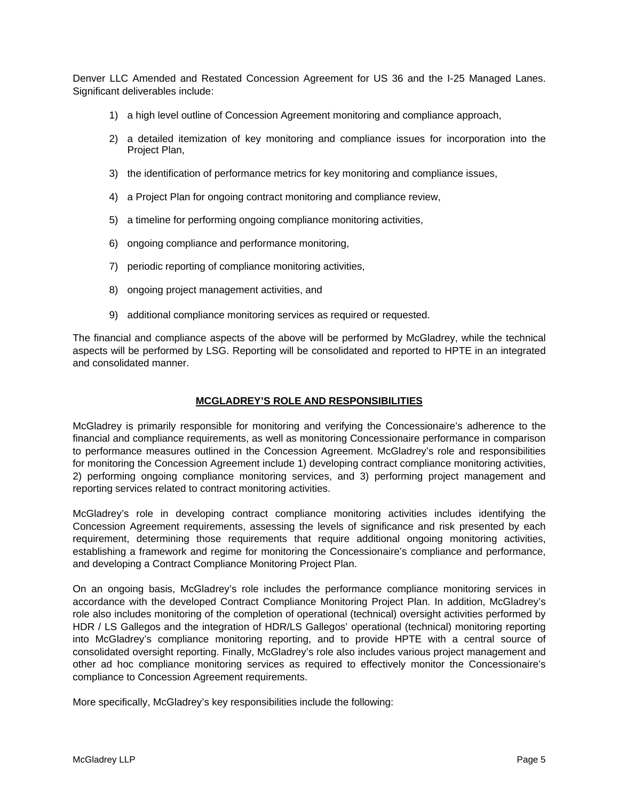Denver LLC Amended and Restated Concession Agreement for US 36 and the I-25 Managed Lanes. Significant deliverables include:

- 1) a high level outline of Concession Agreement monitoring and compliance approach,
- 2) a detailed itemization of key monitoring and compliance issues for incorporation into the Project Plan,
- 3) the identification of performance metrics for key monitoring and compliance issues,
- 4) a Project Plan for ongoing contract monitoring and compliance review,
- 5) a timeline for performing ongoing compliance monitoring activities,
- 6) ongoing compliance and performance monitoring,
- 7) periodic reporting of compliance monitoring activities,
- 8) ongoing project management activities, and
- 9) additional compliance monitoring services as required or requested.

The financial and compliance aspects of the above will be performed by McGladrey, while the technical aspects will be performed by LSG. Reporting will be consolidated and reported to HPTE in an integrated and consolidated manner.

## **MCGLADREY'S ROLE AND RESPONSIBILITIES**

McGladrey is primarily responsible for monitoring and verifying the Concessionaire's adherence to the financial and compliance requirements, as well as monitoring Concessionaire performance in comparison to performance measures outlined in the Concession Agreement. McGladrey's role and responsibilities for monitoring the Concession Agreement include 1) developing contract compliance monitoring activities, 2) performing ongoing compliance monitoring services, and 3) performing project management and reporting services related to contract monitoring activities.

McGladrey's role in developing contract compliance monitoring activities includes identifying the Concession Agreement requirements, assessing the levels of significance and risk presented by each requirement, determining those requirements that require additional ongoing monitoring activities, establishing a framework and regime for monitoring the Concessionaire's compliance and performance, and developing a Contract Compliance Monitoring Project Plan.

On an ongoing basis, McGladrey's role includes the performance compliance monitoring services in accordance with the developed Contract Compliance Monitoring Project Plan. In addition, McGladrey's role also includes monitoring of the completion of operational (technical) oversight activities performed by HDR / LS Gallegos and the integration of HDR/LS Gallegos' operational (technical) monitoring reporting into McGladrey's compliance monitoring reporting, and to provide HPTE with a central source of consolidated oversight reporting. Finally, McGladrey's role also includes various project management and other ad hoc compliance monitoring services as required to effectively monitor the Concessionaire's compliance to Concession Agreement requirements.

More specifically, McGladrey's key responsibilities include the following: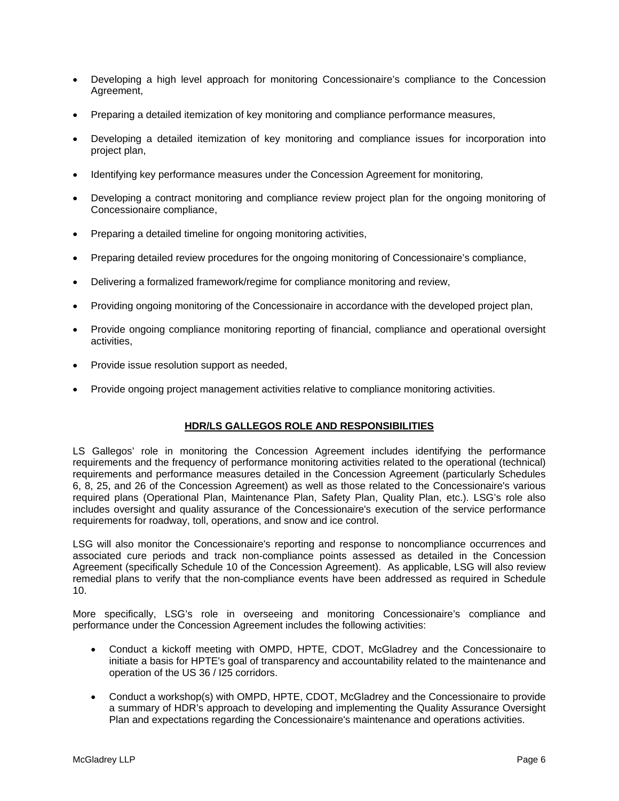- Developing a high level approach for monitoring Concessionaire's compliance to the Concession Agreement,
- Preparing a detailed itemization of key monitoring and compliance performance measures,
- Developing a detailed itemization of key monitoring and compliance issues for incorporation into project plan,
- Identifying key performance measures under the Concession Agreement for monitoring,
- Developing a contract monitoring and compliance review project plan for the ongoing monitoring of Concessionaire compliance,
- Preparing a detailed timeline for ongoing monitoring activities,
- Preparing detailed review procedures for the ongoing monitoring of Concessionaire's compliance,
- Delivering a formalized framework/regime for compliance monitoring and review,
- Providing ongoing monitoring of the Concessionaire in accordance with the developed project plan,
- Provide ongoing compliance monitoring reporting of financial, compliance and operational oversight activities,
- Provide issue resolution support as needed,
- Provide ongoing project management activities relative to compliance monitoring activities.

# **HDR/LS GALLEGOS ROLE AND RESPONSIBILITIES**

LS Gallegos' role in monitoring the Concession Agreement includes identifying the performance requirements and the frequency of performance monitoring activities related to the operational (technical) requirements and performance measures detailed in the Concession Agreement (particularly Schedules 6, 8, 25, and 26 of the Concession Agreement) as well as those related to the Concessionaire's various required plans (Operational Plan, Maintenance Plan, Safety Plan, Quality Plan, etc.). LSG's role also includes oversight and quality assurance of the Concessionaire's execution of the service performance requirements for roadway, toll, operations, and snow and ice control.

LSG will also monitor the Concessionaire's reporting and response to noncompliance occurrences and associated cure periods and track non-compliance points assessed as detailed in the Concession Agreement (specifically Schedule 10 of the Concession Agreement). As applicable, LSG will also review remedial plans to verify that the non-compliance events have been addressed as required in Schedule 10.

More specifically, LSG's role in overseeing and monitoring Concessionaire's compliance and performance under the Concession Agreement includes the following activities:

- Conduct a kickoff meeting with OMPD, HPTE, CDOT, McGladrey and the Concessionaire to initiate a basis for HPTE's goal of transparency and accountability related to the maintenance and operation of the US 36 / I25 corridors.
- Conduct a workshop(s) with OMPD, HPTE, CDOT, McGladrey and the Concessionaire to provide a summary of HDR's approach to developing and implementing the Quality Assurance Oversight Plan and expectations regarding the Concessionaire's maintenance and operations activities.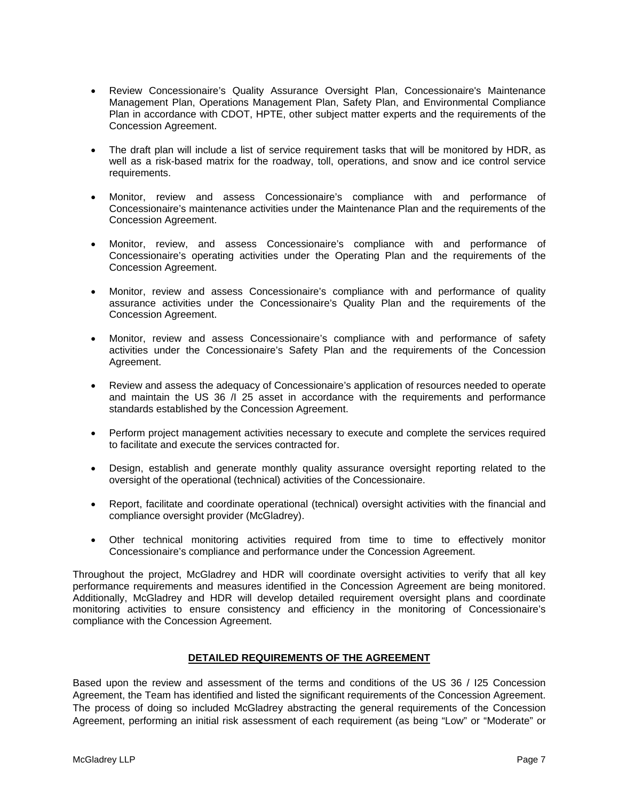- Review Concessionaire's Quality Assurance Oversight Plan, Concessionaire's Maintenance Management Plan, Operations Management Plan, Safety Plan, and Environmental Compliance Plan in accordance with CDOT, HPTE, other subject matter experts and the requirements of the Concession Agreement.
- The draft plan will include a list of service requirement tasks that will be monitored by HDR, as well as a risk-based matrix for the roadway, toll, operations, and snow and ice control service requirements.
- Monitor, review and assess Concessionaire's compliance with and performance of Concessionaire's maintenance activities under the Maintenance Plan and the requirements of the Concession Agreement.
- Monitor, review, and assess Concessionaire's compliance with and performance of Concessionaire's operating activities under the Operating Plan and the requirements of the Concession Agreement.
- Monitor, review and assess Concessionaire's compliance with and performance of quality assurance activities under the Concessionaire's Quality Plan and the requirements of the Concession Agreement.
- Monitor, review and assess Concessionaire's compliance with and performance of safety activities under the Concessionaire's Safety Plan and the requirements of the Concession Agreement.
- Review and assess the adequacy of Concessionaire's application of resources needed to operate and maintain the US 36 /I 25 asset in accordance with the requirements and performance standards established by the Concession Agreement.
- Perform project management activities necessary to execute and complete the services required to facilitate and execute the services contracted for.
- Design, establish and generate monthly quality assurance oversight reporting related to the oversight of the operational (technical) activities of the Concessionaire.
- Report, facilitate and coordinate operational (technical) oversight activities with the financial and compliance oversight provider (McGladrey).
- Other technical monitoring activities required from time to time to effectively monitor Concessionaire's compliance and performance under the Concession Agreement.

Throughout the project, McGladrey and HDR will coordinate oversight activities to verify that all key performance requirements and measures identified in the Concession Agreement are being monitored. Additionally, McGladrey and HDR will develop detailed requirement oversight plans and coordinate monitoring activities to ensure consistency and efficiency in the monitoring of Concessionaire's compliance with the Concession Agreement.

## **DETAILED REQUIREMENTS OF THE AGREEMENT**

Based upon the review and assessment of the terms and conditions of the US 36 / I25 Concession Agreement, the Team has identified and listed the significant requirements of the Concession Agreement. The process of doing so included McGladrey abstracting the general requirements of the Concession Agreement, performing an initial risk assessment of each requirement (as being "Low" or "Moderate" or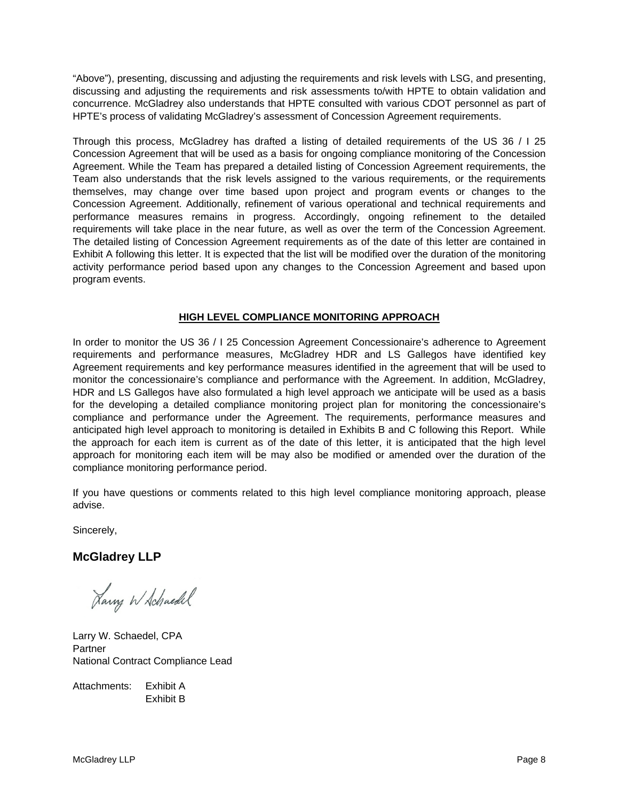"Above"), presenting, discussing and adjusting the requirements and risk levels with LSG, and presenting, discussing and adjusting the requirements and risk assessments to/with HPTE to obtain validation and concurrence. McGladrey also understands that HPTE consulted with various CDOT personnel as part of HPTE's process of validating McGladrey's assessment of Concession Agreement requirements.

Through this process, McGladrey has drafted a listing of detailed requirements of the US 36 / I 25 Concession Agreement that will be used as a basis for ongoing compliance monitoring of the Concession Agreement. While the Team has prepared a detailed listing of Concession Agreement requirements, the Team also understands that the risk levels assigned to the various requirements, or the requirements themselves, may change over time based upon project and program events or changes to the Concession Agreement. Additionally, refinement of various operational and technical requirements and performance measures remains in progress. Accordingly, ongoing refinement to the detailed requirements will take place in the near future, as well as over the term of the Concession Agreement. The detailed listing of Concession Agreement requirements as of the date of this letter are contained in Exhibit A following this letter. It is expected that the list will be modified over the duration of the monitoring activity performance period based upon any changes to the Concession Agreement and based upon program events.

# **HIGH LEVEL COMPLIANCE MONITORING APPROACH**

In order to monitor the US 36 / I 25 Concession Agreement Concessionaire's adherence to Agreement requirements and performance measures, McGladrey HDR and LS Gallegos have identified key Agreement requirements and key performance measures identified in the agreement that will be used to monitor the concessionaire's compliance and performance with the Agreement. In addition, McGladrey, HDR and LS Gallegos have also formulated a high level approach we anticipate will be used as a basis for the developing a detailed compliance monitoring project plan for monitoring the concessionaire's compliance and performance under the Agreement. The requirements, performance measures and anticipated high level approach to monitoring is detailed in Exhibits B and C following this Report. While the approach for each item is current as of the date of this letter, it is anticipated that the high level approach for monitoring each item will be may also be modified or amended over the duration of the compliance monitoring performance period.

If you have questions or comments related to this high level compliance monitoring approach, please advise.

Sincerely,

# **McGladrey LLP**

Larry W Schaedel

Larry W. Schaedel, CPA **Partner** National Contract Compliance Lead

Attachments: Exhibit A Exhibit B

McGladrey LLP **Page 8**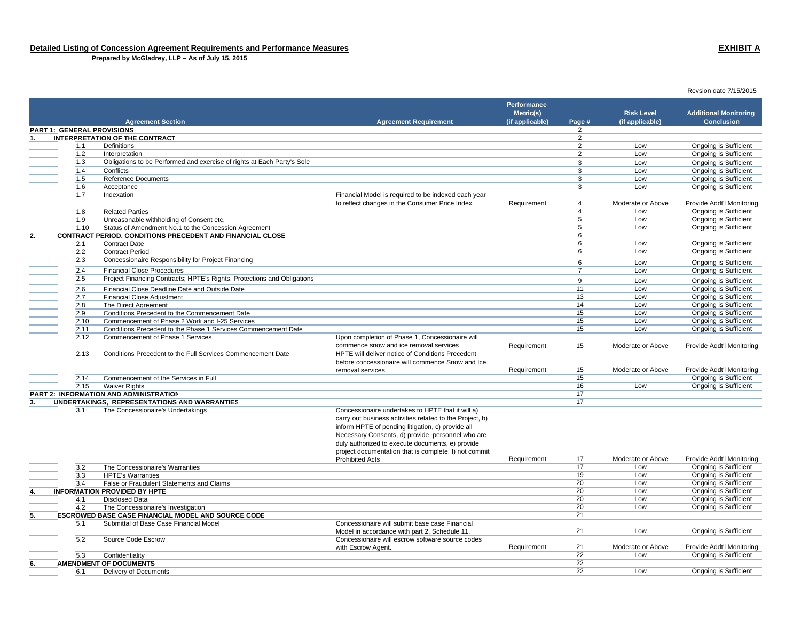**Prepared by McGladrey, LLP – As of July 15, 2015**

**Performance Metric(s) Additional Monitoring Risk Level Agreement Section Agreement Requirement Conclusion(if applicable) Page # (if applicable) PART 1: GENERAL PROVISIONS** $\mathbf S$ **1. INTERPRETATION OF THE CONTRACT**о се од 12 денови производите на 12 денови 22 денови 22 денови 22 денови 22 денови 22 денови 22 денови 22 дено 1.1 Definitions 2 Low Ongoing is Sufficient 1.2 Interpretation 2 Low Ongoing is Sufficient 1.3 Obligations to be Performed and exercise of rights at Each Party's Sole 3 Low Ongoing is Sufficient 1.4 Conflicts 3 Low Ongoing is Sufficient 1.5 Reference Documents 3 Low Ongoing is Sufficient 1.6 Acceptance 3 Low Ongoing is Sufficient 1.7 Indexation **Indexation** Financial Model is required to be indexed each year to reflect changes in the Consumer Price Index.<br>
Requirement Moderate or Above Provide Addt'l Monitoring<br>
Low Dngoing is Sufficient 1.8 Related Parties 4 Low Ongoing is Sufficient 1.9 Unreasonable withholding of Consent etc.<br>
1.10 Status of Amendment No.1 to the Concession Agreement<br>
1.10 Status of Amendment No.1 to the Concession Agreement 1.10 Status of Amendment No.1 to the Concession Agreement 5 Low Only 1.10 Status is Sufficient Theory of Sufficient Concession Agreement 6 Low Ongoing is Sufficient Theory of Sufficient American Congoing is Sufficient Theo **2. CONTRACT PERIOD, CONDITIONS PRECEDENT AND FINANCIAL CLOSE**<br>
<sup>2.1</sup> Contract Date **6** 2.1 Contract Date 6 Low Ongoing is Sufficient 2.2 Contract Period 6 Low Ongoing is Sufficient 2.3 Concessionaire Responsibility for Project Financing entertainment of the Concessional Concessionaire Responsibility for Project Financing entertainment of the Concessional Concessionaire Responsibility for Project Fina **Financial Close Procedures**  7 Low Ongoing is Sufficient 2.5 Project Financing Contracts; HPTE's Rights, Protections and Obligations **12.6** Project Financial Close Deadline Date and Outside Date of Ongoing is Sufficient **2.6** Financial Close Deadline Date and Outside Date of Con **Financial Close Deadline Date and Outside Date**  11 Low Ongoing is Sufficient 2.7 Financial Close Adjustment 13 Low Ongoing is Sufficient 2.8 The Direct Agreement <sup>14</sup> Low Ongoing is Sufficient 2.9 Conditions Precedent to the Commencement Date 15 Low Dongoing is Sufficient 2.10 Commencement of Phase 2 Work and I-25 Services15 Low Dongoing is Sufficient 2.11 Conditions Precedent to the Phase 1 Services Commencement Date15 Low Low Ongoing is Sufficient 2.12 Commencement of Phase 1 Services Upon completion of Phase 1, Concessionaire will commence snow and ice removal services Requirement 15 Moderate or Above Provide Addt'l Monitoring 2.13 Conditions Precedent to the Full Services Commencement Date HPTE will deliver notice of Conditions Precedent before concessionaire will commence Snow and Ice removal services. The service of the sequirement the control of the Moderate or Above Provide Addt'l Monitoring 2.14 Commencement of the Services in Full15 Ongoing is Sufficient<br>16 Low Dogoing is Sufficient 2.15 Waiver Rights 16 Low Ongoing is Sufficient **PART 2: INFORMATION AND ADMINISTRATION** $\sim$  17 **3. UNDERTAKINGS, REPRESENTATIONS AND WARRANTIES** 17 3.1 The Concessionaire's Undertakings Concessionaire undertakes to HPTE that it will a) carry out business activities related to the Project, b) inform HPTE of pending litigation, c) provide all Necessary Consents, d) provide personnel who are duly authorized to execute documents, e) provide project documentation that is complete, f) not commit Requirement 17 Moderate or Above Provide Addt'l Monitoring<br>17 Low Ongoing is Sufficient Prohibited Acts3.2 The Concessionaire's Warranties 17 Low Ongoing is Sufficient 3.3 HPTE's Warranties 19 Low Ongoing is Sufficient 3.4 False or Fraudulent Statements and Claims 20 Low Ongoing is Sufficient **INFORMATION PROVIDED BY HPTE**  20 Low Ongoing is Sufficient 4.1 Disclosed Data 20 Low Ongoing is Sufficient A.2 The Concessionaire's Investigation<br>
A Domain 20 Low Displays the Concessional of the Concessional Concessional Concessional Concessional Concession<br>
21 21 21 21 21 21 22 21 22 21 22 21 22 21 22 21 22 21 22 21 22 21 22 **5. ESCROWED BASE CASE FINANCIAL MODEL AND SOURCE CODE** $\mathsf E$  21 5.1 Submittal of Base Case Financial Model Concessionaire will submit base case Financial Model in accordance with part 2, Schedule 11. 21 Low Low Digoing is Sufficient 5.2 Source Code Escrow Concessionaire will escrow software source codes with Escrow Agent.<br>
Requirement 21 Moderate or Above Provide Addt'l Monitoring<br>
22 Low Dngoing is Sufficient 5.3 Confidentiality <sup>22</sup> Low Ongoing is Sufficient **6. AMENDMENT OF DOCUMENTS**S and the contract of the contract of the contract of the contract of the contract of the contract of the contract of the contract of the contract of the contract of the contract of the contract of the contract of the cont 6.1 Delivery of Documents <sup>22</sup> Low Ongoing is Sufficient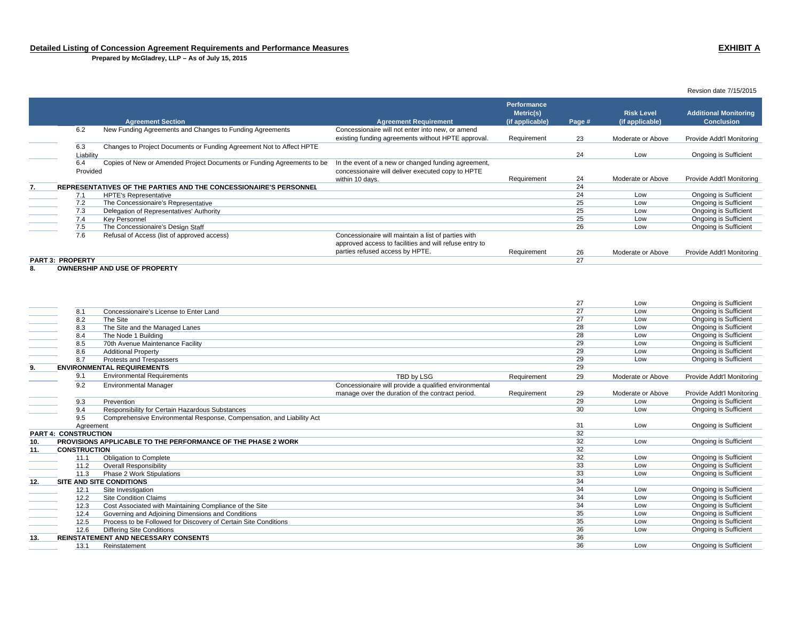**Prepared by McGladrey, LLP – As of July 15, 2015**

### **Agreement Section Agreement Requirement Performance Metric(s) (if applicable) Page # Risk Level (if applicable) Additional Monitoring Conclusion** 6.2 New Funding Agreements and Changes to Funding Agreements Concessionaire will not enter into new, or amend existing funding agreements without HPTE approval. Requirement 23 Moderate or Above Provide Addt'l Monitoring 6.3 Changes to Project Documents or Funding Agreement Not to Affect HPTE Liability <sup>24</sup> Low Ongoing is Sufficient 6.4 Copies of New or Amended Project Documents or Funding Agreements to be ProvidedIn the event of a new or changed funding agreement, concessionaire will deliver executed copy to HPTE within 10 days.<br>Requirement 24 Moderate or Above Provide Addt'l Monitoring<br>24 24 24 **7. REPRESENTATIVES OF THE PARTIES AND THE CONCESSIONAIRE'S PERSONNEL** $\blacksquare$ 7.1 HPTE's Representative 24 Low Ongoing is Sufficient  $\frac{7.2}{7.3}$  The Concessionaire's Representative Christianus and the Concessionaire's Representative Christianus Christianus and the Concessionaire's Representative Christianus and the Concessionaire's Representative Chri 7.3 Delegation of Representatives' Authority 25 Low Ongoing is Sufficient 7.4 Key Personnel 25 Low Ongoing is Sufficient 7.5 The Concessionaire's Design Staff **2002** Concessionaire's Design Staff Concessionaire's Design Staff Concessionaire's Design Staff Concessionaire's Design Staff Concessionaire's Design Staff Concessionaire's Design Sta 7.6 Refusal of Access (list of approved access) Concessionaire will maintain a list of parties with approved access to facilities and will refuse entry to Parties requirement 26 Moderate or Above Provide Addt'l Monitoring<br>27 **PART 3: PROPERTY**expression and the contract of the contract of the contract of the contract of the contract of the contract of the contract of the contract of the contract of the contract of the contract of the contract of the contract of

**8. OWNERSHIP AND USE OF PROPERTY**

|     |                             |                                                                       |                                                       |             | 27 | Low               | Ongoing is Sufficient        |
|-----|-----------------------------|-----------------------------------------------------------------------|-------------------------------------------------------|-------------|----|-------------------|------------------------------|
|     | 8.1                         | Concessionaire's License to Enter Land                                |                                                       |             | 27 | Low               | Ongoing is Sufficient        |
|     | 8.2                         | The Site                                                              |                                                       |             | 27 | Low               | Ongoing is Sufficient        |
|     | 8.3                         | The Site and the Managed Lanes                                        |                                                       |             | 28 | Low               | Ongoing is Sufficient        |
|     | 8.4                         | The Node 1 Building                                                   |                                                       |             | 28 | Low               | <b>Ongoing is Sufficient</b> |
|     | 8.5                         | 70th Avenue Maintenance Facility                                      |                                                       |             | 29 | Low               | <b>Ongoing is Sufficient</b> |
|     | 8.6                         | <b>Additional Property</b>                                            |                                                       |             | 29 | Low               | <b>Ongoing is Sufficient</b> |
|     | 8.7                         | Protests and Trespassers                                              |                                                       |             | 29 | Low               | <b>Ongoing is Sufficient</b> |
| 9.  |                             | <b>ENVIRONMENTAL REQUIREMENTS</b>                                     |                                                       |             | 29 |                   |                              |
|     | 9.1                         | <b>Environmental Requirements</b>                                     | TBD by LSG                                            | Requirement | 29 | Moderate or Above | Provide Addt'l Monitoring    |
|     | 9.2                         | <b>Environmental Manager</b>                                          | Concessionaire will provide a qualified environmental |             |    |                   |                              |
|     |                             |                                                                       | manage over the duration of the contract period.      | Requirement | 29 | Moderate or Above | Provide Addt'l Monitoring    |
|     | 9.3                         | Prevention                                                            |                                                       |             | 29 | Low               | Ongoing is Sufficient        |
|     | 9.4                         | Responsibility for Certain Hazardous Substances                       |                                                       |             | 30 | Low               | Ongoing is Sufficient        |
|     | 9.5                         | Comprehensive Environmental Response, Compensation, and Liability Act |                                                       |             |    |                   |                              |
|     | Agreement                   |                                                                       |                                                       |             | 31 | Low               | Ongoing is Sufficient        |
|     | <b>PART 4: CONSTRUCTION</b> |                                                                       |                                                       |             | 32 |                   |                              |
| 10. |                             | PROVISIONS APPLICABLE TO THE PERFORMANCE OF THE PHASE 2 WORK          |                                                       |             | 32 | Low               | Ongoing is Sufficient        |
| 11. | <b>CONSTRUCTION</b>         |                                                                       |                                                       |             | 32 |                   |                              |
|     | 11.1                        | Obligation to Complete                                                |                                                       |             | 32 | Low               | <b>Ongoing is Sufficient</b> |
|     | 11.2                        | <b>Overall Responsibility</b>                                         |                                                       |             | 33 | Low               | Ongoing is Sufficient        |
|     | 11.3                        | Phase 2 Work Stipulations                                             |                                                       |             | 33 | Low               | <b>Ongoing is Sufficient</b> |
| 12. |                             | <b>SITE AND SITE CONDITIONS</b>                                       |                                                       |             | 34 |                   |                              |
|     | 12.1                        | Site Investigation                                                    |                                                       |             | 34 | Low               | <b>Ongoing is Sufficient</b> |
|     | 12.2                        | <b>Site Condition Claims</b>                                          |                                                       |             | 34 | Low               | <b>Ongoing is Sufficient</b> |
|     | 12.3                        | Cost Associated with Maintaining Compliance of the Site               |                                                       |             | 34 | Low               | Ongoing is Sufficient        |
|     | 12.4                        | Governing and Adjoining Dimensions and Conditions                     |                                                       |             | 35 | Low               | Ongoing is Sufficient        |
|     | 12.5                        | Process to be Followed for Discovery of Certain Site Conditions       |                                                       |             | 35 | Low               | Ongoing is Sufficient        |
|     | 12.6                        | <b>Differing Site Conditions</b>                                      |                                                       |             | 36 | Low               | Ongoing is Sufficient        |
| 13. |                             | <b>REINSTATEMENT AND NECESSARY CONSENTS</b>                           |                                                       |             | 36 |                   |                              |
|     | 13.1                        | Reinstatement                                                         |                                                       |             | 36 | Low               | <b>Ongoing is Sufficient</b> |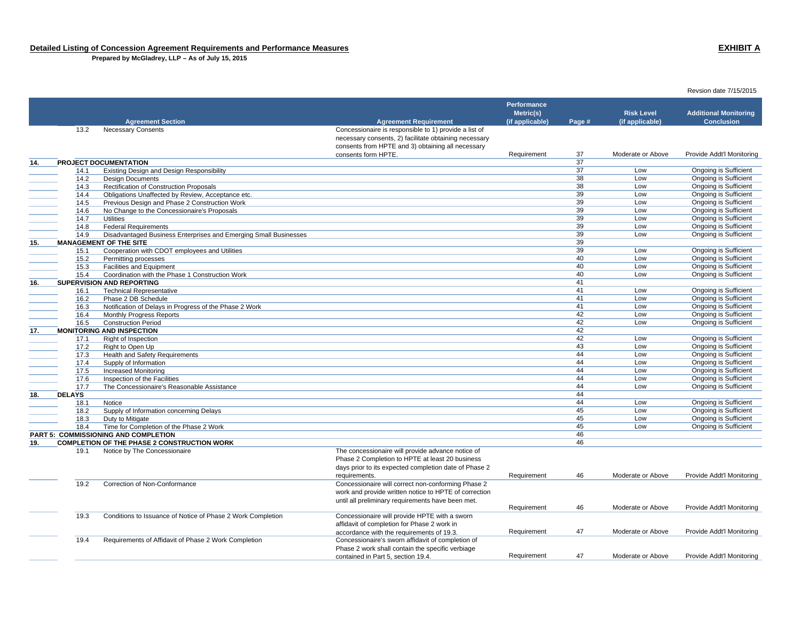**Prepared by McGladrey, LLP – As of July 15, 2015**

### **Agreement Section Agreement Requirement Performance Metric(s) (if applicable) Page # Risk Level (if applicable) Additional Monitoring Conclusion**13.2 Necessary Consents Concessionaire is responsible to 1) provide a list of necessary consents, 2) facilitate obtaining necessary consents from HPTE and 3) obtaining all necessary consents form HPTE.Requirement 37 Moderate or Above Provide Addt'l Monitoring **14. PROJECT DOCUMENTATION** $\mathsf{N}$ 14.1 Existing Design and Design Responsibility 37 Low Ongoing is Sufficient 14.2 Design Documents 38 Low Ongoing is Sufficient of the United States of Construction Proposals<br>
14.4 Obligations Unaffected by Review. Acceptance etc. <br>
14.4 Obligations Unaffected by Review. Acceptance etc. The United Dumanity of the United States of the United States of the United States of the United States of the United States of the United States of the United States of the United States of the United States of the United of the United States and Phase 2 Construction Work Construction Work Construction Work Construction Work Construction Work Construction Work 39 Low Ongoing is Sufficient Construction Work 2014 2015 2016 2017 2018 2016 2017 14.6 No Change to the Concessionaire's Proposals 14.7 Utilities 39 Low Ongoing is Sufficient 14.8 Federal Requirements 39 Low Ongoing is Sufficient 14.9 Disadvantaged Business Enterprises and Emerging Small Businesses 39 Low Ongoing is Sufficient **15. MANAGEMENT OF THE SITE**E and the contract of the contract of the contract of the contract of the contract of the contract of the contract of the contract of the contract of the contract of the contract of the contract of the contract of the cont 15.1 Cooperation with CDOT employees and Utilities 39 Low Ongoing is Sufficient 15.2 Permitting processes 40 Low Ongoing is Sufficient 15.3 Facilities and Equipment 40 Low Ongoing is Sufficient 15.4 Coordination with the Phase 1 Construction Work40 Low Dngoing is Sufficient **16. SUPERVISION AND REPORTING**G and the contract of  $41$ 16.1 Technical Representative 41 Low Ongoing is Sufficient 16.2 Phase 2 DB Schedule 41 Low Ongoing is Sufficient 16.3 Notification of Delays in Progress of the Phase 2 Work 16.4 Monthly Progress of the Phase 2 Work 16.4 Monthly Progress Reports of the Phase 2 Work 16.4 Monthly Progress Reports of the Phase 2 Work 16.4 Monthly Progres 16.4 Monthly Progress Reports <sup>42</sup> Low Ongoing is Sufficient Construction Period 42 Low Ongoing is Sufficient **17. MONITORING AND INSPECTION** $\sim$  42 17.1 Right of Inspection <sup>42</sup> Low Ongoing is Sufficient 17.2 Right to Open Up 43 Low Ongoing is Sufficient 17.3 Health and Safety Requirements <sup>44</sup> Low Ongoing is Sufficient 17.4 Supply of Information <sup>44</sup> Low Ongoing is Sufficient 17.5 Increased Monitoring <sup>44</sup> Low Ongoing is Sufficient 17.6 Inspection of the Facilities 44 Low Ongoing is Sufficient 17.7 The Concessionaire's Reasonable Assistance 44 Low Ongoing is Sufficient **18. DELAYS**s and the contract of the contract of the contract of the contract of the contract of the contract of the contract of the contract of the contract of the contract of the contract of the contract of the contract of the cont 18.1 Notice 44 Low Ongoing is Sufficient 18.2 Supply of Information concerning Delays 45 Low Ongoing is Sufficient 18.3 Duty to Mitigate 45 Low Ongoing is Sufficient 18.4 Time for Completion of the Phase 2 Work 18.1 Completion of the Phase 2 Work 19.1 Completion of the Phase 2 Work 19.1 Completion of the Phase 2 Work 19.1 Completion of the Phase 2 Work 19.1 Completion of the Phase 2 Wo **PART 5: COMMISSIONING AND COMPLETION** $\blacksquare$ **19. COMPLETION OF THE PHASE 2 CONSTRUCTION WORK** $\kappa$  and  $\kappa$  and  $\kappa$  and  $\kappa$  and  $\kappa$  and  $\kappa$  and  $\kappa$  and  $\kappa$  and  $\kappa$  and  $\kappa$  and  $\kappa$  and  $\kappa$  and  $\kappa$  and  $\kappa$  and  $\kappa$  and  $\kappa$  and  $\kappa$  and  $\kappa$  and  $\kappa$  and  $\kappa$  and  $\kappa$  and  $\kappa$  and 19.1 Notice by The Concessionaire The concessionaire will provide advance notice of Phase 2 Completion to HPTE at least 20 business days prior to its expected completion date of Phase 2 requirements. Requirement 46 Moderate or Above Provide Addt'l Monitoring 19.2 Correction of Non-Conformance Concessionaire will correct non-conforming Phase 2 work and provide written notice to HPTE of correction until all preliminary requirements have been met. Requirement 46 Moderate or Above Provide Addt'l Monitoring 19.3 Conditions to Issuance of Notice of Phase 2 Work Completion Concessionaire will provide HPTE with a sworn affidavit of completion for Phase 2 work in accordance with the requirements of 19.3. **Requirement** 47 Moderate or Above Provide Addt'l Monitoring<br>Concessionaire's sworn affidavit of completion of 19.4 Requirements of Affidavit of Phase 2 Work Completion Phase 2 work shall contain the specific verbiage contained in Part 5, section 19.4. The Contained Monocontained 47 Moderate or Above Provide Addt'l Monitoring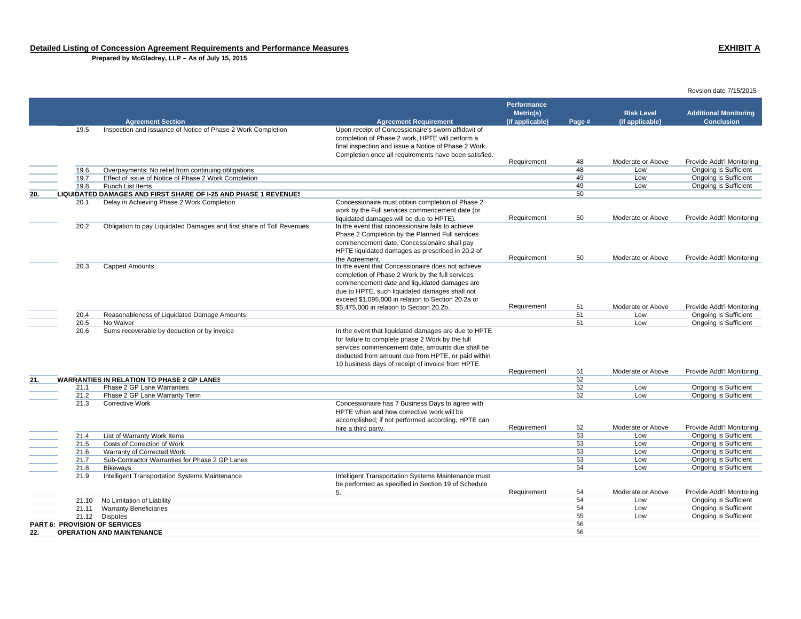**Prepared by McGladrey, LLP – As of July 15, 2015**

|     |                               |                                                                        |                                                                                                                                                                                                                                                                         |                    |          |                   | Revsion date 7/15/2015                                |
|-----|-------------------------------|------------------------------------------------------------------------|-------------------------------------------------------------------------------------------------------------------------------------------------------------------------------------------------------------------------------------------------------------------------|--------------------|----------|-------------------|-------------------------------------------------------|
|     |                               |                                                                        |                                                                                                                                                                                                                                                                         | <b>Performance</b> |          |                   |                                                       |
|     |                               |                                                                        |                                                                                                                                                                                                                                                                         | Metric(s)          |          | <b>Risk Level</b> | <b>Additional Monitoring</b>                          |
|     |                               | <b>Agreement Section</b>                                               | <b>Agreement Requirement</b>                                                                                                                                                                                                                                            | (if applicable)    | Page #   | (if applicable)   | <b>Conclusion</b>                                     |
|     | 19.5                          | Inspection and Issuance of Notice of Phase 2 Work Completion           | Upon receipt of Concessionaire's sworn affidavit of<br>completion of Phase 2 work, HPTE will perform a<br>final inspection and issue a Notice of Phase 2 Work<br>Completion once all requirements have been satisfied.                                                  |                    |          |                   |                                                       |
|     |                               |                                                                        |                                                                                                                                                                                                                                                                         | Requirement        | 48       | Moderate or Above | Provide Addt'l Monitoring                             |
|     | 19.6                          | Overpayments; No relief from continuing obligations                    |                                                                                                                                                                                                                                                                         |                    | 48       | Low               | <b>Ongoing is Sufficient</b>                          |
|     | 19.7                          | Effect of issue of Notice of Phase 2 Work Completion                   |                                                                                                                                                                                                                                                                         |                    | 49       | Low               | Ongoing is Sufficient                                 |
|     | 19.8                          | Punch List Items                                                       |                                                                                                                                                                                                                                                                         |                    | 49       | Low               | Ongoing is Sufficient                                 |
| 20. |                               | <b>LIQUIDATED DAMAGES AND FIRST SHARE OF I-25 AND PHASE 1 REVENUES</b> |                                                                                                                                                                                                                                                                         |                    | 50       |                   |                                                       |
|     | 20.1                          | Delay in Achieving Phase 2 Work Completion                             | Concessionaire must obtain completion of Phase 2<br>work by the Full services commencement date (or<br>liquidated damages will be due to HPTE).                                                                                                                         | Requirement        | 50       | Moderate or Above | Provide Addt'l Monitoring                             |
|     | 20.2                          | Obligation to pay Liquidated Damages and first share of Toll Revenues  | In the event that concessionaire fails to achieve<br>Phase 2 Completion by the Planned Full services<br>commencement date, Concessionaire shall pay<br>HPTE liquidated damages as prescribed in 20.2 of<br>the Agreement.                                               | Requirement        | 50       | Moderate or Above | Provide Addt'l Monitoring                             |
|     | 20.3                          | Capped Amounts                                                         | In the event that Concessionaire does not achieve<br>completion of Phase 2 Work by the full services<br>commencement date and liquidated damages are<br>due to HPTE, such liquidated damages shall not<br>exceed \$1,095,000 in relation to Section 20.2a or            |                    |          |                   |                                                       |
|     |                               |                                                                        | \$5,475,000 in relation to Section 20.2b.                                                                                                                                                                                                                               | Requirement        | 51       | Moderate or Above | Provide Addt'l Monitoring                             |
|     | 20.4<br>20.5                  | Reasonableness of Liquidated Damage Amounts<br>No Waiver               |                                                                                                                                                                                                                                                                         |                    | 51<br>51 | Low<br>Low        | Ongoing is Sufficient<br>Ongoing is Sufficient        |
|     | 20.6                          | Sums recoverable by deduction or by invoice                            | In the event that liquidated damages are due to HPTE<br>for failure to complete phase 2 Work by the full<br>services commencement date, amounts due shall be<br>deducted from amount due from HPTE, or paid within<br>10 business days of receipt of invoice from HPTE. | Requirement        | 51       | Moderate or Above | Provide Addt'l Monitoring                             |
| 21. |                               | <b>WARRANTIES IN RELATION TO PHASE 2 GP LANES</b>                      |                                                                                                                                                                                                                                                                         |                    | 52       |                   |                                                       |
|     | 21.1                          | Phase 2 GP Lane Warranties                                             |                                                                                                                                                                                                                                                                         |                    | 52       | Low               | Ongoing is Sufficient                                 |
|     | 21.2                          | Phase 2 GP Lane Warranty Term                                          |                                                                                                                                                                                                                                                                         |                    | 52       | Low               | Ongoing is Sufficient                                 |
|     | 21.3                          | <b>Corrective Work</b>                                                 | Concessionaire has 7 Business Days to agree with<br>HPTE when and how corrective work will be<br>accomplished; if not performed according, HPTE can<br>hire a third party.                                                                                              | Requirement        | 52       | Moderate or Above | Provide Addt'l Monitoring                             |
|     | 21.4                          | List of Warranty Work Items                                            |                                                                                                                                                                                                                                                                         |                    | 53       | Low               | <b>Ongoing is Sufficient</b>                          |
|     | 21.5                          | Costs of Correction of Work                                            |                                                                                                                                                                                                                                                                         |                    | 53       | Low               | <b>Ongoing is Sufficient</b>                          |
|     | 21.6                          | Warranty of Corrected Work                                             |                                                                                                                                                                                                                                                                         |                    | 53       | Low               | <b>Ongoing is Sufficient</b>                          |
|     | 21.7                          | Sub-Contractor Warranties for Phase 2 GP Lanes                         |                                                                                                                                                                                                                                                                         |                    | 53       | Low               | Ongoing is Sufficient                                 |
|     | 21.8                          | <b>Bikewavs</b>                                                        |                                                                                                                                                                                                                                                                         |                    | 54       | Low               | Ongoing is Sufficient                                 |
|     | 21.9                          | Intelligent Transportation Systems Maintenance                         | Intelligent Transportation Systems Maintenance must<br>be performed as specified in Section 19 of Schedule                                                                                                                                                              |                    |          |                   |                                                       |
|     |                               |                                                                        | 5.                                                                                                                                                                                                                                                                      | Requirement        | 54       | Moderate or Above | Provide Addt'l Monitoring                             |
|     | 21.10                         | No Limitation of Liability                                             |                                                                                                                                                                                                                                                                         |                    | 54<br>54 | Low<br>Low        | Ongoing is Sufficient                                 |
|     | 21.11<br>21.12                | <b>Warranty Beneficiaries</b><br><b>Disputes</b>                       |                                                                                                                                                                                                                                                                         |                    | 55       | Low               | Ongoing is Sufficient<br><b>Ongoing is Sufficient</b> |
|     | PART 6: PROVISION OF SERVICES |                                                                        |                                                                                                                                                                                                                                                                         |                    | 56       |                   |                                                       |
| 22. |                               | <b>OPERATION AND MAINTENANCE</b>                                       |                                                                                                                                                                                                                                                                         |                    | 56       |                   |                                                       |
|     |                               |                                                                        |                                                                                                                                                                                                                                                                         |                    |          |                   |                                                       |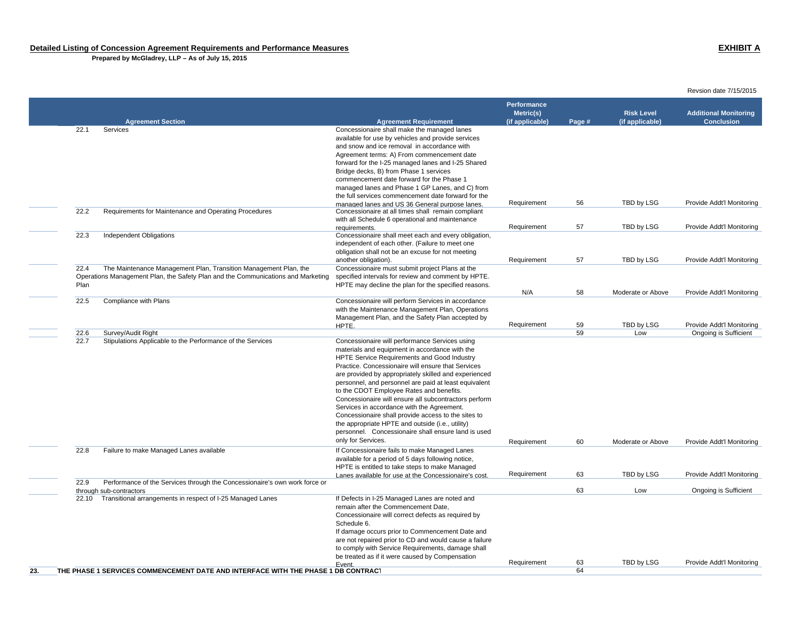**Prepared by McGladrey, LLP – As of July 15, 2015**

|     |      |                                                                                   |                                                                                                                | Performance<br>Metric(s) |        | <b>Risk Level</b> | <b>Additional Monitoring</b><br><b>Conclusion</b> |
|-----|------|-----------------------------------------------------------------------------------|----------------------------------------------------------------------------------------------------------------|--------------------------|--------|-------------------|---------------------------------------------------|
|     | 22.1 | <b>Agreement Section</b><br>Services                                              | <b>Agreement Requirement</b><br>Concessionaire shall make the managed lanes                                    | (if applicable)          | Page # | (if applicable)   |                                                   |
|     |      |                                                                                   | available for use by vehicles and provide services                                                             |                          |        |                   |                                                   |
|     |      |                                                                                   | and snow and ice removal in accordance with                                                                    |                          |        |                   |                                                   |
|     |      |                                                                                   | Agreement terms: A) From commencement date                                                                     |                          |        |                   |                                                   |
|     |      |                                                                                   | forward for the I-25 managed lanes and I-25 Shared                                                             |                          |        |                   |                                                   |
|     |      |                                                                                   | Bridge decks, B) from Phase 1 services                                                                         |                          |        |                   |                                                   |
|     |      |                                                                                   | commencement date forward for the Phase 1                                                                      |                          |        |                   |                                                   |
|     |      |                                                                                   | managed lanes and Phase 1 GP Lanes, and C) from                                                                |                          |        |                   |                                                   |
|     |      |                                                                                   | the full services commencement date forward for the                                                            |                          |        |                   |                                                   |
|     |      |                                                                                   | managed lanes and US 36 General purpose lanes.                                                                 | Requirement              | 56     | TBD by LSG        | Provide Addt'l Monitoring                         |
|     | 22.2 | Requirements for Maintenance and Operating Procedures                             | Concessionaire at all times shall remain compliant                                                             |                          |        |                   |                                                   |
|     |      |                                                                                   | with all Schedule 6 operational and maintenance                                                                |                          |        |                   |                                                   |
|     |      |                                                                                   | requirements.                                                                                                  | Requirement              | 57     | TBD by LSG        | Provide Addt'l Monitoring                         |
|     | 22.3 | <b>Independent Obligations</b>                                                    | Concessionaire shall meet each and every obligation,                                                           |                          |        |                   |                                                   |
|     |      |                                                                                   | independent of each other. (Failure to meet one                                                                |                          |        |                   |                                                   |
|     |      |                                                                                   | obligation shall not be an excuse for not meeting                                                              |                          | 57     | TBD by LSG        | Provide Addt'l Monitoring                         |
|     | 22.4 | The Maintenance Management Plan, Transition Management Plan, the                  | another obligation).<br>Concessionaire must submit project Plans at the                                        | Requirement              |        |                   |                                                   |
|     |      | Operations Management Plan, the Safety Plan and the Communications and Marketing  | specified intervals for review and comment by HPTE.                                                            |                          |        |                   |                                                   |
|     | Plan |                                                                                   | HPTE may decline the plan for the specified reasons.                                                           |                          |        |                   |                                                   |
|     |      |                                                                                   |                                                                                                                | N/A                      | 58     | Moderate or Above | Provide Addt'l Monitoring                         |
|     | 22.5 | Compliance with Plans                                                             | Concessionaire will perform Services in accordance                                                             |                          |        |                   |                                                   |
|     |      |                                                                                   | with the Maintenance Management Plan, Operations                                                               |                          |        |                   |                                                   |
|     |      |                                                                                   | Management Plan, and the Safety Plan accepted by                                                               |                          |        |                   |                                                   |
|     |      |                                                                                   | HPTE.                                                                                                          | Requirement              | 59     | TBD by LSG        | Provide Addt'l Monitoring                         |
|     | 22.6 | Survey/Audit Right                                                                |                                                                                                                |                          | 59     | Low               | Ongoing is Sufficient                             |
|     | 22.7 | Stipulations Applicable to the Performance of the Services                        | Concessionaire will performance Services using                                                                 |                          |        |                   |                                                   |
|     |      |                                                                                   | materials and equipment in accordance with the                                                                 |                          |        |                   |                                                   |
|     |      |                                                                                   | HPTE Service Requirements and Good Industry                                                                    |                          |        |                   |                                                   |
|     |      |                                                                                   | Practice. Concessionaire will ensure that Services                                                             |                          |        |                   |                                                   |
|     |      |                                                                                   | are provided by appropriately skilled and experienced<br>personnel, and personnel are paid at least equivalent |                          |        |                   |                                                   |
|     |      |                                                                                   | to the CDOT Employee Rates and benefits.                                                                       |                          |        |                   |                                                   |
|     |      |                                                                                   | Concessionaire will ensure all subcontractors perform                                                          |                          |        |                   |                                                   |
|     |      |                                                                                   | Services in accordance with the Agreement.                                                                     |                          |        |                   |                                                   |
|     |      |                                                                                   | Concessionaire shall provide access to the sites to                                                            |                          |        |                   |                                                   |
|     |      |                                                                                   | the appropriate HPTE and outside (i.e., utility)                                                               |                          |        |                   |                                                   |
|     |      |                                                                                   | personnel. Concessionaire shall ensure land is used                                                            |                          |        |                   |                                                   |
|     |      |                                                                                   | only for Services.                                                                                             | Requirement              | 60     | Moderate or Above | Provide Addt'l Monitoring                         |
|     | 22.8 | Failure to make Managed Lanes available                                           | If Concessionaire fails to make Managed Lanes                                                                  |                          |        |                   |                                                   |
|     |      |                                                                                   | available for a period of 5 days following notice,                                                             |                          |        |                   |                                                   |
|     |      |                                                                                   | HPTE is entitled to take steps to make Managed                                                                 |                          |        |                   |                                                   |
|     |      |                                                                                   | Lanes available for use at the Concessionaire's cost.                                                          | Requirement              | 63     | TBD by LSG        | Provide Addt'l Monitoring                         |
|     | 22.9 | Performance of the Services through the Concessionaire's own work force or        |                                                                                                                |                          |        |                   |                                                   |
|     |      | through sub-contractors                                                           |                                                                                                                |                          | 63     | Low               | Ongoing is Sufficient                             |
|     |      | 22.10 Transitional arrangements in respect of I-25 Managed Lanes                  | If Defects in I-25 Managed Lanes are noted and                                                                 |                          |        |                   |                                                   |
|     |      |                                                                                   | remain after the Commencement Date.                                                                            |                          |        |                   |                                                   |
|     |      |                                                                                   | Concessionaire will correct defects as required by<br>Schedule 6.                                              |                          |        |                   |                                                   |
|     |      |                                                                                   | If damage occurs prior to Commencement Date and                                                                |                          |        |                   |                                                   |
|     |      |                                                                                   | are not repaired prior to CD and would cause a failure                                                         |                          |        |                   |                                                   |
|     |      |                                                                                   | to comply with Service Requirements, damage shall                                                              |                          |        |                   |                                                   |
|     |      |                                                                                   | be treated as if it were caused by Compensation                                                                |                          |        |                   |                                                   |
|     |      |                                                                                   | Event.                                                                                                         | Requirement              | 63     | TBD by LSG        | Provide Addt'l Monitoring                         |
| 23. |      | THE PHASE 1 SERVICES COMMENCEMENT DATE AND INTERFACE WITH THE PHASE 1 DB CONTRACT |                                                                                                                |                          | 64     |                   |                                                   |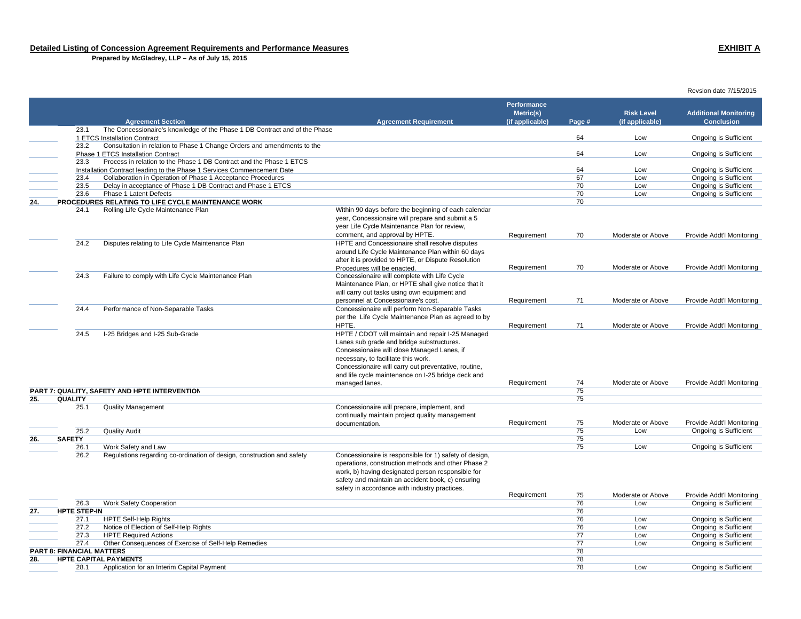**Prepared by McGladrey, LLP – As of July 15, 2015**

### Revsion date 7/15/2015 **Agreement Section Agreement Requirement Performance Metric(s) (if applicable) Page # Risk Level(if applicable) Additional Monitoring Conclusion**23.1 The Concessionaire's knowledge of the Phase 1 DB Contract and of the Phase 1 ETCS Installation Contractt the controller of the controller of the controller of the controller of the controller of the controller of the controller of the controller of the controller of the controller of the controller of the controller of the 23.2 Consultation in relation to Phase 1 Change Orders and amendments to the Phase 1 ETCS Installation Contract 64 Low Ongoing is Sufficient 23.3 Process in relation to the Phase 1 DB Contract and the Phase 1 ETCS Installation Contract leading to the Phase 1 Services Commencement Date **1996**<br>
23.4 Collaboration in Operation of Phase 1 Acceptance Procedures **1996** Contract 2008 Contract Low Congoing is Sufficient 23.4 Collaboration in Operation of Phase 1 Acceptance Procedures **67** Low Digoing is Sufficient and Phase 1 ETCS Contract and Phase 1 ETCS 67 Low Ongoing is Sufficient 67 Low Ongoing is Sufficient 67 Low Ongoing is Suffici 23.5 Delay in acceptance of Phase 1 DB Contract and Phase 1 ETCS 70 Low Ongoing is Sufficient 23.6 Phase 1 Latent Defects 70 Low Ongoing is Sufficient **24. PROCEDURES RELATING TO LIFE CYCLE MAINTENANCE WORK** $\kappa$  and the contract of the contract of the contract of the contract of the contract of the contract of the contract of the contract of the contract of the contract of the contract of the contract of the contract of the 24.1 Rolling Life Cycle Maintenance Plan Within 90 days before the beginning of each calendar year, Concessionaire will prepare and submit a 5 year Life Cycle Maintenance Plan for review, comment, and approval by HPTE.<br>HPTE and Concessionaire shall resolve disputes **Requirement Manual COSE 2016** Moderate or Above Provide Addt'l Monitoring 24.2 Disputes relating to Life Cycle Maintenance Plan around Life Cycle Maintenance Plan within 60 days after it is provided to HPTE, or Dispute Resolution Procedures will be enacted. Requirement 70 Moderate or Above Provide Addt'l Monitoring 24.3 Failure to comply with Life Cycle Maintenance Plan Concessionaire will complete with Life Cycle Maintenance Plan, or HPTE shall give notice that it will carry out tasks using own equipment and personnel at Concessionaire's cost. Requirement 71 Moderate or Above Provide Addt'l Monitoring 24.4 Performance of Non-Separable Tasks Concessionaire will perform Non-Separable Tasks per the Life Cycle Maintenance Plan as agreed to by HPTE. Requirement 71 Moderate or Above Provide Addt'l Monitoring 24.5 I-25 Bridges and I-25 Sub-Grade HPTE / CDOT will maintain and repair I-25 Managed Lanes sub grade and bridge substructures. Concessionaire will close Managed Lanes, if necessary, to facilitate this work. Concessionaire will carry out preventative, routine, and life cycle maintenance on I-25 bridge deck and managed lanes. The state of Above 2012 and a managed lanes. The State of Above 2014 and the Provide Addt'l Monitoring **PART 7: QUALITY, SAFETY AND HPTE INTERVENTION** 75 **25. QUALITY**estimates the contract of the contract of the contract of the contract of the contract of the contract of the contract of the contract of the contract of the contract of the contract of the contract of the contract of the 25.1 Quality Management Concessionaire will prepare, implement, and continually maintain project quality management documentation. Requirement 75 Moderate or Above Provide Addt'l Monitoring 25.2 Quality Audit 75 Low Ongoing is Sufficient **26. SAFETY**essential control of the control of the control of the control of the control of the control of the control of the control of the control of the control of the control of the control of the control of the control of the co 26.1 Work Safety and Law 75 Low Ongoing is Sufficient 26.2 Regulations regarding co-ordination of design, construction and safety Concessionaire is responsible for 1) safety of design, operations, construction methods and other Phase 2 work, b) having designated person responsible for safety and maintain an accident book, c) ensuring safety in accordance with industry practices. Requirement 75 Moderate or Above Provide Addt'l Monitoring<br>76 Low Ongoing is Sufficient 26.3 Work Safety Cooperation 76 Low Ongoing is Sufficient **27. HPTE STEP-IN** $N$ 27.1 HPTE Self-Help Rights 76 Low Ongoing is Sufficient 27.2 Notice of Election of Self-Help Rights<br>
27.3 HPTE Required Actions<br>
27.3 HPTE Required Actions<br>
27.3 HPTE Required Actions 27.3 HPTE Required Actions <sup>77</sup> Low Ongoing is Sufficient 27.4 Other Consequences of Exercise of Self-Help Remedies **1996** Consequences of Exercise of Self-Help Remedies **1996** Consequences of Exercise of Self-Help Remedies **1996** Consequences of Exercise of Sufficient 1996 Conse **PART 8: FINANCIAL MATTERS** $S$ **28. HPTE CAPITAL PAYMENTS**s and the contract of the contract of the contract of the contract of the contract of the contract of the contract of the contract of the contract of the contract of the contract of the contract of the contract of the cont 28.1 Application for an Interim Capital Payment 78 Low Ongoing is Sufficient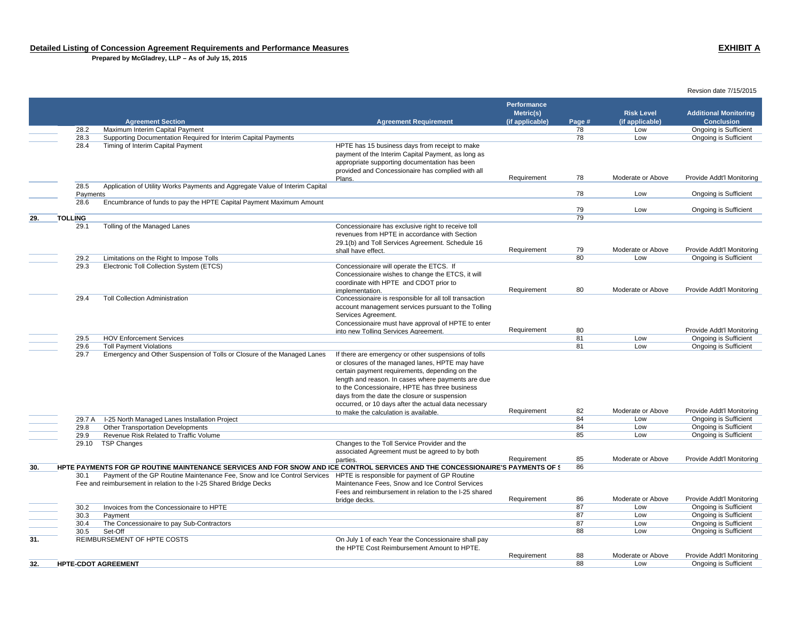**Prepared by McGladrey, LLP – As of July 15, 2015**

 **Agreement Section Agreement Requirement Performance Metric(s) (if applicable) Page # Risk Level (if applicable) Additional Monitoring Conclusion**28.2 Maximum Interim Capital Payment 78 Low Ongoing is Sufficient 28.3 Supporting Documentation Required for Interim Capital Payments 78 Low Ongoing is Sufficient 28.4 Timing of Interim Capital Payment **HPTE has 15** business days from receipt to make payment of the Interim Capital Payment, as long as appropriate supporting documentation has been provided and Concessionaire has complied with all Plans. Requirement 78 Moderate or Above Provide Addt'l Monitoring 28.5 Application of Utility Works Payments and Aggregate Value of Interim Capital Payments <sup>78</sup> Low Ongoing is Sufficient 28.6 Encumbrance of funds to pay the HPTE Capital Payment Maximum Amount 79 Low Dngoing is Sufficient **29. TOLLING**Сельский процесс в союз в союз в союз в союз в союз в союз в союз в союз в союз в союз в союз в союз в союз в<br>Союз в союз в союз в союз в союз в союз в союз в союз в союз в союз в союз в союз в союз в союз в союз в союз 29.1 Tolling of the Managed Lanes Concessionaire has exclusive right to receive toll revenues from HPTE in accordance with Section 29.1(b) and Toll Services Agreement. Schedule 16 shall have effect.Requirement 79 Moderate or Above Provide Addt'l Monitoring<br>80 Low Ongoing is Sufficient 29.2 Limitations on the Right to Impose Tolls<br>29.3 Electronic Toll Collection System (ETCS) Concessionaire will operate the ETCS. If 29.3 Electronic Toll Collection System (ETCS) Concessionaire will operate the ETCS. If Concessionaire wishes to change the ETCS, it will coordinate with HPTE and CDOT prior to implementation. Requirement <sup>80</sup> Moderate or Above Provide Addt'l Monitoring 29.4 Toll Collection Administration Concessionaire is responsible for all toll transaction account management services pursuant to the Tolling Services Agreement. Concessionaire must have approval of HPTE to enter into new Tolling Services Agreement.<br>and Tolling Services Agreement. Agreement and Requirement and a Requirement and Agreement and Agreement and Ag<br>and Requirement and Agreement and Agreement and Agreement and Agreement an 29.5 HOV Enforcement Services 81 Low Ongoing is Sufficient 29.6 Toll Payment Violations 81 Low Ongoing is Sufficient 29.7 Emergency and Other Suspension of Tolls or Closure of the Managed Lanes If there are emergency or other suspensions of tolls or closures of the managed lanes, HPTE may have certain payment requirements, depending on the length and reason. In cases where payments are due to the Concessionaire, HPTE has three business days from the date the closure or suspension occurred, or 10 days after the actual data necessary to make the calculation is available.Requirement 82 Moderate or Above Provide Addt'l Monitoring<br>84 Low Ongoing is Sufficient 29.7 A I-25 North Managed Lanes Installation Project **Canadia Concrete Concrete Concrete Concrete Concrete Concrete Concrete Concrete Concrete Concrete Concrete Concrete Concrete Concrete Concrete Concrete Concrete Concret** 29.8 Other Transportation Developments<br>
29.9 Revenue Risk Related to Traffic Volume<br>
85 29.9 Revenue Risk Related to Traffic VolumeLow Ongoing is Sufficient 29.10 TSP Changes Changes to the Toll Service Provider and the associated Agreement must be agreed to by both parties. The Contract of the Requirement and the Moderate or Above Provide Addt'l Monitoring **30. HPTE PAYMENTS FOR GP ROUTINE MAINTENANCE SERVICES AND FOR SNOW AND ICE CONTROL SERVICES AND THE CONCESSIONAIRE'S PAYMENTS OF S** 86 30.1 Payment of the GP Routine Maintenance Fee, Snow and Ice Control Services HPTE is responsible for payment of GP Routine Fee and reimbursement in relation to the I-25 Shared Bridge Decks Maintenance Fees, Snow and Ice Control Services Fees and reimbursement in relation to the I-25 shared bridge decks.<br>
Requirement 286 Moderate or Above Provide Addt'l Monitoring<br>
87 Low Ongoing is Sufficient 30.2 Invoices from the Concessionaire to HPTE 87 Low Ongoing is Sufficient 30.3 Payment 87 Low Ongoing is Sufficient 30.4 The Concessionaire to pay Sub-Contractors 87 Low Ongoing is Sufficient 30.5 Set-Off 88 Low Ongoing is Sufficient **31. REIMBURSEMENT OF HPTE COSTS COSTS CONCLUSIVE ON JULY 1 of each Year the Concessionaire shall pay** the HPTE Cost Reimbursement Amount to HPTE.Requirement 88 Moderate or Above Provide Addt'l Monitoring **32. HPTE-CDOT AGREEMENT**88 Low Ongoing is Sufficient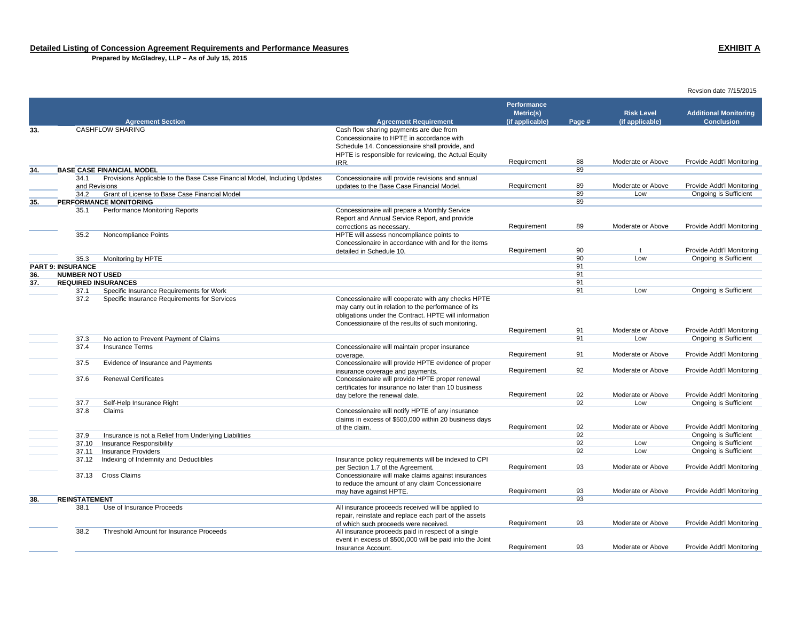**Prepared by McGladrey, LLP – As of July 15, 2015**

|            |                                                      |                                                                                                               |                                                                                               | <b>Performance</b>           |          |                                      |                                                   |
|------------|------------------------------------------------------|---------------------------------------------------------------------------------------------------------------|-----------------------------------------------------------------------------------------------|------------------------------|----------|--------------------------------------|---------------------------------------------------|
|            |                                                      | <b>Agreement Section</b>                                                                                      | <b>Agreement Requirement</b>                                                                  | Metric(s)<br>(if applicable) | Page #   | <b>Risk Level</b><br>(if applicable) | <b>Additional Monitoring</b><br><b>Conclusion</b> |
| 33.        |                                                      | <b>CASHFLOW SHARING</b>                                                                                       | Cash flow sharing payments are due from                                                       |                              |          |                                      |                                                   |
|            |                                                      |                                                                                                               | Concessionaire to HPTE in accordance with                                                     |                              |          |                                      |                                                   |
|            |                                                      |                                                                                                               | Schedule 14. Concessionaire shall provide, and                                                |                              |          |                                      |                                                   |
|            |                                                      |                                                                                                               | HPTE is responsible for reviewing, the Actual Equity                                          |                              |          |                                      |                                                   |
|            |                                                      |                                                                                                               | IRR.                                                                                          | Requirement                  | 88       | Moderate or Above                    | Provide Addt'l Monitoring                         |
| 34.        |                                                      | <b>BASE CASE FINANCIAL MODEL</b><br>Provisions Applicable to the Base Case Financial Model, Including Updates |                                                                                               |                              | 89       |                                      |                                                   |
|            | 34.1<br>and Revisions                                |                                                                                                               | Concessionaire will provide revisions and annual<br>updates to the Base Case Financial Model. | Requirement                  | 89       | Moderate or Above                    | Provide Addt'l Monitoring                         |
|            | 34.2                                                 | Grant of License to Base Case Financial Model                                                                 |                                                                                               |                              | 89       | Low                                  | Ongoing is Sufficient                             |
| 35.        |                                                      | PERFORMANCE MONITORING                                                                                        |                                                                                               |                              | 89       |                                      |                                                   |
|            | 35.1                                                 | Performance Monitoring Reports                                                                                | Concessionaire will prepare a Monthly Service                                                 |                              |          |                                      |                                                   |
|            |                                                      |                                                                                                               | Report and Annual Service Report, and provide                                                 |                              |          |                                      |                                                   |
|            |                                                      |                                                                                                               | corrections as necessary.                                                                     | Requirement                  | 89       | Moderate or Above                    | Provide Addt'l Monitoring                         |
|            | 35.2                                                 | Noncompliance Points                                                                                          | HPTE will assess noncompliance points to                                                      |                              |          |                                      |                                                   |
|            |                                                      |                                                                                                               | Concessionaire in accordance with and for the items                                           |                              |          |                                      |                                                   |
|            |                                                      |                                                                                                               | detailed in Schedule 10.                                                                      | Requirement                  | 90       | $\mathbf{t}$                         | Provide Addt'l Monitoring                         |
|            | 35.3                                                 | Monitoring by HPTE                                                                                            |                                                                                               |                              | 90       | Low                                  | Ongoing is Sufficient                             |
|            | <b>PART 9: INSURANCE</b>                             |                                                                                                               |                                                                                               |                              | 91<br>91 |                                      |                                                   |
| 36.<br>37. | <b>NUMBER NOT USED</b><br><b>REQUIRED INSURANCES</b> |                                                                                                               |                                                                                               |                              | 91       |                                      |                                                   |
|            | 37.1                                                 | Specific Insurance Requirements for Work                                                                      |                                                                                               |                              | 91       | Low                                  | <b>Ongoing is Sufficient</b>                      |
|            | 37.2                                                 | Specific Insurance Requirements for Services                                                                  | Concessionaire will cooperate with any checks HPTE                                            |                              |          |                                      |                                                   |
|            |                                                      |                                                                                                               | may carry out in relation to the performance of its                                           |                              |          |                                      |                                                   |
|            |                                                      |                                                                                                               | obligations under the Contract. HPTE will information                                         |                              |          |                                      |                                                   |
|            |                                                      |                                                                                                               | Concessionaire of the results of such monitoring.                                             |                              |          |                                      |                                                   |
|            |                                                      |                                                                                                               |                                                                                               | Requirement                  | 91       | Moderate or Above                    | Provide Addt'l Monitoring                         |
|            | 37.3                                                 | No action to Prevent Payment of Claims                                                                        |                                                                                               |                              | 91       | Low                                  | Ongoing is Sufficient                             |
|            | 37.4                                                 | <b>Insurance Terms</b>                                                                                        | Concessionaire will maintain proper insurance                                                 |                              |          |                                      |                                                   |
|            |                                                      |                                                                                                               | coverage.                                                                                     | Requirement                  | 91       | Moderate or Above                    | Provide Addt'l Monitoring                         |
|            | 37.5                                                 | Evidence of Insurance and Payments                                                                            | Concessionaire will provide HPTE evidence of proper                                           |                              | 92       | Moderate or Above                    | Provide Addt'l Monitoring                         |
|            | 37.6                                                 | <b>Renewal Certificates</b>                                                                                   | insurance coverage and payments.<br>Concessionaire will provide HPTE proper renewal           | Requirement                  |          |                                      |                                                   |
|            |                                                      |                                                                                                               | certificates for insurance no later than 10 business                                          |                              |          |                                      |                                                   |
|            |                                                      |                                                                                                               | day before the renewal date.                                                                  | Requirement                  | 92       | Moderate or Above                    | Provide Addt'l Monitoring                         |
|            | 37.7                                                 | Self-Help Insurance Right                                                                                     |                                                                                               |                              | 92       | Low                                  | <b>Ongoing is Sufficient</b>                      |
|            | 37.8                                                 | Claims                                                                                                        | Concessionaire will notify HPTE of any insurance                                              |                              |          |                                      |                                                   |
|            |                                                      |                                                                                                               | claims in excess of \$500,000 within 20 business days                                         |                              |          |                                      |                                                   |
|            |                                                      |                                                                                                               | of the claim.                                                                                 | Requirement                  | 92       | Moderate or Above                    | Provide Addt'l Monitoring                         |
|            | 37.9                                                 | Insurance is not a Relief from Underlying Liabilities                                                         |                                                                                               |                              | 92       |                                      | Ongoing is Sufficient                             |
|            | 37.10                                                | Insurance Responsibility                                                                                      |                                                                                               |                              | 92       | Low                                  | <b>Ongoing is Sufficient</b>                      |
|            | 37.11                                                | <b>Insurance Providers</b>                                                                                    |                                                                                               |                              | 92       | Low                                  | <b>Ongoing is Sufficient</b>                      |
|            | 37.12                                                | Indexing of Indemnity and Deductibles                                                                         | Insurance policy requirements will be indexed to CPI<br>per Section 1.7 of the Agreement.     | Requirement                  | 93       | Moderate or Above                    | Provide Addt'l Monitoring                         |
|            | 37.13                                                | Cross Claims                                                                                                  | Concessionaire will make claims against insurances                                            |                              |          |                                      |                                                   |
|            |                                                      |                                                                                                               | to reduce the amount of any claim Concessionaire                                              |                              |          |                                      |                                                   |
|            |                                                      |                                                                                                               | may have against HPTE.                                                                        | Requirement                  | 93       | Moderate or Above                    | Provide Addt'l Monitoring                         |
| 38.        | <b>REINSTATEMENT</b>                                 |                                                                                                               |                                                                                               |                              | 93       |                                      |                                                   |
|            | 38.1                                                 | Use of Insurance Proceeds                                                                                     | All insurance proceeds received will be applied to                                            |                              |          |                                      |                                                   |
|            |                                                      |                                                                                                               | repair, reinstate and replace each part of the assets                                         |                              |          |                                      |                                                   |
|            |                                                      |                                                                                                               | of which such proceeds were received.                                                         | Requirement                  | 93       | Moderate or Above                    | Provide Addt'l Monitoring                         |
|            | 38.2                                                 | Threshold Amount for Insurance Proceeds                                                                       | All insurance proceeds paid in respect of a single                                            |                              |          |                                      |                                                   |
|            |                                                      |                                                                                                               | event in excess of \$500,000 will be paid into the Joint                                      |                              |          |                                      |                                                   |
|            |                                                      |                                                                                                               | Insurance Account.                                                                            | Requirement                  | 93       | Moderate or Above                    | Provide Addt'l Monitoring                         |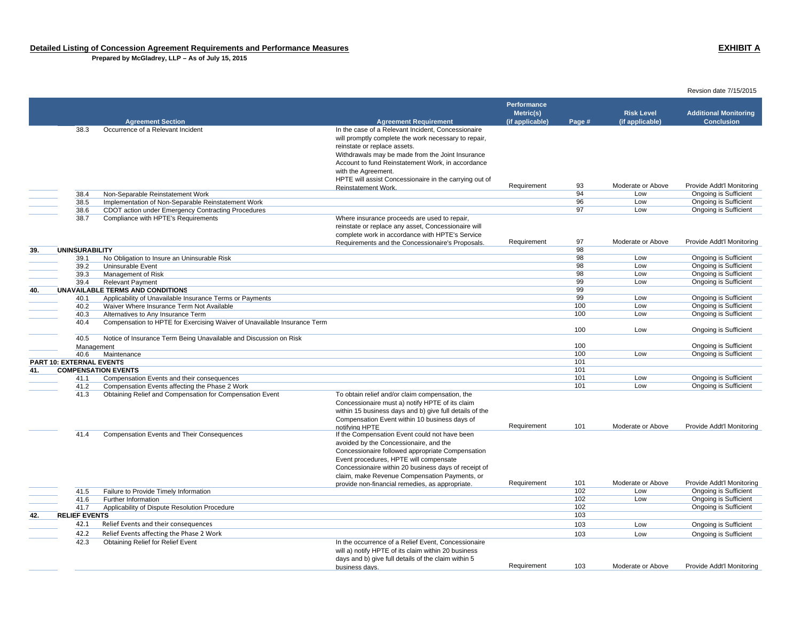**Prepared by McGladrey, LLP – As of July 15, 2015**

|     |                          |                                                                          |                                                         | Performance     |            |                          |                                                           |
|-----|--------------------------|--------------------------------------------------------------------------|---------------------------------------------------------|-----------------|------------|--------------------------|-----------------------------------------------------------|
|     |                          |                                                                          |                                                         | Metric(s)       |            | <b>Risk Level</b>        | <b>Additional Monitoring</b>                              |
|     |                          | <b>Agreement Section</b>                                                 | <b>Agreement Requirement</b>                            | (if applicable) | Page #     | (if applicable)          | <b>Conclusion</b>                                         |
|     | 38.3                     | Occurrence of a Relevant Incident                                        | In the case of a Relevant Incident, Concessionaire      |                 |            |                          |                                                           |
|     |                          |                                                                          | will promptly complete the work necessary to repair,    |                 |            |                          |                                                           |
|     |                          |                                                                          | reinstate or replace assets.                            |                 |            |                          |                                                           |
|     |                          |                                                                          | Withdrawals may be made from the Joint Insurance        |                 |            |                          |                                                           |
|     |                          |                                                                          | Account to fund Reinstatement Work, in accordance       |                 |            |                          |                                                           |
|     |                          |                                                                          | with the Agreement.                                     |                 |            |                          |                                                           |
|     |                          |                                                                          | HPTE will assist Concessionaire in the carrying out of  |                 |            |                          |                                                           |
|     |                          |                                                                          | Reinstatement Work.                                     | Requirement     | 93         | Moderate or Above        | Provide Addt'l Monitoring                                 |
|     | 38.4                     | Non-Separable Reinstatement Work                                         |                                                         |                 | 94         | Low                      | Ongoing is Sufficient                                     |
|     | 38.5                     | Implementation of Non-Separable Reinstatement Work                       |                                                         |                 | 96         | Low                      | <b>Ongoing is Sufficient</b>                              |
|     | 38.6                     | CDOT action under Emergency Contracting Procedures                       |                                                         |                 | 97         | Low                      | <b>Ongoing is Sufficient</b>                              |
|     | 38.7                     | Compliance with HPTE's Requirements                                      | Where insurance proceeds are used to repair,            |                 |            |                          |                                                           |
|     |                          |                                                                          | reinstate or replace any asset, Concessionaire will     |                 |            |                          |                                                           |
|     |                          |                                                                          | complete work in accordance with HPTE's Service         |                 |            |                          |                                                           |
|     |                          |                                                                          | Requirements and the Concessionaire's Proposals.        | Requirement     | 97         | Moderate or Above        | Provide Addt'l Monitoring                                 |
| 39. | <b>UNINSURABILITY</b>    |                                                                          |                                                         |                 | 98         |                          |                                                           |
|     | 39.1                     | No Obligation to Insure an Uninsurable Risk                              |                                                         |                 | 98         | Low                      | <b>Ongoing is Sufficient</b>                              |
|     | 39.2                     | Uninsurable Event                                                        |                                                         |                 | 98         | Low                      | <b>Ongoing is Sufficient</b>                              |
|     | 39.3                     | Management of Risk                                                       |                                                         |                 | 98         | Low                      | Ongoing is Sufficient                                     |
|     | 39.4                     | <b>Relevant Payment</b>                                                  |                                                         |                 | 99         | Low                      | Ongoing is Sufficient                                     |
| 40. |                          | UNAVAILABLE TERMS AND CONDITIONS                                         |                                                         |                 | 99         |                          |                                                           |
|     | 40.1                     | Applicability of Unavailable Insurance Terms or Payments                 |                                                         |                 | 99         | Low                      | Ongoing is Sufficient                                     |
|     | 40.2                     | Waiver Where Insurance Term Not Available                                |                                                         |                 | 100        | Low                      | Ongoing is Sufficient                                     |
|     | 40.3                     | Alternatives to Any Insurance Term                                       |                                                         |                 | 100        | Low                      | <b>Ongoing is Sufficient</b>                              |
|     | 40.4                     | Compensation to HPTE for Exercising Waiver of Unavailable Insurance Term |                                                         |                 |            |                          |                                                           |
|     |                          |                                                                          |                                                         |                 | 100        | Low                      | Ongoing is Sufficient                                     |
|     | 40.5                     | Notice of Insurance Term Being Unavailable and Discussion on Risk        |                                                         |                 |            |                          |                                                           |
|     | Management               |                                                                          |                                                         |                 | 100        |                          | Ongoing is Sufficient                                     |
|     | 40.6                     | Maintenance                                                              |                                                         |                 | 100        | Low                      | <b>Ongoing is Sufficient</b>                              |
|     | PART 10: EXTERNAL EVENTS |                                                                          |                                                         |                 | 101        |                          |                                                           |
| 41. |                          | <b>COMPENSATION EVENTS</b>                                               |                                                         |                 | 101        |                          |                                                           |
|     | 41.1                     | Compensation Events and their consequences                               |                                                         |                 | 101        | Low                      | Ongoing is Sufficient                                     |
|     | 41.2                     | Compensation Events affecting the Phase 2 Work                           |                                                         |                 | 101        | Low                      | Ongoing is Sufficient                                     |
|     | 41.3                     | Obtaining Relief and Compensation for Compensation Event                 | To obtain relief and/or claim compensation, the         |                 |            |                          |                                                           |
|     |                          |                                                                          | Concessionaire must a) notify HPTE of its claim         |                 |            |                          |                                                           |
|     |                          |                                                                          | within 15 business days and b) give full details of the |                 |            |                          |                                                           |
|     |                          |                                                                          | Compensation Event within 10 business days of           |                 |            |                          |                                                           |
|     |                          |                                                                          | notifving HPTE                                          | Requirement     | 101        | Moderate or Above        | Provide Addt'l Monitoring                                 |
|     | 41.4                     | <b>Compensation Events and Their Consequences</b>                        | If the Compensation Event could not have been           |                 |            |                          |                                                           |
|     |                          |                                                                          | avoided by the Concessionaire, and the                  |                 |            |                          |                                                           |
|     |                          |                                                                          | Concessionaire followed appropriate Compensation        |                 |            |                          |                                                           |
|     |                          |                                                                          | Event procedures, HPTE will compensate                  |                 |            |                          |                                                           |
|     |                          |                                                                          |                                                         |                 |            |                          |                                                           |
|     |                          |                                                                          | Concessionaire within 20 business days of receipt of    |                 |            |                          |                                                           |
|     |                          |                                                                          | claim, make Revenue Compensation Payments, or           |                 |            |                          |                                                           |
|     | 41.5                     |                                                                          | provide non-financial remedies, as appropriate.         | Requirement     | 101<br>102 | Moderate or Above<br>Low | Provide Addt'l Monitoring<br><b>Ongoing is Sufficient</b> |
|     |                          | Failure to Provide Timely Information                                    |                                                         |                 | 102        | Low                      |                                                           |
|     | 41.6                     | Further Information                                                      |                                                         |                 |            |                          | Ongoing is Sufficient                                     |
|     | 41.7                     | Applicability of Dispute Resolution Procedure                            |                                                         |                 | 102<br>103 |                          | Ongoing is Sufficient                                     |
| 42. | <b>RELIEF EVENTS</b>     |                                                                          |                                                         |                 |            |                          |                                                           |
|     | 42.1                     | Relief Events and their consequences                                     |                                                         |                 | 103        | Low                      | Ongoing is Sufficient                                     |
|     | 42.2                     | Relief Events affecting the Phase 2 Work                                 |                                                         |                 | 103        | Low                      | Ongoing is Sufficient                                     |
|     | 42.3                     | Obtaining Relief for Relief Event                                        | In the occurrence of a Relief Event, Concessionaire     |                 |            |                          |                                                           |
|     |                          |                                                                          | will a) notify HPTE of its claim within 20 business     |                 |            |                          |                                                           |
|     |                          |                                                                          | days and b) give full details of the claim within 5     |                 |            |                          |                                                           |
|     |                          |                                                                          | business days.                                          | Requirement     | 103        | Moderate or Above        | Provide Addt'l Monitoring                                 |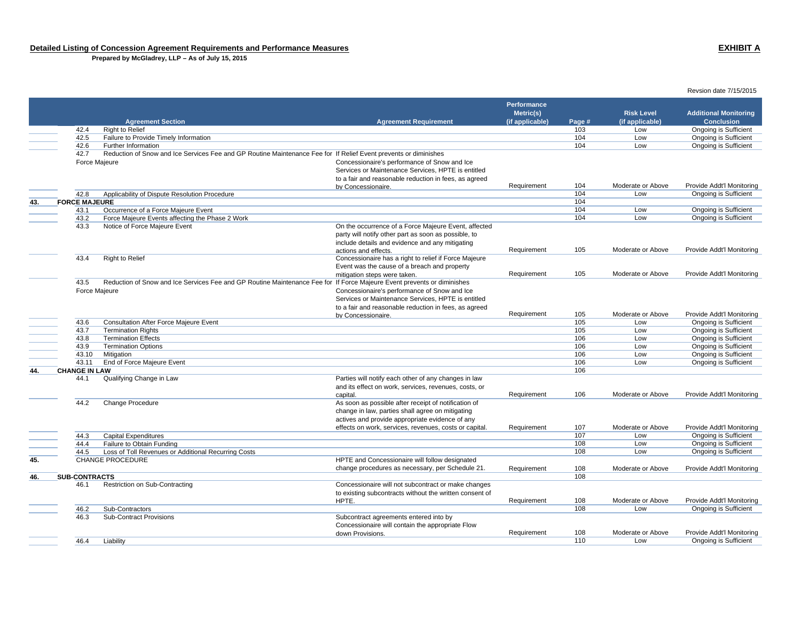**Prepared by McGladrey, LLP – As of July 15, 2015**

 **Agreement Section Agreement Requirement Performance Metric(s) (if applicable) Page # Risk Level (if applicable) Additional Monitoring Conclusion**42.4 Right to Relief 103 Low Ongoing is Sufficient of the University of The University of the University of the University of the University of the University of the University of the University of The University of The University of The University of The University of The 42.6 Further Informationn and the control of the control of the control of the control of the control of the control of the control of the control of the control of the control of the control of the control of the control of the control of the co 42.7 Reduction of Snow and Ice Services Fee and GP Routine Maintenance Fee for If Relief Event prevents or diminishes Force Majeure Concessionaire's performance of Snow and Ice Services or Maintenance Services, HPTE is entitled to a fair and reasonable reduction in fees, as agreed by Concessionaire.<br>
Requirement 104 Moderate or Above Provide Addt'l Monitoring<br>
Low Ongoing is Sufficient 42.8 Applicability of Dispute Resolution Procedure 104 Low Ongoing is Sufficient Applicability of Dispute Resolution Procedure 104 Low Ongoing is Sufficient Applicability of Dispute Resolution Procedure 104 Low Ongoing is **43. FORCE MAJEURE**E and the contract of the contract of the contract of the contract of the contract of the contract of the contract of the contract of the contract of the contract of the contract of the contract of the contract of the cont of the University of the University of the University of the University of the University of the University of the University of the University of the University of the University of the University of the University of the 43.2 Force Majeure Events affecting the Phase 2 Work<br>43.3 Notice of Force Majeure Event On the occurrence of a Force Majeure Event, affected party will notify other part as soon as possible, to include details and evidence and any mitigating actions and effects. Requirement 105 Moderate or Above Provide Addt'l Monitoring 43.4 Right to Relief Concessionaire has a right to relief if Force Majeure Event was the cause of a breach and property mitigation steps were taken. The state of the Requirement 105 Moderate or Above Provide Addt'l Monitoring 43.5 Reduction of Snow and Ice Services Fee and GP Routine Maintenance Fee for If Force Majeure Event prevents or diminishes Force Majeure Concessionaire's performance of Snow and Ice Services or Maintenance Services, HPTE is entitled to a fair and reasonable reduction in fees, as agreed by Concessionaire.<br>
Requirement 105 Moderate or Above Provide Addt'l Monitoring<br>
Low Ongoing is Sufficient of the United States of the United States and After Force Majeure Event Consultation After Force Majeure Event<br>
43.7 Termination Rights Ongoing is Sufficient Consultant Consultant Consultant Consultant Consultation Rights 43.7 Termination Rights 105 Low Ongoing is Sufficient 43.8 Termination Effectss the contract of the contract of the contract of the contract of the contract of the contract of the contract of the contract of the contract of the contract of the contract of the contract of the contract of the contract 43.9 Termination Options 106 Low Ongoing is Sufficient 43.10 Mitigation 106 Low Ongoing is Sufficient 43.11 End of Force Majeure Event **106** Low Ongoing is Sufficient **44. CHANGE IN LAW**When the contract of the contract of the contract of the contract of the contract of the contract of the contract of the contract of the contract of the contract of the contract of the contract of the contract of the cont 44.1 Qualifying Change in Law Parties will notify each other of any changes in law and its effect on work, services, revenues, costs, or capital. Requirement <sup>106</sup> Moderate or Above Provide Addt'l Monitoring 44.2 Change Procedure As soon as possible after receipt of notification of change in law, parties shall agree on mitigating actives and provide appropriate evidence of any effects on work, services, revenues, costs or capital. Requirement 107 Moderate or Above Provide Addt'l Monitoring 44.3 Capital Expenditures 107 Low Ongoing is Sufficient 44.4 Failure to Obtain Funding 108 Low Ongoing is Sufficient 44.5 Loss of Toll Revenues or Additional Recurring Costs<br>
CHANGE PROCEDURE<br>
CHANGE PROCEDURE **45.** CHANGE PROCEDURE HPTE and Concessionaire will follow designated change procedures as necessary, per Schedule 21. Requirement 108 Moderate or Above Provide Addt'l Monitoring **46. SUB-CONTRACTS**s and the contract of the contract of the contract of the contract of the contract of the contract of the contract of the contract of the contract of the contract of the contract of the contract of the contract of the cont 46.1 Restriction on Sub-Contracting Concessionaire will not subcontract or make changes to existing subcontracts without the written consent of HPTE. Requirement 108 Moderate or Above Provide Addt'l Monitoring 46.2 Sub-Contractors 108 Low Ongoing is Sufficient 46.3 Sub-Contract Provisions Subcontract agreements entered into by Concessionaire will contain the appropriate Flow down Provisions.Requirement 108 Moderate or Above Provide Add'l Monitoring<br>110 Low Dngoing is Sufficient 46.4 Liability 110 Low Ongoing is Sufficient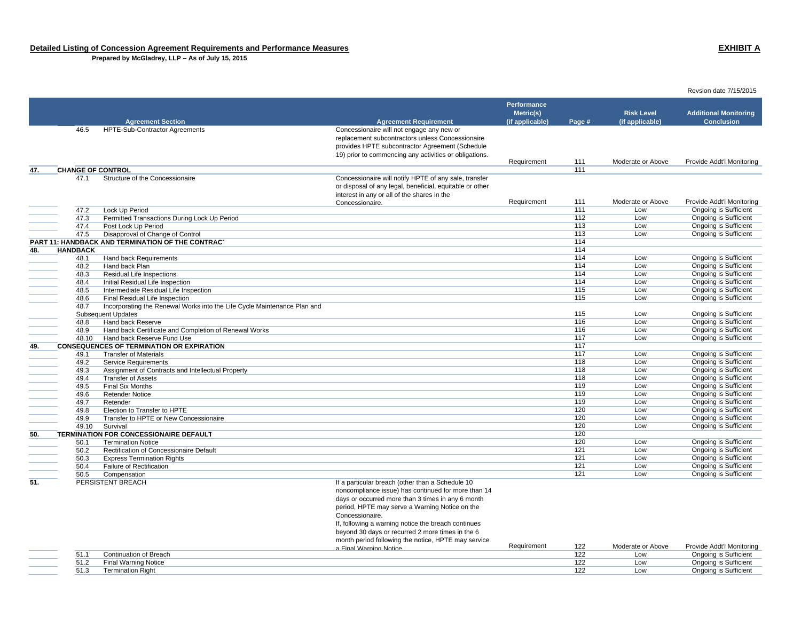**Prepared by McGladrey, LLP – As of July 15, 2015**

| Revsion date 7/15/2015 |  |  |
|------------------------|--|--|
|------------------------|--|--|

|     |                          |                                                                          |                                                                                                                                                                                                            | Performance<br>Metric(s) |        | <b>Risk Level</b> | <b>Additional Monitoring</b> |
|-----|--------------------------|--------------------------------------------------------------------------|------------------------------------------------------------------------------------------------------------------------------------------------------------------------------------------------------------|--------------------------|--------|-------------------|------------------------------|
|     |                          | <b>Agreement Section</b>                                                 | <b>Agreement Requirement</b>                                                                                                                                                                               | (if applicable)          | Page # | (if applicable)   | <b>Conclusion</b>            |
|     | 46.5                     | <b>HPTE-Sub-Contractor Agreements</b>                                    | Concessionaire will not engage any new or<br>replacement subcontractors unless Concessionaire<br>provides HPTE subcontractor Agreement (Schedule<br>19) prior to commencing any activities or obligations. | Requirement              | 111    | Moderate or Above | Provide Addt'l Monitoring    |
|     | <b>CHANGE OF CONTROL</b> |                                                                          |                                                                                                                                                                                                            |                          | 111    |                   |                              |
| 47. | 47.1                     | Structure of the Concessionaire                                          | Concessionaire will notify HPTE of any sale, transfer<br>or disposal of any legal, beneficial, equitable or other<br>interest in any or all of the shares in the                                           |                          | 111    | Moderate or Above | Provide Addt'l Monitoring    |
|     | 47.2                     | Lock Up Period                                                           | Concessionaire.                                                                                                                                                                                            | Requirement              | 111    | Low               | Ongoing is Sufficient        |
|     | 47.3                     | Permitted Transactions During Lock Up Period                             |                                                                                                                                                                                                            |                          | 112    | Low               | Ongoing is Sufficient        |
|     | 47.4                     |                                                                          |                                                                                                                                                                                                            |                          | 113    | Low               | <b>Ongoing is Sufficient</b> |
|     |                          | Post Lock Up Period                                                      |                                                                                                                                                                                                            |                          | 113    |                   |                              |
|     | 47.5                     | Disapproval of Change of Control                                         |                                                                                                                                                                                                            |                          |        | Low               | <b>Ongoing is Sufficient</b> |
|     |                          | PART 11: HANDBACK AND TERMINATION OF THE CONTRACT                        |                                                                                                                                                                                                            |                          | 114    |                   |                              |
| 48. | <b>HANDBACK</b>          |                                                                          |                                                                                                                                                                                                            |                          | 114    |                   |                              |
|     | 48.1                     | Hand back Requirements                                                   |                                                                                                                                                                                                            |                          | 114    | Low               | <b>Ongoing is Sufficient</b> |
|     | 48.2                     | Hand back Plan                                                           |                                                                                                                                                                                                            |                          | 114    | Low               | Ongoing is Sufficient        |
|     | 48.3                     | Residual Life Inspections                                                |                                                                                                                                                                                                            |                          | 114    | Low               | Ongoing is Sufficient        |
|     | 48.4                     | Initial Residual Life Inspection                                         |                                                                                                                                                                                                            |                          | 114    | Low               | Ongoing is Sufficient        |
|     | 48.5                     | Intermediate Residual Life Inspection                                    |                                                                                                                                                                                                            |                          | 115    | Low               | <b>Ongoing is Sufficient</b> |
|     | 48.6                     | Final Residual Life Inspection                                           |                                                                                                                                                                                                            |                          | 115    | Low               | Ongoing is Sufficient        |
|     | 48.7                     | Incorporating the Renewal Works into the Life Cycle Maintenance Plan and |                                                                                                                                                                                                            |                          |        |                   |                              |
|     |                          | <b>Subsequent Updates</b>                                                |                                                                                                                                                                                                            |                          | 115    | Low               | Ongoing is Sufficient        |
|     | 48.8                     | Hand back Reserve                                                        |                                                                                                                                                                                                            |                          | 116    | Low               | Ongoing is Sufficient        |
|     | 48.9                     | Hand back Certificate and Completion of Renewal Works                    |                                                                                                                                                                                                            |                          | 116    | Low               | Ongoing is Sufficient        |
|     | 48.10                    | Hand back Reserve Fund Use                                               |                                                                                                                                                                                                            |                          | 117    | Low               | Ongoing is Sufficient        |
| 49. |                          | <b>CONSEQUENCES OF TERMINATION OR EXPIRATION</b>                         |                                                                                                                                                                                                            |                          | 117    |                   |                              |
|     | 49.1                     | <b>Transfer of Materials</b>                                             |                                                                                                                                                                                                            |                          | 117    | Low               | Ongoing is Sufficient        |
|     | 49.2                     | <b>Service Requirements</b>                                              |                                                                                                                                                                                                            |                          | 118    | Low               | Ongoing is Sufficient        |
|     | 49.3                     | Assignment of Contracts and Intellectual Property                        |                                                                                                                                                                                                            |                          | 118    | Low               | <b>Ongoing is Sufficient</b> |
|     | 49.4                     | <b>Transfer of Assets</b>                                                |                                                                                                                                                                                                            |                          | 118    | Low               | Ongoing is Sufficient        |
|     | 49.5                     | Final Six Months                                                         |                                                                                                                                                                                                            |                          | 119    | Low               | <b>Ongoing is Sufficient</b> |
|     | 49.6                     | <b>Retender Notice</b>                                                   |                                                                                                                                                                                                            |                          | 119    | Low               | <b>Ongoing is Sufficient</b> |
|     | 49.7                     | Retender                                                                 |                                                                                                                                                                                                            |                          | 119    | Low               | <b>Ongoing is Sufficient</b> |
|     | 49.8                     | Election to Transfer to HPTE                                             |                                                                                                                                                                                                            |                          | 120    | Low               | <b>Ongoing is Sufficient</b> |
|     | 49.9                     | Transfer to HPTE or New Concessionaire                                   |                                                                                                                                                                                                            |                          | 120    | Low               | Ongoing is Sufficient        |
|     | 49.10                    | Survival                                                                 |                                                                                                                                                                                                            |                          | 120    | Low               | Ongoing is Sufficient        |
| 50. |                          | <b>TERMINATION FOR CONCESSIONAIRE DEFAULT</b>                            |                                                                                                                                                                                                            |                          | 120    |                   |                              |
|     | 50.1                     | <b>Termination Notice</b>                                                |                                                                                                                                                                                                            |                          | 120    | Low               | Ongoing is Sufficient        |
|     | 50.2                     | Rectification of Concessionaire Default                                  |                                                                                                                                                                                                            |                          | 121    | Low               | Ongoing is Sufficient        |
|     | 50.3                     | <b>Express Termination Rights</b>                                        |                                                                                                                                                                                                            |                          | 121    | Low               | <b>Ongoing is Sufficient</b> |
|     | 50.4                     | Failure of Rectification                                                 |                                                                                                                                                                                                            |                          | 121    | Low               | <b>Ongoing is Sufficient</b> |
|     | 50.5                     | Compensation                                                             |                                                                                                                                                                                                            |                          | 121    | Low               | Ongoing is Sufficient        |
| 51. |                          | PERSISTENT BREACH                                                        | If a particular breach (other than a Schedule 10<br>noncompliance issue) has continued for more than 14                                                                                                    |                          |        |                   |                              |
|     |                          |                                                                          | days or occurred more than 3 times in any 6 month<br>period, HPTE may serve a Warning Notice on the<br>Concessionaire.<br>If, following a warning notice the breach continues                              |                          |        |                   |                              |
|     |                          |                                                                          | beyond 30 days or recurred 2 more times in the 6<br>month period following the notice, HPTE may service                                                                                                    |                          |        |                   |                              |
|     |                          |                                                                          | a Final Warning Notice.                                                                                                                                                                                    | Requirement              | 122    | Moderate or Above | Provide Addt'l Monitoring    |
|     | 51.1                     | Continuation of Breach                                                   |                                                                                                                                                                                                            |                          | 122    | Low               | Ongoing is Sufficient        |
|     | 51.2                     | <b>Final Warning Notice</b>                                              |                                                                                                                                                                                                            |                          | 122    | Low               | Ongoing is Sufficient        |
|     | 51.3                     | <b>Termination Right</b>                                                 |                                                                                                                                                                                                            |                          | 122    | Low               | Ongoing is Sufficient        |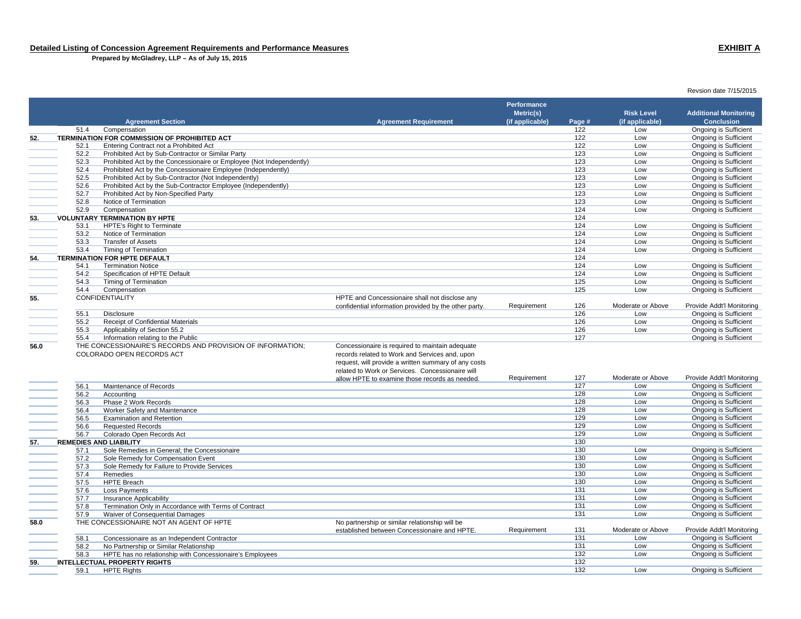**Prepared by McGladrey, LLP – As of July 15, 2015**

### **Agreement Section Agreement Requirement Performance Metric(s) (if applicable) Page # Risk Level (if applicable) Additional Monitoring Conclusion**51.4 Compensation 122 Low Ongoing is Sufficient **52. TERMINATION FOR COMMISSION OF PROHIBITED ACT**122 Low Dngoing is Sufficient<br>122 Low Dngoing is Sufficient 52.1 Entering Contract not a Prohibited Act Contractor or Similar Party Contractor or Similar Party Contractor or Similar Party Contractor or Similar Party Contractor or Similar Party Contractor or Similar Party Contractor 52.2 Prohibited Act by Sub-Contractor or Similar Party 123 Low Ongoing is Sufficient 52.3 Prohibited Act by the Concessionaire or Employee (Not Independently) 123 Low Ongoing is Sufficient 52.4 Prohibited Act by the Concessionaire Employee (Independently) 123 Low Ongoing is Sufficient Frohibited Act by Sub-Contractor (Not Independently) and the contractor (Not Independently) and the Contractor (Not Independently) and the Sub-Contractor Employee (Independently) and the Sub-Contractor Employee (Independen 52.6 Prohibited Act by the Sub-Contractor Employee (Independently) 123 Low Ongoing is Sufficient **52.7 Prohibited Act by Non-Specified Party 123** Low Only 123 Low Only 123 Low Only 123 Low Ongoing is Sufficient Party in Sufficient Party 123 Low Only 123 Low Only 123 Low Only 123 Low Only 123 Low Only 123 Low Only 123 52.8 Notice of Termination 123 Low Ongoing is Sufficient 52.9 Compensation 124 Low Ongoing is Sufficient **53. VOLUNTARY TERMINATION BY HPTE** $\mathsf E$ 53.1 HPTE's Right to Terminate **124** Low Ongoing is Sufficient 124 Low Ongoing is Sufficient 124 Low Ongoing is Sufficient 124 Low Ongoing is Sufficient 124 Low Ongoing is Sufficient 53.2 Notice of Termination 124 Low Ongoing is Sufficient 53.3 Transfer of Assets 124 Low Ongoing is Sufficient 53.4 Timing of Termination <sup>124</sup> Low Ongoing is Sufficient **54. TERMINATION FOR HPTE DEFAULT**The contract of the contract of the contract of the contract of the contract of the contract of the contract of the contract of the contract of the contract of the contract of the contract of the contract of the contract 54.1 Termination Notice 124 Low Ongoing is Sufficient 54.2 Specification of HPTE Default 124 Low Ongoing is Sufficient 54.3 Timing of Termination 125 Low Ongoing is Sufficient 54.4 Compensation 125 Low Ongoing is Sufficient **55.** CONFIDENTIALITY **EXECUTE AND CONFIDENTIALITY HPTE** and Concessionaire shall not disclose any confidential information provided by the other party. Requirement 126 Moderate or Above Provide Addt'l Monitoring<br>126 Low Dngoing is Sufficient 55.1 Disclosure 126 Low Ongoing is Sufficient 55.2 Receipt of Confidential Materials **126** Low Ongoing is Sufficient 55.3 Applicability of Section 55.2 126 Low Ongoing is Sufficient 55.4 Information relating to the Public <sup>127</sup> Ongoing is Sufficient **56.0** THE CONCESSIONAIRE'S RECORDS AND PROVISION OF INFORMATION; COLORADO OPEN RECORDS ACTConcessionaire is required to maintain adequate records related to Work and Services and, upon request, will provide a written summary of any costs related to Work or Services. Concessionaire will allow HPTE to examine those records as needed.Requirement 127 Moderate or Above Provide Addt'l Monitoring<br>127 Low Ongoing is Sufficient 56.1 Maintenance of Recordss the contract of the contract of the contract of the contract of the contract of the contract of the contract of the contract of the contract of the contract of the contract of the contract of the contract of the contract 56.2 Accounting the control of the control of the control of the control of the control of the control of the control of the control of the control of the control of the control of the control of the control of the control 56.3 Phase 2 Work Records 128 Low Ongoing is Sufficient 56.4 Worker Safety and Maintenance 128 Low Ongoing is Sufficient **Examination and Retention** 129 Low Ongoing is Sufficient<br>129 Low Ongoing is Sufficient 56.6 Requested Records 129 Low Ongoing is Sufficient 56.7 Colorado Open Records Act North Colorado Open Records Act 129 Low Congoing is Sufficient 56.5 Examination<br>57. **REMEDIES AND LIABILITY**<br>57. **REMEDIES AND LIABILITY** er and the contract of the contract of the contract of the contract of the contract of the contract of the contract of the contract of the contract of the contract of the contract of the contract of the contract of the con 57.1 Sole Remedies in General; the Concessionaire and the Concessional control of the Concessional Concessional Concessional Concessional Concessional Concessional Concessional Concessional Concessional Concessional Conces 57.2 Sole Remedy for Compensation Event<br>
57.3 Sole Remedy for Failure to Provide Services<br>
57.3 Sole Remedy for Failure to Provide Services<br>
57.3 Sole Remedy for Failure to Provide Services 57.3 Sole Remedy for Failure to Provide Services<br>
57.4 Remedies **130** Low Ongoing is Sufficient<br>
57.4 Remedies 130 Low Ongoing is Sufficient 57.4 Remedies 130 Low Ongoing is Sufficient 57.5 HPTE Breach 130 Low Ongoing is Sufficient 57.6 Loss Payments 131 Low Ongoing is Sufficient 57.7 Insurance Applicability 131 Low Ongoing is Sufficient 57.8 Termination Only in Accordance with Terms of Contract 131 Low Ongoing is Sufficient 131 Low Ongoing is Sufficient 157.9 Waiver of Consequential Damages 131 Low Ongoing is Sufficient 57.9 Waiver of Consequential Damages<br>
THE CONCESSIONAIRE NOT AN AGENT OF HPTE<br>
THE CONCESSIONAIRE NOT AN AGENT OF HPTE **58.0**THE CONCESSIONAIRE NOT AN AGENT OF HPTE established between Concessionaire and HPTE.Requirement 131 Moderate or Above Provide Addt'l Monitoring<br>131 Low Ongoing is Sufficient 58.1 Concessionaire as an Independent Contractor 131 Low Ongoing is Sufficient 58.2 No Partnership or Similar Relationship 58.3 HPTE has no relationship with Concessionaire's Employees **132** Low Ongoing is Sufficient<br>LECTUAL PROPERTY RIGHTS **59. INTELLECTUAL PROPERTY RIGHTS** $\mathbf S$  and  $\mathbf S$  and  $\mathbf S$  and  $\mathbf S$  and  $\mathbf S$  and  $\mathbf S$  and  $\mathbf S$  and  $\mathbf S$  and  $\mathbf S$  and  $\mathbf S$  and  $\mathbf S$  and  $\mathbf S$  and  $\mathbf S$  and  $\mathbf S$  and  $\mathbf S$  and  $\mathbf S$  and  $\mathbf S$  and  $\mathbf S$  and  $\mathbf S$  and  $\mathbf S$  and 59.1 HPTE Rights 132 Low Ongoing is Sufficient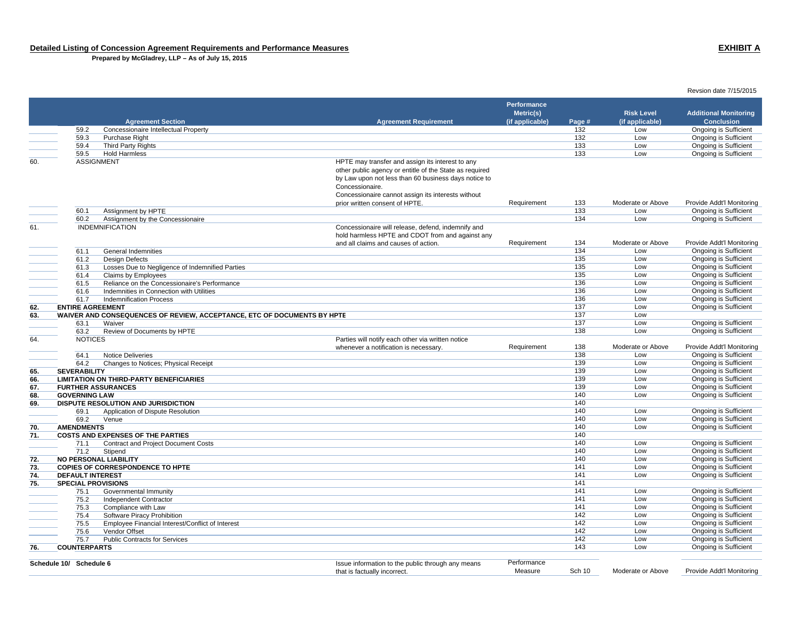**Prepared by McGladrey, LLP – As of July 15, 2015**

 **Agreement Section Agreement Requirement Performance Metric(s) (if applicable) Page # Risk Level (if applicable) Additional Monitoring Conclusion**59.2 Concessionaire Intellectual Property 132 Low Ongoing is Sufficient 59.3 Purchase Right 132 Low Ongoing is Sufficient 59.4 Third Party Rights 133 Low Ongoing is Sufficient 59.5 Hold Harmlesss the control of the control of the control of the control of the control of the control of the control of the control of the control of the control of the control of the control of the control of the control of the contro 60. ASSIGNMENT HPTE may transfer and assign its interest to any other public agency or entitle of the State as required by Law upon not less than 60 business days notice to Concessionaire. Concessionaire cannot assign its interests without prior written consent of HPTE.<br>
Requirement 133 Moderate or Above Provide Addt'l Monitoring<br>
Low Ongoing is Sufficient 60.1 Assignment by HPTE 133 Low Ongoing is Sufficient 60.2 Assignment by the Concessionaire<br>
INDEMNIFICATION Low Ongoing is Sufficient<br>
INDEMNIFICATION 61. INDEMNIFICATION Concessionaire will release, defend, indemnify and hold harmless HPTE and CDOT from and against any and all claims and causes of action. Requirement 134 Moderate or Above Provide Addt'l Monitoring 61.1 General Indemnities 134 Low Ongoing is Sufficient 61.2 Design Defects 135 Low Ongoing is Sufficient 61.3 Losses Due to Negligence of Indemnified Parties 135 Low Ongoing is Sufficient 61.4 Claims by Employees 135 Low Ongoing is Sufficient 61.5 Reliance on the Concessionaire's Performance136 Low Ongoing is Sufficient<br>136 Low Ongoing is Sufficient 61.6 Indemnities in Connection with Utilitiess the contract of the contract of the contract of the contract of the contract of the contract of the contract of the contract of the contract of the contract of the contract of the contract of the contract of the contract 61.7 Indemnification Processs the contract of the contract of the contract of the contract of the contract of the contract of the contract of the contract of the contract of the contract of the contract of the contract of the contract of the contract **62. ENTIRE AGREEMENT** 137 Low Ongoing is Sufficient **63. WAIVER AND CONSEQUENCES OF REVIEW, ACCEPTANCE, ETC OF DOCUMENTS BY HPTE 137 137** 137 Low 63.1 Waiverr and the control of the control of the control of the control of the control of the control of the control of the control of the control of the control of the control of the control of the control of the control of the co 63.2 Review of Documents by HPTE **138** Low Ongoing is Sufficient 64. NOTICES Parties will notify each other via written notice whenever a notification is necessary. 
Requirement
138
Moderate or Above
Provide Addt<sup>'</sup>l Monitoring
138
Low
Dngoing is Sufficient
138
Low
Dngoing is Sufficient
138
Low
Dngoing is Sufficient
138
Low
Dngoing is Sufficient
1 64.1 Notice Deliveries 138 Low Ongoing is Sufficient Form of the Changes to Notices; Physical Receipt Changes to Noticent Changes to Notices; Physical Receipt Changes to Noticent Changes to Noticent Changes to Noticent Changes to Noticent Changes to Noticent Changes is Suffi **65. SEVERABILITY** 139 Low Ongoing is Sufficient **66. LIMITATION ON THIRD-PARTY BENEFICIARIES** 139 Low Ongoing is Sufficient **67. FURTHER ASSURANCES** 139 Low Ongoing is Sufficient **68. GOVERNING LAW 69. DISPUTE RESOLUTION AND JURISDICTION** 140 Low Ongoing is Sufficient N and  $\sim$  140  $\,$ Form of Dispute Resolution and the Congoing is Sufficient of Dispute Resolution 140 Low Ongoing is Sufficient<br>
Form of Dispute Resolution 140 Low Ongoing is Sufficient 69.2 Venue 140 Low Ongoing is Sufficient **70. AMENDMENTS** 140 Low Ongoing is Sufficient **71. COSTS AND EXPENSES OF THE PARTIES** $\mathbf S$  and  $\mathbf S$  and  $\mathbf S$  and  $\mathbf S$  and  $\mathbf S$  and  $\mathbf S$  and  $\mathbf S$  and  $\mathbf S$  and  $\mathbf S$  and  $\mathbf S$  and  $\mathbf S$  and  $\mathbf S$  and  $\mathbf S$  and  $\mathbf S$  and  $\mathbf S$  and  $\mathbf S$  and  $\mathbf S$  and  $\mathbf S$  and  $\mathbf S$  and  $\mathbf S$  and Provide the Contract and Project Document Costs<br>
The Contract and Project Document Costs<br>
The Contract and Project Document Costs<br>
The Contract and Project Document Costs<br>
Contract and Project Document Costs<br>
Contract and 71.2 Stipend 140 Low Ongoing is Sufficient **72. NO PERSONAL LIABILITY** 140 Low Ongoing is Sufficient **73. COPIES OF CORRESPONDENCE TO HPTE** 141 Low Ongoing is Sufficient **74. DEFAULT INTEREST** 141 Low Ongoing is Sufficient **75. SPECIAL PROVISIONS** $\mathbf S$  and  $\mathbf S$  and  $\mathbf S$  and  $\mathbf S$  and  $\mathbf S$  and  $\mathbf S$  and  $\mathbf S$  and  $\mathbf S$  and  $\mathbf S$  and  $\mathbf S$  and  $\mathbf S$  and  $\mathbf S$  and  $\mathbf S$  and  $\mathbf S$  and  $\mathbf S$  and  $\mathbf S$  and  $\mathbf S$  and  $\mathbf S$  and  $\mathbf S$  and  $\mathbf S$  and 75.1 Governmental Immunity <sup>141</sup> Low Ongoing is Sufficient 75.2 Independent Contractor 141 Low Ongoing is Sufficient 75.3 Compliance with Law 141 Low Ongoing is Sufficient 75.4 Software Piracy Prohibition <sup>142</sup> Low Ongoing is Sufficient 75.5 Employee Financial Interest/Conflict of Interest 142 Low Ongoing is Sufficient 75.6 Vendor Offsett the controller of the controller of the controller of the controller of the controller of the controller of the controller of the controller of the controller of the controller of the controller of the controller of the 75.7 Public Contracts for Services142 Low Ongoing is Sufficient<br>143 Low Ongoing is Sufficient **76. COUNTERPARTS**143 Low Ongoing is Sufficient

| Schedule 10/ Schedule 6 | Issue information to the public through any means | Performance |        |                   |                           |
|-------------------------|---------------------------------------------------|-------------|--------|-------------------|---------------------------|
|                         | t is factually incorrect                          | Measure     | Sch 10 | Moderate or Above | Provide Addt'l Monitoring |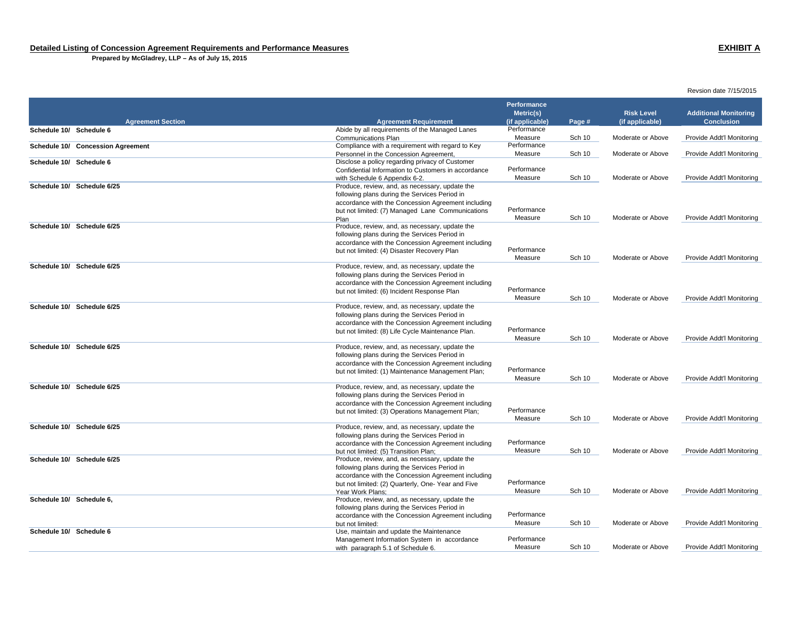**Prepared by McGladrey, LLP – As of July 15, 2015**

|                                   |                                                                                                     |                                             |        |                                      | Revsion date 7/15/2015                            |
|-----------------------------------|-----------------------------------------------------------------------------------------------------|---------------------------------------------|--------|--------------------------------------|---------------------------------------------------|
| <b>Agreement Section</b>          | <b>Agreement Requirement</b>                                                                        | Performance<br>Metric(s)<br>(if applicable) | Page # | <b>Risk Level</b><br>(if applicable) | <b>Additional Monitoring</b><br><b>Conclusion</b> |
| Schedule 10/ Schedule 6           | Abide by all requirements of the Managed Lanes                                                      | Performance                                 |        |                                      |                                                   |
|                                   | <b>Communications Plan</b>                                                                          | Measure                                     | Sch 10 | Moderate or Above                    | Provide Addt'l Monitoring                         |
| Schedule 10/ Concession Agreement | Compliance with a requirement with regard to Key                                                    | Performance                                 |        |                                      |                                                   |
|                                   | Personnel in the Concession Agreement,                                                              | Measure                                     | Sch 10 | Moderate or Above                    | Provide Addt'l Monitoring                         |
| Schedule 10/ Schedule 6           | Disclose a policy regarding privacy of Customer                                                     |                                             |        |                                      |                                                   |
|                                   | Confidential Information to Customers in accordance                                                 | Performance                                 |        |                                      |                                                   |
|                                   | with Schedule 6 Appendix 6-2.                                                                       | Measure                                     | Sch 10 | Moderate or Above                    | Provide Addt'l Monitoring                         |
| Schedule 10/ Schedule 6/25        | Produce, review, and, as necessary, update the                                                      |                                             |        |                                      |                                                   |
|                                   | following plans during the Services Period in                                                       |                                             |        |                                      |                                                   |
|                                   | accordance with the Concession Agreement including                                                  |                                             |        |                                      |                                                   |
|                                   | but not limited: (7) Managed Lane Communications                                                    | Performance                                 |        |                                      |                                                   |
|                                   | Plan                                                                                                | Measure                                     | Sch 10 | Moderate or Above                    | Provide Addt'l Monitoring                         |
| Schedule 10/ Schedule 6/25        | Produce, review, and, as necessary, update the                                                      |                                             |        |                                      |                                                   |
|                                   | following plans during the Services Period in                                                       |                                             |        |                                      |                                                   |
|                                   | accordance with the Concession Agreement including                                                  |                                             |        |                                      |                                                   |
|                                   | but not limited: (4) Disaster Recovery Plan                                                         | Performance                                 |        |                                      |                                                   |
|                                   |                                                                                                     | Measure                                     | Sch 10 | Moderate or Above                    | Provide Addt'l Monitoring                         |
| Schedule 10/ Schedule 6/25        | Produce, review, and, as necessary, update the                                                      |                                             |        |                                      |                                                   |
|                                   | following plans during the Services Period in                                                       |                                             |        |                                      |                                                   |
|                                   | accordance with the Concession Agreement including                                                  |                                             |        |                                      |                                                   |
|                                   | but not limited: (6) Incident Response Plan                                                         | Performance                                 |        |                                      |                                                   |
|                                   |                                                                                                     | Measure                                     | Sch 10 | Moderate or Above                    | Provide Addt'l Monitoring                         |
| Schedule 10/ Schedule 6/25        | Produce, review, and, as necessary, update the                                                      |                                             |        |                                      |                                                   |
|                                   | following plans during the Services Period in                                                       |                                             |        |                                      |                                                   |
|                                   | accordance with the Concession Agreement including                                                  |                                             |        |                                      |                                                   |
|                                   | but not limited: (8) Life Cycle Maintenance Plan.                                                   | Performance                                 |        |                                      |                                                   |
| Schedule 10/ Schedule 6/25        |                                                                                                     | Measure                                     | Sch 10 | Moderate or Above                    | Provide Addt'l Monitoring                         |
|                                   | Produce, review, and, as necessary, update the                                                      |                                             |        |                                      |                                                   |
|                                   | following plans during the Services Period in<br>accordance with the Concession Agreement including |                                             |        |                                      |                                                   |
|                                   | but not limited: (1) Maintenance Management Plan;                                                   | Performance                                 |        |                                      |                                                   |
|                                   |                                                                                                     | Measure                                     | Sch 10 | Moderate or Above                    | Provide Addt'l Monitoring                         |
| Schedule 10/ Schedule 6/25        | Produce, review, and, as necessary, update the                                                      |                                             |        |                                      |                                                   |
|                                   | following plans during the Services Period in                                                       |                                             |        |                                      |                                                   |
|                                   | accordance with the Concession Agreement including                                                  |                                             |        |                                      |                                                   |
|                                   | but not limited: (3) Operations Management Plan;                                                    | Performance                                 |        |                                      |                                                   |
|                                   |                                                                                                     | Measure                                     | Sch 10 | Moderate or Above                    | Provide Addt'l Monitoring                         |
| Schedule 10/ Schedule 6/25        | Produce, review, and, as necessary, update the                                                      |                                             |        |                                      |                                                   |
|                                   | following plans during the Services Period in                                                       |                                             |        |                                      |                                                   |
|                                   | accordance with the Concession Agreement including                                                  | Performance                                 |        |                                      |                                                   |
|                                   | but not limited: (5) Transition Plan:                                                               | Measure                                     | Sch 10 | Moderate or Above                    | Provide Addt'l Monitoring                         |
| Schedule 10/ Schedule 6/25        | Produce, review, and, as necessary, update the                                                      |                                             |        |                                      |                                                   |
|                                   | following plans during the Services Period in                                                       |                                             |        |                                      |                                                   |
|                                   | accordance with the Concession Agreement including                                                  |                                             |        |                                      |                                                   |
|                                   | but not limited: (2) Quarterly, One-Year and Five                                                   | Performance                                 |        |                                      |                                                   |
|                                   | Year Work Plans:                                                                                    | Measure                                     | Sch 10 | Moderate or Above                    | Provide Addt'l Monitoring                         |
| Schedule 10/ Schedule 6,          | Produce, review, and, as necessary, update the                                                      |                                             |        |                                      |                                                   |
|                                   | following plans during the Services Period in                                                       |                                             |        |                                      |                                                   |
|                                   | accordance with the Concession Agreement including                                                  | Performance                                 |        |                                      |                                                   |
|                                   | but not limited:                                                                                    | Measure                                     | Sch 10 | Moderate or Above                    | Provide Addt'l Monitoring                         |
| Schedule 10/ Schedule 6           | Use, maintain and update the Maintenance                                                            |                                             |        |                                      |                                                   |
|                                   | Management Information System in accordance                                                         | Performance                                 |        |                                      |                                                   |
|                                   | with paragraph 5.1 of Schedule 6.                                                                   | Measure                                     | Sch 10 | Moderate or Above                    | Provide Addt'l Monitoring                         |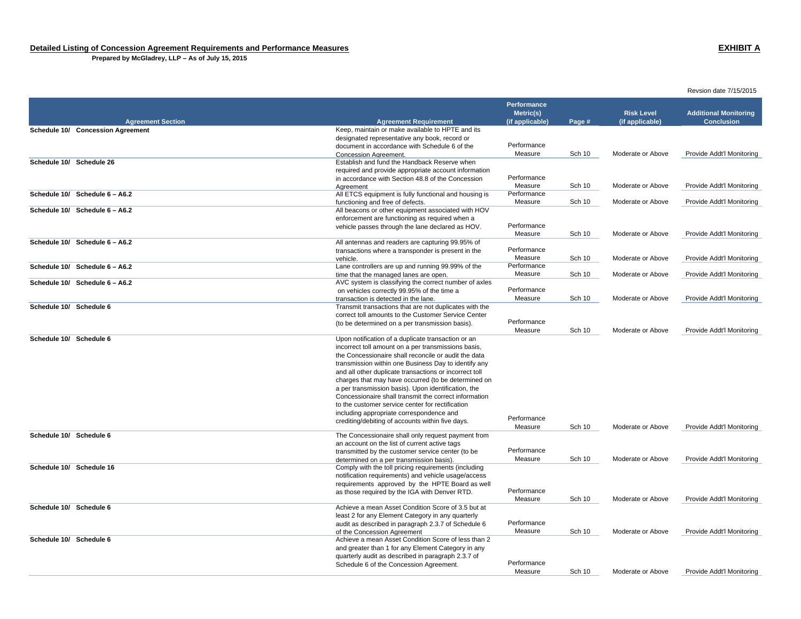**Prepared by McGladrey, LLP – As of July 15, 2015**

|                                   |                                                                                                                | <b>Performance</b> |               |                   |                              |
|-----------------------------------|----------------------------------------------------------------------------------------------------------------|--------------------|---------------|-------------------|------------------------------|
|                                   |                                                                                                                | Metric(s)          |               | <b>Risk Level</b> | <b>Additional Monitoring</b> |
| <b>Agreement Section</b>          | <b>Agreement Requirement</b>                                                                                   | (if applicable)    | Page #        | (if applicable)   | <b>Conclusion</b>            |
| Schedule 10/ Concession Agreement | Keep, maintain or make available to HPTE and its                                                               |                    |               |                   |                              |
|                                   | designated representative any book, record or                                                                  | Performance        |               |                   |                              |
|                                   | document in accordance with Schedule 6 of the<br><b>Concession Agreement.</b>                                  | Measure            | <b>Sch 10</b> | Moderate or Above | Provide Addt'l Monitoring    |
| Schedule 10/ Schedule 26          | Establish and fund the Handback Reserve when                                                                   |                    |               |                   |                              |
|                                   | required and provide appropriate account information                                                           |                    |               |                   |                              |
|                                   | in accordance with Section 48.8 of the Concession                                                              | Performance        |               |                   |                              |
|                                   | Agreement                                                                                                      | Measure            | Sch 10        | Moderate or Above | Provide Addt'l Monitoring    |
| Schedule 10/ Schedule 6 - A6.2    | All ETCS equipment is fully functional and housing is                                                          | Performance        |               |                   |                              |
|                                   | functioning and free of defects.                                                                               | Measure            | <b>Sch 10</b> | Moderate or Above | Provide Addt'l Monitoring    |
| Schedule 10/ Schedule 6 - A6.2    | All beacons or other equipment associated with HOV                                                             |                    |               |                   |                              |
|                                   | enforcement are functioning as required when a                                                                 |                    |               |                   |                              |
|                                   | vehicle passes through the lane declared as HOV.                                                               | Performance        |               |                   |                              |
|                                   |                                                                                                                | Measure            | Sch 10        | Moderate or Above | Provide Addt'l Monitoring    |
| Schedule 10/ Schedule 6 - A6.2    | All antennas and readers are capturing 99.95% of                                                               | Performance        |               |                   |                              |
|                                   | transactions where a transponder is present in the<br>vehicle.                                                 | Measure            | Sch 10        | Moderate or Above | Provide Addt'l Monitoring    |
| Schedule 10/ Schedule 6 - A6.2    | Lane controllers are up and running 99.99% of the                                                              | Performance        |               |                   |                              |
|                                   | time that the managed lanes are open.                                                                          | Measure            | Sch 10        | Moderate or Above | Provide Addt'l Monitoring    |
| Schedule 10/ Schedule 6 - A6.2    | AVC system is classifying the correct number of axles                                                          |                    |               |                   |                              |
|                                   | on vehicles correctly 99.95% of the time a                                                                     | Performance        |               |                   |                              |
|                                   | transaction is detected in the lane.                                                                           | Measure            | <b>Sch 10</b> | Moderate or Above | Provide Addt'l Monitoring    |
| Schedule 10/ Schedule 6           | Transmit transactions that are not duplicates with the                                                         |                    |               |                   |                              |
|                                   | correct toll amounts to the Customer Service Center                                                            |                    |               |                   |                              |
|                                   | (to be determined on a per transmission basis).                                                                | Performance        |               |                   |                              |
|                                   |                                                                                                                | Measure            | <b>Sch 10</b> | Moderate or Above | Provide Addt'l Monitoring    |
| Schedule 10/ Schedule 6           | Upon notification of a duplicate transaction or an                                                             |                    |               |                   |                              |
|                                   | incorrect toll amount on a per transmissions basis,                                                            |                    |               |                   |                              |
|                                   | the Concessionaire shall reconcile or audit the data                                                           |                    |               |                   |                              |
|                                   | transmission within one Business Day to identify any<br>and all other duplicate transactions or incorrect toll |                    |               |                   |                              |
|                                   | charges that may have occurred (to be determined on                                                            |                    |               |                   |                              |
|                                   | a per transmission basis). Upon identification, the                                                            |                    |               |                   |                              |
|                                   | Concessionaire shall transmit the correct information                                                          |                    |               |                   |                              |
|                                   | to the customer service center for rectification                                                               |                    |               |                   |                              |
|                                   | including appropriate correspondence and                                                                       |                    |               |                   |                              |
|                                   | crediting/debiting of accounts within five days.                                                               | Performance        |               |                   |                              |
|                                   |                                                                                                                | Measure            | Sch 10        | Moderate or Above | Provide Addt'l Monitoring    |
| Schedule 10/ Schedule 6           | The Concessionaire shall only request payment from                                                             |                    |               |                   |                              |
|                                   | an account on the list of current active tags                                                                  | Performance        |               |                   |                              |
|                                   | transmitted by the customer service center (to be                                                              | Measure            | Sch 10        | Moderate or Above | Provide Addt'l Monitoring    |
| Schedule 10/ Schedule 16          | determined on a per transmission basis).<br>Comply with the toll pricing requirements (including               |                    |               |                   |                              |
|                                   | notification requirements) and vehicle usage/access                                                            |                    |               |                   |                              |
|                                   | requirements approved by the HPTE Board as well                                                                |                    |               |                   |                              |
|                                   | as those required by the IGA with Denver RTD.                                                                  | Performance        |               |                   |                              |
|                                   |                                                                                                                | Measure            | Sch 10        | Moderate or Above | Provide Addt'l Monitoring    |
| Schedule 10/ Schedule 6           | Achieve a mean Asset Condition Score of 3.5 but at                                                             |                    |               |                   |                              |
|                                   | least 2 for any Element Category in any quarterly                                                              |                    |               |                   |                              |
|                                   | audit as described in paragraph 2.3.7 of Schedule 6                                                            | Performance        |               |                   |                              |
|                                   | of the Concession Agreement                                                                                    | Measure            | Sch 10        | Moderate or Above | Provide Addt'l Monitoring    |
| Schedule 10/ Schedule 6           | Achieve a mean Asset Condition Score of less than 2                                                            |                    |               |                   |                              |
|                                   | and greater than 1 for any Element Category in any                                                             |                    |               |                   |                              |
|                                   | quarterly audit as described in paragraph 2.3.7 of                                                             | Performance        |               |                   |                              |
|                                   | Schedule 6 of the Concession Agreement.                                                                        | Measure            | Sch 10        | Moderate or Above | Provide Addt'l Monitoring    |
|                                   |                                                                                                                |                    |               |                   |                              |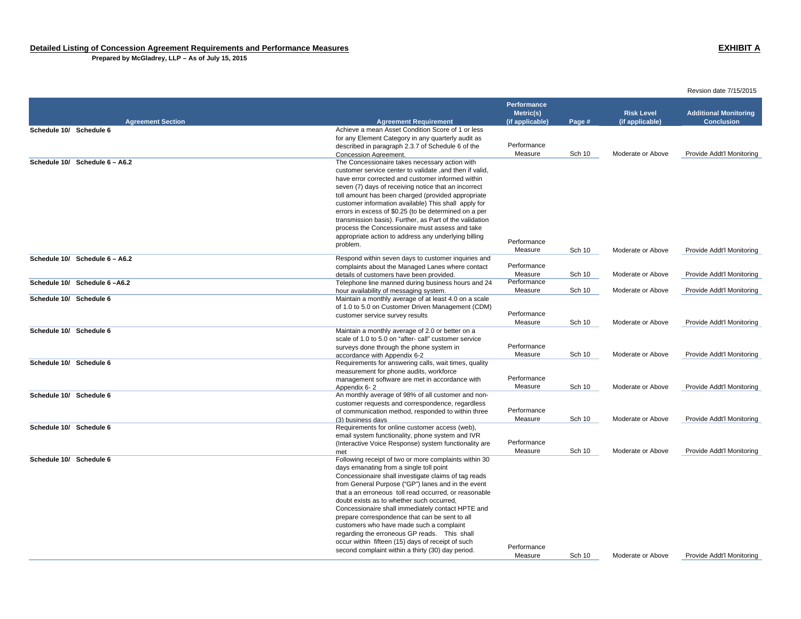**Prepared by McGladrey, LLP – As of July 15, 2015**

|                                |                                                                                                            | Performance                  |               | <b>Risk Level</b> |                                                   |
|--------------------------------|------------------------------------------------------------------------------------------------------------|------------------------------|---------------|-------------------|---------------------------------------------------|
| <b>Agreement Section</b>       | <b>Agreement Requirement</b>                                                                               | Metric(s)<br>(if applicable) | Page #        | (if applicable)   | <b>Additional Monitoring</b><br><b>Conclusion</b> |
| Schedule 10/ Schedule 6        | Achieve a mean Asset Condition Score of 1 or less                                                          |                              |               |                   |                                                   |
|                                | for any Element Category in any quarterly audit as                                                         |                              |               |                   |                                                   |
|                                | described in paragraph 2.3.7 of Schedule 6 of the                                                          | Performance                  |               |                   |                                                   |
|                                | Concession Agreement.                                                                                      | Measure                      | Sch 10        | Moderate or Above | Provide Addt'l Monitoring                         |
| Schedule 10/ Schedule 6 - A6.2 | The Concessionaire takes necessary action with                                                             |                              |               |                   |                                                   |
|                                | customer service center to validate , and then if valid,                                                   |                              |               |                   |                                                   |
|                                | have error corrected and customer informed within                                                          |                              |               |                   |                                                   |
|                                | seven (7) days of receiving notice that an incorrect<br>toll amount has been charged (provided appropriate |                              |               |                   |                                                   |
|                                | customer information available) This shall apply for                                                       |                              |               |                   |                                                   |
|                                | errors in excess of \$0.25 (to be determined on a per                                                      |                              |               |                   |                                                   |
|                                | transmission basis). Further, as Part of the validation                                                    |                              |               |                   |                                                   |
|                                | process the Concessionaire must assess and take                                                            |                              |               |                   |                                                   |
|                                | appropriate action to address any underlying billing                                                       |                              |               |                   |                                                   |
|                                | problem.                                                                                                   | Performance                  |               |                   |                                                   |
|                                |                                                                                                            | Measure                      | Sch 10        | Moderate or Above | Provide Addt'l Monitoring                         |
| Schedule 10/ Schedule 6 - A6.2 | Respond within seven days to customer inquiries and                                                        |                              |               |                   |                                                   |
|                                | complaints about the Managed Lanes where contact                                                           | Performance<br>Measure       | Sch 10        | Moderate or Above | Provide Addt'l Monitoring                         |
| Schedule 10/ Schedule 6-A6.2   | details of customers have been provided.<br>Telephone line manned during business hours and 24             | Performance                  |               |                   |                                                   |
|                                | hour availability of messaging system.                                                                     | Measure                      | <b>Sch 10</b> | Moderate or Above | Provide Addt'l Monitoring                         |
| Schedule 10/ Schedule 6        | Maintain a monthly average of at least 4.0 on a scale                                                      |                              |               |                   |                                                   |
|                                | of 1.0 to 5.0 on Customer Driven Management (CDM)                                                          |                              |               |                   |                                                   |
|                                | customer service survey results                                                                            | Performance                  |               |                   |                                                   |
|                                |                                                                                                            | Measure                      | Sch 10        | Moderate or Above | Provide Addt'l Monitoring                         |
| Schedule 10/ Schedule 6        | Maintain a monthly average of 2.0 or better on a                                                           |                              |               |                   |                                                   |
|                                | scale of 1.0 to 5.0 on "after- call" customer service                                                      |                              |               |                   |                                                   |
|                                | surveys done through the phone system in                                                                   | Performance<br>Measure       |               |                   |                                                   |
| Schedule 10/ Schedule 6        | accordance with Appendix 6-2<br>Requirements for answering calls, wait times, quality                      |                              | Sch 10        | Moderate or Above | Provide Addt'l Monitoring                         |
|                                | measurement for phone audits, workforce                                                                    |                              |               |                   |                                                   |
|                                | management software are met in accordance with                                                             | Performance                  |               |                   |                                                   |
|                                | Appendix 6-2                                                                                               | Measure                      | Sch 10        | Moderate or Above | Provide Addt'l Monitoring                         |
| Schedule 10/ Schedule 6        | An monthly average of 98% of all customer and non-                                                         |                              |               |                   |                                                   |
|                                | customer requests and correspondence, regardless                                                           |                              |               |                   |                                                   |
|                                | of communication method, responded to within three                                                         | Performance                  |               |                   |                                                   |
|                                | (3) business days                                                                                          | Measure                      | Sch 10        | Moderate or Above | Provide Addt'l Monitoring                         |
| Schedule 10/ Schedule 6        | Requirements for online customer access (web),                                                             |                              |               |                   |                                                   |
|                                | email system functionality, phone system and IVR                                                           | Performance                  |               |                   |                                                   |
|                                | (Interactive Voice Response) system functionality are<br>met                                               | Measure                      | Sch 10        | Moderate or Above | Provide Addt'l Monitoring                         |
| Schedule 10/ Schedule 6        | Following receipt of two or more complaints within 30                                                      |                              |               |                   |                                                   |
|                                | days emanating from a single toll point                                                                    |                              |               |                   |                                                   |
|                                | Concessionaire shall investigate claims of tag reads                                                       |                              |               |                   |                                                   |
|                                | from General Purpose ("GP") lanes and in the event                                                         |                              |               |                   |                                                   |
|                                | that a an erroneous toll read occurred, or reasonable                                                      |                              |               |                   |                                                   |
|                                | doubt exists as to whether such occurred,                                                                  |                              |               |                   |                                                   |
|                                | Concessionaire shall immediately contact HPTE and                                                          |                              |               |                   |                                                   |
|                                | prepare correspondence that can be sent to all                                                             |                              |               |                   |                                                   |
|                                | customers who have made such a complaint                                                                   |                              |               |                   |                                                   |
|                                | regarding the erroneous GP reads. This shall                                                               |                              |               |                   |                                                   |
|                                | occur within fifteen (15) days of receipt of such                                                          | Performance                  |               |                   |                                                   |
|                                | second complaint within a thirty (30) day period.                                                          | Measure                      | Sch 10        | Moderate or Above | Provide Addt'l Monitoring                         |
|                                |                                                                                                            |                              |               |                   |                                                   |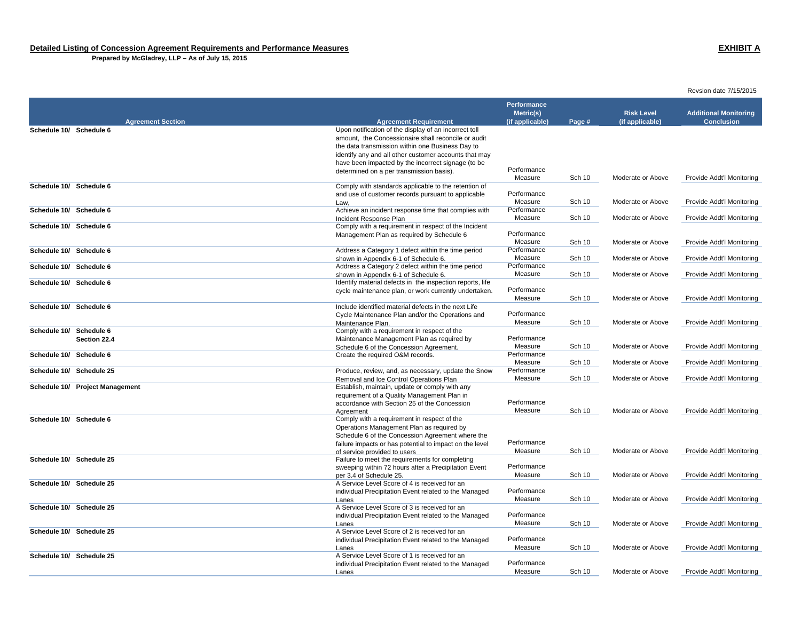**Prepared by McGladrey, LLP – As of July 15, 2015**

|                                 |                                                                                 | <b>Performance</b> |               |                   |                              |
|---------------------------------|---------------------------------------------------------------------------------|--------------------|---------------|-------------------|------------------------------|
|                                 |                                                                                 | Metric(s)          |               | <b>Risk Level</b> | <b>Additional Monitoring</b> |
| <b>Agreement Section</b>        | <b>Agreement Requirement</b>                                                    | (if applicable)    | Page #        | (if applicable)   | <b>Conclusion</b>            |
| Schedule 10/ Schedule 6         | Upon notification of the display of an incorrect toll                           |                    |               |                   |                              |
|                                 | amount, the Concessionaire shall reconcile or audit                             |                    |               |                   |                              |
|                                 | the data transmission within one Business Day to                                |                    |               |                   |                              |
|                                 | identify any and all other customer accounts that may                           |                    |               |                   |                              |
|                                 | have been impacted by the incorrect signage (to be                              | Performance        |               |                   |                              |
|                                 | determined on a per transmission basis).                                        | Measure            |               | Moderate or Above |                              |
| Schedule 10/ Schedule 6         | Comply with standards applicable to the retention of                            |                    | <b>Sch 10</b> |                   | Provide Addt'l Monitoring    |
|                                 | and use of customer records pursuant to applicable                              | Performance        |               |                   |                              |
|                                 | Law.                                                                            | Measure            | Sch 10        | Moderate or Above | Provide Addt'l Monitoring    |
| Schedule 10/ Schedule 6         | Achieve an incident response time that complies with                            | Performance        |               |                   |                              |
|                                 | Incident Response Plan                                                          | Measure            | Sch 10        | Moderate or Above | Provide Addt'l Monitoring    |
| Schedule 10/ Schedule 6         | Comply with a requirement in respect of the Incident                            |                    |               |                   |                              |
|                                 | Management Plan as required by Schedule 6                                       | Performance        |               |                   |                              |
|                                 |                                                                                 | Measure            | <b>Sch 10</b> | Moderate or Above | Provide Addt'l Monitoring    |
| Schedule 10/ Schedule 6         | Address a Category 1 defect within the time period                              | Performance        |               |                   |                              |
|                                 | shown in Appendix 6-1 of Schedule 6.                                            | Measure            | <b>Sch 10</b> | Moderate or Above | Provide Addt'l Monitoring    |
| Schedule 10/ Schedule 6         | Address a Category 2 defect within the time period                              | Performance        |               |                   |                              |
|                                 | shown in Appendix 6-1 of Schedule 6.                                            | Measure            | <b>Sch 10</b> | Moderate or Above | Provide Addt'l Monitoring    |
| Schedule 10/ Schedule 6         | Identify material defects in the inspection reports, life                       |                    |               |                   |                              |
|                                 | cycle maintenance plan, or work currently undertaken.                           | Performance        |               |                   |                              |
|                                 |                                                                                 | Measure            | Sch 10        | Moderate or Above | Provide Addt'l Monitoring    |
| Schedule 10/ Schedule 6         | Include identified material defects in the next Life                            | Performance        |               |                   |                              |
|                                 | Cycle Maintenance Plan and/or the Operations and                                | Measure            | Sch 10        | Moderate or Above | Provide Addt'l Monitoring    |
| Schedule 10/ Schedule 6         | Maintenance Plan.<br>Comply with a requirement in respect of the                |                    |               |                   |                              |
| Section 22.4                    | Maintenance Management Plan as required by                                      | Performance        |               |                   |                              |
|                                 | Schedule 6 of the Concession Agreement.                                         | Measure            | Sch 10        | Moderate or Above | Provide Addt'l Monitoring    |
| Schedule 10/ Schedule 6         | Create the required O&M records.                                                | Performance        |               |                   |                              |
|                                 |                                                                                 | Measure            | Sch 10        | Moderate or Above | Provide Addt'l Monitoring    |
| Schedule 10/ Schedule 25        | Produce, review, and, as necessary, update the Snow                             | Performance        |               |                   |                              |
|                                 | Removal and Ice Control Operations Plan                                         | Measure            | Sch 10        | Moderate or Above | Provide Addt'l Monitoring    |
| Schedule 10/ Project Management | Establish, maintain, update or comply with any                                  |                    |               |                   |                              |
|                                 | requirement of a Quality Management Plan in                                     |                    |               |                   |                              |
|                                 | accordance with Section 25 of the Concession                                    | Performance        |               |                   |                              |
|                                 | Agreement                                                                       | Measure            | <b>Sch 10</b> | Moderate or Above | Provide Addt'l Monitoring    |
| Schedule 10/ Schedule 6         | Comply with a requirement in respect of the                                     |                    |               |                   |                              |
|                                 | Operations Management Plan as required by                                       |                    |               |                   |                              |
|                                 | Schedule 6 of the Concession Agreement where the                                | Performance        |               |                   |                              |
|                                 | failure impacts or has potential to impact on the level                         |                    |               |                   |                              |
| Schedule 10/ Schedule 25        | of service provided to users<br>Failure to meet the requirements for completing | Measure            | Sch 10        | Moderate or Above | Provide Addt'l Monitoring    |
|                                 | sweeping within 72 hours after a Precipitation Event                            | Performance        |               |                   |                              |
|                                 | per 3.4 of Schedule 25.                                                         | Measure            | <b>Sch 10</b> | Moderate or Above | Provide Addt'l Monitoring    |
| Schedule 10/ Schedule 25        | A Service Level Score of 4 is received for an                                   |                    |               |                   |                              |
|                                 | individual Precipitation Event related to the Managed                           | Performance        |               |                   |                              |
|                                 | Lanes                                                                           | Measure            | Sch 10        | Moderate or Above | Provide Addt'l Monitoring    |
| Schedule 10/ Schedule 25        | A Service Level Score of 3 is received for an                                   |                    |               |                   |                              |
|                                 | individual Precipitation Event related to the Managed                           | Performance        |               |                   |                              |
|                                 | Lanes                                                                           | Measure            | Sch 10        | Moderate or Above | Provide Addt'l Monitoring    |
| Schedule 10/ Schedule 25        | A Service Level Score of 2 is received for an                                   |                    |               |                   |                              |
|                                 | individual Precipitation Event related to the Managed                           | Performance        |               |                   |                              |
|                                 | Lanes                                                                           | Measure            | <b>Sch 10</b> | Moderate or Above | Provide Addt'l Monitoring    |
| Schedule 10/ Schedule 25        | A Service Level Score of 1 is received for an                                   |                    |               |                   |                              |
|                                 | individual Precipitation Event related to the Managed                           | Performance        |               |                   |                              |
|                                 | Lanes                                                                           | Measure            | <b>Sch 10</b> | Moderate or Above | Provide Addt'l Monitoring    |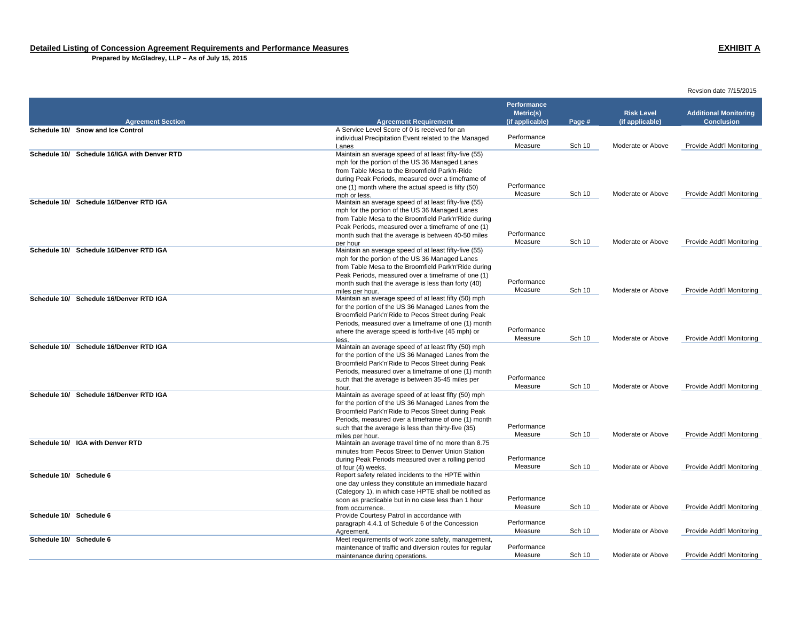**Prepared by McGladrey, LLP – As of July 15, 2015**

|                                              |                                                                                                            | <b>Performance</b>           |               |                                      |                                                   |
|----------------------------------------------|------------------------------------------------------------------------------------------------------------|------------------------------|---------------|--------------------------------------|---------------------------------------------------|
| <b>Agreement Section</b>                     | <b>Agreement Requirement</b>                                                                               | Metric(s)<br>(if applicable) | Page #        | <b>Risk Level</b><br>(if applicable) | <b>Additional Monitoring</b><br><b>Conclusion</b> |
| Schedule 10/ Snow and Ice Control            | A Service Level Score of 0 is received for an                                                              |                              |               |                                      |                                                   |
|                                              | individual Precipitation Event related to the Managed                                                      | Performance                  |               |                                      |                                                   |
|                                              | Lanes                                                                                                      | Measure                      | Sch 10        | Moderate or Above                    | Provide Addt'l Monitoring                         |
| Schedule 10/ Schedule 16/IGA with Denver RTD | Maintain an average speed of at least fifty-five (55)                                                      |                              |               |                                      |                                                   |
|                                              | mph for the portion of the US 36 Managed Lanes                                                             |                              |               |                                      |                                                   |
|                                              | from Table Mesa to the Broomfield Park'n-Ride                                                              |                              |               |                                      |                                                   |
|                                              | during Peak Periods, measured over a timeframe of<br>one (1) month where the actual speed is fifty (50)    | Performance                  |               |                                      |                                                   |
|                                              | mph or less.                                                                                               | Measure                      | Sch 10        | Moderate or Above                    | Provide Addt'l Monitoring                         |
| Schedule 10/ Schedule 16/Denver RTD IGA      | Maintain an average speed of at least fifty-five (55)                                                      |                              |               |                                      |                                                   |
|                                              | mph for the portion of the US 36 Managed Lanes                                                             |                              |               |                                      |                                                   |
|                                              | from Table Mesa to the Broomfield Park'n'Ride during                                                       |                              |               |                                      |                                                   |
|                                              | Peak Periods, measured over a timeframe of one (1)                                                         |                              |               |                                      |                                                   |
|                                              | month such that the average is between 40-50 miles                                                         | Performance                  |               |                                      |                                                   |
|                                              | per hour                                                                                                   | Measure                      | Sch 10        | Moderate or Above                    | Provide Addt'l Monitoring                         |
| Schedule 10/ Schedule 16/Denver RTD IGA      | Maintain an average speed of at least fifty-five (55)                                                      |                              |               |                                      |                                                   |
|                                              | mph for the portion of the US 36 Managed Lanes                                                             |                              |               |                                      |                                                   |
|                                              | from Table Mesa to the Broomfield Park'n'Ride during<br>Peak Periods, measured over a timeframe of one (1) |                              |               |                                      |                                                   |
|                                              | month such that the average is less than forty (40)                                                        | Performance                  |               |                                      |                                                   |
|                                              | miles per hour.                                                                                            | Measure                      | <b>Sch 10</b> | Moderate or Above                    | Provide Addt'l Monitoring                         |
| Schedule 10/ Schedule 16/Denver RTD IGA      | Maintain an average speed of at least fifty (50) mph                                                       |                              |               |                                      |                                                   |
|                                              | for the portion of the US 36 Managed Lanes from the                                                        |                              |               |                                      |                                                   |
|                                              | Broomfield Park'n'Ride to Pecos Street during Peak                                                         |                              |               |                                      |                                                   |
|                                              | Periods, measured over a timeframe of one (1) month                                                        |                              |               |                                      |                                                   |
|                                              | where the average speed is forth-five (45 mph) or                                                          | Performance                  |               |                                      |                                                   |
|                                              | less.                                                                                                      | Measure                      | <b>Sch 10</b> | Moderate or Above                    | Provide Addt'l Monitoring                         |
| Schedule 10/ Schedule 16/Denver RTD IGA      | Maintain an average speed of at least fifty (50) mph                                                       |                              |               |                                      |                                                   |
|                                              | for the portion of the US 36 Managed Lanes from the<br>Broomfield Park'n'Ride to Pecos Street during Peak  |                              |               |                                      |                                                   |
|                                              | Periods, measured over a timeframe of one (1) month                                                        |                              |               |                                      |                                                   |
|                                              | such that the average is between 35-45 miles per                                                           | Performance                  |               |                                      |                                                   |
|                                              | hour.                                                                                                      | Measure                      | <b>Sch 10</b> | Moderate or Above                    | Provide Addt'l Monitoring                         |
| Schedule 10/ Schedule 16/Denver RTD IGA      | Maintain as average speed of at least fifty (50) mph                                                       |                              |               |                                      |                                                   |
|                                              | for the portion of the US 36 Managed Lanes from the                                                        |                              |               |                                      |                                                   |
|                                              | Broomfield Park'n'Ride to Pecos Street during Peak                                                         |                              |               |                                      |                                                   |
|                                              | Periods, measured over a timeframe of one (1) month                                                        |                              |               |                                      |                                                   |
|                                              | such that the average is less than thirty-five (35)                                                        | Performance                  | <b>Sch 10</b> |                                      |                                                   |
| Schedule 10/ IGA with Denver RTD             | miles per hour.<br>Maintain an average travel time of no more than 8.75                                    | Measure                      |               | Moderate or Above                    | Provide Addt'l Monitoring                         |
|                                              | minutes from Pecos Street to Denver Union Station                                                          |                              |               |                                      |                                                   |
|                                              | during Peak Periods measured over a rolling period                                                         | Performance                  |               |                                      |                                                   |
|                                              | of four (4) weeks.                                                                                         | Measure                      | Sch 10        | Moderate or Above                    | Provide Addt'l Monitoring                         |
| Schedule 10/ Schedule 6                      | Report safety related incidents to the HPTE within                                                         |                              |               |                                      |                                                   |
|                                              | one day unless they constitute an immediate hazard                                                         |                              |               |                                      |                                                   |
|                                              | (Category 1), in which case HPTE shall be notified as                                                      |                              |               |                                      |                                                   |
|                                              | soon as practicable but in no case less than 1 hour                                                        | Performance                  |               |                                      |                                                   |
|                                              | from occurrence.                                                                                           | Measure                      | Sch 10        | Moderate or Above                    | Provide Addt'l Monitoring                         |
| Schedule 10/ Schedule 6                      | Provide Courtesy Patrol in accordance with                                                                 | Performance                  |               |                                      |                                                   |
|                                              | paragraph 4.4.1 of Schedule 6 of the Concession                                                            | Measure                      | <b>Sch 10</b> | Moderate or Above                    | Provide Addt'l Monitoring                         |
| Schedule 10/ Schedule 6                      | Agreement.<br>Meet requirements of work zone safety, management,                                           |                              |               |                                      |                                                   |
|                                              | maintenance of traffic and diversion routes for regular                                                    | Performance                  |               |                                      |                                                   |
|                                              | maintenance during operations.                                                                             | Measure                      | Sch 10        | Moderate or Above                    | Provide Addt'l Monitoring                         |
|                                              |                                                                                                            |                              |               |                                      |                                                   |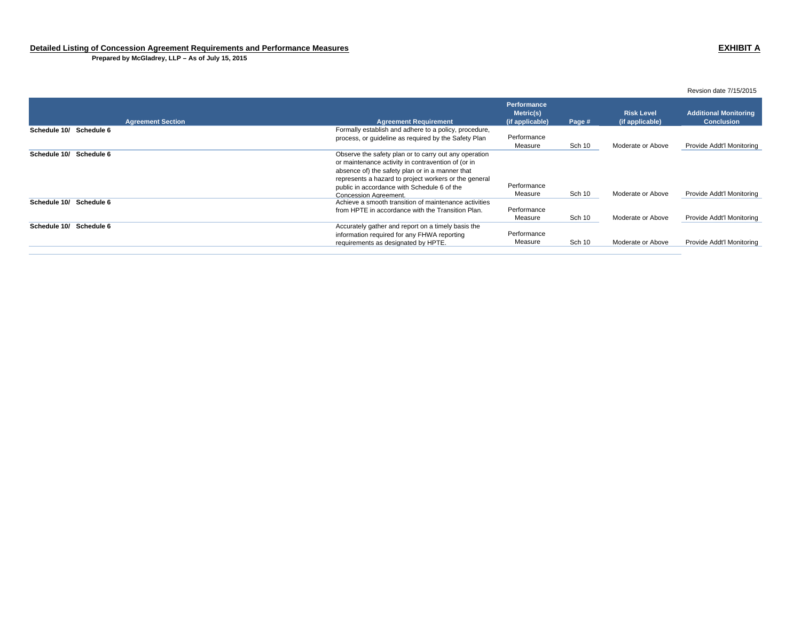**Prepared by McGladrey, LLP – As of July 15, 2015**

| <b>Agreement Section</b>   | <b>Agreement Requirement</b>                                                                                                                                                                                                                                                                           | Performance.<br>Metric(s)<br>(if applicable) | Page # | <b>Risk Level</b><br>(if applicable) | <b>Additional Monitoring</b><br><b>Conclusion</b> |
|----------------------------|--------------------------------------------------------------------------------------------------------------------------------------------------------------------------------------------------------------------------------------------------------------------------------------------------------|----------------------------------------------|--------|--------------------------------------|---------------------------------------------------|
| Schedule 6<br>Schedule 10/ | Formally establish and adhere to a policy, procedure,<br>process, or quideline as required by the Safety Plan                                                                                                                                                                                          | Performance<br>Measure                       | Sch 10 | Moderate or Above                    | Provide Addt'l Monitoring                         |
| Schedule 10/<br>Schedule 6 | Observe the safety plan or to carry out any operation<br>or maintenance activity in contravention of (or in<br>absence of) the safety plan or in a manner that<br>represents a hazard to project workers or the general<br>public in accordance with Schedule 6 of the<br><b>Concession Agreement.</b> | Performance<br>Measure                       | Sch 10 | Moderate or Above                    | Provide Addt'l Monitoring                         |
| Schedule 6<br>Schedule 10/ | Achieve a smooth transition of maintenance activities<br>from HPTE in accordance with the Transition Plan.                                                                                                                                                                                             | Performance<br>Measure                       | Sch 10 | Moderate or Above                    | Provide Addt'l Monitoring                         |
| Schedule 6<br>Schedule 10/ | Accurately gather and report on a timely basis the<br>information required for any FHWA reporting<br>requirements as designated by HPTE.                                                                                                                                                               | Performance<br>Measure                       | Sch 10 | Moderate or Above                    | Provide Addt'l Monitoring                         |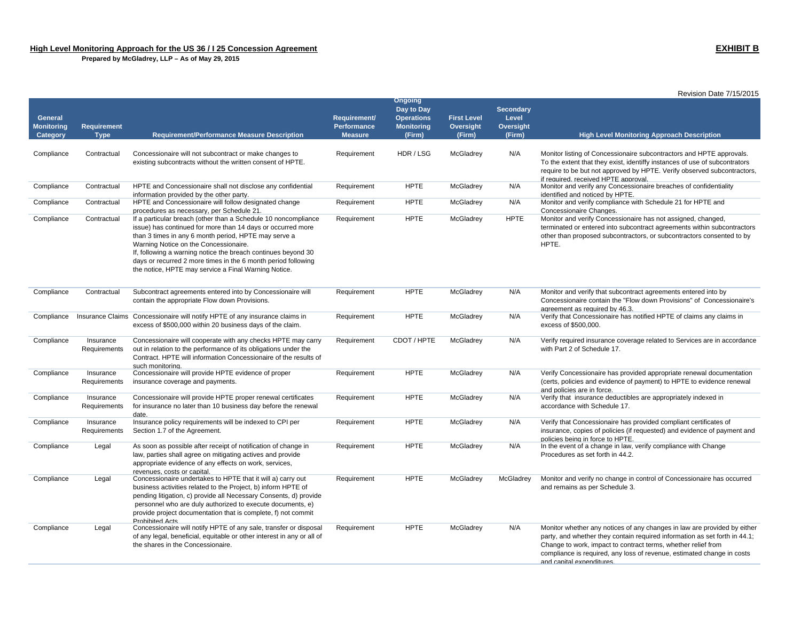business activities related to the Project, b) inform HPTE of pending litigation, c) provide all Necessary Consents, d) provide personnel who are duly authorized to execute documents, e) provide project documentation that is complete, f) not commit

of any legal, beneficial, equitable or other interest in any or all of

Prohibited Acts

Compliance Legal Concessionaire will notify HPTE of any sale, transfer or disposal

the shares in the Concessionaire.

 **Prepared by McGladrey, LLP – As of May 29, 2015**

|                                          |                            |                                                                                                                                                                                                                                                                                                                                                                                                                          |                                                             |                                                                                  |                                           |                                                  | Revision Date 7/15/2015                                                                                                                                                                                                                                               |
|------------------------------------------|----------------------------|--------------------------------------------------------------------------------------------------------------------------------------------------------------------------------------------------------------------------------------------------------------------------------------------------------------------------------------------------------------------------------------------------------------------------|-------------------------------------------------------------|----------------------------------------------------------------------------------|-------------------------------------------|--------------------------------------------------|-----------------------------------------------------------------------------------------------------------------------------------------------------------------------------------------------------------------------------------------------------------------------|
| General<br><b>Monitoring</b><br>Category | Requirement<br><b>Type</b> | <b>Requirement/Performance Measure Description</b>                                                                                                                                                                                                                                                                                                                                                                       | <b>Requirement/</b><br><b>Performance</b><br><b>Measure</b> | <b>Ongoing</b><br>Day to Day<br><b>Operations</b><br><b>Monitoring</b><br>(Firm) | <b>First Level</b><br>Oversight<br>(Firm) | <b>Secondary</b><br>Level<br>Oversight<br>(Firm) | <b>High Level Monitoring Approach Description</b>                                                                                                                                                                                                                     |
|                                          |                            |                                                                                                                                                                                                                                                                                                                                                                                                                          |                                                             |                                                                                  |                                           |                                                  |                                                                                                                                                                                                                                                                       |
| Compliance                               | Contractual                | Concessionaire will not subcontract or make changes to<br>existing subcontracts without the written consent of HPTE.                                                                                                                                                                                                                                                                                                     | Requirement                                                 | HDR / LSG                                                                        | McGladrey                                 | N/A                                              | Monitor listing of Concessionaire subcontractors and HPTE approvals.<br>To the extent that they exist, identiffy instances of use of subcontrators<br>require to be but not approved by HPTE. Verify observed subcontractors,<br>if required. received HPTE approval. |
| Compliance                               | Contractual                | HPTE and Concessionaire shall not disclose any confidential<br>information provided by the other party.                                                                                                                                                                                                                                                                                                                  | Requirement                                                 | <b>HPTE</b>                                                                      | McGladrey                                 | N/A                                              | Monitor and verify any Concessionaire breaches of confidentiality<br>identified and noticed by HPTE.                                                                                                                                                                  |
| Compliance                               | Contractual                | HPTE and Concessionaire will follow designated change<br>procedures as necessary, per Schedule 21.                                                                                                                                                                                                                                                                                                                       | Requirement                                                 | <b>HPTE</b>                                                                      | McGladrey                                 | N/A                                              | Monitor and verify compliance with Schedule 21 for HPTE and<br>Concessionaire Changes.                                                                                                                                                                                |
| Compliance                               | Contractual                | If a particular breach (other than a Schedule 10 noncompliance<br>issue) has continued for more than 14 days or occurred more<br>than 3 times in any 6 month period, HPTE may serve a<br>Warning Notice on the Concessionaire.<br>If, following a warning notice the breach continues beyond 30<br>days or recurred 2 more times in the 6 month period following<br>the notice, HPTE may service a Final Warning Notice. | Requirement                                                 | <b>HPTE</b>                                                                      | McGladrey                                 | <b>HPTE</b>                                      | Monitor and verify Concessionaire has not assigned, changed,<br>terminated or entered into subcontract agreements within subcontractors<br>other than proposed subcontractors, or subcontractors consented to by<br>HPTE.                                             |
| Compliance                               | Contractual                | Subcontract agreements entered into by Concessionaire will<br>contain the appropriate Flow down Provisions.                                                                                                                                                                                                                                                                                                              | Requirement                                                 | <b>HPTE</b>                                                                      | McGladrey                                 | N/A                                              | Monitor and verify that subcontract agreements entered into by<br>Concessionaire contain the "Flow down Provisions" of Concessionaire's<br>agreement as required by 46.3.                                                                                             |
| Compliance                               |                            | Insurance Claims Concessionaire will notify HPTE of any insurance claims in<br>excess of \$500,000 within 20 business days of the claim.                                                                                                                                                                                                                                                                                 | Requirement                                                 | <b>HPTE</b>                                                                      | McGladrey                                 | N/A                                              | Verify that Concessionaire has notified HPTE of claims any claims in<br>excess of \$500,000.                                                                                                                                                                          |
| Compliance                               | Insurance<br>Requirements  | Concessionaire will cooperate with any checks HPTE may carry<br>out in relation to the performance of its obligations under the<br>Contract. HPTE will information Concessionaire of the results of<br>such monitoring.                                                                                                                                                                                                  | Requirement                                                 | CDOT / HPTE                                                                      | McGladrey                                 | N/A                                              | Verify required insurance coverage related to Services are in accordance<br>with Part 2 of Schedule 17.                                                                                                                                                               |
| Compliance                               | Insurance<br>Requirements  | Concessionaire will provide HPTE evidence of proper<br>insurance coverage and payments.                                                                                                                                                                                                                                                                                                                                  | Requirement                                                 | <b>HPTE</b>                                                                      | McGladrey                                 | N/A                                              | Verify Concessionaire has provided appropriate renewal documentation<br>(certs, policies and evidence of payment) to HPTE to evidence renewal<br>and policies are in force.                                                                                           |
| Compliance                               | Insurance<br>Requirements  | Concessionaire will provide HPTE proper renewal certificates<br>for insurance no later than 10 business day before the renewal                                                                                                                                                                                                                                                                                           | Requirement                                                 | <b>HPTE</b>                                                                      | McGladrey                                 | N/A                                              | Verify that insurance deductibles are appropriately indexed in<br>accordance with Schedule 17.                                                                                                                                                                        |
| Compliance                               | Insurance<br>Requirements  | date.<br>Insurance policy requirements will be indexed to CPI per<br>Section 1.7 of the Agreement.                                                                                                                                                                                                                                                                                                                       | Requirement                                                 | <b>HPTE</b>                                                                      | McGladrey                                 | N/A                                              | Verify that Concessionaire has provided compliant certificates of<br>insurance, copies of policies (if requested) and evidence of payment and<br>policies being in force to HPTE.                                                                                     |
| Compliance                               | Legal                      | As soon as possible after receipt of notification of change in<br>law, parties shall agree on mitigating actives and provide<br>appropriate evidence of any effects on work, services,<br>revenues. costs or capital.                                                                                                                                                                                                    | Requirement                                                 | <b>HPTE</b>                                                                      | McGladrey                                 | N/A                                              | In the event of a change in law, verify compliance with Change<br>Procedures as set forth in 44.2.                                                                                                                                                                    |
| Compliance                               | Legal                      | Concessionaire undertakes to HPTE that it will a) carry out                                                                                                                                                                                                                                                                                                                                                              | Requirement                                                 | <b>HPTE</b>                                                                      | McGladrey                                 | McGladrey                                        | Monitor and verify no change in control of Concessionaire has occurred                                                                                                                                                                                                |

and remains as per Schedule 3.

and capital expenditures.

party, and whether they contain required information as set forth in 44.1; Change to work, impact to contract terms, whether relief from compliance is required, any loss of revenue, estimated change in costs

Requirement HPTE McGladrey N/A Monitor whether any notices of any changes in law are provided by either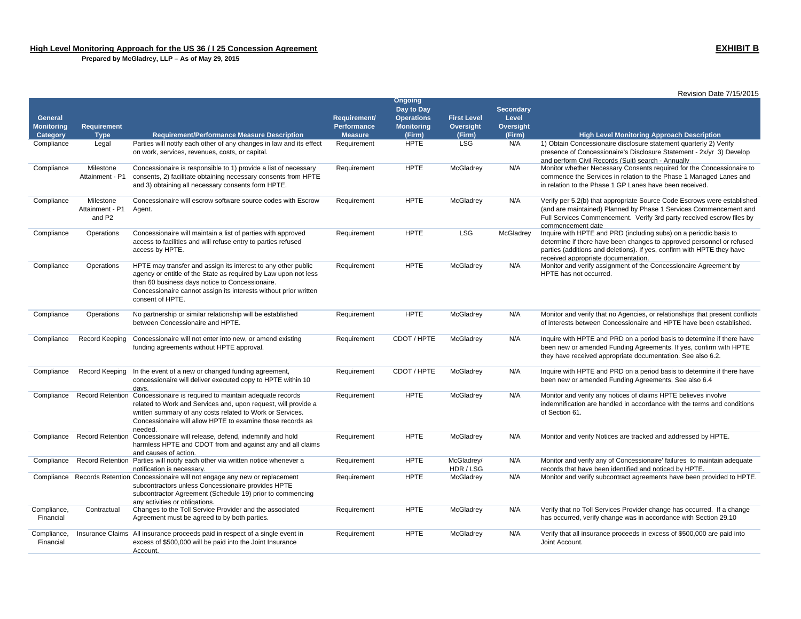|                          |                                                    |                                                                                                                                                                                                                                                                                  |                               |                              |                         |                  | Revision Date 7/15/2015                                                                                                                                                                                                                                     |
|--------------------------|----------------------------------------------------|----------------------------------------------------------------------------------------------------------------------------------------------------------------------------------------------------------------------------------------------------------------------------------|-------------------------------|------------------------------|-------------------------|------------------|-------------------------------------------------------------------------------------------------------------------------------------------------------------------------------------------------------------------------------------------------------------|
|                          |                                                    |                                                                                                                                                                                                                                                                                  |                               | <b>Ongoing</b><br>Day to Day |                         | <b>Secondary</b> |                                                                                                                                                                                                                                                             |
| General                  |                                                    |                                                                                                                                                                                                                                                                                  | Requirement/                  | <b>Operations</b>            | <b>First Level</b>      | Level            |                                                                                                                                                                                                                                                             |
| <b>Monitoring</b>        | <b>Requirement</b>                                 |                                                                                                                                                                                                                                                                                  | <b>Performance</b>            | <b>Monitoring</b>            | Oversight               | <b>Oversight</b> |                                                                                                                                                                                                                                                             |
| Category<br>Compliance   | <b>Type</b><br>Legal                               | <b>Requirement/Performance Measure Description</b><br>Parties will notify each other of any changes in law and its effect                                                                                                                                                        | <b>Measure</b><br>Requirement | (Firm)<br><b>HPTE</b>        | (Firm)<br><b>LSG</b>    | (Firm)<br>N/A    | <b>High Level Monitoring Approach Description</b><br>1) Obtain Concessionaire disclosure statement quarterly 2) Verify                                                                                                                                      |
|                          |                                                    | on work, services, revenues, costs, or capital.                                                                                                                                                                                                                                  |                               |                              |                         |                  | presence of Concessionaire's Disclosure Statement - 2x/yr 3) Develop<br>and perform Civil Records (Suit) search - Annually                                                                                                                                  |
| Compliance               | Milestone<br>Attainment - P1                       | Concessionaire is responsible to 1) provide a list of necessary<br>consents, 2) facilitate obtaining necessary consents from HPTE<br>and 3) obtaining all necessary consents form HPTE.                                                                                          | Requirement                   | <b>HPTE</b>                  | McGladrey               | N/A              | Monitor whether Necessary Consents required for the Concessionaire to<br>commence the Services in relation to the Phase 1 Managed Lanes and<br>in relation to the Phase 1 GP Lanes have been received.                                                      |
| Compliance               | Milestone<br>Attainment - P1<br>and P <sub>2</sub> | Concessionaire will escrow software source codes with Escrow<br>Agent.                                                                                                                                                                                                           | Requirement                   | <b>HPTE</b>                  | McGladrey               | N/A              | Verify per 5.2(b) that appropriate Source Code Escrows were established<br>(and are maintained) Planned by Phase 1 Services Commencement and<br>Full Services Commencement. Verify 3rd party received escrow files by<br>commencement date                  |
| Compliance               | Operations                                         | Concessionaire will maintain a list of parties with approved<br>access to facilities and will refuse entry to parties refused<br>access by HPTE.                                                                                                                                 | Requirement                   | <b>HPTE</b>                  | <b>LSG</b>              | McGladrey        | Inquire with HPTE and PRD (including subs) on a periodic basis to<br>determine if there have been changes to approved personnel or refused<br>parties (additions and deletions). If yes, confirm with HPTE they have<br>received appropriate documentation. |
| Compliance               | Operations                                         | HPTE may transfer and assign its interest to any other public<br>agency or entitle of the State as required by Law upon not less<br>than 60 business days notice to Concessionaire.<br>Concessionaire cannot assign its interests without prior written<br>consent of HPTE.      | Requirement                   | <b>HPTE</b>                  | McGladrey               | N/A              | Monitor and verify assignment of the Concessionaire Agreement by<br>HPTE has not occurred.                                                                                                                                                                  |
| Compliance               | Operations                                         | No partnership or similar relationship will be established<br>between Concessionaire and HPTE.                                                                                                                                                                                   | Requirement                   | <b>HPTE</b>                  | McGladrey               | N/A              | Monitor and verify that no Agencies, or relationships that present conflicts<br>of interests between Concessionaire and HPTE have been established.                                                                                                         |
| Compliance               | Record Keeping                                     | Concessionaire will not enter into new, or amend existing<br>funding agreements without HPTE approval.                                                                                                                                                                           | Requirement                   | CDOT / HPTE                  | McGladrey               | N/A              | Inquire with HPTE and PRD on a period basis to determine if there have<br>been new or amended Funding Agreements. If yes, confirm with HPTE<br>they have received appropriate documentation. See also 6.2.                                                  |
| Compliance               | Record Keeping                                     | In the event of a new or changed funding agreement,<br>concessionaire will deliver executed copy to HPTE within 10<br>davs.                                                                                                                                                      | Requirement                   | CDOT / HPTE                  | McGladrey               | N/A              | Inquire with HPTE and PRD on a period basis to determine if there have<br>been new or amended Funding Agreements. See also 6.4                                                                                                                              |
| Compliance               |                                                    | Record Retention Concessionaire is required to maintain adequate records<br>related to Work and Services and, upon request, will provide a<br>written summary of any costs related to Work or Services.<br>Concessionaire will allow HPTE to examine those records as<br>needed. | Requirement                   | <b>HPTE</b>                  | McGladrey               | N/A              | Monitor and verify any notices of claims HPTE believes involve<br>indemnification are handled in accordance with the terms and conditions<br>of Section 61.                                                                                                 |
| Compliance               | <b>Record Retention</b>                            | Concessionaire will release, defend, indemnify and hold<br>harmless HPTE and CDOT from and against any and all claims<br>and causes of action.                                                                                                                                   | Requirement                   | <b>HPTE</b>                  | McGladrey               | N/A              | Monitor and verify Notices are tracked and addressed by HPTE.                                                                                                                                                                                               |
| Compliance               |                                                    | Record Retention Parties will notify each other via written notice whenever a<br>notification is necessary.                                                                                                                                                                      | Requirement                   | <b>HPTE</b>                  | McGladrey/<br>HDR / LSG | N/A              | Monitor and verify any of Concessionaire' failures to maintain adequate<br>records that have been identified and noticed by HPTE.                                                                                                                           |
|                          |                                                    | Compliance Records Retention Concessionaire will not engage any new or replacement<br>subcontractors unless Concessionaire provides HPTE<br>subcontractor Agreement (Schedule 19) prior to commencing<br>any activities or obligations.                                          | Requirement                   | <b>HPTE</b>                  | McGladrey               | N/A              | Monitor and verify subcontract agreements have been provided to HPTE.                                                                                                                                                                                       |
| Compliance,<br>Financial | Contractual                                        | Changes to the Toll Service Provider and the associated<br>Agreement must be agreed to by both parties.                                                                                                                                                                          | Requirement                   | <b>HPTE</b>                  | McGladrey               | N/A              | Verify that no Toll Services Provider change has occurred. If a change<br>has occurred, verify change was in accordance with Section 29.10                                                                                                                  |
| Compliance.<br>Financial |                                                    | Insurance Claims All insurance proceeds paid in respect of a single event in<br>excess of \$500,000 will be paid into the Joint Insurance<br>Account.                                                                                                                            | Requirement                   | <b>HPTE</b>                  | McGladrey               | N/A              | Verify that all insurance proceeds in excess of \$500,000 are paid into<br>Joint Account.                                                                                                                                                                   |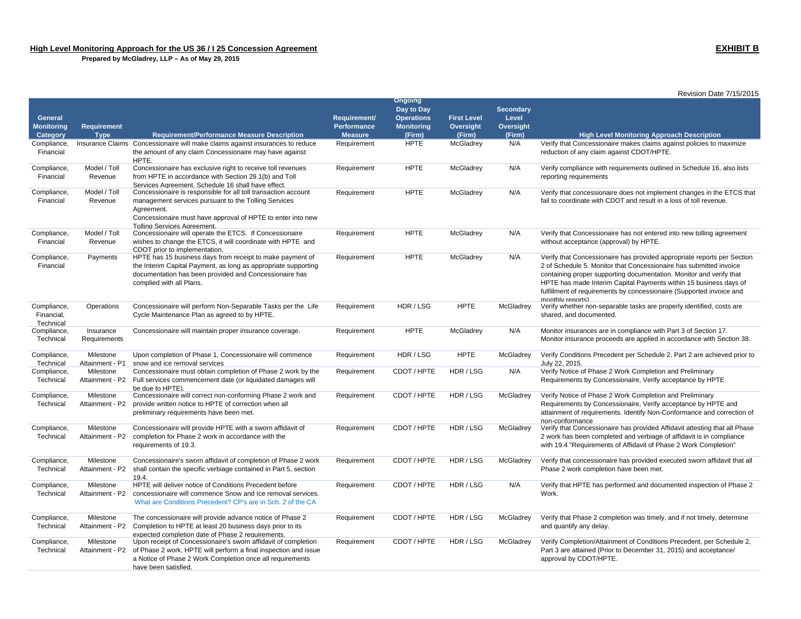|                          |                              |                                                                                                                                          |                |                       |                    |                  | Revision Date 7/15/2015                                                                                           |
|--------------------------|------------------------------|------------------------------------------------------------------------------------------------------------------------------------------|----------------|-----------------------|--------------------|------------------|-------------------------------------------------------------------------------------------------------------------|
|                          |                              |                                                                                                                                          |                | <b>Ongoing</b>        |                    |                  |                                                                                                                   |
|                          |                              |                                                                                                                                          |                | Day to Day            |                    | <b>Secondary</b> |                                                                                                                   |
| General                  |                              |                                                                                                                                          | Requirement/   | <b>Operations</b>     | <b>First Level</b> | Level            |                                                                                                                   |
| <b>Monitoring</b>        | Requirement                  |                                                                                                                                          | Performance    | <b>Monitoring</b>     | Oversight          | Oversight        |                                                                                                                   |
| Category                 | <b>Type</b>                  | <b>Requirement/Performance Measure Description</b>                                                                                       | <b>Measure</b> | (Firm)<br><b>HPTE</b> | (Firm)             | (Firm)           | <b>High Level Monitoring Approach Description</b>                                                                 |
| Compliance,<br>Financial |                              | Insurance Claims Concessionaire will make claims against insurances to reduce<br>the amount of any claim Concessionaire may have against | Requirement    |                       | McGladrey          | N/A              | Verify that Concessionaire makes claims against policies to maximize<br>reduction of any claim against CDOT/HPTE. |
|                          |                              | HPTE.                                                                                                                                    |                |                       |                    |                  |                                                                                                                   |
| Compliance,              | Model / Toll                 | Concessionaire has exclusive right to receive toll revenues                                                                              | Requirement    | <b>HPTE</b>           | McGladrey          | N/A              | Verify compliance with requirements outlined in Schedule 16, also lists                                           |
| Financial                | Revenue                      | from HPTE in accordance with Section 29.1(b) and Toll                                                                                    |                |                       |                    |                  | reporting requirements                                                                                            |
|                          |                              | Services Agreement. Schedule 16 shall have effect.                                                                                       |                |                       |                    |                  |                                                                                                                   |
| Compliance,              | Model / Toll                 | Concessionaire is responsible for all toll transaction account                                                                           | Requirement    | <b>HPTE</b>           | McGladrey          | N/A              | Verify that concessionaire does not implement changes in the ETCS that                                            |
| Financial                | Revenue                      | management services pursuant to the Tolling Services                                                                                     |                |                       |                    |                  | fail to coordinate with CDOT and result in a loss of toll revenue.                                                |
|                          |                              | Agreement.                                                                                                                               |                |                       |                    |                  |                                                                                                                   |
|                          |                              | Concessionaire must have approval of HPTE to enter into new                                                                              |                |                       |                    |                  |                                                                                                                   |
| Compliance,              | Model / Toll                 | <b>Tolling Services Agreement</b><br>Concessionaire will operate the ETCS. If Concessionaire                                             | Requirement    | <b>HPTE</b>           | McGladrey          | N/A              | Verify that Concessionaire has not entered into new tolling agreement                                             |
| Financial                | Revenue                      | wishes to change the ETCS, it will coordinate with HPTE and                                                                              |                |                       |                    |                  | without acceptance (approval) by HPTE.                                                                            |
|                          |                              | CDOT prior to implementation.                                                                                                            |                |                       |                    |                  |                                                                                                                   |
| Compliance,              | Payments                     | HPTE has 15 business days from receipt to make payment of                                                                                | Requirement    | <b>HPTE</b>           | McGladrey          | N/A              | Verify that Concessionaire has provided appropriate reports per Section                                           |
| Financial                |                              | the Interim Capital Payment, as long as appropriate supporting                                                                           |                |                       |                    |                  | 2 of Schedule 5. Monitor that Concessionaire has submitted invoice                                                |
|                          |                              | documentation has been provided and Concessionaire has                                                                                   |                |                       |                    |                  | containing proper supporting documentation. Monitor and verify that                                               |
|                          |                              | complied with all Plans.                                                                                                                 |                |                       |                    |                  | HPTE has made Interim Capital Payments within 15 business days of                                                 |
|                          |                              |                                                                                                                                          |                |                       |                    |                  | fulfillment of requirements by concessionaire (Supported invoice and                                              |
| Compliance,              | Operations                   | Concessionaire will perform Non-Separable Tasks per the Life                                                                             | Requirement    | HDR / LSG             | <b>HPTE</b>        | McGladrey        | monthly reports)<br>Verify whether non-separable tasks are properly identified, costs are                         |
| Financial,               |                              | Cycle Maintenance Plan as agreed to by HPTE.                                                                                             |                |                       |                    |                  | shared, and documented.                                                                                           |
| Technical                |                              |                                                                                                                                          |                |                       |                    |                  |                                                                                                                   |
| Compliance,              | Insurance                    | Concessionaire will maintain proper insurance coverage.                                                                                  | Requirement    | <b>HPTE</b>           | McGladrey          | N/A              | Monitor insurances are in compliance with Part 3 of Section 17.                                                   |
| Technical                | Requirements                 |                                                                                                                                          |                |                       |                    |                  | Monitor insurance proceeds are applied in accordance with Section 38.                                             |
|                          |                              |                                                                                                                                          |                |                       |                    |                  |                                                                                                                   |
| Compliance,              | Milestone                    | Upon completion of Phase 1, Concessionaire will commence                                                                                 | Requirement    | HDR / LSG             | <b>HPTE</b>        | McGladrey        | Verify Conditions Precedent per Schedule 2, Part 2 are achieved prior to                                          |
| Technical                | Attainment - P1<br>Milestone | snow and ice removal services<br>Concessionaire must obtain completion of Phase 2 work by the                                            |                | CDOT / HPTE           | HDR / LSG          | N/A              | July 22, 2015.<br>Verify Notice of Phase 2 Work Completion and Preliminary                                        |
| Compliance,<br>Technical | Attainment - P2              | Full services commencement date (or liquidated damages will                                                                              | Requirement    |                       |                    |                  | Requirements by Concessionaire, Verify acceptance by HPTE.                                                        |
|                          |                              | be due to HPTE).                                                                                                                         |                |                       |                    |                  |                                                                                                                   |
| Compliance,              | Milestone                    | Concessionaire will correct non-conforming Phase 2 work and                                                                              | Requirement    | CDOT / HPTE           | HDR / LSG          | McGladrey        | Verify Notice of Phase 2 Work Completion and Preliminary                                                          |
| Technical                | Attainment - P2              | provide written notice to HPTE of correction when all                                                                                    |                |                       |                    |                  | Requirements by Concessionaire, Verify acceptance by HPTE and                                                     |
|                          |                              | preliminary requirements have been met.                                                                                                  |                |                       |                    |                  | attainment of requirements. Identify Non-Conformance and correction of                                            |
|                          |                              |                                                                                                                                          |                |                       |                    |                  | non-conformance                                                                                                   |
| Compliance,              | Milestone                    | Concessionaire will provide HPTE with a sworn affidavit of                                                                               | Requirement    | CDOT / HPTE           | HDR / LSG          | McGladrey        | Verify that Concessionaire has provided Affidavit attesting that all Phase                                        |
| Technical                | Attainment - P2              | completion for Phase 2 work in accordance with the                                                                                       |                |                       |                    |                  | 2 work has been completed and verbiage of affidavit is in compliance                                              |
|                          |                              | requirements of 19.3.                                                                                                                    |                |                       |                    |                  | with 19.4 "Requirements of Affidavit of Phase 2 Work Completion"                                                  |
| Compliance,              | Milestone                    | Concessionaire's sworn affidavit of completion of Phase 2 work                                                                           | Requirement    | CDOT / HPTE           | HDR/LSG            | McGladrey        | Verify that concessionaire has provided executed sworn affidavit that all                                         |
| Technical                | Attainment - P2              | shall contain the specific verbiage contained in Part 5, section                                                                         |                |                       |                    |                  | Phase 2 work completion have been met.                                                                            |
|                          |                              | 19.4.                                                                                                                                    |                |                       |                    |                  |                                                                                                                   |
| Compliance,              | Milestone                    | HPTE will deliver notice of Conditions Precedent before                                                                                  | Requirement    | CDOT / HPTE           | HDR/LSG            | N/A              | Verify that HPTE has performed and documented inspection of Phase 2                                               |
| Technical                | Attainment - P2              | concessionaire will commence Snow and Ice removal services.                                                                              |                |                       |                    |                  | Work.                                                                                                             |
|                          |                              | What are Conditions Precedent? CP's are in Sch. 2 of the CA                                                                              |                |                       |                    |                  |                                                                                                                   |
|                          | Milestone                    | The concessionaire will provide advance notice of Phase 2                                                                                | Requirement    | CDOT / HPTE           | HDR / LSG          | McGladrey        |                                                                                                                   |
| Compliance,<br>Technical | Attainment - P2              | Completion to HPTE at least 20 business days prior to its                                                                                |                |                       |                    |                  | Verify that Phase 2 completion was timely, and if not timely, determine<br>and quantify any delay.                |
|                          |                              | expected completion date of Phase 2 requirements.                                                                                        |                |                       |                    |                  |                                                                                                                   |
| Compliance,              | Milestone                    | Upon receipt of Concessionaire's sworn affidavit of completion                                                                           | Requirement    | CDOT / HPTE           | HDR / LSG          | McGladrey        | Verify Completion/Attainment of Conditions Precedent, per Schedule 2,                                             |
| Technical                | Attainment - P2              | of Phase 2 work, HPTE will perform a final inspection and issue                                                                          |                |                       |                    |                  | Part 3 are attained (Prior to December 31, 2015) and acceptance/                                                  |
|                          |                              | a Notice of Phase 2 Work Completion once all requirements                                                                                |                |                       |                    |                  | approval by CDOT/HPTE.                                                                                            |
|                          |                              | have been satisfied.                                                                                                                     |                |                       |                    |                  |                                                                                                                   |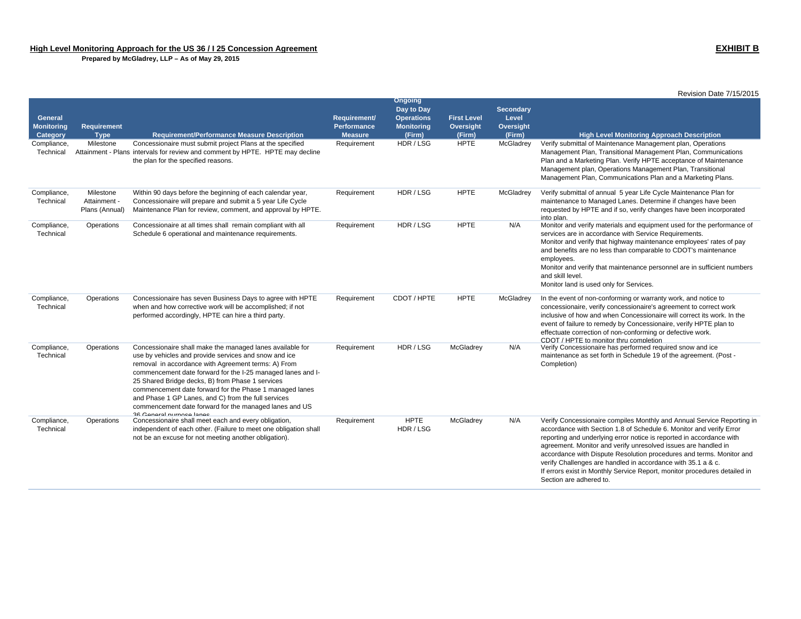|                                                 |                                             |                                                                                                                                                                                                                                                                                                                                                                                                                                                                                                      |                                               |                                                                                  |                                           |                                                  | Revision Date 7/15/2015                                                                                                                                                                                                                                                                                                                                                                                                                                                                                                                 |
|-------------------------------------------------|---------------------------------------------|------------------------------------------------------------------------------------------------------------------------------------------------------------------------------------------------------------------------------------------------------------------------------------------------------------------------------------------------------------------------------------------------------------------------------------------------------------------------------------------------------|-----------------------------------------------|----------------------------------------------------------------------------------|-------------------------------------------|--------------------------------------------------|-----------------------------------------------------------------------------------------------------------------------------------------------------------------------------------------------------------------------------------------------------------------------------------------------------------------------------------------------------------------------------------------------------------------------------------------------------------------------------------------------------------------------------------------|
| <b>General</b><br><b>Monitoring</b><br>Category | <b>Requirement</b><br><b>Type</b>           | <b>Requirement/Performance Measure Description</b>                                                                                                                                                                                                                                                                                                                                                                                                                                                   | Requirement/<br>Performance<br><b>Measure</b> | <b>Ongoing</b><br>Day to Day<br><b>Operations</b><br><b>Monitoring</b><br>(Firm) | <b>First Level</b><br>Oversight<br>(Firm) | <b>Secondary</b><br>Level<br>Oversight<br>(Firm) | <b>High Level Monitoring Approach Description</b>                                                                                                                                                                                                                                                                                                                                                                                                                                                                                       |
| Compliance,<br>Technical                        | Milestone                                   | Concessionaire must submit project Plans at the specified<br>Attainment - Plans intervals for review and comment by HPTE. HPTE may decline<br>the plan for the specified reasons.                                                                                                                                                                                                                                                                                                                    | Requirement                                   | HDR / LSG                                                                        | <b>HPTE</b>                               | McGladrey                                        | Verify submittal of Maintenance Management plan, Operations<br>Management Plan, Transitional Management Plan, Communications<br>Plan and a Marketing Plan. Verify HPTE acceptance of Maintenance<br>Management plan, Operations Management Plan, Transitional<br>Management Plan, Communications Plan and a Marketing Plans.                                                                                                                                                                                                            |
| Compliance,<br>Technical                        | Milestone<br>Attainment -<br>Plans (Annual) | Within 90 days before the beginning of each calendar year,<br>Concessionaire will prepare and submit a 5 year Life Cycle<br>Maintenance Plan for review, comment, and approval by HPTE.                                                                                                                                                                                                                                                                                                              | Requirement                                   | HDR / LSG                                                                        | <b>HPTE</b>                               | McGladrey                                        | Verify submittal of annual 5 year Life Cycle Maintenance Plan for<br>maintenance to Managed Lanes. Determine if changes have been<br>requested by HPTE and if so, verify changes have been incorporated<br>into plan.                                                                                                                                                                                                                                                                                                                   |
| Compliance,<br>Technical                        | Operations                                  | Concessionaire at all times shall remain compliant with all<br>Schedule 6 operational and maintenance requirements.                                                                                                                                                                                                                                                                                                                                                                                  | Requirement                                   | HDR / LSG                                                                        | <b>HPTE</b>                               | N/A                                              | Monitor and verify materials and equipment used for the performance of<br>services are in accordance with Service Requirements.<br>Monitor and verify that highway maintenance employees' rates of pay<br>and benefits are no less than comparable to CDOT's maintenance<br>employees.<br>Monitor and verify that maintenance personnel are in sufficient numbers<br>and skill level.<br>Monitor land is used only for Services.                                                                                                        |
| Compliance,<br>Technical                        | Operations                                  | Concessionaire has seven Business Days to agree with HPTE<br>when and how corrective work will be accomplished; if not<br>performed accordingly, HPTE can hire a third party.                                                                                                                                                                                                                                                                                                                        | Requirement                                   | CDOT / HPTE                                                                      | <b>HPTE</b>                               | McGladrey                                        | In the event of non-conforming or warranty work, and notice to<br>concessionaire, verify concessionaire's agreement to correct work<br>inclusive of how and when Concessionaire will correct its work. In the<br>event of failure to remedy by Concessionaire, verify HPTE plan to<br>effectuate correction of non-conforming or defective work.<br>CDOT / HPTF to monitor thru completion.                                                                                                                                             |
| Compliance,<br>Technical                        | Operations                                  | Concessionaire shall make the managed lanes available for<br>use by vehicles and provide services and snow and ice<br>removal in accordance with Agreement terms: A) From<br>commencement date forward for the I-25 managed lanes and I-<br>25 Shared Bridge decks, B) from Phase 1 services<br>commencement date forward for the Phase 1 managed lanes<br>and Phase 1 GP Lanes, and C) from the full services<br>commencement date forward for the managed lanes and US<br>36 General nurnose langs | Requirement                                   | HDR / LSG                                                                        | McGladrey                                 | N/A                                              | Verify Concessionaire has performed required snow and ice<br>maintenance as set forth in Schedule 19 of the agreement. (Post -<br>Completion)                                                                                                                                                                                                                                                                                                                                                                                           |
| Compliance,<br>Technical                        | Operations                                  | Concessionaire shall meet each and every obligation,<br>independent of each other. (Failure to meet one obligation shall<br>not be an excuse for not meeting another obligation).                                                                                                                                                                                                                                                                                                                    | Requirement                                   | <b>HPTE</b><br>HDR/LSG                                                           | McGladrey                                 | N/A                                              | Verify Concessionaire compiles Monthly and Annual Service Reporting in<br>accordance with Section 1.8 of Schedule 6. Monitor and verify Error<br>reporting and underlying error notice is reported in accordance with<br>agreement. Monitor and verify unresolved issues are handled in<br>accordance with Dispute Resolution procedures and terms. Monitor and<br>verify Challenges are handled in accordance with 35.1 a & c.<br>If errors exist in Monthly Service Report, monitor procedures detailed in<br>Section are adhered to. |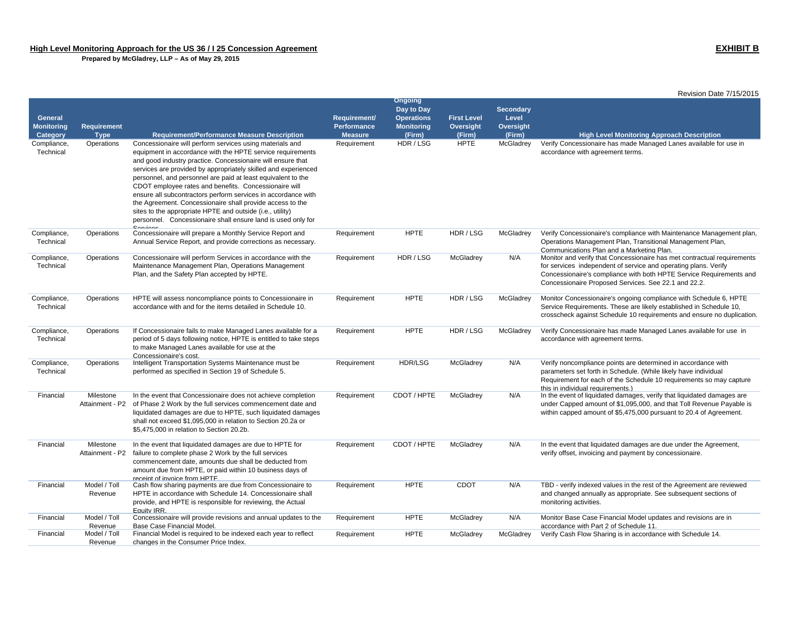|                                                 |                              |                                                                                                                                                                                                                                                                                                                                                                                                                                                                                                                                                                                                                                                                |                                               |                                                                           |                                           |                                                  | Revision Date 7/15/2015                                                                                                                                                                                                                                                   |
|-------------------------------------------------|------------------------------|----------------------------------------------------------------------------------------------------------------------------------------------------------------------------------------------------------------------------------------------------------------------------------------------------------------------------------------------------------------------------------------------------------------------------------------------------------------------------------------------------------------------------------------------------------------------------------------------------------------------------------------------------------------|-----------------------------------------------|---------------------------------------------------------------------------|-------------------------------------------|--------------------------------------------------|---------------------------------------------------------------------------------------------------------------------------------------------------------------------------------------------------------------------------------------------------------------------------|
| <b>General</b><br><b>Monitoring</b><br>Category | Requirement<br><b>Type</b>   | <b>Requirement/Performance Measure Description</b>                                                                                                                                                                                                                                                                                                                                                                                                                                                                                                                                                                                                             | Requirement/<br>Performance<br><b>Measure</b> | Ongoing<br>Day to Day<br><b>Operations</b><br><b>Monitoring</b><br>(Firm) | <b>First Level</b><br>Oversight<br>(Firm) | <b>Secondary</b><br>Level<br>Oversight<br>(Firm) | <b>High Level Monitoring Approach Description</b>                                                                                                                                                                                                                         |
| Compliance,<br>Technical                        | Operations                   | Concessionaire will perform services using materials and<br>equipment in accordance with the HPTE service requirements<br>and good industry practice. Concessionaire will ensure that<br>services are provided by appropriately skilled and experienced<br>personnel, and personnel are paid at least equivalent to the<br>CDOT employee rates and benefits. Concessionaire will<br>ensure all subcontractors perform services in accordance with<br>the Agreement. Concessionaire shall provide access to the<br>sites to the appropriate HPTE and outside (i.e., utility)<br>personnel. Concessionaire shall ensure land is used only for<br><b>Consider</b> | Requirement                                   | HDR / LSG                                                                 | <b>HPTE</b>                               | McGladrey                                        | Verify Concessionaire has made Managed Lanes available for use in<br>accordance with agreement terms.                                                                                                                                                                     |
| Compliance,<br>Technical                        | Operations                   | Concessionaire will prepare a Monthly Service Report and<br>Annual Service Report, and provide corrections as necessary.                                                                                                                                                                                                                                                                                                                                                                                                                                                                                                                                       | Requirement                                   | <b>HPTE</b>                                                               | HDR / LSG                                 | McGladrey                                        | Verify Concessionaire's compliance with Maintenance Management plan,<br>Operations Management Plan, Transitional Management Plan,<br>Communications Plan and a Marketing Plan.                                                                                            |
| Compliance,<br>Technical                        | Operations                   | Concessionaire will perform Services in accordance with the<br>Maintenance Management Plan, Operations Management<br>Plan, and the Safety Plan accepted by HPTE.                                                                                                                                                                                                                                                                                                                                                                                                                                                                                               | Requirement                                   | HDR / LSG                                                                 | McGladrey                                 | N/A                                              | Monitor and verify that Concessionaire has met contractual requirements<br>for services independent of service and operating plans. Verify<br>Concessionaire's compliance with both HPTE Service Requirements and<br>Concessionaire Proposed Services. See 22.1 and 22.2. |
| Compliance,<br>Technical                        | Operations                   | HPTE will assess noncompliance points to Concessionaire in<br>accordance with and for the items detailed in Schedule 10.                                                                                                                                                                                                                                                                                                                                                                                                                                                                                                                                       | Requirement                                   | <b>HPTE</b>                                                               | HDR / LSG                                 | McGladrey                                        | Monitor Concessionaire's ongoing compliance with Schedule 6, HPTE<br>Service Requirements. These are likely established in Schedule 10,<br>crosscheck against Schedule 10 requirements and ensure no duplication.                                                         |
| Compliance,<br>Technical                        | Operations                   | If Concessionaire fails to make Managed Lanes available for a<br>period of 5 days following notice, HPTE is entitled to take steps<br>to make Managed Lanes available for use at the<br>Concessionaire's cost.                                                                                                                                                                                                                                                                                                                                                                                                                                                 | Requirement                                   | <b>HPTE</b>                                                               | HDR / LSG                                 | McGladrey                                        | Verify Concessionaire has made Managed Lanes available for use in<br>accordance with agreement terms.                                                                                                                                                                     |
| Compliance,<br>Technical                        | Operations                   | Intelligent Transportation Systems Maintenance must be<br>performed as specified in Section 19 of Schedule 5.                                                                                                                                                                                                                                                                                                                                                                                                                                                                                                                                                  | Requirement                                   | HDR/LSG                                                                   | McGladrey                                 | N/A                                              | Verify noncompliance points are determined in accordance with<br>parameters set forth in Schedule. (While likely have individual<br>Requirement for each of the Schedule 10 requirements so may capture<br>this in individual requirements.)                              |
| Financial                                       | Milestone<br>Attainment - P2 | In the event that Concessionaire does not achieve completion<br>of Phase 2 Work by the full services commencement date and<br>liquidated damages are due to HPTE, such liquidated damages<br>shall not exceed \$1,095,000 in relation to Section 20.2a or<br>\$5,475,000 in relation to Section 20.2b.                                                                                                                                                                                                                                                                                                                                                         | Requirement                                   | CDOT / HPTE                                                               | McGladrey                                 | N/A                                              | In the event of liquidated damages, verify that liquidated damages are<br>under Capped amount of \$1,095,000, and that Toll Revenue Payable is<br>within capped amount of \$5,475,000 pursuant to 20.4 of Agreement.                                                      |
| Financial                                       | Milestone<br>Attainment - P2 | In the event that liquidated damages are due to HPTE for<br>failure to complete phase 2 Work by the full services<br>commencement date, amounts due shall be deducted from<br>amount due from HPTE, or paid within 10 business days of<br>receipt of invoice from HPTE.                                                                                                                                                                                                                                                                                                                                                                                        | Requirement                                   | CDOT / HPTE                                                               | McGladrey                                 | N/A                                              | In the event that liquidated damages are due under the Agreement,<br>verify offset, invoicing and payment by concessionaire.                                                                                                                                              |
| Financial                                       | Model / Toll<br>Revenue      | Cash flow sharing payments are due from Concessionaire to<br>HPTE in accordance with Schedule 14. Concessionaire shall<br>provide, and HPTE is responsible for reviewing, the Actual<br>Equity IRR.                                                                                                                                                                                                                                                                                                                                                                                                                                                            | Requirement                                   | <b>HPTE</b>                                                               | <b>CDOT</b>                               | N/A                                              | TBD - verify indexed values in the rest of the Agreement are reviewed<br>and changed annually as appropriate. See subsequent sections of<br>monitoring activities.                                                                                                        |
| Financial                                       | Model / Toll<br>Revenue      | Concessionaire will provide revisions and annual updates to the<br>Base Case Financial Model.                                                                                                                                                                                                                                                                                                                                                                                                                                                                                                                                                                  | Requirement                                   | <b>HPTE</b>                                                               | McGladrey                                 | N/A                                              | Monitor Base Case Financial Model updates and revisions are in<br>accordance with Part 2 of Schedule 11.                                                                                                                                                                  |
| Financial                                       | Model / Toll<br>Revenue      | Financial Model is required to be indexed each year to reflect<br>changes in the Consumer Price Index.                                                                                                                                                                                                                                                                                                                                                                                                                                                                                                                                                         | Requirement                                   | <b>HPTE</b>                                                               | McGladrey                                 | McGladrey                                        | Verify Cash Flow Sharing is in accordance with Schedule 14.                                                                                                                                                                                                               |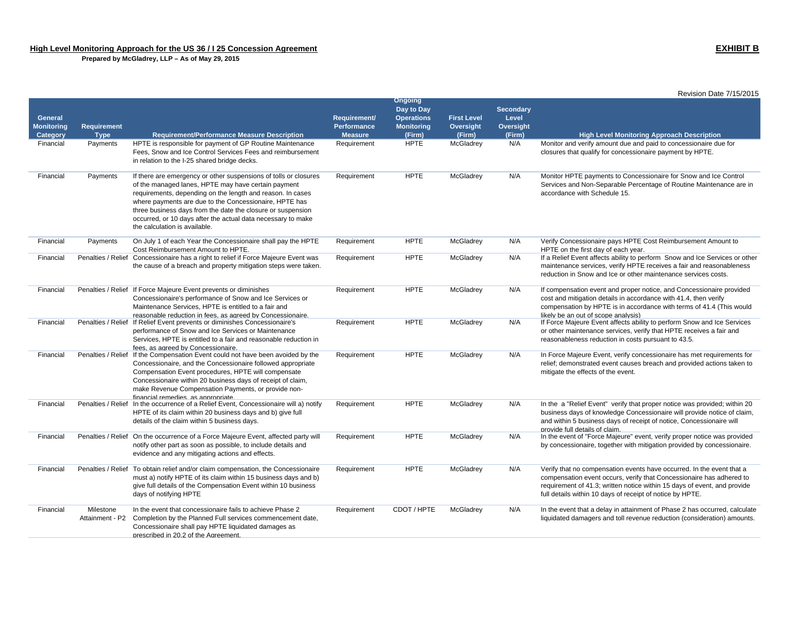|                                          |                                   |                                                                                                                                                                                                                                                                                                                                                                                                                 |                                                      |                                                                                  |                                           |                                                  | Revision Date 7/15/2015                                                                                                                                                                                                                                                                |
|------------------------------------------|-----------------------------------|-----------------------------------------------------------------------------------------------------------------------------------------------------------------------------------------------------------------------------------------------------------------------------------------------------------------------------------------------------------------------------------------------------------------|------------------------------------------------------|----------------------------------------------------------------------------------|-------------------------------------------|--------------------------------------------------|----------------------------------------------------------------------------------------------------------------------------------------------------------------------------------------------------------------------------------------------------------------------------------------|
| General<br><b>Monitoring</b><br>Category | <b>Requirement</b><br><b>Type</b> | <b>Requirement/Performance Measure Description</b>                                                                                                                                                                                                                                                                                                                                                              | Requirement/<br><b>Performance</b><br><b>Measure</b> | <b>Ongoing</b><br>Day to Day<br><b>Operations</b><br><b>Monitoring</b><br>(Firm) | <b>First Level</b><br>Oversight<br>(Firm) | <b>Secondary</b><br>Level<br>Oversight<br>(Firm) | <b>High Level Monitoring Approach Description</b>                                                                                                                                                                                                                                      |
| Financial                                | Payments                          | HPTE is responsible for payment of GP Routine Maintenance<br>Fees, Snow and Ice Control Services Fees and reimbursement<br>in relation to the I-25 shared bridge decks.                                                                                                                                                                                                                                         | Requirement                                          | <b>HPTE</b>                                                                      | McGladrey                                 | N/A                                              | Monitor and verify amount due and paid to concessionaire due for<br>closures that qualify for concessionaire payment by HPTE.                                                                                                                                                          |
| Financial                                | Payments                          | If there are emergency or other suspensions of tolls or closures<br>of the managed lanes, HPTE may have certain payment<br>requirements, depending on the length and reason. In cases<br>where payments are due to the Concessionaire, HPTE has<br>three business days from the date the closure or suspension<br>occurred, or 10 days after the actual data necessary to make<br>the calculation is available. | Requirement                                          | <b>HPTE</b>                                                                      | McGladrey                                 | N/A                                              | Monitor HPTE payments to Concessionaire for Snow and Ice Control<br>Services and Non-Separable Percentage of Routine Maintenance are in<br>accordance with Schedule 15.                                                                                                                |
| Financial                                | Payments                          | On July 1 of each Year the Concessionaire shall pay the HPTE<br>Cost Reimbursement Amount to HPTE.                                                                                                                                                                                                                                                                                                              | Requirement                                          | <b>HPTE</b>                                                                      | McGladrey                                 | N/A                                              | Verify Concessionaire pays HPTE Cost Reimbursement Amount to<br>HPTE on the first day of each year.                                                                                                                                                                                    |
| Financial                                | Penalties / Relief                | Concessionaire has a right to relief if Force Majeure Event was<br>the cause of a breach and property mitigation steps were taken.                                                                                                                                                                                                                                                                              | Requirement                                          | <b>HPTE</b>                                                                      | McGladrey                                 | N/A                                              | If a Relief Event affects ability to perform Snow and Ice Services or other<br>maintenance services, verify HPTE receives a fair and reasonableness<br>reduction in Snow and Ice or other maintenance services costs.                                                                  |
| Financial                                |                                   | Penalties / Relief If Force Majeure Event prevents or diminishes<br>Concessionaire's performance of Snow and Ice Services or<br>Maintenance Services, HPTE is entitled to a fair and<br>reasonable reduction in fees. as agreed by Concessionaire.                                                                                                                                                              | Requirement                                          | <b>HPTE</b>                                                                      | McGladrey                                 | N/A                                              | If compensation event and proper notice, and Concessionaire provided<br>cost and mitigation details in accordance with 41.4, then verify<br>compensation by HPTE is in accordance with terms of 41.4 (This would<br>likely be an out of scope analysis)                                |
| Financial                                | Penalties / Relief                | If Relief Event prevents or diminishes Concessionaire's<br>performance of Snow and Ice Services or Maintenance<br>Services, HPTE is entitled to a fair and reasonable reduction in<br>fees, as agreed by Concessionaire.                                                                                                                                                                                        | Requirement                                          | <b>HPTE</b>                                                                      | McGladrey                                 | N/A                                              | If Force Majeure Event affects ability to perform Snow and Ice Services<br>or other maintenance services, verify that HPTE receives a fair and<br>reasonableness reduction in costs pursuant to 43.5.                                                                                  |
| Financial                                |                                   | Penalties / Relief If the Compensation Event could not have been avoided by the<br>Concessionaire, and the Concessionaire followed appropriate<br>Compensation Event procedures, HPTE will compensate<br>Concessionaire within 20 business days of receipt of claim,<br>make Revenue Compensation Payments, or provide non-<br>financial remedies as annropriate                                                | Requirement                                          | <b>HPTE</b>                                                                      | McGladrey                                 | N/A                                              | In Force Majeure Event, verify concessionaire has met requirements for<br>relief; demonstrated event causes breach and provided actions taken to<br>mitigate the effects of the event.                                                                                                 |
| Financial                                |                                   | Penalties / Relief In the occurrence of a Relief Event, Concessionaire will a) notify<br>HPTE of its claim within 20 business days and b) give full<br>details of the claim within 5 business days.                                                                                                                                                                                                             | Requirement                                          | <b>HPTE</b>                                                                      | McGladrey                                 | N/A                                              | In the a "Relief Event" verify that proper notice was provided; within 20<br>business days of knowledge Concessionaire will provide notice of claim,<br>and within 5 business days of receipt of notice, Concessionaire will<br>provide full details of claim.                         |
| Financial                                |                                   | Penalties / Relief On the occurrence of a Force Majeure Event, affected party will<br>notify other part as soon as possible, to include details and<br>evidence and any mitigating actions and effects.                                                                                                                                                                                                         | Requirement                                          | <b>HPTE</b>                                                                      | McGladrey                                 | N/A                                              | In the event of "Force Majeure" event, verify proper notice was provided<br>by concessionaire, together with mitigation provided by concessionaire.                                                                                                                                    |
| Financial                                |                                   | Penalties / Relief To obtain relief and/or claim compensation, the Concessionaire<br>must a) notify HPTE of its claim within 15 business days and b)<br>give full details of the Compensation Event within 10 business<br>days of notifying HPTE                                                                                                                                                                | Requirement                                          | <b>HPTE</b>                                                                      | McGladrey                                 | N/A                                              | Verify that no compensation events have occurred. In the event that a<br>compensation event occurs, verify that Concessionaire has adhered to<br>requirement of 41.3; written notice within 15 days of event, and provide<br>full details within 10 days of receipt of notice by HPTE. |
| Financial                                | Milestone<br>Attainment - P2      | In the event that concessionaire fails to achieve Phase 2<br>Completion by the Planned Full services commencement date,<br>Concessionaire shall pay HPTE liquidated damages as<br>prescribed in 20.2 of the Agreement.                                                                                                                                                                                          | Requirement                                          | CDOT / HPTE                                                                      | McGladrey                                 | N/A                                              | In the event that a delay in attainment of Phase 2 has occurred, calculate<br>liquidated damagers and toll revenue reduction (consideration) amounts.                                                                                                                                  |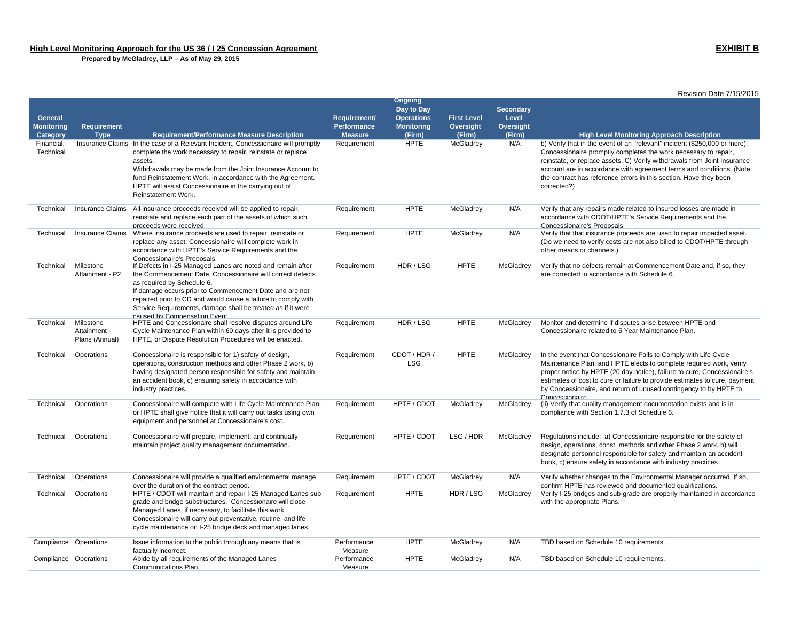|                         |                                             |                                                                                                                                                                                                                                                                                                                                                                                    |                        |                              |                    |                  | Revision Date 7/15/2015                                                                                                                                                                                                                                                                                                                                                                   |
|-------------------------|---------------------------------------------|------------------------------------------------------------------------------------------------------------------------------------------------------------------------------------------------------------------------------------------------------------------------------------------------------------------------------------------------------------------------------------|------------------------|------------------------------|--------------------|------------------|-------------------------------------------------------------------------------------------------------------------------------------------------------------------------------------------------------------------------------------------------------------------------------------------------------------------------------------------------------------------------------------------|
|                         |                                             |                                                                                                                                                                                                                                                                                                                                                                                    |                        | <b>Ongoing</b><br>Day to Day |                    | <b>Secondary</b> |                                                                                                                                                                                                                                                                                                                                                                                           |
| <b>General</b>          |                                             |                                                                                                                                                                                                                                                                                                                                                                                    | Requirement/           | <b>Operations</b>            | <b>First Level</b> | Level            |                                                                                                                                                                                                                                                                                                                                                                                           |
| <b>Monitoring</b>       | Requirement                                 |                                                                                                                                                                                                                                                                                                                                                                                    | Performance            | <b>Monitoring</b>            | Oversight          | Oversight        |                                                                                                                                                                                                                                                                                                                                                                                           |
| Category                | <b>Type</b>                                 | <b>Requirement/Performance Measure Description</b>                                                                                                                                                                                                                                                                                                                                 | <b>Measure</b>         | (Firm)                       | (Firm)             | (Firm)           | <b>High Level Monitoring Approach Description</b>                                                                                                                                                                                                                                                                                                                                         |
| Financial,<br>Technical |                                             | Insurance Claims In the case of a Relevant Incident, Concessionaire will promptly<br>complete the work necessary to repair, reinstate or replace<br>assets.<br>Withdrawals may be made from the Joint Insurance Account to<br>fund Reinstatement Work, in accordance with the Agreement.<br>HPTE will assist Concessionaire in the carrying out of<br>Reinstatement Work.          | Requirement            | <b>HPTE</b>                  | McGladrey          | N/A              | b) Verify that in the event of an "relevant" incident (\$250,000 or more),<br>Concessionaire promptly completes the work necessary to repair,<br>reinstate, or replace assets. C) Verify withdrawals from Joint Insurance<br>account are in accordance with agreement terms and conditions. (Note<br>the contract has reference errors in this section. Have they been<br>corrected?)     |
| Technical               | Insurance Claims                            | All insurance proceeds received will be applied to repair.<br>reinstate and replace each part of the assets of which such<br>proceeds were received.                                                                                                                                                                                                                               | Requirement            | <b>HPTE</b>                  | McGladrev          | N/A              | Verify that any repairs made related to insured losses are made in<br>accordance with CDOT/HPTE's Service Requirements and the<br>Concessionaire's Proposals.                                                                                                                                                                                                                             |
| Technical               | Insurance Claims                            | Where insurance proceeds are used to repair, reinstate or<br>replace any asset, Concessionaire will complete work in<br>accordance with HPTE's Service Requirements and the<br>Concessionaire's Proposals.                                                                                                                                                                         | Requirement            | <b>HPTE</b>                  | McGladrey          | N/A              | Verify that that insurance proceeds are used to repair impacted asset.<br>(Do we need to verify costs are not also billed to CDOT/HPTE through<br>other means or channels.)                                                                                                                                                                                                               |
| Technical               | Milestone<br>Attainment - P2                | If Defects in I-25 Managed Lanes are noted and remain after<br>the Commencement Date, Concessionaire will correct defects<br>as required by Schedule 6.<br>If damage occurs prior to Commencement Date and are not<br>repaired prior to CD and would cause a failure to comply with<br>Service Requirements, damage shall be treated as if it were<br>caused by Compensation Event | Requirement            | HDR / LSG                    | <b>HPTE</b>        | McGladrey        | Verify that no defects remain at Commencement Date and, if so, they<br>are corrected in accordance with Schedule 6.                                                                                                                                                                                                                                                                       |
| Technical               | Milestone<br>Attainment -<br>Plans (Annual) | HPTE and Concessionaire shall resolve disputes around Life<br>Cycle Maintenance Plan within 60 days after it is provided to<br>HPTE, or Dispute Resolution Procedures will be enacted.                                                                                                                                                                                             | Requirement            | HDR / LSG                    | <b>HPTE</b>        | McGladrey        | Monitor and determine if disputes arise between HPTE and<br>Concessionaire related to 5 Year Maintenance Plan.                                                                                                                                                                                                                                                                            |
| Technical               | Operations                                  | Concessionaire is responsible for 1) safety of design,<br>operations, construction methods and other Phase 2 work, b)<br>having designated person responsible for safety and maintain<br>an accident book, c) ensuring safety in accordance with<br>industry practices.                                                                                                            | Requirement            | CDOT / HDR /<br><b>LSG</b>   | <b>HPTE</b>        | McGladrey        | In the event that Concessionaire Fails to Comply with Life Cycle<br>Maintenance Plan, and HPTE elects to complete required work, verify<br>proper notice by HPTE (20 day notice), failure to cure, Concessionaire's<br>estimates of cost to cure or failure to provide estimates to cure, payment<br>by Concessionaire, and return of unused contingency to by HPTE to<br>Concessionaire. |
| Technical               | Operations                                  | Concessionaire will complete with Life Cycle Maintenance Plan,<br>or HPTE shall give notice that it will carry out tasks using own<br>equipment and personnel at Concessionaire's cost.                                                                                                                                                                                            | Requirement            | HPTE / CDOT                  | McGladrey          | McGladrey        | (ii) Verify that quality management documentation exists and is in<br>compliance with Section 1.7.3 of Schedule 6.                                                                                                                                                                                                                                                                        |
| Technical               | Operations                                  | Concessionaire will prepare, implement, and continually<br>maintain project quality management documentation.                                                                                                                                                                                                                                                                      | Requirement            | HPTE / CDOT                  | LSG / HDR          | McGladrey        | Regulations include: a) Concessionaire responsible for the safety of<br>design, operations, const. methods and other Phase 2 work, b) will<br>designate personnel responsible for safety and maintain an accident<br>book, c) ensure safety in accordance with industry practices.                                                                                                        |
| Technical               | Operations                                  | Concessionaire will provide a qualified environmental manage<br>over the duration of the contract period.                                                                                                                                                                                                                                                                          | Requirement            | HPTE / CDOT                  | McGladrey          | N/A              | Verify whether changes to the Environmental Manager occurred. If so,<br>confirm HPTE has reviewed and documented qualifications.                                                                                                                                                                                                                                                          |
| Technical               | Operations                                  | HPTE / CDOT will maintain and repair I-25 Managed Lanes sub<br>grade and bridge substructures. Concessionaire will close<br>Managed Lanes, if necessary, to facilitate this work.<br>Concessionaire will carry out preventative, routine, and life<br>cycle maintenance on I-25 bridge deck and managed lanes.                                                                     | Requirement            | <b>HPTE</b>                  | HDR / LSG          | McGladrey        | Verify I-25 bridges and sub-grade are properly maintained in accordance<br>with the appropriate Plans.                                                                                                                                                                                                                                                                                    |
| Compliance Operations   |                                             | Issue information to the public through any means that is<br>factually incorrect.                                                                                                                                                                                                                                                                                                  | Performance<br>Measure | <b>HPTE</b>                  | McGladrey          | N/A              | TBD based on Schedule 10 requirements.                                                                                                                                                                                                                                                                                                                                                    |
| Compliance Operations   |                                             | Abide by all requirements of the Managed Lanes<br><b>Communications Plan</b>                                                                                                                                                                                                                                                                                                       | Performance<br>Measure | <b>HPTE</b>                  | McGladrey          | N/A              | TBD based on Schedule 10 requirements.                                                                                                                                                                                                                                                                                                                                                    |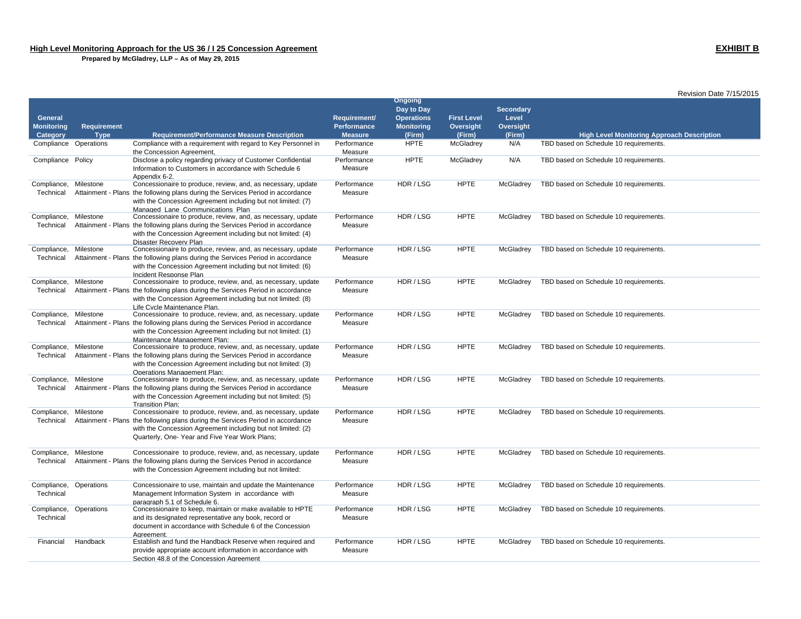|                                     |             |                                                                                                                                                                                                                                                                   |                                    |                                                                        |                                 |                                        | Revision Date 7/15/2015                           |
|-------------------------------------|-------------|-------------------------------------------------------------------------------------------------------------------------------------------------------------------------------------------------------------------------------------------------------------------|------------------------------------|------------------------------------------------------------------------|---------------------------------|----------------------------------------|---------------------------------------------------|
| <b>General</b><br><b>Monitoring</b> | Requirement |                                                                                                                                                                                                                                                                   | Requirement/<br><b>Performance</b> | <b>Ongoing</b><br>Day to Day<br><b>Operations</b><br><b>Monitoring</b> | <b>First Level</b><br>Oversight | <b>Secondary</b><br>Level<br>Oversight |                                                   |
| Category                            | <b>Type</b> | <b>Requirement/Performance Measure Description</b>                                                                                                                                                                                                                | <b>Measure</b>                     | (Firm)                                                                 | (Firm)                          | (Firm)                                 | <b>High Level Monitoring Approach Description</b> |
| Compliance Operations               |             | Compliance with a requirement with regard to Key Personnel in<br>the Concession Agreement,                                                                                                                                                                        | Performance<br>Measure             | <b>HPTE</b>                                                            | McGladrey                       | N/A                                    | TBD based on Schedule 10 requirements.            |
| Compliance Policy                   |             | Disclose a policy regarding privacy of Customer Confidential<br>Information to Customers in accordance with Schedule 6<br>Appendix 6-2.                                                                                                                           | Performance<br>Measure             | <b>HPTE</b>                                                            | McGladrey                       | N/A                                    | TBD based on Schedule 10 requirements.            |
| Compliance,<br>Technical            | Milestone   | Concessionaire to produce, review, and, as necessary, update<br>Attainment - Plans the following plans during the Services Period in accordance<br>with the Concession Agreement including but not limited: (7)<br>Managed Lane Communications Plan               | Performance<br>Measure             | HDR / LSG                                                              | <b>HPTE</b>                     | McGladrey                              | TBD based on Schedule 10 requirements.            |
| Compliance,<br>Technical            | Milestone   | Concessionaire to produce, review, and, as necessary, update<br>Attainment - Plans the following plans during the Services Period in accordance<br>with the Concession Agreement including but not limited: (4)<br>Disaster Recovery Plan                         | Performance<br>Measure             | HDR / LSG                                                              | <b>HPTE</b>                     | McGladrey                              | TBD based on Schedule 10 requirements.            |
| Compliance,<br>Technical            | Milestone   | Concessionaire to produce, review, and, as necessary, update<br>Attainment - Plans the following plans during the Services Period in accordance<br>with the Concession Agreement including but not limited: (6)<br>Incident Response Plan                         | Performance<br>Measure             | HDR / LSG                                                              | <b>HPTE</b>                     | McGladrey                              | TBD based on Schedule 10 requirements.            |
| Compliance,<br>Technical            | Milestone   | Concessionaire to produce, review, and, as necessary, update<br>Attainment - Plans the following plans during the Services Period in accordance<br>with the Concession Agreement including but not limited: (8)<br>Life Cvcle Maintenance Plan.                   | Performance<br>Measure             | HDR / LSG                                                              | <b>HPTE</b>                     | McGladrey                              | TBD based on Schedule 10 requirements.            |
| Compliance,<br>Technical            | Milestone   | Concessionaire to produce, review, and, as necessary, update<br>Attainment - Plans the following plans during the Services Period in accordance<br>with the Concession Agreement including but not limited: (1)<br>Maintenance Management Plan:                   | Performance<br>Measure             | HDR / LSG                                                              | <b>HPTE</b>                     | McGladrey                              | TBD based on Schedule 10 requirements.            |
| Compliance,<br>Technical            | Milestone   | Concessionaire to produce, review, and, as necessary, update<br>Attainment - Plans the following plans during the Services Period in accordance<br>with the Concession Agreement including but not limited: (3)<br><b>Operations Management Plan:</b>             | Performance<br>Measure             | HDR / LSG                                                              | <b>HPTE</b>                     | McGladrey                              | TBD based on Schedule 10 requirements.            |
| Compliance,<br>Technical            | Milestone   | Concessionaire to produce, review, and, as necessary, update<br>Attainment - Plans the following plans during the Services Period in accordance<br>with the Concession Agreement including but not limited: (5)<br>Transition Plan:                               | Performance<br>Measure             | HDR / LSG                                                              | <b>HPTE</b>                     | McGladrey                              | TBD based on Schedule 10 requirements.            |
| Compliance,<br>Technical            | Milestone   | Concessionaire to produce, review, and, as necessary, update<br>Attainment - Plans the following plans during the Services Period in accordance<br>with the Concession Agreement including but not limited: (2)<br>Quarterly, One- Year and Five Year Work Plans; | Performance<br>Measure             | HDR / LSG                                                              | <b>HPTE</b>                     | McGladrey                              | TBD based on Schedule 10 requirements.            |
| Compliance,<br>Technical            | Milestone   | Concessionaire to produce, review, and, as necessary, update<br>Attainment - Plans the following plans during the Services Period in accordance<br>with the Concession Agreement including but not limited:                                                       | Performance<br>Measure             | HDR / LSG                                                              | <b>HPTE</b>                     | McGladrey                              | TBD based on Schedule 10 requirements.            |
| Compliance,<br>Technical            | Operations  | Concessionaire to use, maintain and update the Maintenance<br>Management Information System in accordance with<br>paragraph 5.1 of Schedule 6.                                                                                                                    | Performance<br>Measure             | HDR / LSG                                                              | <b>HPTE</b>                     | McGladrey                              | TBD based on Schedule 10 requirements.            |
| Compliance,<br>Technical            | Operations  | Concessionaire to keep, maintain or make available to HPTE<br>and its designated representative any book, record or<br>document in accordance with Schedule 6 of the Concession<br>Aareement.                                                                     | Performance<br>Measure             | HDR / LSG                                                              | <b>HPTE</b>                     | McGladrey                              | TBD based on Schedule 10 requirements.            |
| Financial                           | Handback    | Establish and fund the Handback Reserve when required and<br>provide appropriate account information in accordance with<br>Section 48.8 of the Concession Agreement                                                                                               | Performance<br>Measure             | HDR / LSG                                                              | <b>HPTE</b>                     | McGladrey                              | TBD based on Schedule 10 requirements.            |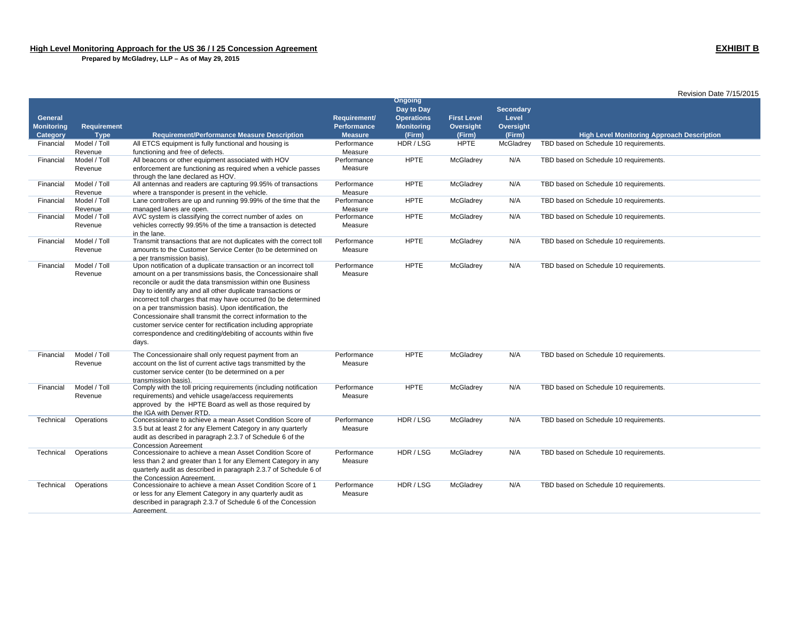|                   |                         |                                                                                                                        |                |                              |                    |                  | Revision Date 7/15/2015                           |
|-------------------|-------------------------|------------------------------------------------------------------------------------------------------------------------|----------------|------------------------------|--------------------|------------------|---------------------------------------------------|
|                   |                         |                                                                                                                        |                | <b>Ongoing</b><br>Day to Day |                    | <b>Secondary</b> |                                                   |
| <b>General</b>    |                         |                                                                                                                        | Requirement/   | <b>Operations</b>            | <b>First Level</b> | Level            |                                                   |
| <b>Monitoring</b> | <b>Requirement</b>      |                                                                                                                        | Performance    | <b>Monitoring</b>            | Oversight          | Oversight        |                                                   |
| Category          | <b>Type</b>             | <b>Requirement/Performance Measure Description</b>                                                                     | <b>Measure</b> | (Firm)                       | (Firm)             | (Firm)           | <b>High Level Monitoring Approach Description</b> |
| Financial         | Model / Toll            | All ETCS equipment is fully functional and housing is                                                                  | Performance    | HDR/LSG                      | <b>HPTE</b>        | McGladrey        | TBD based on Schedule 10 requirements.            |
|                   | Revenue                 | functioning and free of defects.                                                                                       | Measure        |                              |                    |                  |                                                   |
| Financial         | Model / Toll            | All beacons or other equipment associated with HOV                                                                     | Performance    | <b>HPTE</b>                  | McGladrey          | N/A              | TBD based on Schedule 10 requirements.            |
|                   | Revenue                 | enforcement are functioning as required when a vehicle passes                                                          | Measure        |                              |                    |                  |                                                   |
|                   |                         | through the lane declared as HOV.                                                                                      |                |                              |                    |                  |                                                   |
| Financial         | Model / Toll            | All antennas and readers are capturing 99.95% of transactions                                                          | Performance    | <b>HPTE</b>                  | McGladrey          | N/A              | TBD based on Schedule 10 requirements.            |
|                   | Revenue                 | where a transponder is present in the vehicle.                                                                         | Measure        |                              |                    |                  |                                                   |
| Financial         | Model / Toll            | Lane controllers are up and running 99.99% of the time that the                                                        | Performance    | <b>HPTE</b>                  | McGladrey          | N/A              | TBD based on Schedule 10 requirements.            |
|                   | Revenue                 | managed lanes are open.                                                                                                | Measure        |                              |                    |                  |                                                   |
| Financial         | Model / Toll            | AVC system is classifying the correct number of axles on                                                               | Performance    | <b>HPTE</b>                  | McGladrey          | N/A              | TBD based on Schedule 10 requirements.            |
|                   | Revenue                 | vehicles correctly 99.95% of the time a transaction is detected                                                        | Measure        |                              |                    |                  |                                                   |
|                   |                         | in the lane.                                                                                                           |                | <b>HPTE</b>                  |                    |                  |                                                   |
| Financial         | Model / Toll<br>Revenue | Transmit transactions that are not duplicates with the correct toll                                                    | Performance    |                              | McGladrey          | N/A              | TBD based on Schedule 10 requirements.            |
|                   |                         | amounts to the Customer Service Center (to be determined on<br>a per transmission basis).                              | Measure        |                              |                    |                  |                                                   |
| Financial         | Model / Toll            | Upon notification of a duplicate transaction or an incorrect toll                                                      | Performance    | <b>HPTE</b>                  | McGladrey          | N/A              | TBD based on Schedule 10 requirements.            |
|                   | Revenue                 | amount on a per transmissions basis, the Concessionaire shall                                                          | Measure        |                              |                    |                  |                                                   |
|                   |                         | reconcile or audit the data transmission within one Business                                                           |                |                              |                    |                  |                                                   |
|                   |                         | Day to identify any and all other duplicate transactions or                                                            |                |                              |                    |                  |                                                   |
|                   |                         | incorrect toll charges that may have occurred (to be determined                                                        |                |                              |                    |                  |                                                   |
|                   |                         | on a per transmission basis). Upon identification, the                                                                 |                |                              |                    |                  |                                                   |
|                   |                         | Concessionaire shall transmit the correct information to the                                                           |                |                              |                    |                  |                                                   |
|                   |                         | customer service center for rectification including appropriate                                                        |                |                              |                    |                  |                                                   |
|                   |                         | correspondence and crediting/debiting of accounts within five                                                          |                |                              |                    |                  |                                                   |
|                   |                         | days.                                                                                                                  |                |                              |                    |                  |                                                   |
| Financial         | Model / Toll            |                                                                                                                        | Performance    | <b>HPTE</b>                  | McGladrey          | N/A              | TBD based on Schedule 10 requirements.            |
|                   | Revenue                 | The Concessionaire shall only request payment from an<br>account on the list of current active tags transmitted by the | Measure        |                              |                    |                  |                                                   |
|                   |                         | customer service center (to be determined on a per                                                                     |                |                              |                    |                  |                                                   |
|                   |                         | transmission basis).                                                                                                   |                |                              |                    |                  |                                                   |
| Financial         | Model / Toll            | Comply with the toll pricing requirements (including notification                                                      | Performance    | <b>HPTE</b>                  | McGladrey          | N/A              | TBD based on Schedule 10 requirements.            |
|                   | Revenue                 | requirements) and vehicle usage/access requirements                                                                    | Measure        |                              |                    |                  |                                                   |
|                   |                         | approved by the HPTE Board as well as those required by                                                                |                |                              |                    |                  |                                                   |
|                   |                         | the IGA with Denver RTD.                                                                                               |                |                              |                    |                  |                                                   |
| Technical         | Operations              | Concessionaire to achieve a mean Asset Condition Score of                                                              | Performance    | HDR/LSG                      | McGladrey          | N/A              | TBD based on Schedule 10 requirements.            |
|                   |                         | 3.5 but at least 2 for any Element Category in any quarterly                                                           | Measure        |                              |                    |                  |                                                   |
|                   |                         | audit as described in paragraph 2.3.7 of Schedule 6 of the                                                             |                |                              |                    |                  |                                                   |
|                   |                         | <b>Concession Agreement</b>                                                                                            |                |                              |                    |                  |                                                   |
| Technical         | Operations              | Concessionaire to achieve a mean Asset Condition Score of                                                              | Performance    | HDR / LSG                    | McGladrey          | N/A              | TBD based on Schedule 10 requirements.            |
|                   |                         | less than 2 and greater than 1 for any Element Category in any                                                         | Measure        |                              |                    |                  |                                                   |
|                   |                         | quarterly audit as described in paragraph 2.3.7 of Schedule 6 of<br>the Concession Agreement.                          |                |                              |                    |                  |                                                   |
| Technical         | Operations              | Concessionaire to achieve a mean Asset Condition Score of 1                                                            | Performance    | HDR / LSG                    | McGladrey          | N/A              | TBD based on Schedule 10 requirements.            |
|                   |                         | or less for any Element Category in any quarterly audit as                                                             | Measure        |                              |                    |                  |                                                   |
|                   |                         | described in paragraph 2.3.7 of Schedule 6 of the Concession                                                           |                |                              |                    |                  |                                                   |
|                   |                         |                                                                                                                        |                |                              |                    |                  |                                                   |
|                   |                         | Aareement.                                                                                                             |                |                              |                    |                  |                                                   |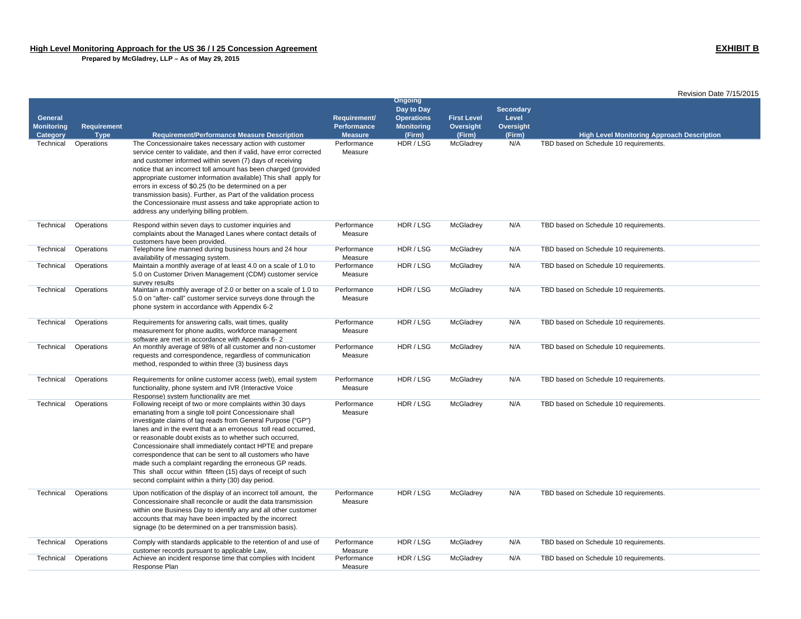|                               |                                   |                                                                                                                               |                                      |                             |                     |                     | Revision Date 7/15/2015                           |
|-------------------------------|-----------------------------------|-------------------------------------------------------------------------------------------------------------------------------|--------------------------------------|-----------------------------|---------------------|---------------------|---------------------------------------------------|
|                               |                                   |                                                                                                                               |                                      | <b>Ongoing</b>              |                     |                     |                                                   |
|                               |                                   |                                                                                                                               |                                      | Day to Day                  |                     | <b>Secondary</b>    |                                                   |
| <b>General</b>                |                                   |                                                                                                                               | Requirement/                         | <b>Operations</b>           | <b>First Level</b>  | Level               |                                                   |
| <b>Monitoring</b><br>Category | <b>Requirement</b><br><b>Type</b> | <b>Requirement/Performance Measure Description</b>                                                                            | <b>Performance</b><br><b>Measure</b> | <b>Monitoring</b><br>(Firm) | Oversight<br>(Firm) | Oversight<br>(Firm) | <b>High Level Monitoring Approach Description</b> |
| Technical                     | Operations                        | The Concessionaire takes necessary action with customer                                                                       | Performance                          | HDR / LSG                   | McGladrey           | N/A                 | TBD based on Schedule 10 requirements.            |
|                               |                                   | service center to validate, and then if valid, have error corrected                                                           | Measure                              |                             |                     |                     |                                                   |
|                               |                                   | and customer informed within seven (7) days of receiving                                                                      |                                      |                             |                     |                     |                                                   |
|                               |                                   | notice that an incorrect toll amount has been charged (provided                                                               |                                      |                             |                     |                     |                                                   |
|                               |                                   | appropriate customer information available) This shall apply for                                                              |                                      |                             |                     |                     |                                                   |
|                               |                                   | errors in excess of \$0.25 (to be determined on a per                                                                         |                                      |                             |                     |                     |                                                   |
|                               |                                   | transmission basis). Further, as Part of the validation process                                                               |                                      |                             |                     |                     |                                                   |
|                               |                                   | the Concessionaire must assess and take appropriate action to                                                                 |                                      |                             |                     |                     |                                                   |
|                               |                                   | address any underlying billing problem.                                                                                       |                                      |                             |                     |                     |                                                   |
| Technical                     | Operations                        | Respond within seven days to customer inquiries and                                                                           | Performance                          | HDR/LSG                     | McGladrey           | N/A                 | TBD based on Schedule 10 requirements.            |
|                               |                                   | complaints about the Managed Lanes where contact details of                                                                   | Measure                              |                             |                     |                     |                                                   |
|                               |                                   | customers have been provided.                                                                                                 |                                      |                             |                     |                     |                                                   |
| Technical                     | Operations                        | Telephone line manned during business hours and 24 hour                                                                       | Performance                          | HDR / LSG                   | McGladrey           | N/A                 | TBD based on Schedule 10 requirements.            |
|                               |                                   | availability of messaging system.                                                                                             | Measure                              |                             |                     |                     |                                                   |
| Technical                     | Operations                        | Maintain a monthly average of at least 4.0 on a scale of 1.0 to                                                               | Performance                          | HDR / LSG                   | McGladrey           | N/A                 | TBD based on Schedule 10 requirements.            |
|                               |                                   | 5.0 on Customer Driven Management (CDM) customer service                                                                      | Measure                              |                             |                     |                     |                                                   |
| Technical                     | Operations                        | survey results<br>Maintain a monthly average of 2.0 or better on a scale of 1.0 to                                            | Performance                          | HDR / LSG                   | McGladrey           | N/A                 | TBD based on Schedule 10 requirements.            |
|                               |                                   | 5.0 on "after- call" customer service surveys done through the                                                                | Measure                              |                             |                     |                     |                                                   |
|                               |                                   | phone system in accordance with Appendix 6-2                                                                                  |                                      |                             |                     |                     |                                                   |
|                               |                                   |                                                                                                                               |                                      |                             |                     |                     |                                                   |
| Technical                     | Operations                        | Requirements for answering calls, wait times, quality                                                                         | Performance                          | HDR / LSG                   | McGladrey           | N/A                 | TBD based on Schedule 10 requirements.            |
|                               |                                   | measurement for phone audits, workforce management                                                                            | Measure                              |                             |                     |                     |                                                   |
|                               |                                   | software are met in accordance with Appendix 6-2                                                                              |                                      |                             |                     |                     |                                                   |
| Technical                     | Operations                        | An monthly average of 98% of all customer and non-customer                                                                    | Performance                          | HDR / LSG                   | McGladrey           | N/A                 | TBD based on Schedule 10 requirements.            |
|                               |                                   | requests and correspondence, regardless of communication<br>method, responded to within three (3) business days               | Measure                              |                             |                     |                     |                                                   |
|                               |                                   |                                                                                                                               |                                      |                             |                     |                     |                                                   |
| Technical                     | Operations                        | Requirements for online customer access (web), email system                                                                   | Performance                          | HDR / LSG                   | McGladrey           | N/A                 | TBD based on Schedule 10 requirements.            |
|                               |                                   | functionality, phone system and IVR (Interactive Voice                                                                        | Measure                              |                             |                     |                     |                                                   |
|                               |                                   | Response) system functionality are met                                                                                        |                                      |                             |                     |                     |                                                   |
| Technical                     | Operations                        | Following receipt of two or more complaints within 30 days                                                                    | Performance                          | HDR / LSG                   | McGladrey           | N/A                 | TBD based on Schedule 10 requirements.            |
|                               |                                   | emanating from a single toll point Concessionaire shall                                                                       | Measure                              |                             |                     |                     |                                                   |
|                               |                                   | investigate claims of tag reads from General Purpose ("GP")<br>lanes and in the event that a an erroneous toll read occurred, |                                      |                             |                     |                     |                                                   |
|                               |                                   | or reasonable doubt exists as to whether such occurred,                                                                       |                                      |                             |                     |                     |                                                   |
|                               |                                   | Concessionaire shall immediately contact HPTE and prepare                                                                     |                                      |                             |                     |                     |                                                   |
|                               |                                   | correspondence that can be sent to all customers who have                                                                     |                                      |                             |                     |                     |                                                   |
|                               |                                   | made such a complaint regarding the erroneous GP reads.                                                                       |                                      |                             |                     |                     |                                                   |
|                               |                                   | This shall occur within fifteen (15) days of receipt of such                                                                  |                                      |                             |                     |                     |                                                   |
|                               |                                   | second complaint within a thirty (30) day period.                                                                             |                                      |                             |                     |                     |                                                   |
| Technical                     | Operations                        | Upon notification of the display of an incorrect toll amount, the                                                             | Performance                          | HDR / LSG                   | McGladrey           | N/A                 | TBD based on Schedule 10 requirements.            |
|                               |                                   | Concessionaire shall reconcile or audit the data transmission                                                                 | Measure                              |                             |                     |                     |                                                   |
|                               |                                   | within one Business Day to identify any and all other customer                                                                |                                      |                             |                     |                     |                                                   |
|                               |                                   | accounts that may have been impacted by the incorrect                                                                         |                                      |                             |                     |                     |                                                   |
|                               |                                   | signage (to be determined on a per transmission basis).                                                                       |                                      |                             |                     |                     |                                                   |
|                               |                                   |                                                                                                                               |                                      | HDR / LSG                   |                     |                     |                                                   |
| Technical                     | Operations                        | Comply with standards applicable to the retention of and use of<br>customer records pursuant to applicable Law,               | Performance<br>Measure               |                             | McGladrey           | N/A                 | TBD based on Schedule 10 requirements.            |
| Technical                     | Operations                        | Achieve an incident response time that complies with Incident                                                                 | Performance                          | HDR / LSG                   | McGladrey           | N/A                 | TBD based on Schedule 10 requirements.            |
|                               |                                   | Response Plan                                                                                                                 | Measure                              |                             |                     |                     |                                                   |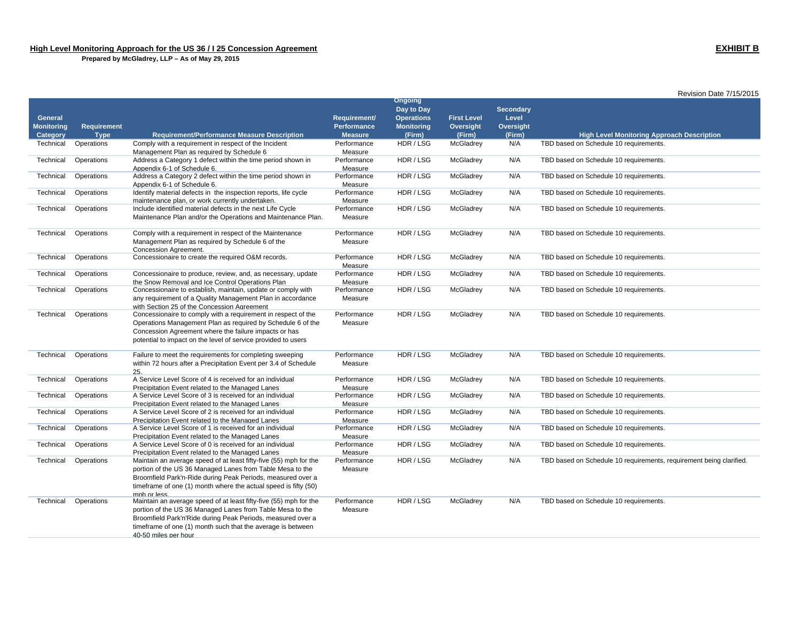|                                     |                    |                                                                                                                                |                                    |                                                                        |                                 |                                        | Revision Date 7/15/2015                                             |  |
|-------------------------------------|--------------------|--------------------------------------------------------------------------------------------------------------------------------|------------------------------------|------------------------------------------------------------------------|---------------------------------|----------------------------------------|---------------------------------------------------------------------|--|
| <b>General</b><br><b>Monitoring</b> | <b>Requirement</b> |                                                                                                                                | Requirement/<br><b>Performance</b> | <b>Ongoing</b><br>Day to Day<br><b>Operations</b><br><b>Monitoring</b> | <b>First Level</b><br>Oversight | <b>Secondary</b><br>Level<br>Oversight |                                                                     |  |
| Category                            | <b>Type</b>        | <b>Requirement/Performance Measure Description</b>                                                                             | <b>Measure</b>                     | (Firm)                                                                 | (Firm)                          | (Firm)                                 | <b>High Level Monitoring Approach Description</b>                   |  |
| Technical                           | Operations         | Comply with a requirement in respect of the Incident                                                                           | Performance                        | HDR / LSG                                                              | McGladrey                       | N/A                                    | TBD based on Schedule 10 requirements.                              |  |
|                                     |                    | Management Plan as required by Schedule 6                                                                                      | Measure                            |                                                                        |                                 |                                        |                                                                     |  |
| Technical                           | Operations         | Address a Category 1 defect within the time period shown in                                                                    | Performance                        | HDR/LSG                                                                | McGladrey                       | N/A                                    | TBD based on Schedule 10 requirements.                              |  |
|                                     |                    | Appendix 6-1 of Schedule 6.                                                                                                    | Measure                            |                                                                        |                                 |                                        |                                                                     |  |
| Technical                           | Operations         | Address a Category 2 defect within the time period shown in                                                                    | Performance                        | HDR / LSG                                                              | McGladrey                       | N/A                                    | TBD based on Schedule 10 requirements.                              |  |
|                                     |                    | Appendix 6-1 of Schedule 6.                                                                                                    | Measure                            |                                                                        |                                 |                                        |                                                                     |  |
| Technical                           | Operations         | Identify material defects in the inspection reports, life cycle                                                                | Performance                        | HDR / LSG                                                              | McGladrey                       | N/A                                    | TBD based on Schedule 10 requirements.                              |  |
|                                     |                    | maintenance plan, or work currently undertaken.                                                                                | Measure                            |                                                                        |                                 |                                        |                                                                     |  |
| Technical                           | Operations         | Include identified material defects in the next Life Cycle                                                                     | Performance                        | HDR / LSG                                                              | McGladrey                       | N/A                                    | TBD based on Schedule 10 requirements.                              |  |
|                                     |                    | Maintenance Plan and/or the Operations and Maintenance Plan.                                                                   | Measure                            |                                                                        |                                 |                                        |                                                                     |  |
|                                     |                    |                                                                                                                                |                                    |                                                                        |                                 |                                        |                                                                     |  |
| Technical                           | Operations         | Comply with a requirement in respect of the Maintenance                                                                        | Performance                        | HDR / LSG                                                              | McGladrey                       | N/A                                    | TBD based on Schedule 10 requirements.                              |  |
|                                     |                    | Management Plan as required by Schedule 6 of the                                                                               | Measure                            |                                                                        |                                 |                                        |                                                                     |  |
|                                     |                    | Concession Agreement.                                                                                                          |                                    |                                                                        |                                 |                                        |                                                                     |  |
| Technical                           | Operations         | Concessionaire to create the required O&M records.                                                                             | Performance<br>Measure             | HDR / LSG                                                              | McGladrey                       | N/A                                    | TBD based on Schedule 10 requirements.                              |  |
| Technical                           | Operations         | Concessionaire to produce, review, and, as necessary, update                                                                   | Performance                        | HDR/LSG                                                                | McGladrey                       | N/A                                    | TBD based on Schedule 10 requirements.                              |  |
|                                     |                    | the Snow Removal and Ice Control Operations Plan                                                                               | Measure                            |                                                                        |                                 |                                        |                                                                     |  |
| Technical                           | Operations         | Concessionaire to establish, maintain, update or comply with                                                                   | Performance                        | HDR / LSG                                                              | McGladrey                       | N/A                                    | TBD based on Schedule 10 requirements.                              |  |
|                                     |                    | any requirement of a Quality Management Plan in accordance                                                                     | Measure                            |                                                                        |                                 |                                        |                                                                     |  |
|                                     |                    | with Section 25 of the Concession Agreement                                                                                    |                                    |                                                                        |                                 |                                        |                                                                     |  |
| Technical                           | Operations         | Concessionaire to comply with a requirement in respect of the                                                                  | Performance                        | HDR/LSG                                                                | McGladrey                       | N/A                                    | TBD based on Schedule 10 requirements.                              |  |
|                                     |                    | Operations Management Plan as required by Schedule 6 of the                                                                    | Measure                            |                                                                        |                                 |                                        |                                                                     |  |
|                                     |                    | Concession Agreement where the failure impacts or has                                                                          |                                    |                                                                        |                                 |                                        |                                                                     |  |
|                                     |                    | potential to impact on the level of service provided to users                                                                  |                                    |                                                                        |                                 |                                        |                                                                     |  |
|                                     |                    |                                                                                                                                |                                    |                                                                        |                                 |                                        |                                                                     |  |
| Technical                           | Operations         | Failure to meet the requirements for completing sweeping                                                                       | Performance                        | HDR / LSG                                                              | McGladrey                       | N/A                                    | TBD based on Schedule 10 requirements.                              |  |
|                                     |                    | within 72 hours after a Precipitation Event per 3.4 of Schedule                                                                | Measure                            |                                                                        |                                 |                                        |                                                                     |  |
| Technical                           | Operations         | 25.<br>A Service Level Score of 4 is received for an individual                                                                | Performance                        | HDR / LSG                                                              | McGladrey                       | N/A                                    | TBD based on Schedule 10 requirements.                              |  |
|                                     |                    | Precipitation Event related to the Managed Lanes                                                                               | Measure                            |                                                                        |                                 |                                        |                                                                     |  |
| Technical                           | Operations         | A Service Level Score of 3 is received for an individual                                                                       | Performance                        | HDR/LSG                                                                | McGladrey                       | N/A                                    | TBD based on Schedule 10 requirements.                              |  |
|                                     |                    | Precipitation Event related to the Managed Lanes                                                                               | Measure                            |                                                                        |                                 |                                        |                                                                     |  |
| Technical                           | Operations         | A Service Level Score of 2 is received for an individual                                                                       | Performance                        | HDR/LSG                                                                | McGladrey                       | N/A                                    | TBD based on Schedule 10 requirements.                              |  |
|                                     |                    | Precipitation Event related to the Managed Lanes                                                                               | Measure                            |                                                                        |                                 |                                        |                                                                     |  |
| Technical                           | Operations         | A Service Level Score of 1 is received for an individual                                                                       | Performance                        | HDR/LSG                                                                | McGladrey                       | N/A                                    | TBD based on Schedule 10 requirements.                              |  |
|                                     |                    | Precipitation Event related to the Managed Lanes                                                                               | Measure                            |                                                                        |                                 |                                        |                                                                     |  |
| Technical                           | Operations         | A Service Level Score of 0 is received for an individual                                                                       | Performance                        | HDR / LSG                                                              | McGladrey                       | N/A                                    | TBD based on Schedule 10 requirements.                              |  |
|                                     |                    | Precipitation Event related to the Managed Lanes                                                                               | Measure                            |                                                                        |                                 |                                        |                                                                     |  |
| Technical                           | Operations         | Maintain an average speed of at least fifty-five (55) mph for the                                                              | Performance                        | HDR / LSG                                                              | McGladrey                       | N/A                                    | TBD based on Schedule 10 requirements, requirement being clarified. |  |
|                                     |                    | portion of the US 36 Managed Lanes from Table Mesa to the                                                                      | Measure                            |                                                                        |                                 |                                        |                                                                     |  |
|                                     |                    | Broomfield Park'n-Ride during Peak Periods, measured over a                                                                    |                                    |                                                                        |                                 |                                        |                                                                     |  |
|                                     |                    | timeframe of one (1) month where the actual speed is fifty (50)                                                                |                                    |                                                                        |                                 |                                        |                                                                     |  |
|                                     |                    | mph or less.                                                                                                                   |                                    | HDR / LSG                                                              | McGladrey                       | N/A                                    |                                                                     |  |
| Technical                           | Operations         | Maintain an average speed of at least fifty-five (55) mph for the<br>portion of the US 36 Managed Lanes from Table Mesa to the | Performance<br>Measure             |                                                                        |                                 |                                        | TBD based on Schedule 10 requirements.                              |  |
|                                     |                    | Broomfield Park'n'Ride during Peak Periods, measured over a                                                                    |                                    |                                                                        |                                 |                                        |                                                                     |  |
|                                     |                    | timeframe of one (1) month such that the average is between                                                                    |                                    |                                                                        |                                 |                                        |                                                                     |  |
|                                     |                    | 40-50 miles per hour                                                                                                           |                                    |                                                                        |                                 |                                        |                                                                     |  |
|                                     |                    |                                                                                                                                |                                    |                                                                        |                                 |                                        |                                                                     |  |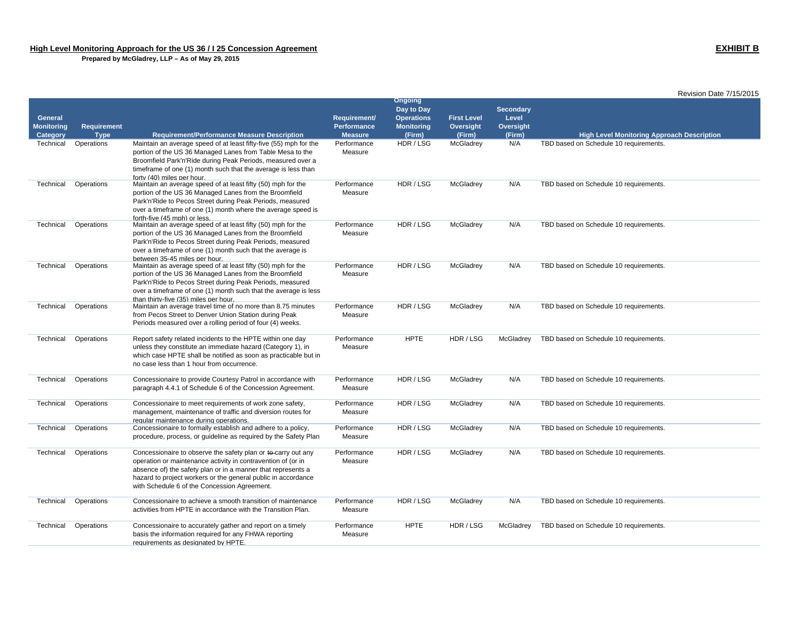|                                     |             |                                                                                                                                                                                                                                                                                                                |                             |                                                                        |                                 |                                               | Revision Date 7/15/2015                           |
|-------------------------------------|-------------|----------------------------------------------------------------------------------------------------------------------------------------------------------------------------------------------------------------------------------------------------------------------------------------------------------------|-----------------------------|------------------------------------------------------------------------|---------------------------------|-----------------------------------------------|---------------------------------------------------|
| <b>General</b><br><b>Monitoring</b> | Requirement |                                                                                                                                                                                                                                                                                                                | Requirement/<br>Performance | <b>Ongoing</b><br>Day to Day<br><b>Operations</b><br><b>Monitoring</b> | <b>First Level</b><br>Oversight | <b>Secondary</b><br>Level<br><b>Oversight</b> |                                                   |
| Category                            | <b>Type</b> | <b>Requirement/Performance Measure Description</b>                                                                                                                                                                                                                                                             | <b>Measure</b>              | (Firm)                                                                 | (Firm)                          | (Firm)                                        | <b>High Level Monitoring Approach Description</b> |
| Technical                           | Operations  | Maintain an average speed of at least fifty-five (55) mph for the<br>portion of the US 36 Managed Lanes from Table Mesa to the<br>Broomfield Park'n'Ride during Peak Periods, measured over a<br>timeframe of one (1) month such that the average is less than<br>forty (40) miles per hour.                   | Performance<br>Measure      | HDR / LSG                                                              | McGladrey                       | N/A                                           | TBD based on Schedule 10 requirements.            |
| Technical                           | Operations  | Maintain an average speed of at least fifty (50) mph for the<br>portion of the US 36 Managed Lanes from the Broomfield<br>Park'n'Ride to Pecos Street during Peak Periods, measured<br>over a timeframe of one (1) month where the average speed is<br>forth-five (45 mph) or less.                            | Performance<br>Measure      | HDR / LSG                                                              | McGladrey                       | N/A                                           | TBD based on Schedule 10 requirements.            |
| Technical                           | Operations  | Maintain an average speed of at least fifty (50) mph for the<br>portion of the US 36 Managed Lanes from the Broomfield<br>Park'n'Ride to Pecos Street during Peak Periods, measured<br>over a timeframe of one (1) month such that the average is<br>between 35-45 miles per hour.                             | Performance<br>Measure      | HDR / LSG                                                              | McGladrey                       | N/A                                           | TBD based on Schedule 10 requirements.            |
| Technical                           | Operations  | Maintain as average speed of at least fifty (50) mph for the<br>portion of the US 36 Managed Lanes from the Broomfield<br>Park'n'Ride to Pecos Street during Peak Periods, measured<br>over a timeframe of one (1) month such that the average is less<br>than thirty-five (35) miles per hour.                | Performance<br>Measure      | HDR/LSG                                                                | McGladrey                       | N/A                                           | TBD based on Schedule 10 requirements.            |
| Technical                           | Operations  | Maintain an average travel time of no more than 8.75 minutes<br>from Pecos Street to Denver Union Station during Peak<br>Periods measured over a rolling period of four (4) weeks.                                                                                                                             | Performance<br>Measure      | HDR / LSG                                                              | McGladrey                       | N/A                                           | TBD based on Schedule 10 requirements.            |
| Technical                           | Operations  | Report safety related incidents to the HPTE within one day<br>unless they constitute an immediate hazard (Category 1), in<br>which case HPTE shall be notified as soon as practicable but in<br>no case less than 1 hour from occurrence.                                                                      | Performance<br>Measure      | <b>HPTE</b>                                                            | HDR / LSG                       | McGladrey                                     | TBD based on Schedule 10 requirements.            |
| Technical                           | Operations  | Concessionaire to provide Courtesy Patrol in accordance with<br>paragraph 4.4.1 of Schedule 6 of the Concession Agreement.                                                                                                                                                                                     | Performance<br>Measure      | HDR/LSG                                                                | McGladrey                       | N/A                                           | TBD based on Schedule 10 requirements.            |
| Technical                           | Operations  | Concessionaire to meet requirements of work zone safety,<br>management, maintenance of traffic and diversion routes for<br>regular maintenance during operations.                                                                                                                                              | Performance<br>Measure      | HDR/LSG                                                                | McGladrey                       | N/A                                           | TBD based on Schedule 10 requirements.            |
| Technical                           | Operations  | Concessionaire to formally establish and adhere to a policy,<br>procedure, process, or quideline as required by the Safety Plan                                                                                                                                                                                | Performance<br>Measure      | HDR / LSG                                                              | McGladrey                       | N/A                                           | TBD based on Schedule 10 requirements.            |
| Technical                           | Operations  | Concessionaire to observe the safety plan or to carry out any<br>operation or maintenance activity in contravention of (or in<br>absence of) the safety plan or in a manner that represents a<br>hazard to project workers or the general public in accordance<br>with Schedule 6 of the Concession Agreement. | Performance<br>Measure      | HDR / LSG                                                              | McGladrey                       | N/A                                           | TBD based on Schedule 10 requirements.            |
| Technical                           | Operations  | Concessionaire to achieve a smooth transition of maintenance<br>activities from HPTE in accordance with the Transition Plan.                                                                                                                                                                                   | Performance<br>Measure      | HDR / LSG                                                              | McGladrey                       | N/A                                           | TBD based on Schedule 10 requirements.            |
| Technical                           | Operations  | Concessionaire to accurately gather and report on a timely<br>basis the information required for any FHWA reporting<br>requirements as designated by HPTE.                                                                                                                                                     | Performance<br>Measure      | <b>HPTE</b>                                                            | HDR / LSG                       | McGladrey                                     | TBD based on Schedule 10 requirements.            |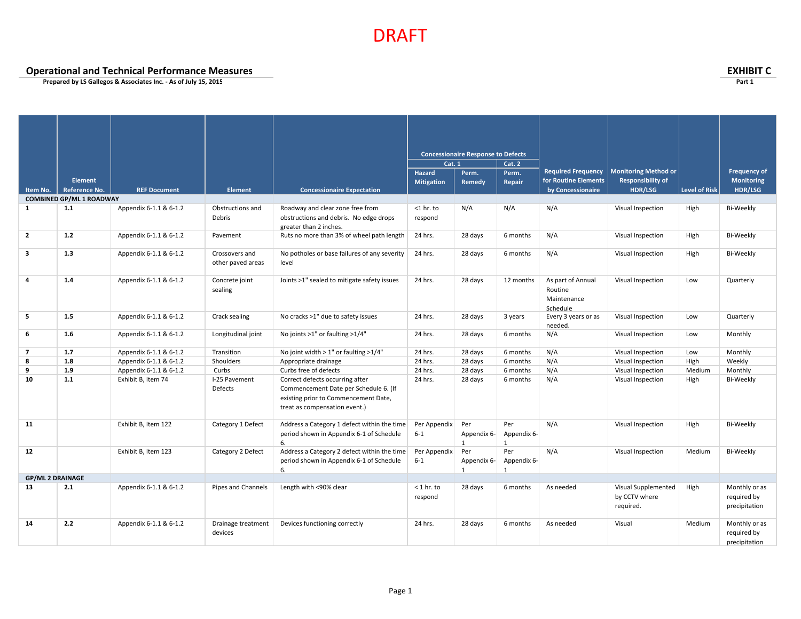**Operational and Technical Performance Measures EXHIBIT C**

|                         |                                 |                        |                                     |                                                                                                                                                   |                         | <b>Concessionaire Response to Defects</b> |                         |                                                         |                                                   |                      |                                               |
|-------------------------|---------------------------------|------------------------|-------------------------------------|---------------------------------------------------------------------------------------------------------------------------------------------------|-------------------------|-------------------------------------------|-------------------------|---------------------------------------------------------|---------------------------------------------------|----------------------|-----------------------------------------------|
|                         |                                 |                        |                                     |                                                                                                                                                   | Cat. 1                  |                                           | Cat. 2                  |                                                         |                                                   |                      |                                               |
|                         |                                 |                        |                                     |                                                                                                                                                   | <b>Hazard</b>           | Perm.                                     | Perm.                   | <b>Required Frequency</b>                               | <b>Monitoring Method or</b>                       |                      | <b>Frequency of</b>                           |
|                         | Element                         |                        |                                     |                                                                                                                                                   | <b>Mitigation</b>       | Remedy                                    | Repair                  | for Routine Elements                                    | <b>Responsibility of</b>                          |                      | <b>Monitoring</b>                             |
| Item No.                | Reference No.                   | <b>REF Document</b>    | <b>Element</b>                      | <b>Concessionaire Expectation</b>                                                                                                                 |                         |                                           |                         | by Concessionaire                                       | <b>HDR/LSG</b>                                    | <b>Level of Risk</b> | HDR/LSG                                       |
|                         | <b>COMBINED GP/ML 1 ROADWAY</b> |                        |                                     |                                                                                                                                                   |                         |                                           |                         |                                                         |                                                   |                      |                                               |
| $\mathbf{1}$            | 1.1                             | Appendix 6-1.1 & 6-1.2 | Obstructions and<br>Debris          | Roadway and clear zone free from<br>obstructions and debris. No edge drops<br>greater than 2 inches.                                              | $<$ 1 hr. to<br>respond | N/A                                       | N/A                     | N/A                                                     | Visual Inspection                                 | High                 | Bi-Weekly                                     |
| $\overline{2}$          | 1.2                             | Appendix 6-1.1 & 6-1.2 | Pavement                            | Ruts no more than 3% of wheel path length                                                                                                         | 24 hrs.                 | 28 days                                   | 6 months                | N/A                                                     | Visual Inspection                                 | High                 | Bi-Weekly                                     |
| 3                       | 1.3                             | Appendix 6-1.1 & 6-1.2 | Crossovers and<br>other paved areas | No potholes or base failures of any severity<br>level                                                                                             | 24 hrs.                 | 28 days                                   | 6 months                | N/A                                                     | Visual Inspection                                 | High                 | Bi-Weekly                                     |
| 4                       | 1.4                             | Appendix 6-1.1 & 6-1.2 | Concrete joint<br>sealing           | Joints >1" sealed to mitigate safety issues                                                                                                       | 24 hrs.                 | 28 days                                   | 12 months               | As part of Annual<br>Routine<br>Maintenance<br>Schedule | Visual Inspection                                 | Low                  | Quarterly                                     |
| 5                       | 1.5                             | Appendix 6-1.1 & 6-1.2 | Crack sealing                       | No cracks >1" due to safety issues                                                                                                                | 24 hrs.                 | 28 days                                   | 3 years                 | Every 3 years or as<br>needed.                          | Visual Inspection                                 | Low                  | Quarterly                                     |
| 6                       | 1.6                             | Appendix 6-1.1 & 6-1.2 | Longitudinal joint                  | No joints >1" or faulting >1/4"                                                                                                                   | 24 hrs.                 | 28 days                                   | 6 months                | N/A                                                     | Visual Inspection                                 | Low                  | Monthly                                       |
| $\overline{7}$          | 1.7                             | Appendix 6-1.1 & 6-1.2 | Transition                          | No joint width $> 1$ " or faulting $>1/4$ "                                                                                                       | 24 hrs.                 | 28 days                                   | 6 months                | N/A                                                     | Visual Inspection                                 | Low                  | Monthly                                       |
| 8                       | 1.8                             | Appendix 6-1.1 & 6-1.2 | Shoulders                           | Appropriate drainage                                                                                                                              | 24 hrs.                 | 28 days                                   | 6 months                | N/A                                                     | Visual Inspection                                 | High                 | Weekly                                        |
| 9                       | 1.9                             | Appendix 6-1.1 & 6-1.2 | Curbs                               | Curbs free of defects                                                                                                                             | 24 hrs.                 | 28 days                                   | 6 months                | N/A                                                     | Visual Inspection                                 | Medium               | Monthly                                       |
| 10                      | $1.1$                           | Exhibit B, Item 74     | I-25 Pavement<br>Defects            | Correct defects occurring after<br>Commencement Date per Schedule 6. (If<br>existing prior to Commencement Date,<br>treat as compensation event.) | 24 hrs.                 | 28 days                                   | 6 months                | N/A                                                     | Visual Inspection                                 | High                 | Bi-Weekly                                     |
| 11                      |                                 | Exhibit B, Item 122    | Category 1 Defect                   | Address a Category 1 defect within the time<br>period shown in Appendix 6-1 of Schedule<br>6.                                                     | Per Appendix<br>$6 - 1$ | Per<br>Appendix 6-<br>$\overline{1}$      | Per<br>Appendix 6-<br>1 | N/A                                                     | Visual Inspection                                 | High                 | Bi-Weekly                                     |
| 12                      |                                 | Exhibit B, Item 123    | Category 2 Defect                   | Address a Category 2 defect within the time<br>period shown in Appendix 6-1 of Schedule<br>6.                                                     | Per Appendix<br>$6 - 1$ | Per<br>Appendix 6-<br>1                   | Per<br>Appendix 6-<br>1 | N/A                                                     | Visual Inspection                                 | Medium               | Bi-Weekly                                     |
| <b>GP/ML 2 DRAINAGE</b> |                                 |                        |                                     |                                                                                                                                                   |                         |                                           |                         |                                                         |                                                   |                      |                                               |
| 13                      | 2.1                             | Appendix 6-1.1 & 6-1.2 | Pipes and Channels                  | Length with <90% clear                                                                                                                            | $<$ 1 hr. to<br>respond | 28 days                                   | 6 months                | As needed                                               | Visual Supplemented<br>by CCTV where<br>required. | High                 | Monthly or as<br>required by<br>precipitation |
| 14                      | 2.2                             | Appendix 6-1.1 & 6-1.2 | Drainage treatment<br>devices       | Devices functioning correctly                                                                                                                     | 24 hrs.                 | 28 days                                   | 6 months                | As needed                                               | Visual                                            | Medium               | Monthly or as<br>required by<br>precipitation |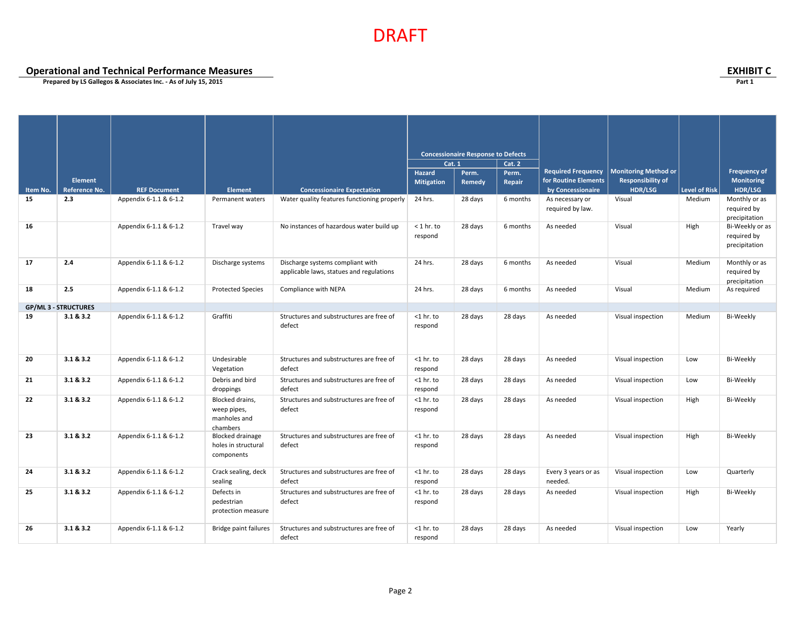**Operational and Technical Performance Measures**<br> **Operational and Technical Performance Measures**<br>
Prepared by LS Gallegos & Associates Inc. - As of July 15, 2015

|          |                             |                        |                                                              |                                                                              |                         | <b>Concessionaire Response to Defects</b> |          |                                     |                             |                      |                                                 |
|----------|-----------------------------|------------------------|--------------------------------------------------------------|------------------------------------------------------------------------------|-------------------------|-------------------------------------------|----------|-------------------------------------|-----------------------------|----------------------|-------------------------------------------------|
|          |                             |                        |                                                              |                                                                              | Cat. 1                  |                                           | Cat. 2   |                                     |                             |                      |                                                 |
|          |                             |                        |                                                              |                                                                              | <b>Hazard</b>           | Perm.                                     | Perm.    | <b>Required Frequency</b>           | <b>Monitoring Method or</b> |                      | <b>Frequency of</b>                             |
|          | <b>Element</b>              |                        |                                                              |                                                                              | <b>Mitigation</b>       | Remedy                                    | Repair   | for Routine Elements                | <b>Responsibility of</b>    |                      | <b>Monitoring</b>                               |
| Item No. | Reference No.               | <b>REF Document</b>    | <b>Element</b>                                               | <b>Concessionaire Expectation</b>                                            |                         |                                           |          | by Concessionaire                   | HDR/LSG                     | <b>Level of Risk</b> | HDR/LSG                                         |
| 15       | 2.3                         | Appendix 6-1.1 & 6-1.2 | Permanent waters                                             | Water quality features functioning properly                                  | 24 hrs.                 | 28 days                                   | 6 months | As necessary or<br>required by law. | Visual                      | Medium               | Monthly or as<br>required by<br>precipitation   |
| 16       |                             | Appendix 6-1.1 & 6-1.2 | Travel way                                                   | No instances of hazardous water build up                                     | $<$ 1 hr. to<br>respond | 28 days                                   | 6 months | As needed                           | Visual                      | High                 | Bi-Weekly or as<br>required by<br>precipitation |
| 17       | 2.4                         | Appendix 6-1.1 & 6-1.2 | Discharge systems                                            | Discharge systems compliant with<br>applicable laws, statues and regulations | 24 hrs.                 | 28 days                                   | 6 months | As needed                           | Visual                      | Medium               | Monthly or as<br>required by<br>precipitation   |
| 18       | 2.5                         | Appendix 6-1.1 & 6-1.2 | <b>Protected Species</b>                                     | Compliance with NEPA                                                         | 24 hrs.                 | 28 days                                   | 6 months | As needed                           | Visual                      | Medium               | As required                                     |
|          | <b>GP/ML 3 - STRUCTURES</b> |                        |                                                              |                                                                              |                         |                                           |          |                                     |                             |                      |                                                 |
| 19       | 3.1 & 3.2                   | Appendix 6-1.1 & 6-1.2 | Graffiti                                                     | Structures and substructures are free of<br>defect                           | $<$ 1 hr. to<br>respond | 28 days                                   | 28 days  | As needed                           | Visual inspection           | Medium               | Bi-Weekly                                       |
| 20       | 3.1 & 3.2                   | Appendix 6-1.1 & 6-1.2 | Undesirable<br>Vegetation                                    | Structures and substructures are free of<br>defect                           | $<$ 1 hr. to<br>respond | 28 days                                   | 28 days  | As needed                           | Visual inspection           | Low                  | Bi-Weekly                                       |
| 21       | 3.1 & 3.2                   | Appendix 6-1.1 & 6-1.2 | Debris and bird<br>droppings                                 | Structures and substructures are free of<br>defect                           | $<$ 1 hr. to<br>respond | 28 days                                   | 28 days  | As needed                           | Visual inspection           | Low                  | Bi-Weekly                                       |
| 22       | 3.1 & 3.2                   | Appendix 6-1.1 & 6-1.2 | Blocked drains,<br>weep pipes,<br>manholes and<br>chambers   | Structures and substructures are free of<br>defect                           | $<$ 1 hr. to<br>respond | 28 days                                   | 28 days  | As needed                           | Visual inspection           | High                 | Bi-Weekly                                       |
| 23       | 3.1 & 3.2                   | Appendix 6-1.1 & 6-1.2 | <b>Blocked drainage</b><br>holes in structural<br>components | Structures and substructures are free of<br>defect                           | $<$ 1 hr. to<br>respond | 28 days                                   | 28 days  | As needed                           | Visual inspection           | High                 | Bi-Weekly                                       |
| 24       | 3.1 & 3.2                   | Appendix 6-1.1 & 6-1.2 | Crack sealing, deck<br>sealing                               | Structures and substructures are free of<br>defect                           | $<$ 1 hr. to<br>respond | 28 days                                   | 28 days  | Every 3 years or as<br>needed.      | Visual inspection           | Low                  | Quarterly                                       |
| 25       | 3.1 & 3.2                   | Appendix 6-1.1 & 6-1.2 | Defects in<br>pedestrian<br>protection measure               | Structures and substructures are free of<br>defect                           | $<$ 1 hr. to<br>respond | 28 days                                   | 28 days  | As needed                           | Visual inspection           | High                 | Bi-Weekly                                       |
| 26       | 3.1 & 3.2                   | Appendix 6-1.1 & 6-1.2 | Bridge paint failures                                        | Structures and substructures are free of<br>defect                           | $<$ 1 hr. to<br>respond | 28 days                                   | 28 days  | As needed                           | Visual inspection           | Low                  | Yearly                                          |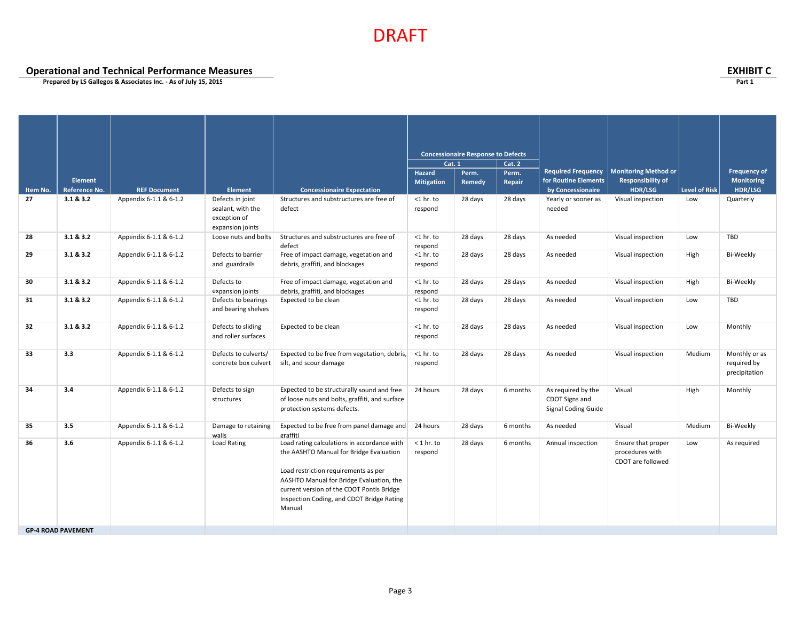**Operational and Technical Performance Measures EXHIBIT C**

|          |                           |                        |                                              |                                                                        | <b>Cat. 1</b>     | <b>Concessionaire Response to Defects</b> | <b>Cat. 2</b> |                            |                             |               |                              |
|----------|---------------------------|------------------------|----------------------------------------------|------------------------------------------------------------------------|-------------------|-------------------------------------------|---------------|----------------------------|-----------------------------|---------------|------------------------------|
|          |                           |                        |                                              |                                                                        | <b>Hazard</b>     | Perm.                                     | Perm.         | <b>Required Frequency</b>  | <b>Monitoring Method or</b> |               | <b>Frequency of</b>          |
|          | <b>Element</b>            |                        |                                              |                                                                        | <b>Mitigation</b> | Remedy                                    | Repair        | for Routine Elements       | <b>Responsibility of</b>    |               | Monitoring                   |
| Item No. | Reference No.             | <b>REF Document</b>    | <b>Element</b>                               | <b>Concessionaire Expectation</b>                                      |                   |                                           |               | by Concessionaire          | <b>HDR/LSG</b>              | Level of Risk | HDR/LSG                      |
| 27       | 3.1 & 3.2                 | Appendix 6-1.1 & 6-1.2 | Defects in joint                             | Structures and substructures are free of                               | $<$ 1 hr. to      | 28 days                                   | 28 days       | Yearly or sooner as        | Visual inspection           | Low           | Quarterly                    |
|          |                           |                        | sealant, with the<br>exception of            | defect                                                                 | respond           |                                           |               | needed                     |                             |               |                              |
|          |                           |                        | expansion joints                             |                                                                        |                   |                                           |               |                            |                             |               |                              |
| 28       | 3.1 & 8.3.2               | Appendix 6-1.1 & 6-1.2 | Loose nuts and bolts                         | Structures and substructures are free of                               | $<$ 1 hr. to      | 28 days                                   | 28 days       | As needed                  | Visual inspection           | Low           | TBD                          |
|          |                           |                        |                                              | defect                                                                 | respond           |                                           |               |                            |                             |               |                              |
| 29       | 3.1 & 8.3.2               | Appendix 6-1.1 & 6-1.2 | Defects to barrier                           | Free of impact damage, vegetation and                                  | $<$ 1 hr. to      | 28 days                                   | 28 days       | As needed                  | Visual inspection           | High          | Bi-Weekly                    |
|          |                           |                        | and guardrails                               | debris, graffiti, and blockages                                        | respond           |                                           |               |                            |                             |               |                              |
| 30       | 3.1 & 8.3.2               | Appendix 6-1.1 & 6-1.2 | Defects to                                   | Free of impact damage, vegetation and                                  | $<$ 1 hr. to      | 28 days                                   | 28 days       | As needed                  | Visual inspection           | High          | Bi-Weekly                    |
|          |                           |                        | expansion joints                             | debris, graffiti, and blockages                                        | respond           |                                           |               |                            |                             |               |                              |
| 31       | 3.1 & 8.3.2               | Appendix 6-1.1 & 6-1.2 | Defects to bearings                          | Expected to be clean                                                   | $<$ 1 hr. to      | 28 days                                   | 28 days       | As needed                  | Visual inspection           | Low           | <b>TBD</b>                   |
|          |                           |                        | and bearing shelves                          |                                                                        | respond           |                                           |               |                            |                             |               |                              |
| 32       | 3.1 & 8.3.2               | Appendix 6-1.1 & 6-1.2 | Defects to sliding                           | Expected to be clean                                                   | $<$ 1 hr. to      | 28 days                                   | 28 days       | As needed                  | Visual inspection           | Low           | Monthly                      |
|          |                           |                        | and roller surfaces                          |                                                                        | respond           |                                           |               |                            |                             |               |                              |
|          |                           |                        |                                              |                                                                        |                   |                                           |               |                            |                             |               |                              |
| 33       | 3.3                       | Appendix 6-1.1 & 6-1.2 | Defects to culverts/<br>concrete box culvert | Expected to be free from vegetation, debris,<br>silt, and scour damage | $<$ 1 hr. to      | 28 days                                   | 28 days       | As needed                  | Visual inspection           | Medium        | Monthly or as<br>required by |
|          |                           |                        |                                              |                                                                        | respond           |                                           |               |                            |                             |               | precipitation                |
|          |                           |                        |                                              |                                                                        |                   |                                           |               |                            |                             |               |                              |
| 34       | 3.4                       | Appendix 6-1.1 & 6-1.2 | Defects to sign                              | Expected to be structurally sound and free                             | 24 hours          | 28 days                                   | 6 months      | As required by the         | Visual                      | High          | Monthly                      |
|          |                           |                        | structures                                   | of loose nuts and bolts, graffiti, and surface                         |                   |                                           |               | CDOT Signs and             |                             |               |                              |
|          |                           |                        |                                              | protection systems defects.                                            |                   |                                           |               | <b>Signal Coding Guide</b> |                             |               |                              |
| 35       | 3.5                       | Appendix 6-1.1 & 6-1.2 | Damage to retaining                          | Expected to be free from panel damage and                              | 24 hours          | 28 days                                   | 6 months      | As needed                  | Visual                      | Medium        | Bi-Weekly                    |
|          |                           |                        | walls                                        | graffiti                                                               |                   |                                           |               |                            |                             |               |                              |
| 36       | 3.6                       | Appendix 6-1.1 & 6-1.2 | Load Rating                                  | Load rating calculations in accordance with                            | $<$ 1 hr. to      | 28 days                                   | 6 months      | Annual inspection          | Ensure that proper          | Low           | As required                  |
|          |                           |                        |                                              | the AASHTO Manual for Bridge Evaluation                                | respond           |                                           |               |                            | procedures with             |               |                              |
|          |                           |                        |                                              | Load restriction requirements as per                                   |                   |                                           |               |                            | CDOT are followed           |               |                              |
|          |                           |                        |                                              | AASHTO Manual for Bridge Evaluation, the                               |                   |                                           |               |                            |                             |               |                              |
|          |                           |                        |                                              | current version of the CDOT Pontis Bridge                              |                   |                                           |               |                            |                             |               |                              |
|          |                           |                        |                                              | Inspection Coding, and CDOT Bridge Rating                              |                   |                                           |               |                            |                             |               |                              |
|          |                           |                        |                                              | Manual                                                                 |                   |                                           |               |                            |                             |               |                              |
|          |                           |                        |                                              |                                                                        |                   |                                           |               |                            |                             |               |                              |
|          | <b>GP-4 ROAD PAVEMENT</b> |                        |                                              |                                                                        |                   |                                           |               |                            |                             |               |                              |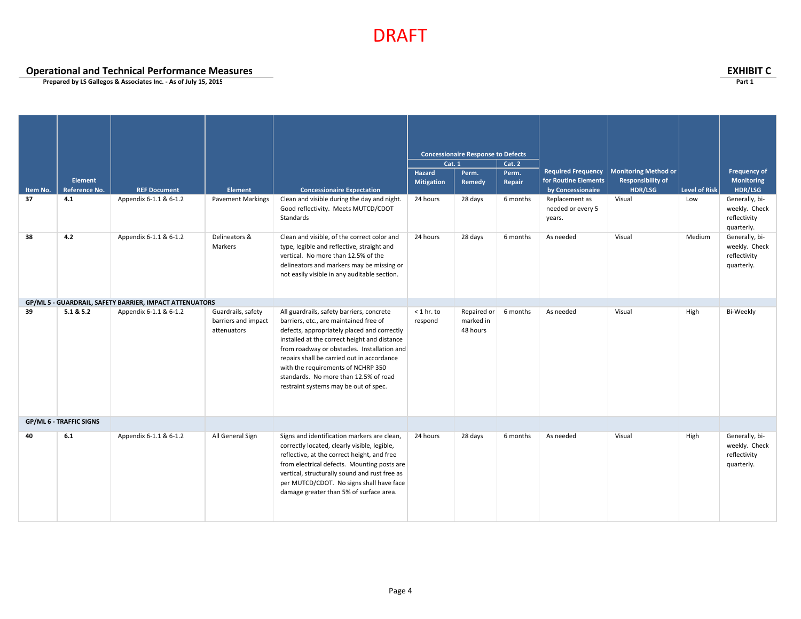**Operational and Technical Performance Measures**<br> **Operational and Technical Performance Measures**<br>
Prepared by LS Gallegos & Associates Inc. - As of July 15, 2015

| Item No.<br>37 | <b>Element</b><br>Reference No.<br>4.1 | <b>REF Document</b><br>Appendix 6-1.1 & 6-1.2           | Element<br><b>Pavement Markings</b>                      | <b>Concessionaire Expectation</b><br>Clean and visible during the day and night.<br>Good reflectivity. Meets MUTCD/CDOT                                                                                                                                                                                                                                                                                 | <b>Cat. 1</b><br>Hazard<br><b>Mitigation</b><br>24 hours | <b>Concessionaire Response to Defects</b><br>Perm.<br>Remedy<br>28 days | Cat. 2<br>Perm.<br>Repair<br>6 months | <b>Required Frequency</b><br>for Routine Elements<br>by Concessionaire<br>Replacement as<br>needed or every 5 | <b>Monitoring Method or</b><br><b>Responsibility of</b><br>HDR/LSG<br>Visual | <b>Level of Risk</b><br>Low | <b>Frequency of</b><br>Monitoring<br>HDR/LSG<br>Generally, bi-<br>weekly. Check             |
|----------------|----------------------------------------|---------------------------------------------------------|----------------------------------------------------------|---------------------------------------------------------------------------------------------------------------------------------------------------------------------------------------------------------------------------------------------------------------------------------------------------------------------------------------------------------------------------------------------------------|----------------------------------------------------------|-------------------------------------------------------------------------|---------------------------------------|---------------------------------------------------------------------------------------------------------------|------------------------------------------------------------------------------|-----------------------------|---------------------------------------------------------------------------------------------|
| 38             | 4.2                                    | Appendix 6-1.1 & 6-1.2                                  | Delineators &<br>Markers                                 | Standards<br>Clean and visible, of the correct color and<br>type, legible and reflective, straight and<br>vertical. No more than 12.5% of the<br>delineators and markers may be missing or<br>not easily visible in any auditable section.                                                                                                                                                              | 24 hours                                                 | 28 days                                                                 | 6 months                              | years.<br>As needed                                                                                           | Visual                                                                       | Medium                      | reflectivity<br>quarterly.<br>Generally, bi-<br>weekly. Check<br>reflectivity<br>quarterly. |
|                |                                        | GP/ML 5 - GUARDRAIL, SAFETY BARRIER, IMPACT ATTENUATORS |                                                          |                                                                                                                                                                                                                                                                                                                                                                                                         |                                                          |                                                                         |                                       |                                                                                                               |                                                                              |                             |                                                                                             |
| 39             | 5.1 & 5.2                              | Appendix 6-1.1 & 6-1.2                                  | Guardrails, safety<br>barriers and impact<br>attenuators | All guardrails, safety barriers, concrete<br>barriers, etc., are maintained free of<br>defects, appropriately placed and correctly<br>installed at the correct height and distance<br>from roadway or obstacles. Installation and<br>repairs shall be carried out in accordance<br>with the requirements of NCHRP 350<br>standards. No more than 12.5% of road<br>restraint systems may be out of spec. | $<$ 1 hr. to<br>respond                                  | Repaired or<br>marked in<br>48 hours                                    | 6 months                              | As needed                                                                                                     | Visual                                                                       | High                        | Bi-Weekly                                                                                   |
|                | <b>GP/ML 6 - TRAFFIC SIGNS</b>         |                                                         |                                                          |                                                                                                                                                                                                                                                                                                                                                                                                         |                                                          |                                                                         |                                       |                                                                                                               |                                                                              |                             |                                                                                             |
| 40             | 6.1                                    | Appendix 6-1.1 & 6-1.2                                  | All General Sign                                         | Signs and identification markers are clean,<br>correctly located, clearly visible, legible,<br>reflective, at the correct height, and free<br>from electrical defects. Mounting posts are<br>vertical, structurally sound and rust free as<br>per MUTCD/CDOT. No signs shall have face<br>damage greater than 5% of surface area.                                                                       | 24 hours                                                 | 28 days                                                                 | 6 months                              | As needed                                                                                                     | Visual                                                                       | High                        | Generally, bi-<br>weekly. Check<br>reflectivity<br>quarterly.                               |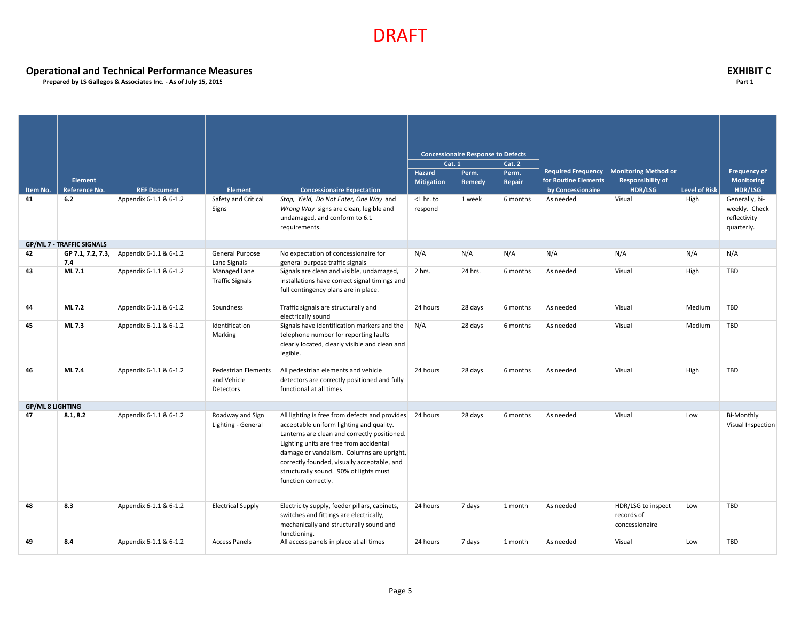**Operational and Technical Performance Measures EXHIBIT C**

|                         |                                  |                        |                                                 |                                                                                                                                                                                                                                                                                                                                                             |                         | <b>Concessionaire Response to Defects</b> |          |                           |                                                    |                      |                                                               |
|-------------------------|----------------------------------|------------------------|-------------------------------------------------|-------------------------------------------------------------------------------------------------------------------------------------------------------------------------------------------------------------------------------------------------------------------------------------------------------------------------------------------------------------|-------------------------|-------------------------------------------|----------|---------------------------|----------------------------------------------------|----------------------|---------------------------------------------------------------|
|                         |                                  |                        |                                                 |                                                                                                                                                                                                                                                                                                                                                             | Cat. 1                  |                                           | Cat. 2   |                           |                                                    |                      |                                                               |
|                         |                                  |                        |                                                 |                                                                                                                                                                                                                                                                                                                                                             | Hazard                  | Perm.                                     | Perm.    | <b>Required Frequency</b> | <b>Monitoring Method or</b>                        |                      | <b>Frequency of</b>                                           |
|                         | Element                          |                        |                                                 |                                                                                                                                                                                                                                                                                                                                                             | <b>Mitigation</b>       | Remedy                                    | Repair   | for Routine Elements      | <b>Responsibility of</b>                           |                      | <b>Monitoring</b>                                             |
| Item No.                | Reference No.                    | <b>REF Document</b>    | Element                                         | <b>Concessionaire Expectation</b>                                                                                                                                                                                                                                                                                                                           |                         |                                           |          | by Concessionaire         | <b>HDR/LSG</b>                                     | <b>Level of Risk</b> | HDR/LSG                                                       |
| 41                      | 6.2                              | Appendix 6-1.1 & 6-1.2 | Safety and Critical<br>Signs                    | Stop, Yield, Do Not Enter, One Way and<br>Wrong Way signs are clean, legible and<br>undamaged, and conform to 6.1<br>requirements.                                                                                                                                                                                                                          | $<$ 1 hr. to<br>respond | 1 week                                    | 6 months | As needed                 | Visual                                             | High                 | Generally, bi-<br>weekly. Check<br>reflectivity<br>quarterly. |
|                         | <b>GP/ML 7 - TRAFFIC SIGNALS</b> |                        |                                                 |                                                                                                                                                                                                                                                                                                                                                             |                         |                                           |          |                           |                                                    |                      |                                                               |
| 42                      | GP 7.1, 7.2, 7.3,<br>7.4         | Appendix 6-1.1 & 6-1.2 | General Purpose<br>Lane Signals                 | No expectation of concessionaire for<br>general purpose traffic signals                                                                                                                                                                                                                                                                                     | N/A                     | N/A                                       | N/A      | N/A                       | N/A                                                | N/A                  | N/A                                                           |
| 43                      | ML 7.1                           | Appendix 6-1.1 & 6-1.2 | Managed Lane<br><b>Traffic Signals</b>          | Signals are clean and visible, undamaged,<br>installations have correct signal timings and<br>full contingency plans are in place.                                                                                                                                                                                                                          | 2 hrs.                  | 24 hrs.                                   | 6 months | As needed                 | Visual                                             | High                 | TBD                                                           |
| 44                      | ML 7.2                           | Appendix 6-1.1 & 6-1.2 | Soundness                                       | Traffic signals are structurally and<br>electrically sound                                                                                                                                                                                                                                                                                                  | 24 hours                | 28 days                                   | 6 months | As needed                 | Visual                                             | Medium               | TBD                                                           |
| 45                      | ML 7.3                           | Appendix 6-1.1 & 6-1.2 | Identification<br>Marking                       | Signals have identification markers and the<br>telephone number for reporting faults<br>clearly located, clearly visible and clean and<br>legible.                                                                                                                                                                                                          | N/A                     | 28 days                                   | 6 months | As needed                 | Visual                                             | Medium               | TBD                                                           |
| 46                      | ML 7.4                           | Appendix 6-1.1 & 6-1.2 | Pedestrian Elements<br>and Vehicle<br>Detectors | All pedestrian elements and vehicle<br>detectors are correctly positioned and fully<br>functional at all times                                                                                                                                                                                                                                              | 24 hours                | 28 days                                   | 6 months | As needed                 | Visual                                             | High                 | <b>TBD</b>                                                    |
| <b>GP/ML 8 LIGHTING</b> |                                  |                        |                                                 |                                                                                                                                                                                                                                                                                                                                                             |                         |                                           |          |                           |                                                    |                      |                                                               |
| 47                      | 8.1, 8.2                         | Appendix 6-1.1 & 6-1.2 | Roadway and Sign<br>Lighting - General          | All lighting is free from defects and provides 24 hours<br>acceptable uniform lighting and quality.<br>Lanterns are clean and correctly positioned.<br>Lighting units are free from accidental<br>damage or vandalism. Columns are upright,<br>correctly founded, visually acceptable, and<br>structurally sound. 90% of lights must<br>function correctly. |                         | 28 days                                   | 6 months | As needed                 | Visual                                             | Low                  | Bi-Monthly<br>Visual Inspection                               |
| 48                      | 8.3                              | Appendix 6-1.1 & 6-1.2 | <b>Electrical Supply</b>                        | Electricity supply, feeder pillars, cabinets,<br>switches and fittings are electrically,<br>mechanically and structurally sound and<br>functioning.                                                                                                                                                                                                         | 24 hours                | 7 days                                    | 1 month  | As needed                 | HDR/LSG to inspect<br>records of<br>concessionaire | Low                  | TBD                                                           |
| 49                      | 8.4                              | Appendix 6-1.1 & 6-1.2 | <b>Access Panels</b>                            | All access panels in place at all times                                                                                                                                                                                                                                                                                                                     | 24 hours                | 7 days                                    | 1 month  | As needed                 | Visual                                             | Low                  | TBD                                                           |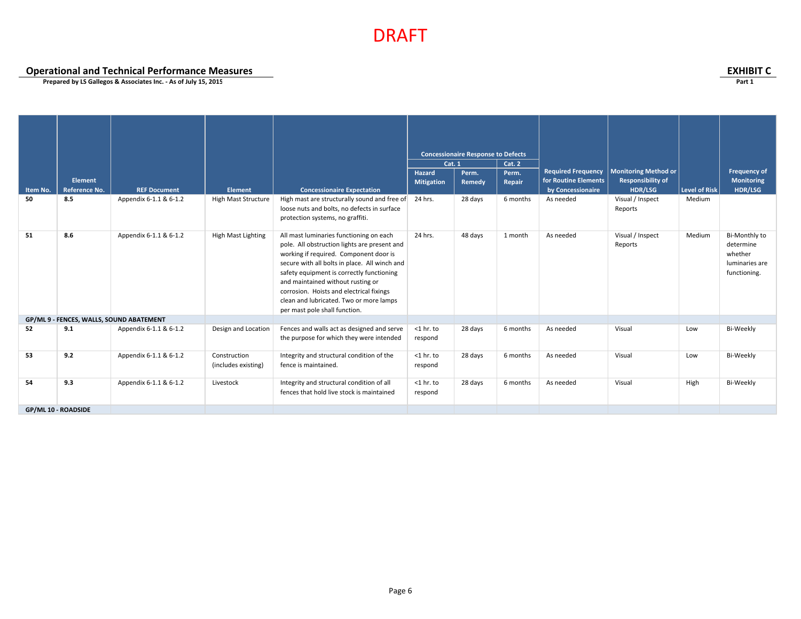**Operational and Technical Performance Measures EXHIBIT C**

|                     | Element       |                                          |                                     |                                                                                                                                                                                                                                                                                                                                                                                              | Cat. 1<br>Hazard        | <b>Concessionaire Response to Defects</b><br>Perm. | <b>Cat. 2</b><br>Perm. | <b>Required Frequency</b><br>for Routine Elements | <b>Monitoring Method or</b><br><b>Responsibility of</b> |                      | <b>Frequency of</b><br><b>Monitoring</b>                                |
|---------------------|---------------|------------------------------------------|-------------------------------------|----------------------------------------------------------------------------------------------------------------------------------------------------------------------------------------------------------------------------------------------------------------------------------------------------------------------------------------------------------------------------------------------|-------------------------|----------------------------------------------------|------------------------|---------------------------------------------------|---------------------------------------------------------|----------------------|-------------------------------------------------------------------------|
| Item No.            | Reference No. | <b>REF Document</b>                      | Element                             | <b>Concessionaire Expectation</b>                                                                                                                                                                                                                                                                                                                                                            | <b>Mitigation</b>       | Remedy                                             | Repair                 | by Concessionaire                                 | <b>HDR/LSG</b>                                          | <b>Level of Risk</b> | HDR/LSG                                                                 |
| 50                  | 8.5           | Appendix 6-1.1 & 6-1.2                   | High Mast Structure                 | High mast are structurally sound and free of<br>loose nuts and bolts, no defects in surface<br>protection systems, no graffiti.                                                                                                                                                                                                                                                              | 24 hrs.                 | 28 days                                            | 6 months               | As needed                                         | Visual / Inspect<br>Reports                             | Medium               |                                                                         |
| 51                  | 8.6           | Appendix 6-1.1 & 6-1.2                   | High Mast Lighting                  | All mast luminaries functioning on each<br>pole. All obstruction lights are present and<br>working if required. Component door is<br>secure with all bolts in place. All winch and<br>safety equipment is correctly functioning<br>and maintained without rusting or<br>corrosion. Hoists and electrical fixings<br>clean and lubricated. Two or more lamps<br>per mast pole shall function. | 24 hrs.                 | 48 days                                            | 1 month                | As needed                                         | Visual / Inspect<br>Reports                             | Medium               | Bi-Monthly to<br>determine<br>whether<br>luminaries are<br>functioning. |
|                     |               | GP/ML 9 - FENCES, WALLS, SOUND ABATEMENT |                                     |                                                                                                                                                                                                                                                                                                                                                                                              |                         |                                                    |                        |                                                   |                                                         |                      |                                                                         |
| 52                  | 9.1           | Appendix 6-1.1 & 6-1.2                   | Design and Location                 | Fences and walls act as designed and serve<br>the purpose for which they were intended                                                                                                                                                                                                                                                                                                       | $<$ 1 hr. to<br>respond | 28 days                                            | 6 months               | As needed                                         | Visual                                                  | Low                  | Bi-Weekly                                                               |
| 53                  | 9.2           | Appendix 6-1.1 & 6-1.2                   | Construction<br>(includes existing) | Integrity and structural condition of the<br>fence is maintained.                                                                                                                                                                                                                                                                                                                            | $<$ 1 hr. to<br>respond | 28 days                                            | 6 months               | As needed                                         | Visual                                                  | Low                  | Bi-Weekly                                                               |
| 54                  | 9.3           | Appendix 6-1.1 & 6-1.2                   | Livestock                           | Integrity and structural condition of all<br>fences that hold live stock is maintained                                                                                                                                                                                                                                                                                                       | $<$ 1 hr. to<br>respond | 28 days                                            | 6 months               | As needed                                         | Visual                                                  | High                 | Bi-Weekly                                                               |
| GP/ML 10 - ROADSIDE |               |                                          |                                     |                                                                                                                                                                                                                                                                                                                                                                                              |                         |                                                    |                        |                                                   |                                                         |                      |                                                                         |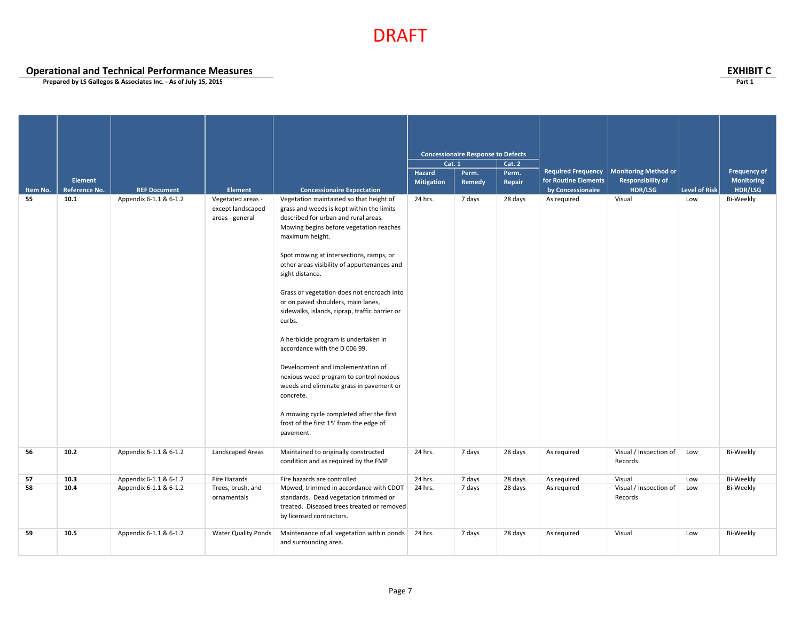## **Operational and Technical Performance Measures EXHIBIT C**

|          |                |                        |                                                           |                                                                                                                                                                                                                                                                                                                                                                                                                                                                                                                                                                                                                                                                                                                                                                               |                                | <b>Concessionaire Response to Defects</b> |                 |                           |                                   |                      |                     |
|----------|----------------|------------------------|-----------------------------------------------------------|-------------------------------------------------------------------------------------------------------------------------------------------------------------------------------------------------------------------------------------------------------------------------------------------------------------------------------------------------------------------------------------------------------------------------------------------------------------------------------------------------------------------------------------------------------------------------------------------------------------------------------------------------------------------------------------------------------------------------------------------------------------------------------|--------------------------------|-------------------------------------------|-----------------|---------------------------|-----------------------------------|----------------------|---------------------|
|          |                |                        |                                                           |                                                                                                                                                                                                                                                                                                                                                                                                                                                                                                                                                                                                                                                                                                                                                                               | <b>Cat. 1</b><br><b>Hazard</b> | Perm.                                     | Cat. 2<br>Perm. | <b>Required Frequency</b> | <b>Monitoring Method or</b>       |                      | <b>Frequency of</b> |
|          | <b>Element</b> |                        |                                                           |                                                                                                                                                                                                                                                                                                                                                                                                                                                                                                                                                                                                                                                                                                                                                                               | <b>Mitigation</b>              | Remedy                                    | <b>Repair</b>   | for Routine Elements      | <b>Responsibility of</b>          |                      | Monitoring          |
| Item No. | Reference No.  | <b>REF Document</b>    | <b>Element</b>                                            | <b>Concessionaire Expectation</b>                                                                                                                                                                                                                                                                                                                                                                                                                                                                                                                                                                                                                                                                                                                                             |                                |                                           |                 | by Concessionaire         | HDR/LSG                           | <b>Level of Risk</b> | HDR/LSG             |
| 55       | 10.1           | Appendix 6-1.1 & 6-1.2 | Vegetated areas -<br>except landscaped<br>areas - general | Vegetation maintained so that height of<br>grass and weeds is kept within the limits<br>described for urban and rural areas.<br>Mowing begins before vegetation reaches<br>maximum height.<br>Spot mowing at intersections, ramps, or<br>other areas visibility of appurtenances and<br>sight distance.<br>Grass or vegetation does not encroach into<br>or on paved shoulders, main lanes,<br>sidewalks, islands, riprap, traffic barrier or<br>curbs.<br>A herbicide program is undertaken in<br>accordance with the D 006 99.<br>Development and implementation of<br>noxious weed program to control noxious<br>weeds and eliminate grass in pavement or<br>concrete.<br>A mowing cycle completed after the first<br>frost of the first 15' from the edge of<br>pavement. | 24 hrs.                        | 7 days                                    | 28 days         | As required               | Visual                            | Low                  | Bi-Weekly           |
| 56       | 10.2           | Appendix 6-1.1 & 6-1.2 | Landscaped Areas                                          | Maintained to originally constructed<br>condition and as required by the FMP                                                                                                                                                                                                                                                                                                                                                                                                                                                                                                                                                                                                                                                                                                  | 24 hrs.                        | 7 days                                    | 28 days         | As required               | Visual / Inspection of<br>Records | Low                  | Bi-Weekly           |
| 57       | 10.3           | Appendix 6-1.1 & 6-1.2 | Fire Hazards                                              | Fire hazards are controlled                                                                                                                                                                                                                                                                                                                                                                                                                                                                                                                                                                                                                                                                                                                                                   | 24 hrs.                        | 7 days                                    | 28 days         | As required               | Visual                            | Low                  | Bi-Weekly           |
| 58       | 10.4           | Appendix 6-1.1 & 6-1.2 | Trees, brush, and<br>ornamentals                          | Mowed, trimmed in accordance with CDOT<br>standards. Dead vegetation trimmed or<br>treated. Diseased trees treated or removed<br>by licensed contractors.                                                                                                                                                                                                                                                                                                                                                                                                                                                                                                                                                                                                                     | 24 hrs.                        | 7 days                                    | 28 days         | As required               | Visual / Inspection of<br>Records | Low                  | Bi-Weekly           |
| 59       | 10.5           | Appendix 6-1.1 & 6-1.2 | Water Quality Ponds                                       | Maintenance of all vegetation within ponds 24 hrs.<br>and surrounding area.                                                                                                                                                                                                                                                                                                                                                                                                                                                                                                                                                                                                                                                                                                   |                                | 7 days                                    | 28 days         | As required               | Visual                            | Low                  | Bi-Weekly           |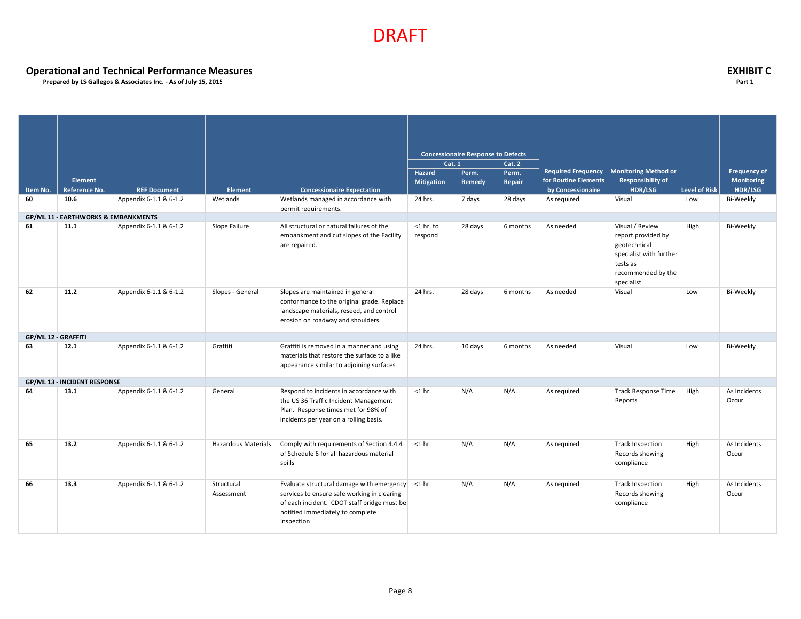**Operational and Technical Performance Measures EXHIBIT C**

|                     |                                                |                        |                          |                                                                                                                                                                                                  |                         | <b>Concessionaire Response to Defects</b> |          |                           |                                                                                                                                  |                      |                       |
|---------------------|------------------------------------------------|------------------------|--------------------------|--------------------------------------------------------------------------------------------------------------------------------------------------------------------------------------------------|-------------------------|-------------------------------------------|----------|---------------------------|----------------------------------------------------------------------------------------------------------------------------------|----------------------|-----------------------|
|                     |                                                |                        |                          |                                                                                                                                                                                                  | <b>Cat. 1</b>           |                                           | Cat. 2   |                           |                                                                                                                                  |                      |                       |
|                     |                                                |                        |                          |                                                                                                                                                                                                  | <b>Hazard</b>           | Perm.                                     | Perm.    | <b>Required Frequency</b> | <b>Monitoring Method or</b>                                                                                                      |                      | <b>Frequency of</b>   |
|                     | <b>Element</b>                                 |                        |                          |                                                                                                                                                                                                  | <b>Mitigation</b>       | Remedy                                    | Repair   | for Routine Elements      | <b>Responsibility of</b>                                                                                                         |                      | Monitoring            |
| Item No.            | Reference No.                                  | <b>REF Document</b>    | <b>Element</b>           | <b>Concessionaire Expectation</b>                                                                                                                                                                |                         |                                           |          | by Concessionaire         | <b>HDR/LSG</b>                                                                                                                   | <b>Level of Risk</b> | HDR/LSG               |
| 60                  | 10.6                                           | Appendix 6-1.1 & 6-1.2 | Wetlands                 | Wetlands managed in accordance with<br>permit requirements.                                                                                                                                      | 24 hrs.                 | 7 days                                    | 28 days  | As required               | Visual                                                                                                                           | Low                  | Bi-Weekly             |
|                     | <b>GP/ML 11 - EARTHWORKS &amp; EMBANKMENTS</b> |                        |                          |                                                                                                                                                                                                  |                         |                                           |          |                           |                                                                                                                                  |                      |                       |
| 61                  | 11.1                                           | Appendix 6-1.1 & 6-1.2 | Slope Failure            | All structural or natural failures of the<br>embankment and cut slopes of the Facility<br>are repaired.                                                                                          | $<$ 1 hr. to<br>respond | 28 days                                   | 6 months | As needed                 | Visual / Review<br>report provided by<br>geotechnical<br>specialist with further<br>tests as<br>recommended by the<br>specialist | High                 | Bi-Weekly             |
| 62                  | 11.2                                           | Appendix 6-1.1 & 6-1.2 | Slopes - General         | Slopes are maintained in general<br>conformance to the original grade. Replace<br>landscape materials, reseed, and control<br>erosion on roadway and shoulders.                                  | 24 hrs.                 | 28 days                                   | 6 months | As needed                 | Visual                                                                                                                           | Low                  | Bi-Weekly             |
| GP/ML 12 - GRAFFITI |                                                |                        |                          |                                                                                                                                                                                                  |                         |                                           |          |                           |                                                                                                                                  |                      |                       |
| 63                  | 12.1                                           | Appendix 6-1.1 & 6-1.2 | Graffiti                 | Graffiti is removed in a manner and using<br>materials that restore the surface to a like<br>appearance similar to adjoining surfaces                                                            | 24 hrs.                 | 10 days                                   | 6 months | As needed                 | Visual                                                                                                                           | Low                  | Bi-Weekly             |
|                     | <b>GP/ML 13 - INCIDENT RESPONSE</b>            |                        |                          |                                                                                                                                                                                                  |                         |                                           |          |                           |                                                                                                                                  |                      |                       |
| 64                  | 13.1                                           | Appendix 6-1.1 & 6-1.2 | General                  | Respond to incidents in accordance with<br>the US 36 Traffic Incident Management<br>Plan. Response times met for 98% of<br>incidents per year on a rolling basis.                                | $<$ 1 hr.               | N/A                                       | N/A      | As required               | Track Response Time<br>Reports                                                                                                   | High                 | As Incidents<br>Occur |
| 65                  | 13.2                                           | Appendix 6-1.1 & 6-1.2 | Hazardous Materials      | Comply with requirements of Section 4.4.4<br>of Schedule 6 for all hazardous material<br>spills                                                                                                  | $<$ 1 hr.               | N/A                                       | N/A      | As required               | Track Inspection<br>Records showing<br>compliance                                                                                | High                 | As Incidents<br>Occur |
| 66                  | 13.3                                           | Appendix 6-1.1 & 6-1.2 | Structural<br>Assessment | Evaluate structural damage with emergency <1 hr.<br>services to ensure safe working in clearing<br>of each incident. CDOT staff bridge must be<br>notified immediately to complete<br>inspection |                         | N/A                                       | N/A      | As required               | Track Inspection<br>Records showing<br>compliance                                                                                | High                 | As Incidents<br>Occur |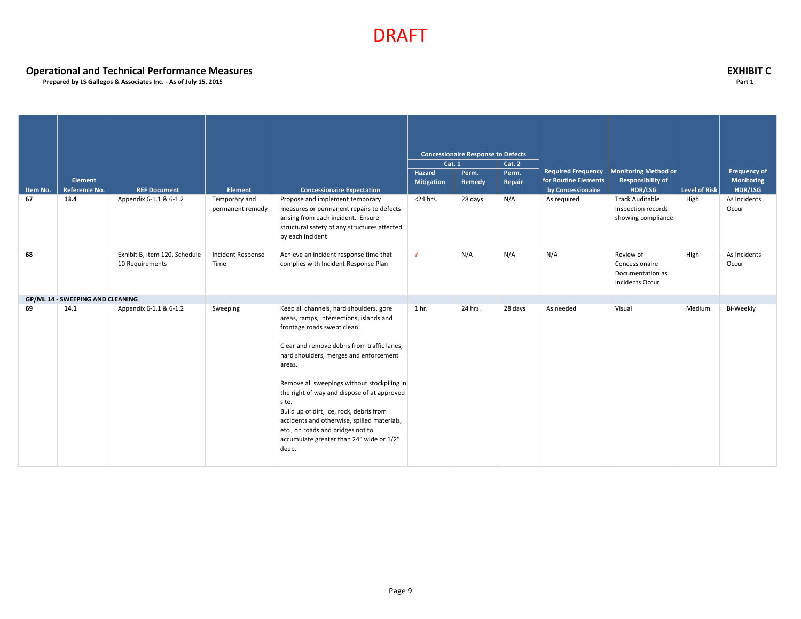**Operational and Technical Performance Measures EXHIBIT C**

| Item No.<br>67 | <b>Element</b><br><b>Reference No.</b><br>13.4 | <b>REF Document</b><br>Appendix 6-1.1 & 6-1.2    | Element<br>Temporary and<br>permanent remedy | <b>Concessionaire Expectation</b><br>Propose and implement temporary<br>measures or permanent repairs to defects<br>arising from each incident. Ensure<br>structural safety of any structures affected<br>by each incident                                                                                                                                                                                                                                                                                        | Cat. 1<br>Hazard<br><b>Mitigation</b><br>$<$ 24 hrs. | <b>Concessionaire Response to Defects</b><br>Perm.<br>Remedy<br>28 days | <b>Cat. 2</b><br>Perm.<br>Repair<br>N/A | <b>Required Frequency</b><br>for Routine Elements<br>by Concessionaire<br>As required | <b>Monitoring Method or</b><br><b>Responsibility of</b><br>HDR/LSG<br><b>Track Auditable</b><br>Inspection records<br>showing compliance. | Level of Risk<br>High | <b>Frequency of</b><br><b>Monitoring</b><br>HDR/LSG<br>As Incidents<br>Occur |
|----------------|------------------------------------------------|--------------------------------------------------|----------------------------------------------|-------------------------------------------------------------------------------------------------------------------------------------------------------------------------------------------------------------------------------------------------------------------------------------------------------------------------------------------------------------------------------------------------------------------------------------------------------------------------------------------------------------------|------------------------------------------------------|-------------------------------------------------------------------------|-----------------------------------------|---------------------------------------------------------------------------------------|-------------------------------------------------------------------------------------------------------------------------------------------|-----------------------|------------------------------------------------------------------------------|
| 68             |                                                | Exhibit B, Item 120, Schedule<br>10 Requirements | Incident Response<br>Time                    | Achieve an incident response time that<br>complies with Incident Response Plan                                                                                                                                                                                                                                                                                                                                                                                                                                    | $\overline{?}$                                       | N/A                                                                     | N/A                                     | N/A                                                                                   | Review of<br>Concessionaire<br>Documentation as<br>Incidents Occur                                                                        | High                  | As Incidents<br>Occur                                                        |
| 69             | GP/ML 14 - SWEEPING AND CLEANING<br>14.1       | Appendix 6-1.1 & 6-1.2                           | Sweeping                                     | Keep all channels, hard shoulders, gore<br>areas, ramps, intersections, islands and<br>frontage roads swept clean.<br>Clear and remove debris from traffic lanes.<br>hard shoulders, merges and enforcement<br>areas.<br>Remove all sweepings without stockpiling in<br>the right of way and dispose of at approved<br>site.<br>Build up of dirt, ice, rock, debris from<br>accidents and otherwise, spilled materials,<br>etc., on roads and bridges not to<br>accumulate greater than 24" wide or 1/2"<br>deep. | 1 <sub>hr.</sub>                                     | 24 hrs.                                                                 | 28 days                                 | As needed                                                                             | Visual                                                                                                                                    | Medium                | Bi-Weekly                                                                    |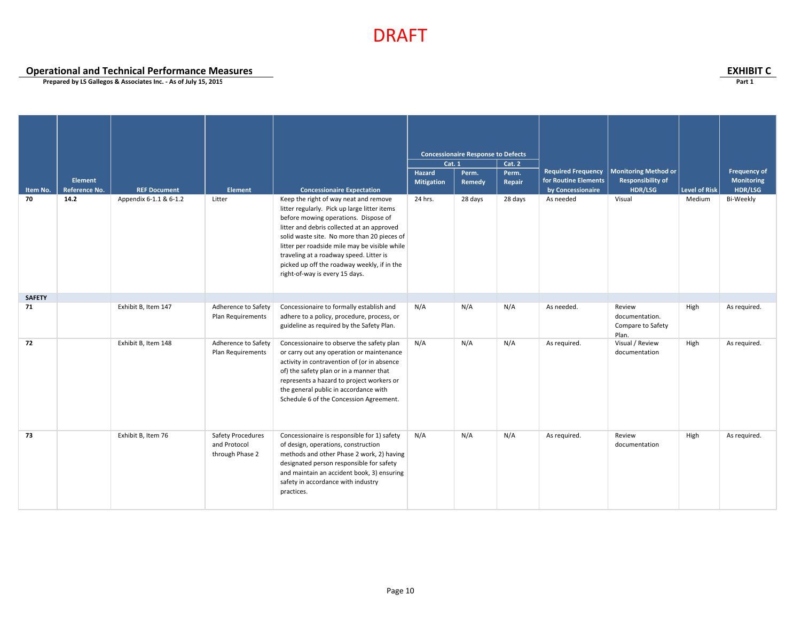**Operational and Technical Performance Measures**<br> **Operational and Technical Performance Measures**<br>
Prepared by LS Gallegos & Associates Inc. - As of July 15, 2015

| Item No.<br>70 | <b>Element</b><br><b>Reference No.</b><br>14.2 | <b>REF Document</b><br>Appendix 6-1.1 & 6-1.2 | Element<br>Litter                                    | <b>Concessionaire Expectation</b><br>Keep the right of way neat and remove<br>litter regularly. Pick up large litter items                                                                                                                                                                                        | <b>Cat. 1</b><br>Hazard<br><b>Mitigation</b><br>24 hrs. | <b>Concessionaire Response to Defects</b><br>Perm.<br>Remedy<br>28 days | Cat. 2<br>Perm.<br>Repair<br>28 days | <b>Required Frequency</b><br>for Routine Elements<br>by Concessionaire<br>As needed | Monitoring Method or<br><b>Responsibility of</b><br>HDR/LSG<br>Visual | Level of Risk<br>Medium | <b>Frequency of</b><br>Monitoring<br>HDR/LSG<br>Bi-Weekly |
|----------------|------------------------------------------------|-----------------------------------------------|------------------------------------------------------|-------------------------------------------------------------------------------------------------------------------------------------------------------------------------------------------------------------------------------------------------------------------------------------------------------------------|---------------------------------------------------------|-------------------------------------------------------------------------|--------------------------------------|-------------------------------------------------------------------------------------|-----------------------------------------------------------------------|-------------------------|-----------------------------------------------------------|
|                |                                                |                                               |                                                      | before mowing operations. Dispose of<br>litter and debris collected at an approved<br>solid waste site. No more than 20 pieces of<br>litter per roadside mile may be visible while<br>traveling at a roadway speed. Litter is<br>picked up off the roadway weekly, if in the<br>right-of-way is every 15 days.    |                                                         |                                                                         |                                      |                                                                                     |                                                                       |                         |                                                           |
| <b>SAFETY</b>  |                                                |                                               |                                                      |                                                                                                                                                                                                                                                                                                                   |                                                         |                                                                         |                                      |                                                                                     |                                                                       |                         |                                                           |
| 71             |                                                | Exhibit B, Item 147                           | Adherence to Safety<br>Plan Requirements             | Concessionaire to formally establish and<br>adhere to a policy, procedure, process, or<br>guideline as required by the Safety Plan.                                                                                                                                                                               | N/A                                                     | N/A                                                                     | N/A                                  | As needed.                                                                          | Review<br>documentation.<br>Compare to Safety<br>Plan.                | High                    | As required.                                              |
| 72             |                                                | Exhibit B, Item 148                           | Adherence to Safety<br>Plan Requirements             | Concessionaire to observe the safety plan<br>or carry out any operation or maintenance<br>activity in contravention of (or in absence<br>of) the safety plan or in a manner that<br>represents a hazard to project workers or<br>the general public in accordance with<br>Schedule 6 of the Concession Agreement. | N/A                                                     | N/A                                                                     | N/A                                  | As required.                                                                        | Visual / Review<br>documentation                                      | High                    | As required.                                              |
| 73             |                                                | Exhibit B, Item 76                            | Safety Procedures<br>and Protocol<br>through Phase 2 | Concessionaire is responsible for 1) safety<br>of design, operations, construction<br>methods and other Phase 2 work, 2) having<br>designated person responsible for safety<br>and maintain an accident book, 3) ensuring<br>safety in accordance with industry<br>practices.                                     | N/A                                                     | N/A                                                                     | N/A                                  | As required.                                                                        | Review<br>documentation                                               | High                    | As required.                                              |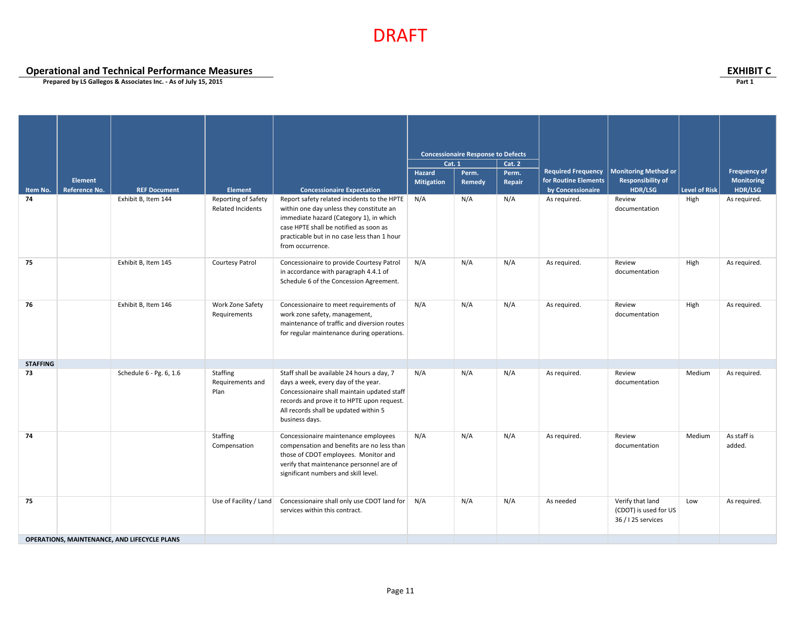**Operational and Technical Performance Measures EXHIBIT C**

|                 |                |                                              |                                                        |                                                                                                                                                                                                                                                 | <b>Concessionaire Response to Defects</b><br>Cat. 1 |        |        |                           |                                                                 |                      |                       |
|-----------------|----------------|----------------------------------------------|--------------------------------------------------------|-------------------------------------------------------------------------------------------------------------------------------------------------------------------------------------------------------------------------------------------------|-----------------------------------------------------|--------|--------|---------------------------|-----------------------------------------------------------------|----------------------|-----------------------|
|                 |                |                                              |                                                        |                                                                                                                                                                                                                                                 |                                                     |        | Cat. 2 |                           |                                                                 |                      |                       |
|                 |                |                                              |                                                        |                                                                                                                                                                                                                                                 | Hazard                                              | Perm.  | Perm.  | <b>Required Frequency</b> | <b>Monitoring Method or</b>                                     |                      | <b>Frequency of</b>   |
|                 | <b>Element</b> |                                              |                                                        |                                                                                                                                                                                                                                                 | <b>Mitigation</b>                                   | Remedy | Repair | for Routine Elements      | <b>Responsibility of</b>                                        |                      | Monitoring            |
| Item No.        | Reference No.  | <b>REF Document</b>                          | Element                                                | <b>Concessionaire Expectation</b>                                                                                                                                                                                                               |                                                     |        |        | by Concessionaire         | <b>HDR/LSG</b>                                                  | <b>Level of Risk</b> | HDR/LSG               |
| 74              |                | Exhibit B, Item 144                          | <b>Reporting of Safety</b><br><b>Related Incidents</b> | Report safety related incidents to the HPTE<br>within one day unless they constitute an<br>immediate hazard (Category 1), in which<br>case HPTE shall be notified as soon as<br>practicable but in no case less than 1 hour<br>from occurrence. | N/A                                                 | N/A    | N/A    | As required.              | Review<br>documentation                                         | High                 | As required.          |
| 75              |                | Exhibit B, Item 145                          | <b>Courtesy Patrol</b>                                 | Concessionaire to provide Courtesy Patrol<br>in accordance with paragraph 4.4.1 of<br>Schedule 6 of the Concession Agreement.                                                                                                                   | N/A                                                 | N/A    | N/A    | As required.              | Review<br>documentation                                         | High                 | As required.          |
| 76              |                | Exhibit B, Item 146                          | Work Zone Safety<br>Requirements                       | Concessionaire to meet requirements of<br>work zone safety, management,<br>maintenance of traffic and diversion routes<br>for regular maintenance during operations.                                                                            | N/A                                                 | N/A    | N/A    | As required.              | Review<br>documentation                                         | High                 | As required.          |
| <b>STAFFING</b> |                |                                              |                                                        |                                                                                                                                                                                                                                                 |                                                     |        |        |                           |                                                                 |                      |                       |
| 73              |                | Schedule 6 - Pg. 6, 1.6                      | Staffing<br>Requirements and<br>Plan                   | Staff shall be available 24 hours a day, 7<br>days a week, every day of the year.<br>Concessionaire shall maintain updated staff<br>records and prove it to HPTE upon request.<br>All records shall be updated within 5<br>business days.       | N/A                                                 | N/A    | N/A    | As required.              | Review<br>documentation                                         | Medium               | As required.          |
| 74              |                |                                              | Staffing<br>Compensation                               | Concessionaire maintenance employees<br>compensation and benefits are no less than<br>those of CDOT employees. Monitor and<br>verify that maintenance personnel are of<br>significant numbers and skill level.                                  | N/A                                                 | N/A    | N/A    | As required.              | Review<br>documentation                                         | Medium               | As staff is<br>added. |
| 75              |                |                                              | Use of Facility / Land                                 | Concessionaire shall only use CDOT land for N/A<br>services within this contract.                                                                                                                                                               |                                                     | N/A    | N/A    | As needed                 | Verify that land<br>(CDOT) is used for US<br>36 / I 25 services | Low                  | As required.          |
|                 |                | OPERATIONS, MAINTENANCE, AND LIFECYCLE PLANS |                                                        |                                                                                                                                                                                                                                                 |                                                     |        |        |                           |                                                                 |                      |                       |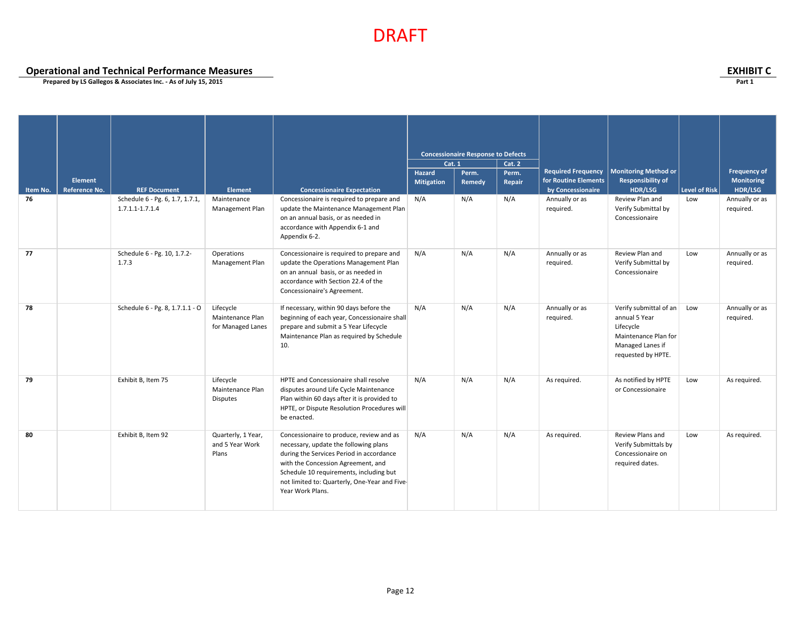**Operational and Technical Performance Measures**<br> **Operational and Technical Performance Measures**<br>
Prepared by LS Gallegos & Associates Inc. - As of July 15, 2015

|                |               |                                                        |                                                    |                                                                                                                                                                                                                                                                                     | Cat. 1                      | <b>Concessionaire Response to Defects</b> | Cat. 2          |                                                   |                                                                                                                        |                      |                                   |
|----------------|---------------|--------------------------------------------------------|----------------------------------------------------|-------------------------------------------------------------------------------------------------------------------------------------------------------------------------------------------------------------------------------------------------------------------------------------|-----------------------------|-------------------------------------------|-----------------|---------------------------------------------------|------------------------------------------------------------------------------------------------------------------------|----------------------|-----------------------------------|
|                | Element       |                                                        |                                                    |                                                                                                                                                                                                                                                                                     | Hazard<br><b>Mitigation</b> | Perm.<br>Remedy                           | Perm.<br>Repair | <b>Required Frequency</b><br>for Routine Elements | <b>Monitoring Method or</b><br><b>Responsibility of</b>                                                                |                      | <b>Frequency of</b><br>Monitoring |
| Item No.<br>76 | Reference No. | <b>REF Document</b><br>Schedule 6 - Pg. 6, 1.7, 1.7.1, | Element<br>Maintenance                             | <b>Concessionaire Expectation</b><br>Concessionaire is required to prepare and                                                                                                                                                                                                      | N/A                         | N/A                                       | N/A             | by Concessionaire<br>Annually or as               | HDR/LSG<br>Review Plan and                                                                                             | Level of Risk<br>Low | HDR/LSG<br>Annually or as         |
|                |               | 1.7.1.1-1.7.1.4                                        | Management Plan                                    | update the Maintenance Management Plan<br>on an annual basis, or as needed in<br>accordance with Appendix 6-1 and<br>Appendix 6-2.                                                                                                                                                  |                             |                                           |                 | required.                                         | Verify Submittal by<br>Concessionaire                                                                                  |                      | required.                         |
| 77             |               | Schedule 6 - Pg. 10, 1.7.2-<br>1.7.3                   | Operations<br>Management Plan                      | Concessionaire is required to prepare and<br>update the Operations Management Plan<br>on an annual basis, or as needed in<br>accordance with Section 22.4 of the<br>Concessionaire's Agreement.                                                                                     | N/A                         | N/A                                       | N/A             | Annually or as<br>required.                       | Review Plan and<br>Verify Submittal by<br>Concessionaire                                                               | Low                  | Annually or as<br>required.       |
| 78             |               | Schedule 6 - Pg. 8, 1.7.1.1 - O                        | Lifecycle<br>Maintenance Plan<br>for Managed Lanes | If necessary, within 90 days before the<br>beginning of each year, Concessionaire shall<br>prepare and submit a 5 Year Lifecycle<br>Maintenance Plan as required by Schedule<br>10.                                                                                                 | N/A                         | N/A                                       | N/A             | Annually or as<br>required.                       | Verify submittal of an<br>annual 5 Year<br>Lifecycle<br>Maintenance Plan for<br>Managed Lanes if<br>requested by HPTE. | Low                  | Annually or as<br>required.       |
| 79             |               | Exhibit B, Item 75                                     | Lifecycle<br>Maintenance Plan<br><b>Disputes</b>   | HPTE and Concessionaire shall resolve<br>disputes around Life Cycle Maintenance<br>Plan within 60 days after it is provided to<br>HPTE, or Dispute Resolution Procedures will<br>be enacted.                                                                                        | N/A                         | N/A                                       | N/A             | As required.                                      | As notified by HPTE<br>or Concessionaire                                                                               | Low                  | As required.                      |
| 80             |               | Exhibit B, Item 92                                     | Quarterly, 1 Year,<br>and 5 Year Work<br>Plans     | Concessionaire to produce, review and as<br>necessary, update the following plans<br>during the Services Period in accordance<br>with the Concession Agreement, and<br>Schedule 10 requirements, including but<br>not limited to: Quarterly, One-Year and Five-<br>Year Work Plans. | N/A                         | N/A                                       | N/A             | As required.                                      | Review Plans and<br>Verify Submittals by<br>Concessionaire on<br>required dates.                                       | Low                  | As required.                      |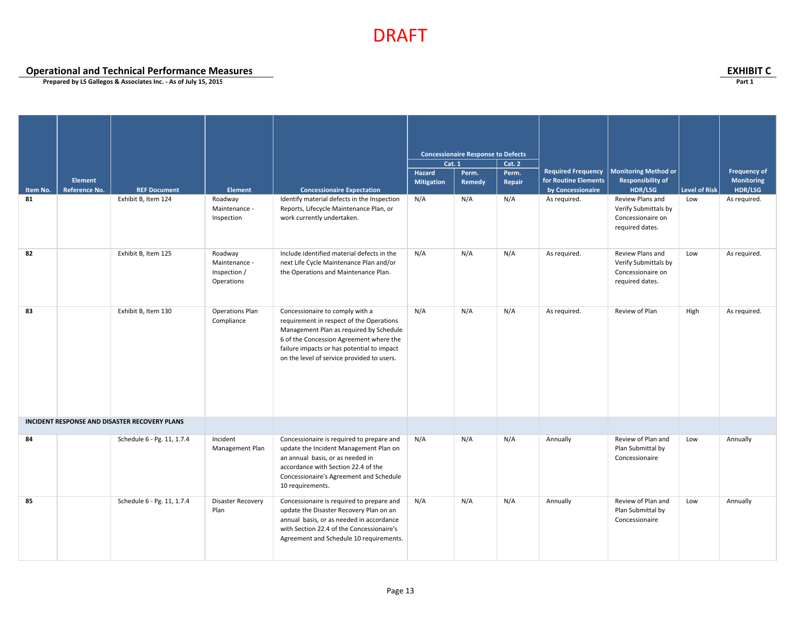**Operational and Technical Performance Measures EXHIBIT C**

|                |                                        |                                               |                                                        |                                                                                                                                                                                                                                                               | <b>Concessionaire Response to Defects</b><br>Cat. 1<br>Cat.2 |        |        |                                   |                                                                                  |                      |                       |
|----------------|----------------------------------------|-----------------------------------------------|--------------------------------------------------------|---------------------------------------------------------------------------------------------------------------------------------------------------------------------------------------------------------------------------------------------------------------|--------------------------------------------------------------|--------|--------|-----------------------------------|----------------------------------------------------------------------------------|----------------------|-----------------------|
|                |                                        |                                               |                                                        |                                                                                                                                                                                                                                                               |                                                              |        |        |                                   |                                                                                  |                      |                       |
|                |                                        |                                               |                                                        |                                                                                                                                                                                                                                                               | Hazard                                                       | Perm.  | Perm.  | <b>Required Frequency</b>         | <b>Monitoring Method or</b>                                                      |                      | <b>Frequency of</b>   |
|                | <b>Element</b><br><b>Reference No.</b> | <b>REF Document</b>                           |                                                        |                                                                                                                                                                                                                                                               | <b>Mitigation</b>                                            | Remedy | Repair | for Routine Elements              | <b>Responsibility of</b>                                                         | <b>Level of Risk</b> | Monitoring<br>HDR/LSG |
| Item No.<br>81 |                                        | Exhibit B, Item 124                           | <b>Element</b><br>Roadway                              | <b>Concessionaire Expectation</b><br>Identify material defects in the Inspection                                                                                                                                                                              | N/A                                                          | N/A    | N/A    | by Concessionaire<br>As required. | HDR/LSG<br>Review Plans and                                                      | Low                  | As required.          |
|                |                                        |                                               | Maintenance -<br>Inspection                            | Reports, Lifecycle Maintenance Plan, or<br>work currently undertaken.                                                                                                                                                                                         |                                                              |        |        |                                   | Verify Submittals by<br>Concessionaire on<br>required dates.                     |                      |                       |
| 82             |                                        | Exhibit B, Item 125                           | Roadway<br>Maintenance -<br>Inspection /<br>Operations | Include identified material defects in the<br>next Life Cycle Maintenance Plan and/or<br>the Operations and Maintenance Plan.                                                                                                                                 | N/A                                                          | N/A    | N/A    | As required.                      | Review Plans and<br>Verify Submittals by<br>Concessionaire on<br>required dates. | Low                  | As required.          |
| 83             |                                        | Exhibit B, Item 130                           | <b>Operations Plan</b><br>Compliance                   | Concessionaire to comply with a<br>requirement in respect of the Operations<br>Management Plan as required by Schedule<br>6 of the Concession Agreement where the<br>failure impacts or has potential to impact<br>on the level of service provided to users. | N/A                                                          | N/A    | N/A    | As required.                      | Review of Plan                                                                   | High                 | As required.          |
|                |                                        | INCIDENT RESPONSE AND DISASTER RECOVERY PLANS |                                                        |                                                                                                                                                                                                                                                               |                                                              |        |        |                                   |                                                                                  |                      |                       |
| 84             |                                        | Schedule 6 - Pg. 11, 1.7.4                    | Incident<br>Management Plan                            | Concessionaire is required to prepare and<br>update the Incident Management Plan on<br>an annual basis, or as needed in<br>accordance with Section 22.4 of the<br>Concessionaire's Agreement and Schedule<br>10 requirements.                                 | N/A                                                          | N/A    | N/A    | Annually                          | Review of Plan and<br>Plan Submittal by<br>Concessionaire                        | Low                  | Annually              |
| 85             |                                        | Schedule 6 - Pg. 11, 1.7.4                    | <b>Disaster Recovery</b><br>Plan                       | Concessionaire is required to prepare and<br>update the Disaster Recovery Plan on an<br>annual basis, or as needed in accordance<br>with Section 22.4 of the Concessionaire's<br>Agreement and Schedule 10 requirements.                                      | N/A                                                          | N/A    | N/A    | Annually                          | Review of Plan and<br>Plan Submittal by<br>Concessionaire                        | Low                  | Annually              |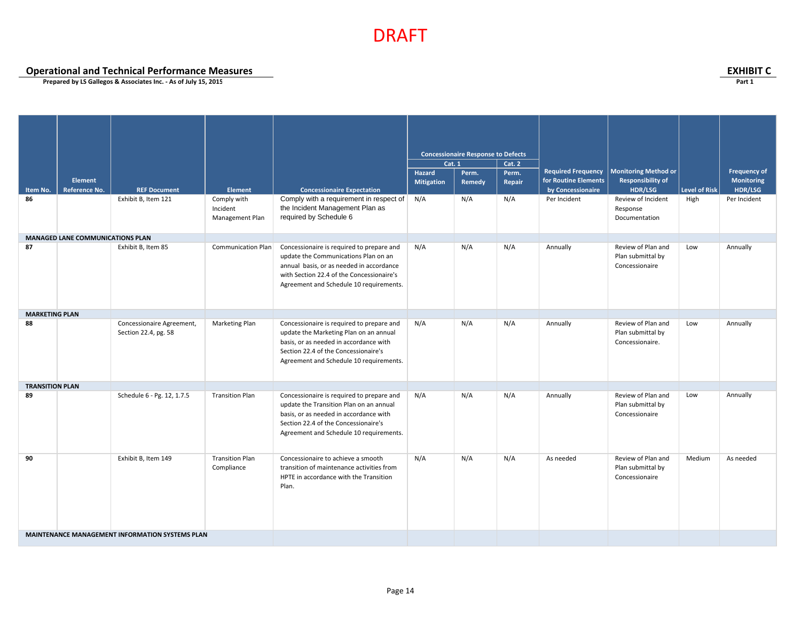**Operational and Technical Performance Measures EXHIBIT C**

|                        |                                  |                                                   |                                            |                                                                                                                                                                                                                       | <b>Concessionaire Response to Defects</b><br><b>Cat. 1</b> |        |               |                           |                                                            |                      |                     |
|------------------------|----------------------------------|---------------------------------------------------|--------------------------------------------|-----------------------------------------------------------------------------------------------------------------------------------------------------------------------------------------------------------------------|------------------------------------------------------------|--------|---------------|---------------------------|------------------------------------------------------------|----------------------|---------------------|
|                        |                                  |                                                   |                                            |                                                                                                                                                                                                                       |                                                            |        | <b>Cat. 2</b> |                           |                                                            |                      |                     |
|                        |                                  |                                                   |                                            |                                                                                                                                                                                                                       | Hazard                                                     | Perm.  | Perm.         | <b>Required Frequency</b> | <b>Monitoring Method or</b>                                |                      | <b>Frequency of</b> |
|                        | Element                          |                                                   |                                            |                                                                                                                                                                                                                       | <b>Mitigation</b>                                          | Remedy | Repair        | for Routine Elements      | <b>Responsibility of</b>                                   |                      | Monitoring          |
| Item No.               | <b>Reference No.</b>             | <b>REF Document</b>                               | <b>Element</b>                             | <b>Concessionaire Expectation</b>                                                                                                                                                                                     |                                                            |        |               | by Concessionaire         | <b>HDR/LSG</b>                                             | <b>Level of Risk</b> | HDR/LSG             |
| 86                     |                                  | Exhibit B, Item 121                               | Comply with<br>Incident<br>Management Plan | Comply with a requirement in respect of<br>the Incident Management Plan as<br>required by Schedule 6                                                                                                                  | N/A                                                        | N/A    | N/A           | Per Incident              | Review of Incident<br>Response<br>Documentation            | High                 | Per Incident        |
|                        | MANAGED LANE COMMUNICATIONS PLAN |                                                   |                                            |                                                                                                                                                                                                                       |                                                            |        |               |                           |                                                            |                      |                     |
| 87                     |                                  | Exhibit B, Item 85                                | Communication Plan                         | Concessionaire is required to prepare and<br>update the Communications Plan on an<br>annual basis, or as needed in accordance<br>with Section 22.4 of the Concessionaire's<br>Agreement and Schedule 10 requirements. | N/A                                                        | N/A    | N/A           | Annually                  | Review of Plan and<br>Plan submittal by<br>Concessionaire  | Low                  | Annually            |
| <b>MARKETING PLAN</b>  |                                  |                                                   |                                            |                                                                                                                                                                                                                       |                                                            |        |               |                           |                                                            |                      |                     |
| 88                     |                                  | Concessionaire Agreement,<br>Section 22.4, pg. 58 | Marketing Plan                             | Concessionaire is required to prepare and<br>update the Marketing Plan on an annual<br>basis, or as needed in accordance with<br>Section 22.4 of the Concessionaire's<br>Agreement and Schedule 10 requirements.      | N/A                                                        | N/A    | N/A           | Annually                  | Review of Plan and<br>Plan submittal by<br>Concessionaire. | Low                  | Annually            |
| <b>TRANSITION PLAN</b> |                                  |                                                   |                                            |                                                                                                                                                                                                                       |                                                            |        |               |                           |                                                            |                      |                     |
| 89                     |                                  | Schedule 6 - Pg. 12, 1.7.5                        | <b>Transition Plan</b>                     | Concessionaire is required to prepare and<br>update the Transition Plan on an annual<br>basis, or as needed in accordance with<br>Section 22.4 of the Concessionaire's<br>Agreement and Schedule 10 requirements.     | N/A                                                        | N/A    | N/A           | Annually                  | Review of Plan and<br>Plan submittal by<br>Concessionaire  | Low                  | Annually            |
| 90                     |                                  | Exhibit B, Item 149                               | <b>Transition Plan</b><br>Compliance       | Concessionaire to achieve a smooth<br>transition of maintenance activities from<br>HPTE in accordance with the Transition<br>Plan.                                                                                    | N/A                                                        | N/A    | N/A           | As needed                 | Review of Plan and<br>Plan submittal by<br>Concessionaire  | Medium               | As needed           |
|                        |                                  | MAINTENANCE MANAGEMENT INFORMATION SYSTEMS PLAN   |                                            |                                                                                                                                                                                                                       |                                                            |        |               |                           |                                                            |                      |                     |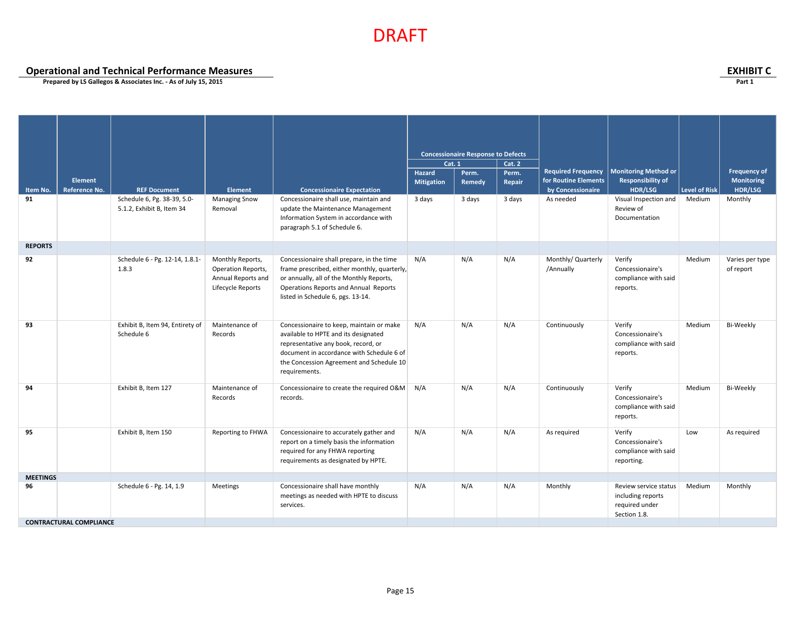**Operational and Technical Performance Measures EXHIBIT C**

|                 |                                 |                                                          |                                                                                   |                                                                                                                                                                                                                                   | <b>Concessionaire Response to Defects</b><br>Cat. 2<br>Cat. 1 |                 |                 |                                                                        |                                                                              |               |                                              |
|-----------------|---------------------------------|----------------------------------------------------------|-----------------------------------------------------------------------------------|-----------------------------------------------------------------------------------------------------------------------------------------------------------------------------------------------------------------------------------|---------------------------------------------------------------|-----------------|-----------------|------------------------------------------------------------------------|------------------------------------------------------------------------------|---------------|----------------------------------------------|
| Item No.        | <b>Element</b><br>Reference No. | <b>REF Document</b>                                      | Element                                                                           | <b>Concessionaire Expectation</b>                                                                                                                                                                                                 | Hazard<br><b>Mitigation</b>                                   | Perm.<br>Remedy | Perm.<br>Repair | <b>Required Frequency</b><br>for Routine Elements<br>by Concessionaire | <b>Monitoring Method or</b><br><b>Responsibility of</b><br><b>HDR/LSG</b>    | Level of Risk | <b>Frequency of</b><br>Monitoring<br>HDR/LSG |
| 91              |                                 | Schedule 6, Pg. 38-39, 5.0-<br>5.1.2, Exhibit B, Item 34 | <b>Managing Snow</b><br>Removal                                                   | Concessionaire shall use, maintain and<br>update the Maintenance Management<br>Information System in accordance with<br>paragraph 5.1 of Schedule 6.                                                                              | 3 days                                                        | 3 days          | 3 days          | As needed                                                              | Visual Inspection and<br>Review of<br>Documentation                          | Medium        | Monthly                                      |
| <b>REPORTS</b>  |                                 |                                                          |                                                                                   |                                                                                                                                                                                                                                   |                                                               |                 |                 |                                                                        |                                                                              |               |                                              |
| 92              |                                 | Schedule 6 - Pg. 12-14, 1.8.1-<br>1.8.3                  | Monthly Reports,<br>Operation Reports,<br>Annual Reports and<br>Lifecycle Reports | Concessionaire shall prepare, in the time<br>frame prescribed, either monthly, quarterly,<br>or annually, all of the Monthly Reports,<br>Operations Reports and Annual Reports<br>listed in Schedule 6, pgs. 13-14.               | N/A                                                           | N/A             | N/A             | Monthly/ Quarterly<br>/Annually                                        | Verify<br>Concessionaire's<br>compliance with said<br>reports.               | Medium        | Varies per type<br>of report                 |
| 93              |                                 | Exhibit B, Item 94, Entirety of<br>Schedule 6            | Maintenance of<br>Records                                                         | Concessionaire to keep, maintain or make<br>available to HPTE and its designated<br>representative any book, record, or<br>document in accordance with Schedule 6 of<br>the Concession Agreement and Schedule 10<br>requirements. | N/A                                                           | N/A             | N/A             | Continuously                                                           | Verify<br>Concessionaire's<br>compliance with said<br>reports.               | Medium        | Bi-Weekly                                    |
| 94              |                                 | Exhibit B, Item 127                                      | Maintenance of<br>Records                                                         | Concessionaire to create the required O&M N/A<br>records.                                                                                                                                                                         |                                                               | N/A             | N/A             | Continuously                                                           | Verify<br>Concessionaire's<br>compliance with said<br>reports.               | Medium        | <b>Bi-Weekly</b>                             |
| 95              |                                 | Exhibit B, Item 150                                      | Reporting to FHWA                                                                 | Concessionaire to accurately gather and<br>report on a timely basis the information<br>required for any FHWA reporting<br>requirements as designated by HPTE.                                                                     | N/A                                                           | N/A             | N/A             | As required                                                            | Verify<br>Concessionaire's<br>compliance with said<br>reporting.             | Low           | As required                                  |
| <b>MEETINGS</b> |                                 |                                                          |                                                                                   |                                                                                                                                                                                                                                   |                                                               |                 |                 |                                                                        |                                                                              |               |                                              |
| 96              |                                 | Schedule 6 - Pg. 14, 1.9                                 | Meetings                                                                          | Concessionaire shall have monthly<br>meetings as needed with HPTE to discuss<br>services.                                                                                                                                         | N/A                                                           | N/A             | N/A             | Monthly                                                                | Review service status<br>including reports<br>required under<br>Section 1.8. | Medium        | Monthly                                      |
|                 | <b>CONTRACTURAL COMPLIANCE</b>  |                                                          |                                                                                   |                                                                                                                                                                                                                                   |                                                               |                 |                 |                                                                        |                                                                              |               |                                              |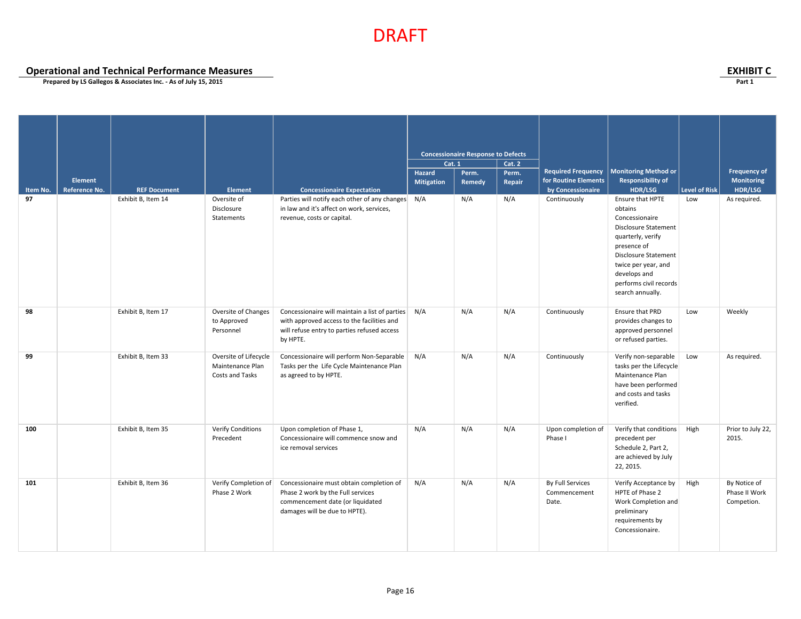**Operational and Technical Performance Measures**<br> **Prepared by LS Gallegos & Associates Inc. - As of July 15, 2015** 

|          |               |                     |                       |                                                    | <b>Cat. 1</b>     | <b>Concessionaire Response to Defects</b> | <b>Cat. 2</b> |                           |                             |                      |                     |
|----------|---------------|---------------------|-----------------------|----------------------------------------------------|-------------------|-------------------------------------------|---------------|---------------------------|-----------------------------|----------------------|---------------------|
|          |               |                     |                       |                                                    | <b>Hazard</b>     | Perm.                                     | Perm.         | <b>Required Frequency</b> | <b>Monitoring Method or</b> |                      | <b>Frequency of</b> |
|          | Element       |                     |                       |                                                    |                   |                                           |               | for Routine Elements      | <b>Responsibility of</b>    |                      | Monitoring          |
| Item No. | Reference No. | <b>REF Document</b> | <b>Element</b>        | <b>Concessionaire Expectation</b>                  | <b>Mitigation</b> | Remedy                                    | Repair        | by Concessionaire         | <b>HDR/LSG</b>              | <b>Level of Risk</b> | HDR/LSG             |
| 97       |               | Exhibit B, Item 14  | Oversite of           | Parties will notify each other of any changes N/A  |                   | N/A                                       | N/A           | Continuously              | Ensure that HPTE            | Low                  | As required.        |
|          |               |                     | Disclosure            | in law and it's affect on work, services,          |                   |                                           |               |                           | obtains                     |                      |                     |
|          |               |                     | Statements            | revenue, costs or capital.                         |                   |                                           |               |                           | Concessionaire              |                      |                     |
|          |               |                     |                       |                                                    |                   |                                           |               |                           |                             |                      |                     |
|          |               |                     |                       |                                                    |                   |                                           |               |                           | <b>Disclosure Statement</b> |                      |                     |
|          |               |                     |                       |                                                    |                   |                                           |               |                           | quarterly, verify           |                      |                     |
|          |               |                     |                       |                                                    |                   |                                           |               |                           | presence of                 |                      |                     |
|          |               |                     |                       |                                                    |                   |                                           |               |                           | <b>Disclosure Statement</b> |                      |                     |
|          |               |                     |                       |                                                    |                   |                                           |               |                           | twice per year, and         |                      |                     |
|          |               |                     |                       |                                                    |                   |                                           |               |                           | develops and                |                      |                     |
|          |               |                     |                       |                                                    |                   |                                           |               |                           | performs civil records      |                      |                     |
|          |               |                     |                       |                                                    |                   |                                           |               |                           | search annually.            |                      |                     |
|          |               |                     |                       |                                                    |                   |                                           |               |                           |                             |                      |                     |
| 98       |               | Exhibit B, Item 17  | Oversite of Changes   | Concessionaire will maintain a list of parties N/A |                   | N/A                                       | N/A           | Continuously              | Ensure that PRD             | Low                  | Weekly              |
|          |               |                     | to Approved           | with approved access to the facilities and         |                   |                                           |               |                           | provides changes to         |                      |                     |
|          |               |                     | Personnel             | will refuse entry to parties refused access        |                   |                                           |               |                           | approved personnel          |                      |                     |
|          |               |                     |                       | by HPTE.                                           |                   |                                           |               |                           | or refused parties.         |                      |                     |
|          |               |                     |                       |                                                    |                   |                                           |               |                           |                             |                      |                     |
| 99       |               | Exhibit B, Item 33  | Oversite of Lifecycle | Concessionaire will perform Non-Separable          | N/A               | N/A                                       | N/A           | Continuously              | Verify non-separable        | Low                  | As required.        |
|          |               |                     | Maintenance Plan      | Tasks per the Life Cycle Maintenance Plan          |                   |                                           |               |                           | tasks per the Lifecycle     |                      |                     |
|          |               |                     | Costs and Tasks       | as agreed to by HPTE.                              |                   |                                           |               |                           | Maintenance Plan            |                      |                     |
|          |               |                     |                       |                                                    |                   |                                           |               |                           | have been performed         |                      |                     |
|          |               |                     |                       |                                                    |                   |                                           |               |                           | and costs and tasks         |                      |                     |
|          |               |                     |                       |                                                    |                   |                                           |               |                           |                             |                      |                     |
|          |               |                     |                       |                                                    |                   |                                           |               |                           | verified.                   |                      |                     |
|          |               |                     |                       |                                                    |                   |                                           |               |                           |                             |                      |                     |
| 100      |               | Exhibit B, Item 35  | Verify Conditions     | Upon completion of Phase 1,                        | N/A               | N/A                                       | N/A           | Upon completion of        | Verify that conditions      | High                 | Prior to July 22,   |
|          |               |                     | Precedent             | Concessionaire will commence snow and              |                   |                                           |               | Phase I                   | precedent per               |                      | 2015.               |
|          |               |                     |                       | ice removal services                               |                   |                                           |               |                           | Schedule 2, Part 2,         |                      |                     |
|          |               |                     |                       |                                                    |                   |                                           |               |                           |                             |                      |                     |
|          |               |                     |                       |                                                    |                   |                                           |               |                           | are achieved by July        |                      |                     |
|          |               |                     |                       |                                                    |                   |                                           |               |                           | 22, 2015.                   |                      |                     |
| 101      |               | Exhibit B, Item 36  | Verify Completion of  | Concessionaire must obtain completion of           | N/A               | N/A                                       | N/A           | By Full Services          | Verify Acceptance by        | High                 | By Notice of        |
|          |               |                     |                       |                                                    |                   |                                           |               |                           |                             |                      | Phase II Work       |
|          |               |                     | Phase 2 Work          | Phase 2 work by the Full services                  |                   |                                           |               | Commencement              | HPTE of Phase 2             |                      |                     |
|          |               |                     |                       | commencement date (or liquidated                   |                   |                                           |               | Date.                     | Work Completion and         |                      | Competion.          |
|          |               |                     |                       | damages will be due to HPTE).                      |                   |                                           |               |                           | preliminary                 |                      |                     |
|          |               |                     |                       |                                                    |                   |                                           |               |                           | requirements by             |                      |                     |
|          |               |                     |                       |                                                    |                   |                                           |               |                           | Concessionaire.             |                      |                     |
|          |               |                     |                       |                                                    |                   |                                           |               |                           |                             |                      |                     |
|          |               |                     |                       |                                                    |                   |                                           |               |                           |                             |                      |                     |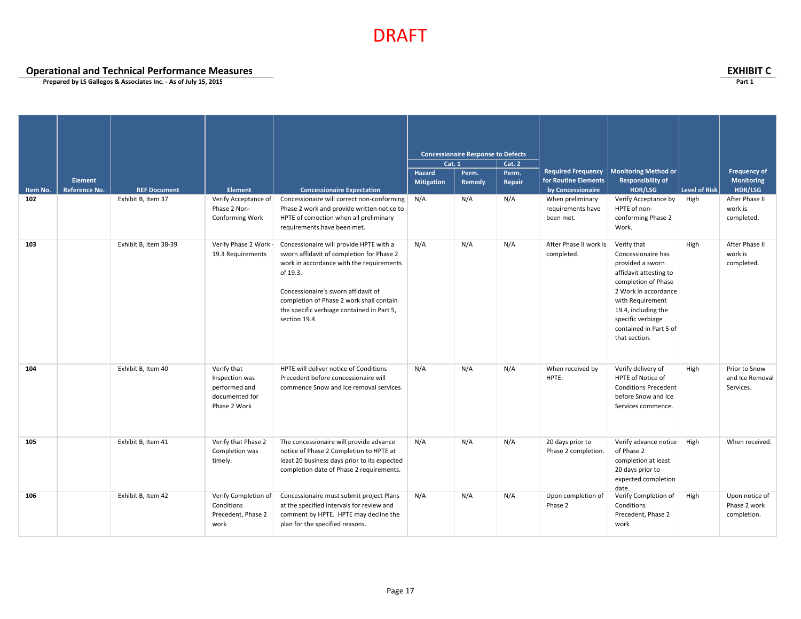**Operational and Technical Performance Measures EXHIBIT C**

| Item No.<br>102 | <b>Element</b><br>Reference No. | <b>REF Document</b><br>Exhibit B, Item 37 | <b>Element</b><br>Verify Acceptance of<br>Phase 2 Non-<br><b>Conforming Work</b> | <b>Concessionaire Expectation</b><br>Concessionaire will correct non-conforming<br>Phase 2 work and provide written notice to<br>HPTE of correction when all preliminary<br>requirements have been met.                                                                                        | <b>Cat. 1</b><br>Hazard<br><b>Mitigation</b><br>N/A | <b>Concessionaire Response to Defects</b><br>Perm.<br>Remedy<br>N/A | Cat. 2<br>Perm.<br>Repair<br>N/A | <b>Required Frequency</b><br>for Routine Elements<br>by Concessionaire<br>When preliminary<br>requirements have<br>been met. | <b>Monitoring Method or</b><br>Responsibility of<br><b>HDR/LSG</b><br>Verify Acceptance by<br>HPTE of non-<br>conforming Phase 2<br>Work.                                                                                                 | Level of Risk<br>High | <b>Frequency of</b><br>Monitoring<br>HDR/LSG<br>After Phase II<br>work is<br>completed. |
|-----------------|---------------------------------|-------------------------------------------|----------------------------------------------------------------------------------|------------------------------------------------------------------------------------------------------------------------------------------------------------------------------------------------------------------------------------------------------------------------------------------------|-----------------------------------------------------|---------------------------------------------------------------------|----------------------------------|------------------------------------------------------------------------------------------------------------------------------|-------------------------------------------------------------------------------------------------------------------------------------------------------------------------------------------------------------------------------------------|-----------------------|-----------------------------------------------------------------------------------------|
| 103             |                                 | Exhibit B, Item 38-39                     | Verify Phase 2 Work -<br>19.3 Requirements                                       | Concessionaire will provide HPTE with a<br>sworn affidavit of completion for Phase 2<br>work in accordance with the requirements<br>of 19.3.<br>Concessionaire's sworn affidavit of<br>completion of Phase 2 work shall contain<br>the specific verbiage contained in Part 5,<br>section 19.4. | N/A                                                 | N/A                                                                 | N/A                              | After Phase II work is<br>completed.                                                                                         | Verify that<br>Concessionaire has<br>provided a sworn<br>affidavit attesting to<br>completion of Phase<br>2 Work in accordance<br>with Requirement<br>19.4, including the<br>specific verbiage<br>contained in Part 5 of<br>that section. | High                  | After Phase II<br>work is<br>completed.                                                 |
| 104             |                                 | Exhibit B, Item 40                        | Verify that<br>Inspection was<br>performed and<br>documented for<br>Phase 2 Work | HPTE will deliver notice of Conditions<br>Precedent before concessionaire will<br>commence Snow and Ice removal services.                                                                                                                                                                      | N/A                                                 | N/A                                                                 | N/A                              | When received by<br>HPTE.                                                                                                    | Verify delivery of<br>HPTE of Notice of<br><b>Conditions Precedent</b><br>before Snow and Ice<br>Services commence.                                                                                                                       | High                  | Prior to Snow<br>and Ice Removal<br>Services.                                           |
| 105             |                                 | Exhibit B, Item 41                        | Verify that Phase 2<br>Completion was<br>timely.                                 | The concessionaire will provide advance<br>notice of Phase 2 Completion to HPTE at<br>least 20 business days prior to its expected<br>completion date of Phase 2 requirements.                                                                                                                 | N/A                                                 | N/A                                                                 | N/A                              | 20 days prior to<br>Phase 2 completion.                                                                                      | Verify advance notice<br>of Phase 2<br>completion at least<br>20 days prior to<br>expected completion<br>date.                                                                                                                            | High                  | When received.                                                                          |
| 106             |                                 | Exhibit B, Item 42                        | Verify Completion of<br>Conditions<br>Precedent, Phase 2<br>work                 | Concessionaire must submit project Plans<br>at the specified intervals for review and<br>comment by HPTE. HPTE may decline the<br>plan for the specified reasons.                                                                                                                              | N/A                                                 | N/A                                                                 | N/A                              | Upon completion of<br>Phase 2                                                                                                | Verify Completion of<br>Conditions<br>Precedent, Phase 2<br>work                                                                                                                                                                          | High                  | Upon notice of<br>Phase 2 work<br>completion.                                           |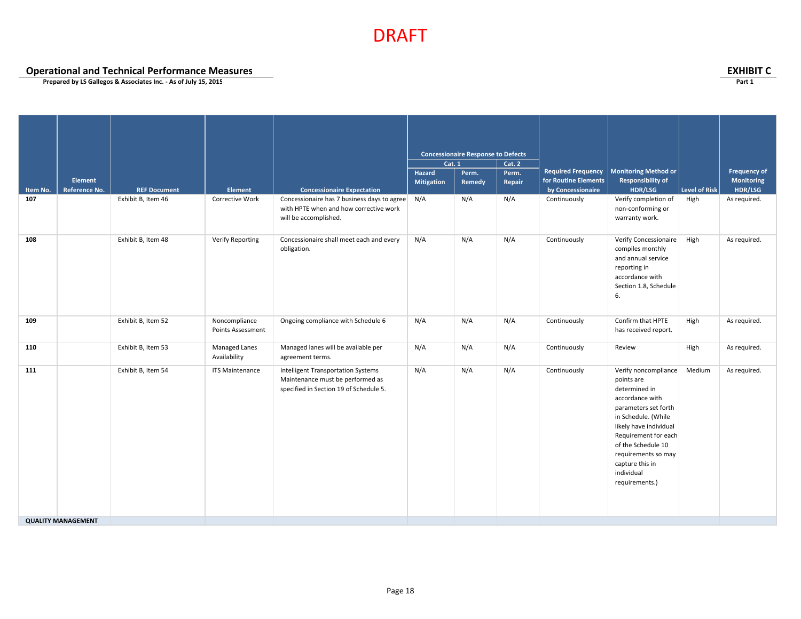**Operational and Technical Performance Measures EXHIBIT C**

|          |                           |                     |                                      |                                                                                                                         | <b>Concessionaire Response to Defects</b><br><b>Cat. 1</b> |        |        |                           |                                                                                                                                                                                                                                                                         |               |                     |
|----------|---------------------------|---------------------|--------------------------------------|-------------------------------------------------------------------------------------------------------------------------|------------------------------------------------------------|--------|--------|---------------------------|-------------------------------------------------------------------------------------------------------------------------------------------------------------------------------------------------------------------------------------------------------------------------|---------------|---------------------|
|          |                           |                     |                                      |                                                                                                                         |                                                            |        | Cat. 2 |                           |                                                                                                                                                                                                                                                                         |               |                     |
|          |                           |                     |                                      |                                                                                                                         | Hazard                                                     | Perm.  | Perm.  | <b>Required Frequency</b> | <b>Monitoring Method or</b>                                                                                                                                                                                                                                             |               | <b>Frequency of</b> |
|          | <b>Element</b>            |                     |                                      |                                                                                                                         | <b>Mitigation</b>                                          | Remedy | Repair | for Routine Elements      | <b>Responsibility of</b>                                                                                                                                                                                                                                                |               | Monitoring          |
| Item No. | Reference No.             | <b>REF Document</b> | Element                              | <b>Concessionaire Expectation</b>                                                                                       |                                                            |        |        | by Concessionaire         | HDR/LSG                                                                                                                                                                                                                                                                 | Level of Risk | HDR/LSG             |
| 107      |                           | Exhibit B, Item 46  | Corrective Work                      | Concessionaire has 7 business days to agree N/A<br>with HPTE when and how corrective work<br>will be accomplished.      |                                                            | N/A    | N/A    | Continuously              | Verify completion of<br>non-conforming or<br>warranty work.                                                                                                                                                                                                             | High          | As required.        |
| 108      |                           | Exhibit B, Item 48  | <b>Verify Reporting</b>              | Concessionaire shall meet each and every<br>obligation.                                                                 | N/A                                                        | N/A    | N/A    | Continuously              | Verify Concessionaire<br>compiles monthly<br>and annual service<br>reporting in<br>accordance with<br>Section 1.8, Schedule<br>6.                                                                                                                                       | High          | As required.        |
| 109      |                           | Exhibit B, Item 52  | Noncompliance<br>Points Assessment   | Ongoing compliance with Schedule 6                                                                                      | N/A                                                        | N/A    | N/A    | Continuously              | Confirm that HPTE<br>has received report.                                                                                                                                                                                                                               | High          | As required.        |
| 110      |                           | Exhibit B, Item 53  | <b>Managed Lanes</b><br>Availability | Managed lanes will be available per<br>agreement terms.                                                                 | N/A                                                        | N/A    | N/A    | Continuously              | Review                                                                                                                                                                                                                                                                  | High          | As required.        |
| 111      |                           | Exhibit B, Item 54  | <b>ITS Maintenance</b>               | <b>Intelligent Transportation Systems</b><br>Maintenance must be performed as<br>specified in Section 19 of Schedule 5. | N/A                                                        | N/A    | N/A    | Continuously              | Verify noncompliance<br>points are<br>determined in<br>accordance with<br>parameters set forth<br>in Schedule. (While<br>likely have individual<br>Requirement for each<br>of the Schedule 10<br>requirements so may<br>capture this in<br>individual<br>requirements.) | Medium        | As required.        |
|          | <b>QUALITY MANAGEMENT</b> |                     |                                      |                                                                                                                         |                                                            |        |        |                           |                                                                                                                                                                                                                                                                         |               |                     |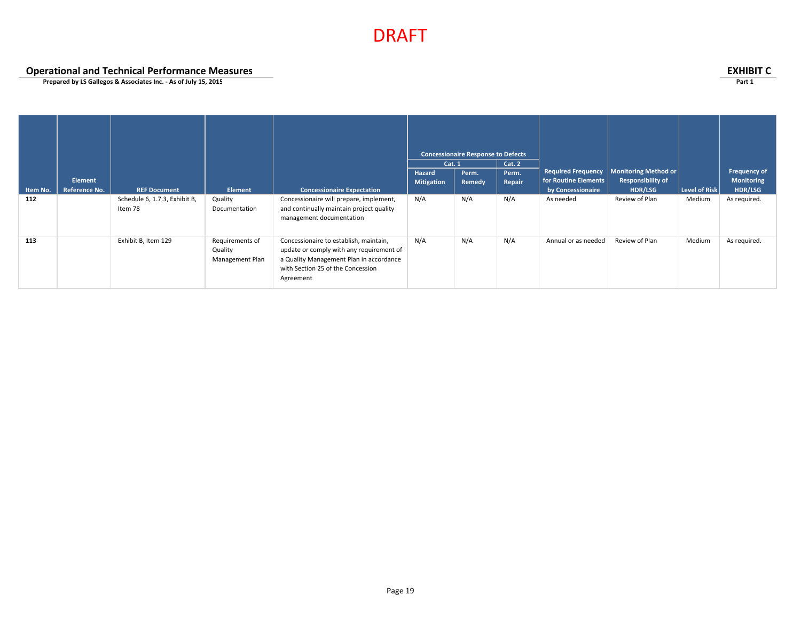**Operational and Technical Performance Measures EXHIBIT C**

|          |                      |                                          |                                               |                                                                                                                                                                                 | Cat. 1            | <b>Concessionaire Response to Defects</b> | Cat. 2 |                                                   |                                                         |                      |                                   |
|----------|----------------------|------------------------------------------|-----------------------------------------------|---------------------------------------------------------------------------------------------------------------------------------------------------------------------------------|-------------------|-------------------------------------------|--------|---------------------------------------------------|---------------------------------------------------------|----------------------|-----------------------------------|
|          | <b>Element</b>       |                                          |                                               |                                                                                                                                                                                 | <b>Hazard</b>     | Perm.                                     | Perm.  | <b>Required Frequency</b><br>for Routine Elements | <b>Monitoring Method or</b><br><b>Responsibility of</b> |                      | Frequency of<br><b>Monitoring</b> |
| Item No. | <b>Reference No.</b> | <b>REF Document</b>                      | <b>Element</b>                                | <b>Concessionaire Expectation</b>                                                                                                                                               | <b>Mitigation</b> | Remedy                                    | Repair | by Concessionaire                                 | HDR/LSG                                                 | <b>Level of Risk</b> | HDR/LSG                           |
| 112      |                      | Schedule 6, 1.7.3, Exhibit B,<br>Item 78 | Quality<br>Documentation                      | Concessionaire will prepare, implement,<br>and continually maintain project quality<br>management documentation                                                                 | N/A               | N/A                                       | N/A    | As needed                                         | Review of Plan                                          | Medium               | As required.                      |
| 113      |                      | Exhibit B, Item 129                      | Requirements of<br>Quality<br>Management Plan | Concessionaire to establish, maintain,<br>update or comply with any requirement of<br>a Quality Management Plan in accordance<br>with Section 25 of the Concession<br>Agreement | N/A               | N/A                                       | N/A    | Annual or as needed                               | Review of Plan                                          | Medium               | As required.                      |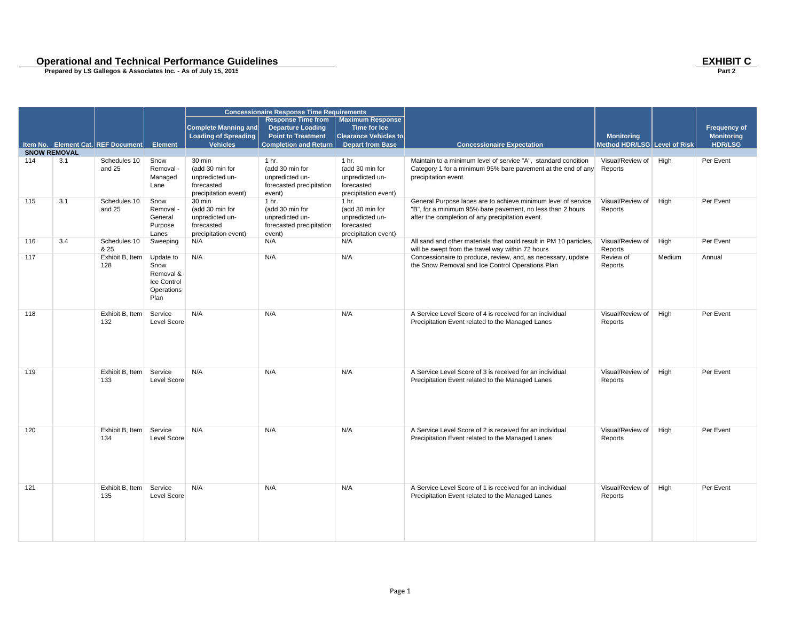# **Conduct And Separational and Technical Performance Guidelines**<br>
Prepared by LS Gallegos & Associates Inc. - As of July 15, 2015<br>
Part 2

|                     |     |                                    |                                                                     |                                                                                    | <b>Concessionaire Response Time Requirements</b>                                  |                                                                                              |                                                                                                                                                                                 |                              |        |                     |
|---------------------|-----|------------------------------------|---------------------------------------------------------------------|------------------------------------------------------------------------------------|-----------------------------------------------------------------------------------|----------------------------------------------------------------------------------------------|---------------------------------------------------------------------------------------------------------------------------------------------------------------------------------|------------------------------|--------|---------------------|
|                     |     |                                    |                                                                     | <b>Complete Manning and</b>                                                        | <b>Response Time from</b><br><b>Departure Loading</b>                             | <b>Maximum Response</b><br><b>Time for Ice</b>                                               |                                                                                                                                                                                 |                              |        | <b>Frequency of</b> |
|                     |     |                                    |                                                                     | <b>Loading of Spreading</b>                                                        | <b>Point to Treatment</b>                                                         | <b>Clearance Vehicles to</b>                                                                 |                                                                                                                                                                                 | <b>Monitoring</b>            |        | <b>Monitoring</b>   |
|                     |     | Item No. Element Cat. REF Document | <b>Element</b>                                                      | <b>Vehicles</b>                                                                    | <b>Completion and Return</b>                                                      | <b>Depart from Base</b>                                                                      | <b>Concessionaire Expectation</b>                                                                                                                                               | Method HDR/LSG Level of Risk |        | <b>HDR/LSG</b>      |
| <b>SNOW REMOVAL</b> |     |                                    |                                                                     |                                                                                    |                                                                                   |                                                                                              |                                                                                                                                                                                 |                              |        |                     |
| 114                 | 3.1 | Schedules 10<br>and 25             | Snow<br>Removal -<br>Managed<br>Lane                                | 30 min<br>(add 30 min for<br>unpredicted un-<br>forecasted<br>precipitation event) | 1 hr.<br>(add 30 min for<br>unpredicted un-<br>forecasted precipitation<br>event) | 1 <sub>hr.</sub><br>(add 30 min for<br>unpredicted un-<br>forecasted<br>precipitation event) | Maintain to a minimum level of service "A", standard condition<br>Category 1 for a minimum 95% bare pavement at the end of any Reports<br>precipitation event.                  | Visual/Review of             | High   | Per Event           |
| 115                 | 3.1 | Schedules 10<br>and 25             | Snow<br>Removal -<br>General<br>Purpose<br>Lanes                    | 30 min<br>(add 30 min for<br>unpredicted un-<br>forecasted<br>precipitation event) | 1 hr.<br>(add 30 min for<br>unpredicted un-<br>forecasted precipitation<br>event) | 1 <sub>hr.</sub><br>(add 30 min for<br>unpredicted un-<br>forecasted<br>precipitation event) | General Purpose lanes are to achieve minimum level of service<br>"B", for a minimum 95% bare pavement, no less than 2 hours<br>after the completion of any precipitation event. | Visual/Review of<br>Reports  | High   | Per Event           |
| 116                 | 3.4 | Schedules 10<br>& 25               | Sweeping                                                            | N/A                                                                                | N/A                                                                               | N/A                                                                                          | All sand and other materials that could result in PM 10 particles,<br>will be swept from the travel way within 72 hours                                                         | Visual/Review of<br>Reports  | High   | Per Event           |
| 117                 |     | Exhibit B, Item<br>128             | Update to<br>Snow<br>Removal &<br>Ice Control<br>Operations<br>Plan | N/A                                                                                | N/A                                                                               | N/A                                                                                          | Concessionaire to produce, review, and, as necessary, update<br>the Snow Removal and Ice Control Operations Plan                                                                | Review of<br>Reports         | Medium | Annual              |
| 118                 |     | Exhibit B, Item<br>132             | Service<br>Level Score                                              | N/A                                                                                | N/A                                                                               | N/A                                                                                          | A Service Level Score of 4 is received for an individual<br>Precipitation Event related to the Managed Lanes                                                                    | Visual/Review of<br>Reports  | High   | Per Event           |
| 119                 |     | Exhibit B, Item<br>133             | Service<br>Level Score                                              | N/A                                                                                | N/A                                                                               | N/A                                                                                          | A Service Level Score of 3 is received for an individual<br>Precipitation Event related to the Managed Lanes                                                                    | Visual/Review of<br>Reports  | High   | Per Event           |
| 120                 |     | Exhibit B. Item<br>134             | Service<br>Level Score                                              | N/A                                                                                | N/A                                                                               | N/A                                                                                          | A Service Level Score of 2 is received for an individual<br>Precipitation Event related to the Managed Lanes                                                                    | Visual/Review of<br>Reports  | High   | Per Event           |
| 121                 |     | Exhibit B. Item<br>135             | Service<br>Level Score                                              | N/A                                                                                | N/A                                                                               | N/A                                                                                          | A Service Level Score of 1 is received for an individual<br>Precipitation Event related to the Managed Lanes                                                                    | Visual/Review of<br>Reports  | High   | Per Event           |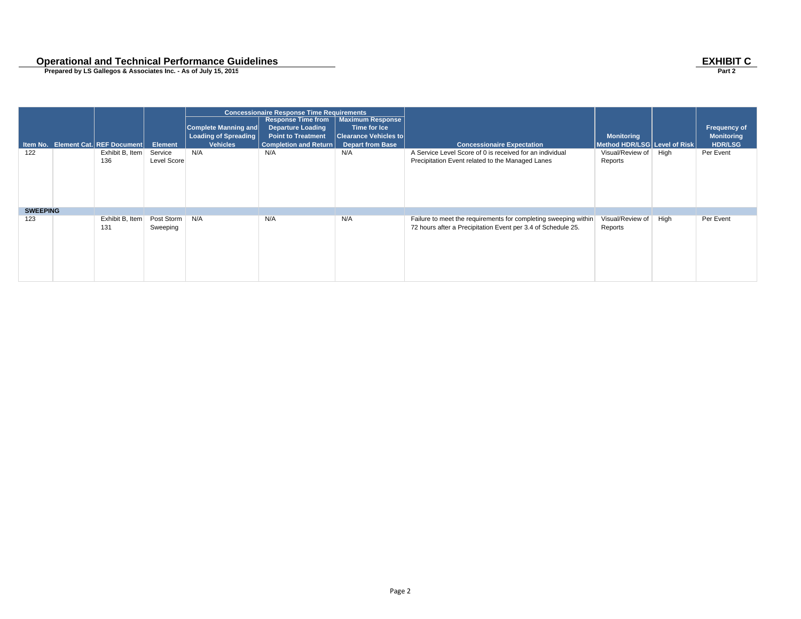# **Conduct And Separational and Technical Performance Guidelines**<br>
Prepared by LS Gallegos & Associates Inc. - As of July 15, 2015<br>
Part 2

|                 |                                    |                              |                                                     | <b>Concessionaire Response Time Requirements</b>                                   |                                                                         |                                                                                                                                 |                              |      |                                   |
|-----------------|------------------------------------|------------------------------|-----------------------------------------------------|------------------------------------------------------------------------------------|-------------------------------------------------------------------------|---------------------------------------------------------------------------------------------------------------------------------|------------------------------|------|-----------------------------------|
|                 |                                    |                              | Complete Manning and<br><b>Loading of Spreading</b> | <b>Response Time from</b><br><b>Departure Loading</b><br><b>Point to Treatment</b> | <b>Maximum Response</b><br>Time for Ice<br><b>Clearance Vehicles to</b> |                                                                                                                                 | <b>Monitoring</b>            |      | Frequency of<br><b>Monitoring</b> |
|                 | Item No. Element Cat. REF Document | <b>Element</b>               | <b>Vehicles</b>                                     | Completion and Return                                                              | <b>Depart from Base</b>                                                 | <b>Concessionaire Expectation</b>                                                                                               | Method HDR/LSG Level of Risk |      | <b>HDR/LSG</b>                    |
| 122             | Exhibit B, Item                    | Service                      | N/A                                                 | N/A                                                                                | N/A                                                                     | A Service Level Score of 0 is received for an individual                                                                        | Visual/Review of             | High | Per Event                         |
|                 | 136                                | Level Score                  |                                                     |                                                                                    |                                                                         | Precipitation Event related to the Managed Lanes                                                                                | Reports                      |      |                                   |
| <b>SWEEPING</b> |                                    |                              |                                                     |                                                                                    |                                                                         |                                                                                                                                 |                              |      |                                   |
| 123             | Exhibit B, Item<br>131             | Post Storm   N/A<br>Sweeping |                                                     | N/A                                                                                | N/A                                                                     | Failure to meet the requirements for completing sweeping within<br>72 hours after a Precipitation Event per 3.4 of Schedule 25. | Visual/Review of<br>Reports  | High | Per Event                         |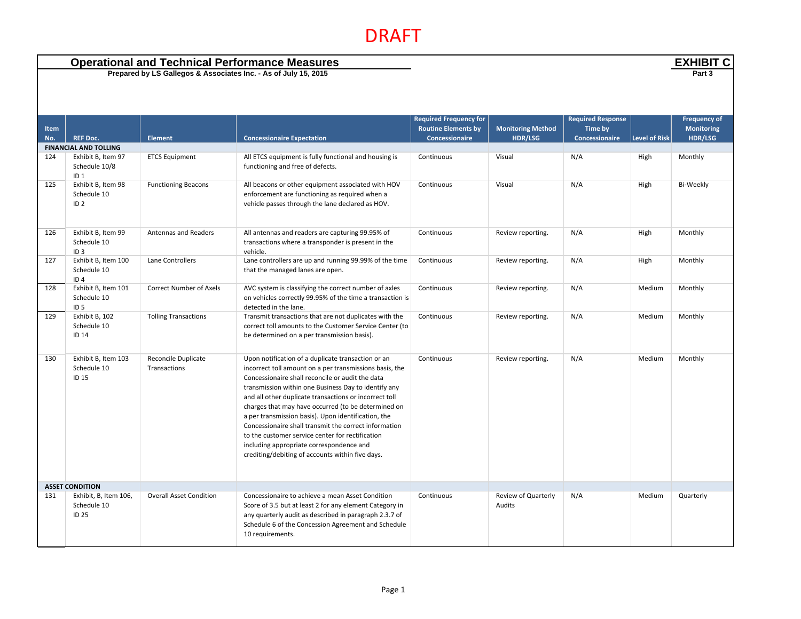| <b>Operational and Technical Performance Measures</b><br>Prepared by LS Gallegos & Associates Inc. - As of July 15, 2015 |                                                        |                                     |                                                                                                                                                                                                                                                                                                                                                                                                                                                                                                                                                                                                                |                                                                                      |                                            |                                                       |                      | <b>EXHIBIT C</b><br>Part 3                          |  |
|--------------------------------------------------------------------------------------------------------------------------|--------------------------------------------------------|-------------------------------------|----------------------------------------------------------------------------------------------------------------------------------------------------------------------------------------------------------------------------------------------------------------------------------------------------------------------------------------------------------------------------------------------------------------------------------------------------------------------------------------------------------------------------------------------------------------------------------------------------------------|--------------------------------------------------------------------------------------|--------------------------------------------|-------------------------------------------------------|----------------------|-----------------------------------------------------|--|
| <b>Item</b><br>No.                                                                                                       | <b>REF Doc.</b>                                        | <b>Element</b>                      | <b>Concessionaire Expectation</b>                                                                                                                                                                                                                                                                                                                                                                                                                                                                                                                                                                              | <b>Required Frequency for</b><br><b>Routine Elements by</b><br><b>Concessionaire</b> | <b>Monitoring Method</b><br><b>HDR/LSG</b> | <b>Required Response</b><br>Time by<br>Concessionaire | <b>Level of Risk</b> | <b>Frequency of</b><br><b>Monitoring</b><br>HDR/LSG |  |
|                                                                                                                          | <b>FINANCIAL AND TOLLING</b>                           |                                     |                                                                                                                                                                                                                                                                                                                                                                                                                                                                                                                                                                                                                |                                                                                      |                                            |                                                       |                      |                                                     |  |
| 124                                                                                                                      | Exhibit B, Item 97<br>Schedule 10/8<br>ID <sub>1</sub> | <b>ETCS Equipment</b>               | All ETCS equipment is fully functional and housing is<br>functioning and free of defects.                                                                                                                                                                                                                                                                                                                                                                                                                                                                                                                      | Continuous                                                                           | Visual                                     | N/A                                                   | High                 | Monthly                                             |  |
| 125                                                                                                                      | Exhibit B, Item 98<br>Schedule 10<br>ID <sub>2</sub>   | <b>Functioning Beacons</b>          | All beacons or other equipment associated with HOV<br>enforcement are functioning as required when a<br>vehicle passes through the lane declared as HOV.                                                                                                                                                                                                                                                                                                                                                                                                                                                       | Continuous                                                                           | Visual                                     | N/A                                                   | High                 | <b>Bi-Weekly</b>                                    |  |
| 126                                                                                                                      | Exhibit B, Item 99<br>Schedule 10<br>ID <sub>3</sub>   | Antennas and Readers                | All antennas and readers are capturing 99.95% of<br>transactions where a transponder is present in the<br>vehicle.                                                                                                                                                                                                                                                                                                                                                                                                                                                                                             | Continuous                                                                           | Review reporting.                          | N/A                                                   | High                 | Monthly                                             |  |
| 127                                                                                                                      | Exhibit B, Item 100<br>Schedule 10<br>ID <sub>4</sub>  | Lane Controllers                    | Lane controllers are up and running 99.99% of the time<br>that the managed lanes are open.                                                                                                                                                                                                                                                                                                                                                                                                                                                                                                                     | Continuous                                                                           | Review reporting.                          | N/A                                                   | High                 | Monthly                                             |  |
| 128                                                                                                                      | Exhibit B, Item 101<br>Schedule 10<br>ID <sub>5</sub>  | <b>Correct Number of Axels</b>      | AVC system is classifying the correct number of axles<br>on vehicles correctly 99.95% of the time a transaction is<br>detected in the lane.                                                                                                                                                                                                                                                                                                                                                                                                                                                                    | Continuous                                                                           | Review reporting.                          | N/A                                                   | Medium               | Monthly                                             |  |
| 129                                                                                                                      | Exhibit B, 102<br>Schedule 10<br><b>ID 14</b>          | <b>Tolling Transactions</b>         | Transmit transactions that are not duplicates with the<br>correct toll amounts to the Customer Service Center (to<br>be determined on a per transmission basis).                                                                                                                                                                                                                                                                                                                                                                                                                                               | Continuous                                                                           | Review reporting.                          | N/A                                                   | Medium               | Monthly                                             |  |
| 130                                                                                                                      | Exhibit B, Item 103<br>Schedule 10<br>ID 15            | Reconcile Duplicate<br>Transactions | Upon notification of a duplicate transaction or an<br>incorrect toll amount on a per transmissions basis, the<br>Concessionaire shall reconcile or audit the data<br>transmission within one Business Day to identify any<br>and all other duplicate transactions or incorrect toll<br>charges that may have occurred (to be determined on<br>a per transmission basis). Upon identification, the<br>Concessionaire shall transmit the correct information<br>to the customer service center for rectification<br>including appropriate correspondence and<br>crediting/debiting of accounts within five days. | Continuous                                                                           | Review reporting.                          | N/A                                                   | Medium               | Monthly                                             |  |
|                                                                                                                          | <b>ASSET CONDITION</b>                                 |                                     |                                                                                                                                                                                                                                                                                                                                                                                                                                                                                                                                                                                                                |                                                                                      |                                            |                                                       |                      |                                                     |  |
| 131                                                                                                                      | Exhibit, B, Item 106,<br>Schedule 10<br>ID 25          | <b>Overall Asset Condition</b>      | Concessionaire to achieve a mean Asset Condition<br>Score of 3.5 but at least 2 for any element Category in<br>any quarterly audit as described in paragraph 2.3.7 of<br>Schedule 6 of the Concession Agreement and Schedule<br>10 requirements.                                                                                                                                                                                                                                                                                                                                                               | Continuous                                                                           | Review of Quarterly<br>Audits              | N/A                                                   | Medium               | Quarterly                                           |  |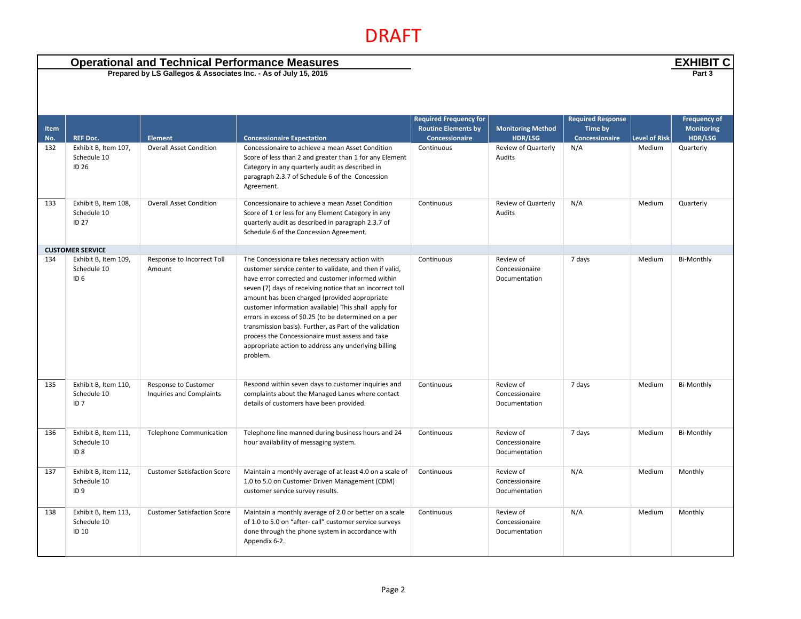| <b>Operational and Technical Performance Measures</b><br>Prepared by LS Gallegos & Associates Inc. - As of July 15, 2015 |                                                        |                                                  |                                                                                                                                                                                                                                                                                                                                                                                                                                                                                                                                                                                 |                                                                                      |                                              |                                                       |                      | <b>EXHIBIT C</b><br>Part 3                          |
|--------------------------------------------------------------------------------------------------------------------------|--------------------------------------------------------|--------------------------------------------------|---------------------------------------------------------------------------------------------------------------------------------------------------------------------------------------------------------------------------------------------------------------------------------------------------------------------------------------------------------------------------------------------------------------------------------------------------------------------------------------------------------------------------------------------------------------------------------|--------------------------------------------------------------------------------------|----------------------------------------------|-------------------------------------------------------|----------------------|-----------------------------------------------------|
|                                                                                                                          |                                                        |                                                  |                                                                                                                                                                                                                                                                                                                                                                                                                                                                                                                                                                                 |                                                                                      |                                              |                                                       |                      |                                                     |
| <b>Item</b><br>No.                                                                                                       | <b>REF Doc.</b>                                        | <b>Element</b>                                   | <b>Concessionaire Expectation</b>                                                                                                                                                                                                                                                                                                                                                                                                                                                                                                                                               | <b>Required Frequency for</b><br><b>Routine Elements by</b><br><b>Concessionaire</b> | <b>Monitoring Method</b><br><b>HDR/LSG</b>   | <b>Required Response</b><br>Time by<br>Concessionaire | <b>Level of Risk</b> | <b>Frequency of</b><br><b>Monitoring</b><br>HDR/LSG |
| 132                                                                                                                      | Exhibit B, Item 107,<br>Schedule 10<br>ID 26           | <b>Overall Asset Condition</b>                   | Concessionaire to achieve a mean Asset Condition<br>Score of less than 2 and greater than 1 for any Element<br>Category in any quarterly audit as described in<br>paragraph 2.3.7 of Schedule 6 of the Concession<br>Agreement.                                                                                                                                                                                                                                                                                                                                                 | Continuous                                                                           | Review of Quarterly<br>Audits                | N/A                                                   | Medium               | Quarterly                                           |
| 133                                                                                                                      | Exhibit B, Item 108,<br>Schedule 10<br><b>ID 27</b>    | <b>Overall Asset Condition</b>                   | Concessionaire to achieve a mean Asset Condition<br>Score of 1 or less for any Element Category in any<br>quarterly audit as described in paragraph 2.3.7 of<br>Schedule 6 of the Concession Agreement.                                                                                                                                                                                                                                                                                                                                                                         | Continuous                                                                           | Review of Quarterly<br>Audits                | N/A                                                   | Medium               | Quarterly                                           |
|                                                                                                                          | <b>CUSTOMER SERVICE</b>                                |                                                  |                                                                                                                                                                                                                                                                                                                                                                                                                                                                                                                                                                                 |                                                                                      |                                              |                                                       |                      |                                                     |
| 134                                                                                                                      | Exhibit B, Item 109,<br>Schedule 10<br>ID <sub>6</sub> | Response to Incorrect Toll<br>Amount             | The Concessionaire takes necessary action with<br>customer service center to validate, and then if valid,<br>have error corrected and customer informed within<br>seven (7) days of receiving notice that an incorrect toll<br>amount has been charged (provided appropriate<br>customer information available) This shall apply for<br>errors in excess of \$0.25 (to be determined on a per<br>transmission basis). Further, as Part of the validation<br>process the Concessionaire must assess and take<br>appropriate action to address any underlying billing<br>problem. | Continuous                                                                           | Review of<br>Concessionaire<br>Documentation | 7 days                                                | Medium               | <b>Bi-Monthly</b>                                   |
| 135                                                                                                                      | Exhibit B, Item 110,<br>Schedule 10<br>ID <sub>7</sub> | Response to Customer<br>Inquiries and Complaints | Respond within seven days to customer inquiries and<br>complaints about the Managed Lanes where contact<br>details of customers have been provided.                                                                                                                                                                                                                                                                                                                                                                                                                             | Continuous                                                                           | Review of<br>Concessionaire<br>Documentation | 7 days                                                | Medium               | <b>Bi-Monthly</b>                                   |
| 136                                                                                                                      | Exhibit B, Item 111,<br>Schedule 10<br>ID <sub>8</sub> | <b>Telephone Communication</b>                   | Telephone line manned during business hours and 24<br>hour availability of messaging system.                                                                                                                                                                                                                                                                                                                                                                                                                                                                                    | Continuous                                                                           | Review of<br>Concessionaire<br>Documentation | 7 days                                                | Medium               | <b>Bi-Monthly</b>                                   |
| 137                                                                                                                      | Exhibit B, Item 112,<br>Schedule 10<br>ID <sub>9</sub> | <b>Customer Satisfaction Score</b>               | Maintain a monthly average of at least 4.0 on a scale of<br>1.0 to 5.0 on Customer Driven Management (CDM)<br>customer service survey results.                                                                                                                                                                                                                                                                                                                                                                                                                                  | Continuous                                                                           | Review of<br>Concessionaire<br>Documentation | N/A                                                   | Medium               | Monthly                                             |
| 138                                                                                                                      | Exhibit B, Item 113,<br>Schedule 10<br>ID 10           | <b>Customer Satisfaction Score</b>               | Maintain a monthly average of 2.0 or better on a scale<br>of 1.0 to 5.0 on "after- call" customer service surveys<br>done through the phone system in accordance with<br>Appendix 6-2.                                                                                                                                                                                                                                                                                                                                                                                          | Continuous                                                                           | Review of<br>Concessionaire<br>Documentation | N/A                                                   | Medium               | Monthly                                             |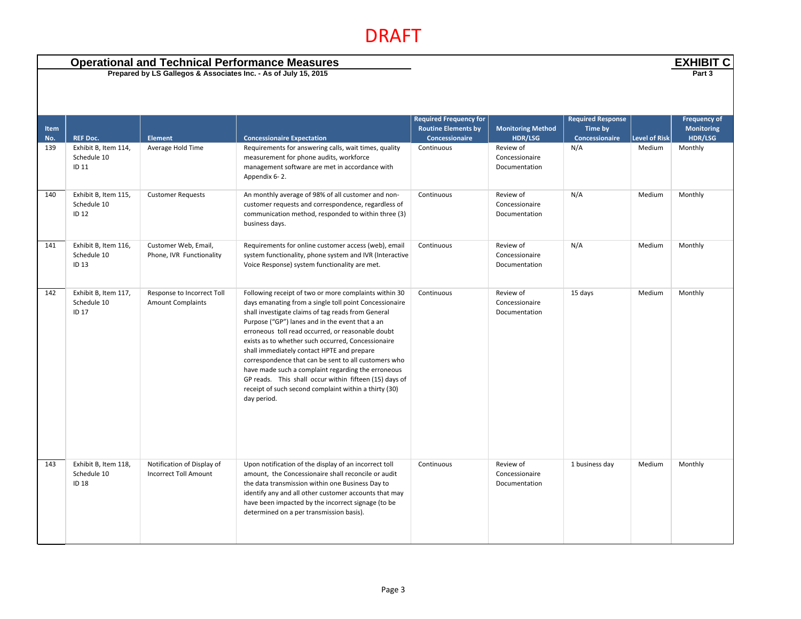|             |                                              | <b>Operational and Technical Performance Measures</b>           |                                                                                                                                                                                                                                                                                                                                                                                                                                                                                                                                                                                                                                   |                                                                                      |                                              |                                                       | <b>EXHIBIT C</b>     |                                                     |
|-------------|----------------------------------------------|-----------------------------------------------------------------|-----------------------------------------------------------------------------------------------------------------------------------------------------------------------------------------------------------------------------------------------------------------------------------------------------------------------------------------------------------------------------------------------------------------------------------------------------------------------------------------------------------------------------------------------------------------------------------------------------------------------------------|--------------------------------------------------------------------------------------|----------------------------------------------|-------------------------------------------------------|----------------------|-----------------------------------------------------|
|             |                                              | Prepared by LS Gallegos & Associates Inc. - As of July 15, 2015 |                                                                                                                                                                                                                                                                                                                                                                                                                                                                                                                                                                                                                                   |                                                                                      |                                              |                                                       |                      | Part 3                                              |
| Item<br>No. | <b>REF Doc.</b>                              | <b>Element</b>                                                  | <b>Concessionaire Expectation</b>                                                                                                                                                                                                                                                                                                                                                                                                                                                                                                                                                                                                 | <b>Required Frequency for</b><br><b>Routine Elements by</b><br><b>Concessionaire</b> | <b>Monitoring Method</b><br><b>HDR/LSG</b>   | <b>Required Response</b><br>Time by<br>Concessionaire | <b>Level of Risk</b> | <b>Frequency of</b><br><b>Monitoring</b><br>HDR/LSG |
| 139         | Exhibit B, Item 114,<br>Schedule 10<br>ID 11 | Average Hold Time                                               | Requirements for answering calls, wait times, quality<br>measurement for phone audits, workforce<br>management software are met in accordance with<br>Appendix 6-2.                                                                                                                                                                                                                                                                                                                                                                                                                                                               | Continuous                                                                           | Review of<br>Concessionaire<br>Documentation | N/A                                                   | Medium               | Monthly                                             |
| 140         | Exhibit B, Item 115,<br>Schedule 10<br>ID 12 | <b>Customer Requests</b>                                        | An monthly average of 98% of all customer and non-<br>customer requests and correspondence, regardless of<br>communication method, responded to within three (3)<br>business days.                                                                                                                                                                                                                                                                                                                                                                                                                                                | Continuous                                                                           | Review of<br>Concessionaire<br>Documentation | N/A                                                   | Medium               | Monthly                                             |
| 141         | Exhibit B, Item 116,<br>Schedule 10<br>ID 13 | Customer Web, Email,<br>Phone, IVR Functionality                | Requirements for online customer access (web), email<br>system functionality, phone system and IVR (Interactive<br>Voice Response) system functionality are met.                                                                                                                                                                                                                                                                                                                                                                                                                                                                  | Continuous                                                                           | Review of<br>Concessionaire<br>Documentation | N/A                                                   | Medium               | Monthly                                             |
| 142         | Exhibit B, Item 117,<br>Schedule 10<br>ID 17 | Response to Incorrect Toll<br><b>Amount Complaints</b>          | Following receipt of two or more complaints within 30<br>days emanating from a single toll point Concessionaire<br>shall investigate claims of tag reads from General<br>Purpose ("GP") lanes and in the event that a an<br>erroneous toll read occurred, or reasonable doubt<br>exists as to whether such occurred, Concessionaire<br>shall immediately contact HPTE and prepare<br>correspondence that can be sent to all customers who<br>have made such a complaint regarding the erroneous<br>GP reads. This shall occur within fifteen (15) days of<br>receipt of such second complaint within a thirty (30)<br>day period. | Continuous                                                                           | Review of<br>Concessionaire<br>Documentation | 15 days                                               | Medium               | Monthly                                             |
| 143         | Exhibit B, Item 118,<br>Schedule 10<br>ID 18 | Notification of Display of<br><b>Incorrect Toll Amount</b>      | Upon notification of the display of an incorrect toll<br>amount, the Concessionaire shall reconcile or audit<br>the data transmission within one Business Day to<br>identify any and all other customer accounts that may<br>have been impacted by the incorrect signage (to be<br>determined on a per transmission basis).                                                                                                                                                                                                                                                                                                       | Continuous                                                                           | Review of<br>Concessionaire<br>Documentation | 1 business day                                        | Medium               | Monthly                                             |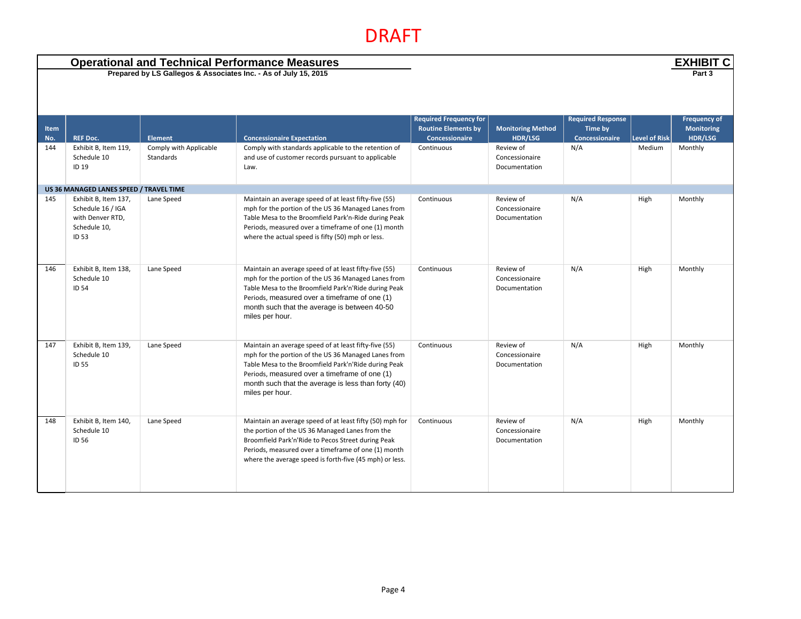| <b>Operational and Technical Performance Measures</b><br>Prepared by LS Gallegos & Associates Inc. - As of July 15, 2015 |                                                                                               |                                     |                                                                                                                                                                                                                                                                                                 |                                                                               |                                              |                                                       | <b>EXHIBIT C</b>     |                                                     |
|--------------------------------------------------------------------------------------------------------------------------|-----------------------------------------------------------------------------------------------|-------------------------------------|-------------------------------------------------------------------------------------------------------------------------------------------------------------------------------------------------------------------------------------------------------------------------------------------------|-------------------------------------------------------------------------------|----------------------------------------------|-------------------------------------------------------|----------------------|-----------------------------------------------------|
|                                                                                                                          |                                                                                               |                                     |                                                                                                                                                                                                                                                                                                 |                                                                               |                                              |                                                       |                      | Part 3                                              |
| Item<br>No.                                                                                                              | <b>REF Doc.</b>                                                                               | <b>Element</b>                      | <b>Concessionaire Expectation</b>                                                                                                                                                                                                                                                               | <b>Required Frequency for</b><br><b>Routine Elements by</b><br>Concessionaire | <b>Monitoring Method</b><br>HDR/LSG          | <b>Required Response</b><br>Time by<br>Concessionaire | <b>Level of Risk</b> | <b>Frequency of</b><br><b>Monitoring</b><br>HDR/LSG |
| 144                                                                                                                      | Exhibit B, Item 119,<br>Schedule 10<br>ID 19                                                  | Comply with Applicable<br>Standards | Comply with standards applicable to the retention of<br>and use of customer records pursuant to applicable<br>Law.                                                                                                                                                                              | Continuous                                                                    | Review of<br>Concessionaire<br>Documentation | N/A                                                   | Medium               | Monthly                                             |
|                                                                                                                          | US 36 MANAGED LANES SPEED / TRAVEL TIME                                                       |                                     |                                                                                                                                                                                                                                                                                                 |                                                                               |                                              |                                                       |                      |                                                     |
| 145                                                                                                                      | Exhibit B, Item 137,<br>Schedule 16 / IGA<br>with Denver RTD,<br>Schedule 10,<br><b>ID 53</b> | Lane Speed                          | Maintain an average speed of at least fifty-five (55)<br>mph for the portion of the US 36 Managed Lanes from<br>Table Mesa to the Broomfield Park'n-Ride during Peak<br>Periods, measured over a timeframe of one (1) month<br>where the actual speed is fifty (50) mph or less.                | Continuous                                                                    | Review of<br>Concessionaire<br>Documentation | N/A                                                   | High                 | Monthly                                             |
| 146                                                                                                                      | Exhibit B, Item 138,<br>Schedule 10<br><b>ID 54</b>                                           | Lane Speed                          | Maintain an average speed of at least fifty-five (55)<br>mph for the portion of the US 36 Managed Lanes from<br>Table Mesa to the Broomfield Park'n'Ride during Peak<br>Periods, measured over a timeframe of one (1)<br>month such that the average is between 40-50<br>miles per hour.        | Continuous                                                                    | Review of<br>Concessionaire<br>Documentation | N/A                                                   | High                 | Monthly                                             |
| 147                                                                                                                      | Exhibit B, Item 139,<br>Schedule 10<br><b>ID 55</b>                                           | Lane Speed                          | Maintain an average speed of at least fifty-five (55)<br>mph for the portion of the US 36 Managed Lanes from<br>Table Mesa to the Broomfield Park'n'Ride during Peak<br>Periods, measured over a timeframe of one (1)<br>month such that the average is less than forty (40)<br>miles per hour. | Continuous                                                                    | Review of<br>Concessionaire<br>Documentation | N/A                                                   | High                 | Monthly                                             |
| 148                                                                                                                      | Exhibit B, Item 140,<br>Schedule 10<br>ID 56                                                  | Lane Speed                          | Maintain an average speed of at least fifty (50) mph for<br>the portion of the US 36 Managed Lanes from the<br>Broomfield Park'n'Ride to Pecos Street during Peak<br>Periods, measured over a timeframe of one (1) month<br>where the average speed is forth-five (45 mph) or less.             | Continuous                                                                    | Review of<br>Concessionaire<br>Documentation | N/A                                                   | High                 | Monthly                                             |